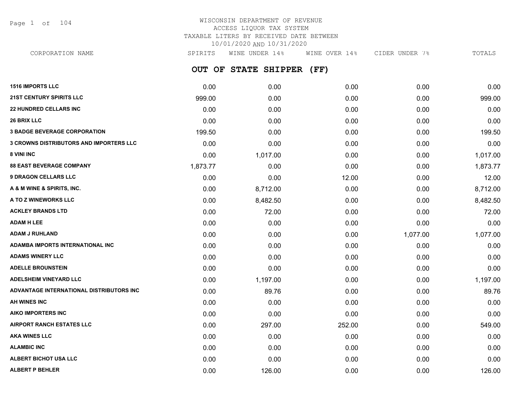Page 1 of 104

## WISCONSIN DEPARTMENT OF REVENUE ACCESS LIQUOR TAX SYSTEM TAXABLE LITERS BY RECEIVED DATE BETWEEN 10/01/2020 AND 10/31/2020

**OUT OF STATE SHIPPER (FF)** CORPORATION NAME SPIRITS WINE UNDER 14% WINE OVER 14% CIDER UNDER 7% TOTALS

| <b>1516 IMPORTS LLC</b>                        | 0.00     | 0.00     | 0.00   | 0.00     | 0.00     |
|------------------------------------------------|----------|----------|--------|----------|----------|
| <b>21ST CENTURY SPIRITS LLC</b>                | 999.00   | 0.00     | 0.00   | 0.00     | 999.00   |
| <b>22 HUNDRED CELLARS INC</b>                  | 0.00     | 0.00     | 0.00   | 0.00     | 0.00     |
| <b>26 BRIX LLC</b>                             | 0.00     | 0.00     | 0.00   | 0.00     | 0.00     |
| <b>3 BADGE BEVERAGE CORPORATION</b>            | 199.50   | 0.00     | 0.00   | 0.00     | 199.50   |
| <b>3 CROWNS DISTRIBUTORS AND IMPORTERS LLC</b> | 0.00     | 0.00     | 0.00   | 0.00     | 0.00     |
| 8 VINI INC                                     | 0.00     | 1,017.00 | 0.00   | 0.00     | 1,017.00 |
| <b>88 EAST BEVERAGE COMPANY</b>                | 1,873.77 | 0.00     | 0.00   | 0.00     | 1,873.77 |
| <b>9 DRAGON CELLARS LLC</b>                    | 0.00     | 0.00     | 12.00  | 0.00     | 12.00    |
| A & M WINE & SPIRITS, INC.                     | 0.00     | 8,712.00 | 0.00   | 0.00     | 8,712.00 |
| A TO Z WINEWORKS LLC                           | 0.00     | 8,482.50 | 0.00   | 0.00     | 8,482.50 |
| <b>ACKLEY BRANDS LTD</b>                       | 0.00     | 72.00    | 0.00   | 0.00     | 72.00    |
| <b>ADAM H LEE</b>                              | 0.00     | 0.00     | 0.00   | 0.00     | 0.00     |
| <b>ADAM J RUHLAND</b>                          | 0.00     | 0.00     | 0.00   | 1,077.00 | 1,077.00 |
| <b>ADAMBA IMPORTS INTERNATIONAL INC</b>        | 0.00     | 0.00     | 0.00   | 0.00     | 0.00     |
| <b>ADAMS WINERY LLC</b>                        | 0.00     | 0.00     | 0.00   | 0.00     | 0.00     |
| <b>ADELLE BROUNSTEIN</b>                       | 0.00     | 0.00     | 0.00   | 0.00     | 0.00     |
| <b>ADELSHEIM VINEYARD LLC</b>                  | 0.00     | 1,197.00 | 0.00   | 0.00     | 1,197.00 |
| ADVANTAGE INTERNATIONAL DISTRIBUTORS INC       | 0.00     | 89.76    | 0.00   | 0.00     | 89.76    |
| AH WINES INC                                   | 0.00     | 0.00     | 0.00   | 0.00     | 0.00     |
| <b>AIKO IMPORTERS INC</b>                      | 0.00     | 0.00     | 0.00   | 0.00     | 0.00     |
| <b>AIRPORT RANCH ESTATES LLC</b>               | 0.00     | 297.00   | 252.00 | 0.00     | 549.00   |
| <b>AKA WINES LLC</b>                           | 0.00     | 0.00     | 0.00   | 0.00     | 0.00     |
| <b>ALAMBIC INC</b>                             | 0.00     | 0.00     | 0.00   | 0.00     | 0.00     |
| ALBERT BICHOT USA LLC                          | 0.00     | 0.00     | 0.00   | 0.00     | 0.00     |
| <b>ALBERT P BEHLER</b>                         | 0.00     | 126.00   | 0.00   | 0.00     | 126.00   |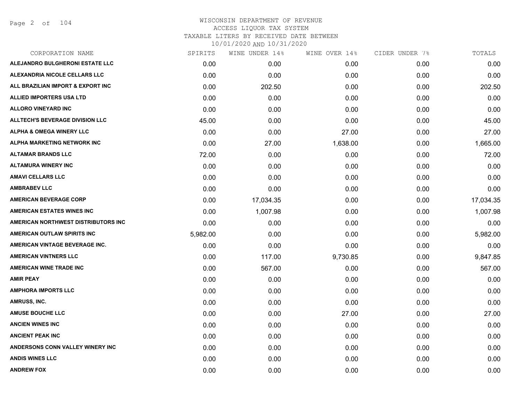Page 2 of 104

| CORPORATION NAME                       | SPIRITS  | WINE UNDER 14% | WINE OVER 14% | CIDER UNDER 7% | TOTALS    |
|----------------------------------------|----------|----------------|---------------|----------------|-----------|
| ALEJANDRO BULGHERONI ESTATE LLC        | 0.00     | 0.00           | 0.00          | 0.00           | 0.00      |
| ALEXANDRIA NICOLE CELLARS LLC          | 0.00     | 0.00           | 0.00          | 0.00           | 0.00      |
| ALL BRAZILIAN IMPORT & EXPORT INC      | 0.00     | 202.50         | 0.00          | 0.00           | 202.50    |
| <b>ALLIED IMPORTERS USA LTD</b>        | 0.00     | 0.00           | 0.00          | 0.00           | 0.00      |
| <b>ALLORO VINEYARD INC</b>             | 0.00     | 0.00           | 0.00          | 0.00           | 0.00      |
| <b>ALLTECH'S BEVERAGE DIVISION LLC</b> | 45.00    | 0.00           | 0.00          | 0.00           | 45.00     |
| <b>ALPHA &amp; OMEGA WINERY LLC</b>    | 0.00     | 0.00           | 27.00         | 0.00           | 27.00     |
| ALPHA MARKETING NETWORK INC            | 0.00     | 27.00          | 1,638.00      | 0.00           | 1,665.00  |
| <b>ALTAMAR BRANDS LLC</b>              | 72.00    | 0.00           | 0.00          | 0.00           | 72.00     |
| <b>ALTAMURA WINERY INC</b>             | 0.00     | 0.00           | 0.00          | 0.00           | 0.00      |
| <b>AMAVI CELLARS LLC</b>               | 0.00     | 0.00           | 0.00          | 0.00           | 0.00      |
| <b>AMBRABEV LLC</b>                    | 0.00     | 0.00           | 0.00          | 0.00           | 0.00      |
| <b>AMERICAN BEVERAGE CORP</b>          | 0.00     | 17,034.35      | 0.00          | 0.00           | 17,034.35 |
| <b>AMERICAN ESTATES WINES INC</b>      | 0.00     | 1,007.98       | 0.00          | 0.00           | 1,007.98  |
| AMERICAN NORTHWEST DISTRIBUTORS INC    | 0.00     | 0.00           | 0.00          | 0.00           | 0.00      |
| AMERICAN OUTLAW SPIRITS INC            | 5,982.00 | 0.00           | 0.00          | 0.00           | 5,982.00  |
| AMERICAN VINTAGE BEVERAGE INC.         | 0.00     | 0.00           | 0.00          | 0.00           | 0.00      |
| <b>AMERICAN VINTNERS LLC</b>           | 0.00     | 117.00         | 9,730.85      | 0.00           | 9,847.85  |
| <b>AMERICAN WINE TRADE INC</b>         | 0.00     | 567.00         | 0.00          | 0.00           | 567.00    |
| <b>AMIR PEAY</b>                       | 0.00     | 0.00           | 0.00          | 0.00           | 0.00      |
| <b>AMPHORA IMPORTS LLC</b>             | 0.00     | 0.00           | 0.00          | 0.00           | 0.00      |
| AMRUSS, INC.                           | 0.00     | 0.00           | 0.00          | 0.00           | 0.00      |
| <b>AMUSE BOUCHE LLC</b>                | 0.00     | 0.00           | 27.00         | 0.00           | 27.00     |
| <b>ANCIEN WINES INC</b>                | 0.00     | 0.00           | 0.00          | 0.00           | 0.00      |
| <b>ANCIENT PEAK INC</b>                | 0.00     | 0.00           | 0.00          | 0.00           | 0.00      |
| ANDERSONS CONN VALLEY WINERY INC       | 0.00     | 0.00           | 0.00          | 0.00           | 0.00      |
| <b>ANDIS WINES LLC</b>                 | 0.00     | 0.00           | 0.00          | 0.00           | 0.00      |
| <b>ANDREW FOX</b>                      | 0.00     | 0.00           | 0.00          | 0.00           | 0.00      |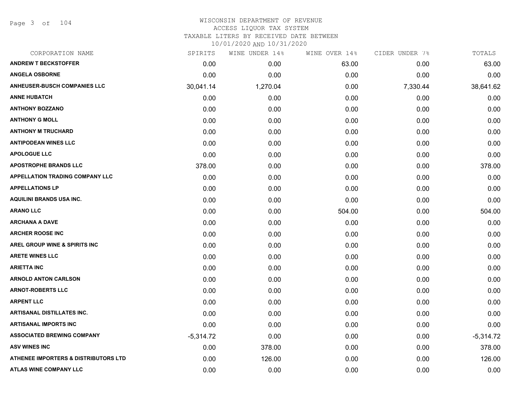Page 3 of 104

# WISCONSIN DEPARTMENT OF REVENUE ACCESS LIQUOR TAX SYSTEM TAXABLE LITERS BY RECEIVED DATE BETWEEN

| CORPORATION NAME                                | SPIRITS     | WINE UNDER 14% | WINE OVER 14% | CIDER UNDER 7% | TOTALS      |
|-------------------------------------------------|-------------|----------------|---------------|----------------|-------------|
| <b>ANDREW T BECKSTOFFER</b>                     | 0.00        | 0.00           | 63.00         | 0.00           | 63.00       |
| <b>ANGELA OSBORNE</b>                           | 0.00        | 0.00           | 0.00          | 0.00           | 0.00        |
| <b>ANHEUSER-BUSCH COMPANIES LLC</b>             | 30,041.14   | 1,270.04       | 0.00          | 7,330.44       | 38,641.62   |
| <b>ANNE HUBATCH</b>                             | 0.00        | 0.00           | 0.00          | 0.00           | 0.00        |
| <b>ANTHONY BOZZANO</b>                          | 0.00        | 0.00           | 0.00          | 0.00           | 0.00        |
| <b>ANTHONY G MOLL</b>                           | 0.00        | 0.00           | 0.00          | 0.00           | 0.00        |
| <b>ANTHONY M TRUCHARD</b>                       | 0.00        | 0.00           | 0.00          | 0.00           | 0.00        |
| <b>ANTIPODEAN WINES LLC</b>                     | 0.00        | 0.00           | 0.00          | 0.00           | 0.00        |
| <b>APOLOGUE LLC</b>                             | 0.00        | 0.00           | 0.00          | 0.00           | 0.00        |
| <b>APOSTROPHE BRANDS LLC</b>                    | 378.00      | 0.00           | 0.00          | 0.00           | 378.00      |
| <b>APPELLATION TRADING COMPANY LLC</b>          | 0.00        | 0.00           | 0.00          | 0.00           | 0.00        |
| <b>APPELLATIONS LP</b>                          | 0.00        | 0.00           | 0.00          | 0.00           | 0.00        |
| <b>AQUILINI BRANDS USA INC.</b>                 | 0.00        | 0.00           | 0.00          | 0.00           | 0.00        |
| <b>ARANO LLC</b>                                | 0.00        | 0.00           | 504.00        | 0.00           | 504.00      |
| <b>ARCHANA A DAVE</b>                           | 0.00        | 0.00           | 0.00          | 0.00           | 0.00        |
| <b>ARCHER ROOSE INC</b>                         | 0.00        | 0.00           | 0.00          | 0.00           | 0.00        |
| AREL GROUP WINE & SPIRITS INC                   | 0.00        | 0.00           | 0.00          | 0.00           | 0.00        |
| <b>ARETE WINES LLC</b>                          | 0.00        | 0.00           | 0.00          | 0.00           | 0.00        |
| <b>ARIETTA INC</b>                              | 0.00        | 0.00           | 0.00          | 0.00           | 0.00        |
| <b>ARNOLD ANTON CARLSON</b>                     | 0.00        | 0.00           | 0.00          | 0.00           | 0.00        |
| <b>ARNOT-ROBERTS LLC</b>                        | 0.00        | 0.00           | 0.00          | 0.00           | 0.00        |
| <b>ARPENT LLC</b>                               | 0.00        | 0.00           | 0.00          | 0.00           | 0.00        |
| <b>ARTISANAL DISTILLATES INC.</b>               | 0.00        | 0.00           | 0.00          | 0.00           | 0.00        |
| <b>ARTISANAL IMPORTS INC</b>                    | 0.00        | 0.00           | 0.00          | 0.00           | 0.00        |
| <b>ASSOCIATED BREWING COMPANY</b>               | $-5,314.72$ | 0.00           | 0.00          | 0.00           | $-5,314.72$ |
| <b>ASV WINES INC</b>                            | 0.00        | 378.00         | 0.00          | 0.00           | 378.00      |
| <b>ATHENEE IMPORTERS &amp; DISTRIBUTORS LTD</b> | 0.00        | 126.00         | 0.00          | 0.00           | 126.00      |
| <b>ATLAS WINE COMPANY LLC</b>                   | 0.00        | 0.00           | 0.00          | 0.00           | 0.00        |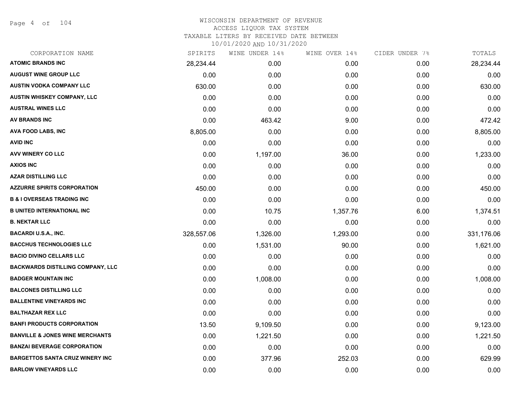Page 4 of 104

| CORPORATION NAME                           | SPIRITS    | WINE UNDER 14% | WINE OVER 14% | CIDER UNDER 7% | TOTALS     |
|--------------------------------------------|------------|----------------|---------------|----------------|------------|
| <b>ATOMIC BRANDS INC</b>                   | 28,234.44  | 0.00           | 0.00          | 0.00           | 28,234.44  |
| <b>AUGUST WINE GROUP LLC</b>               | 0.00       | 0.00           | 0.00          | 0.00           | 0.00       |
| <b>AUSTIN VODKA COMPANY LLC</b>            | 630.00     | 0.00           | 0.00          | 0.00           | 630.00     |
| AUSTIN WHISKEY COMPANY, LLC                | 0.00       | 0.00           | 0.00          | 0.00           | 0.00       |
| <b>AUSTRAL WINES LLC</b>                   | 0.00       | 0.00           | 0.00          | 0.00           | 0.00       |
| <b>AV BRANDS INC</b>                       | 0.00       | 463.42         | 9.00          | 0.00           | 472.42     |
| <b>AVA FOOD LABS, INC</b>                  | 8,805.00   | 0.00           | 0.00          | 0.00           | 8,805.00   |
| <b>AVID INC</b>                            | 0.00       | 0.00           | 0.00          | 0.00           | 0.00       |
| <b>AVV WINERY CO LLC</b>                   | 0.00       | 1,197.00       | 36.00         | 0.00           | 1,233.00   |
| <b>AXIOS INC</b>                           | 0.00       | 0.00           | 0.00          | 0.00           | 0.00       |
| <b>AZAR DISTILLING LLC</b>                 | 0.00       | 0.00           | 0.00          | 0.00           | 0.00       |
| <b>AZZURRE SPIRITS CORPORATION</b>         | 450.00     | 0.00           | 0.00          | 0.00           | 450.00     |
| <b>B &amp; I OVERSEAS TRADING INC</b>      | 0.00       | 0.00           | 0.00          | 0.00           | 0.00       |
| <b>B UNITED INTERNATIONAL INC</b>          | 0.00       | 10.75          | 1,357.76      | 6.00           | 1,374.51   |
| <b>B. NEKTAR LLC</b>                       | 0.00       | 0.00           | 0.00          | 0.00           | 0.00       |
| <b>BACARDI U.S.A., INC.</b>                | 328,557.06 | 1,326.00       | 1,293.00      | 0.00           | 331,176.06 |
| <b>BACCHUS TECHNOLOGIES LLC</b>            | 0.00       | 1,531.00       | 90.00         | 0.00           | 1,621.00   |
| <b>BACIO DIVINO CELLARS LLC</b>            | 0.00       | 0.00           | 0.00          | 0.00           | 0.00       |
| <b>BACKWARDS DISTILLING COMPANY, LLC</b>   | 0.00       | 0.00           | 0.00          | 0.00           | 0.00       |
| <b>BADGER MOUNTAIN INC</b>                 | 0.00       | 1,008.00       | 0.00          | 0.00           | 1,008.00   |
| <b>BALCONES DISTILLING LLC</b>             | 0.00       | 0.00           | 0.00          | 0.00           | 0.00       |
| <b>BALLENTINE VINEYARDS INC</b>            | 0.00       | 0.00           | 0.00          | 0.00           | 0.00       |
| <b>BALTHAZAR REX LLC</b>                   | 0.00       | 0.00           | 0.00          | 0.00           | 0.00       |
| <b>BANFI PRODUCTS CORPORATION</b>          | 13.50      | 9,109.50       | 0.00          | 0.00           | 9,123.00   |
| <b>BANVILLE &amp; JONES WINE MERCHANTS</b> | 0.00       | 1,221.50       | 0.00          | 0.00           | 1,221.50   |
| <b>BANZAI BEVERAGE CORPORATION</b>         | 0.00       | 0.00           | 0.00          | 0.00           | 0.00       |
| <b>BARGETTOS SANTA CRUZ WINERY INC</b>     | 0.00       | 377.96         | 252.03        | 0.00           | 629.99     |
| <b>BARLOW VINEYARDS LLC</b>                | 0.00       | 0.00           | 0.00          | 0.00           | 0.00       |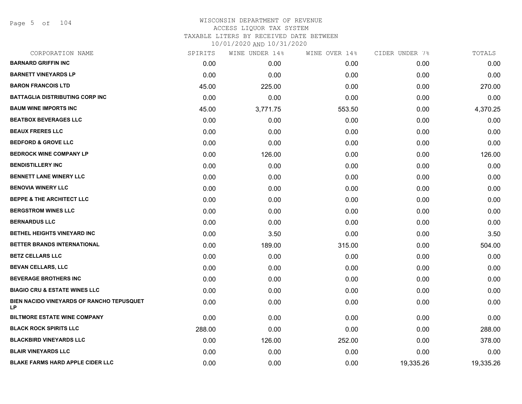Page 5 of 104

| CORPORATION NAME                                       | SPIRITS | WINE UNDER 14% | WINE OVER 14% | CIDER UNDER 7% | TOTALS    |
|--------------------------------------------------------|---------|----------------|---------------|----------------|-----------|
| <b>BARNARD GRIFFIN INC</b>                             | 0.00    | 0.00           | 0.00          | 0.00           | 0.00      |
| <b>BARNETT VINEYARDS LP</b>                            | 0.00    | 0.00           | 0.00          | 0.00           | 0.00      |
| <b>BARON FRANCOIS LTD</b>                              | 45.00   | 225.00         | 0.00          | 0.00           | 270.00    |
| <b>BATTAGLIA DISTRIBUTING CORP INC</b>                 | 0.00    | 0.00           | 0.00          | 0.00           | 0.00      |
| <b>BAUM WINE IMPORTS INC</b>                           | 45.00   | 3,771.75       | 553.50        | 0.00           | 4,370.25  |
| <b>BEATBOX BEVERAGES LLC</b>                           | 0.00    | 0.00           | 0.00          | 0.00           | 0.00      |
| <b>BEAUX FRERES LLC</b>                                | 0.00    | 0.00           | 0.00          | 0.00           | 0.00      |
| <b>BEDFORD &amp; GROVE LLC</b>                         | 0.00    | 0.00           | 0.00          | 0.00           | 0.00      |
| <b>BEDROCK WINE COMPANY LP</b>                         | 0.00    | 126.00         | 0.00          | 0.00           | 126.00    |
| <b>BENDISTILLERY INC</b>                               | 0.00    | 0.00           | 0.00          | 0.00           | 0.00      |
| <b>BENNETT LANE WINERY LLC</b>                         | 0.00    | 0.00           | 0.00          | 0.00           | 0.00      |
| <b>BENOVIA WINERY LLC</b>                              | 0.00    | 0.00           | 0.00          | 0.00           | 0.00      |
| <b>BEPPE &amp; THE ARCHITECT LLC</b>                   | 0.00    | 0.00           | 0.00          | 0.00           | 0.00      |
| <b>BERGSTROM WINES LLC</b>                             | 0.00    | 0.00           | 0.00          | 0.00           | 0.00      |
| <b>BERNARDUS LLC</b>                                   | 0.00    | 0.00           | 0.00          | 0.00           | 0.00      |
| BETHEL HEIGHTS VINEYARD INC                            | 0.00    | 3.50           | 0.00          | 0.00           | 3.50      |
| BETTER BRANDS INTERNATIONAL                            | 0.00    | 189.00         | 315.00        | 0.00           | 504.00    |
| <b>BETZ CELLARS LLC</b>                                | 0.00    | 0.00           | 0.00          | 0.00           | 0.00      |
| <b>BEVAN CELLARS, LLC</b>                              | 0.00    | 0.00           | 0.00          | 0.00           | 0.00      |
| <b>BEVERAGE BROTHERS INC</b>                           | 0.00    | 0.00           | 0.00          | 0.00           | 0.00      |
| <b>BIAGIO CRU &amp; ESTATE WINES LLC</b>               | 0.00    | 0.00           | 0.00          | 0.00           | 0.00      |
| BIEN NACIDO VINEYARDS OF RANCHO TEPUSQUET<br><b>LP</b> | 0.00    | 0.00           | 0.00          | 0.00           | 0.00      |
| <b>BILTMORE ESTATE WINE COMPANY</b>                    | 0.00    | 0.00           | 0.00          | 0.00           | 0.00      |
| <b>BLACK ROCK SPIRITS LLC</b>                          | 288.00  | 0.00           | 0.00          | 0.00           | 288.00    |
| <b>BLACKBIRD VINEYARDS LLC</b>                         | 0.00    | 126.00         | 252.00        | 0.00           | 378.00    |
| <b>BLAIR VINEYARDS LLC</b>                             | 0.00    | 0.00           | 0.00          | 0.00           | 0.00      |
| <b>BLAKE FARMS HARD APPLE CIDER LLC</b>                | 0.00    | 0.00           | 0.00          | 19,335.26      | 19,335.26 |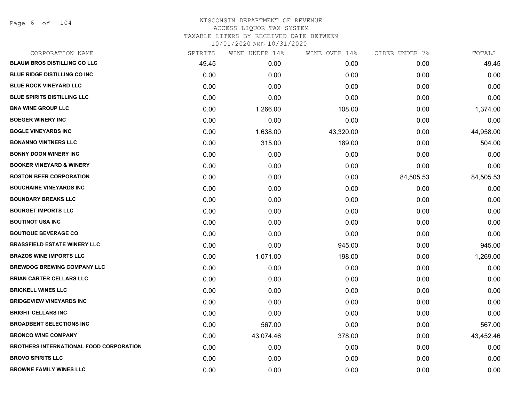Page 6 of 104

| SPIRITS | WINE UNDER 14% | WINE OVER 14% | CIDER UNDER 7% | TOTALS    |
|---------|----------------|---------------|----------------|-----------|
| 49.45   | 0.00           | 0.00          | 0.00           | 49.45     |
| 0.00    | 0.00           | 0.00          | 0.00           | 0.00      |
| 0.00    | 0.00           | 0.00          | 0.00           | 0.00      |
| 0.00    | 0.00           | 0.00          | 0.00           | 0.00      |
| 0.00    | 1,266.00       | 108.00        | 0.00           | 1,374.00  |
| 0.00    | 0.00           | 0.00          | 0.00           | 0.00      |
| 0.00    | 1,638.00       | 43,320.00     | 0.00           | 44,958.00 |
| 0.00    | 315.00         | 189.00        | 0.00           | 504.00    |
| 0.00    | 0.00           | 0.00          | 0.00           | 0.00      |
| 0.00    | 0.00           | 0.00          | 0.00           | 0.00      |
| 0.00    | 0.00           | 0.00          | 84,505.53      | 84,505.53 |
| 0.00    | 0.00           | 0.00          | 0.00           | 0.00      |
| 0.00    | 0.00           | 0.00          | 0.00           | 0.00      |
| 0.00    | 0.00           | 0.00          | 0.00           | 0.00      |
| 0.00    | 0.00           | 0.00          | 0.00           | 0.00      |
| 0.00    | 0.00           | 0.00          | 0.00           | 0.00      |
| 0.00    | 0.00           | 945.00        | 0.00           | 945.00    |
| 0.00    | 1,071.00       | 198.00        | 0.00           | 1,269.00  |
| 0.00    | 0.00           | 0.00          | 0.00           | 0.00      |
| 0.00    | 0.00           | 0.00          | 0.00           | 0.00      |
| 0.00    | 0.00           | 0.00          | 0.00           | 0.00      |
| 0.00    | 0.00           | 0.00          | 0.00           | 0.00      |
| 0.00    | 0.00           | 0.00          | 0.00           | 0.00      |
| 0.00    | 567.00         | 0.00          | 0.00           | 567.00    |
| 0.00    | 43,074.46      | 378.00        | 0.00           | 43,452.46 |
| 0.00    | 0.00           | 0.00          | 0.00           | 0.00      |
| 0.00    | 0.00           | 0.00          | 0.00           | 0.00      |
| 0.00    | 0.00           | 0.00          | 0.00           | 0.00      |
|         |                |               |                |           |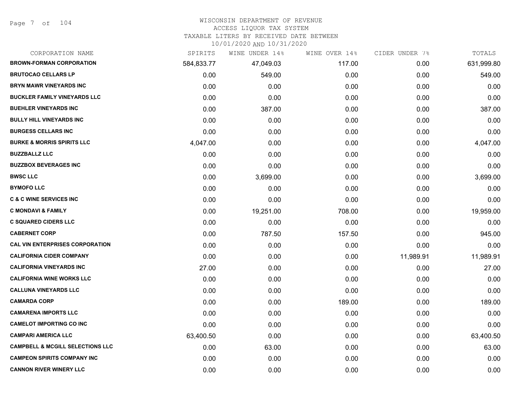Page 7 of 104

#### WISCONSIN DEPARTMENT OF REVENUE

#### ACCESS LIQUOR TAX SYSTEM

TAXABLE LITERS BY RECEIVED DATE BETWEEN

| CORPORATION NAME                            | SPIRITS    | WINE UNDER 14% | WINE OVER 14% | CIDER UNDER 7% | TOTALS     |
|---------------------------------------------|------------|----------------|---------------|----------------|------------|
| <b>BROWN-FORMAN CORPORATION</b>             | 584,833.77 | 47,049.03      | 117.00        | 0.00           | 631,999.80 |
| <b>BRUTOCAO CELLARS LP</b>                  | 0.00       | 549.00         | 0.00          | 0.00           | 549.00     |
| <b>BRYN MAWR VINEYARDS INC</b>              | 0.00       | 0.00           | 0.00          | 0.00           | 0.00       |
| <b>BUCKLER FAMILY VINEYARDS LLC</b>         | 0.00       | 0.00           | 0.00          | 0.00           | 0.00       |
| <b>BUEHLER VINEYARDS INC</b>                | 0.00       | 387.00         | 0.00          | 0.00           | 387.00     |
| <b>BULLY HILL VINEYARDS INC</b>             | 0.00       | 0.00           | 0.00          | 0.00           | 0.00       |
| <b>BURGESS CELLARS INC</b>                  | 0.00       | 0.00           | 0.00          | 0.00           | 0.00       |
| <b>BURKE &amp; MORRIS SPIRITS LLC</b>       | 4,047.00   | 0.00           | 0.00          | 0.00           | 4,047.00   |
| <b>BUZZBALLZ LLC</b>                        | 0.00       | 0.00           | 0.00          | 0.00           | 0.00       |
| <b>BUZZBOX BEVERAGES INC</b>                | 0.00       | 0.00           | 0.00          | 0.00           | 0.00       |
| <b>BWSC LLC</b>                             | 0.00       | 3,699.00       | 0.00          | 0.00           | 3,699.00   |
| <b>BYMOFO LLC</b>                           | 0.00       | 0.00           | 0.00          | 0.00           | 0.00       |
| <b>C &amp; C WINE SERVICES INC</b>          | 0.00       | 0.00           | 0.00          | 0.00           | 0.00       |
| <b>C MONDAVI &amp; FAMILY</b>               | 0.00       | 19,251.00      | 708.00        | 0.00           | 19,959.00  |
| <b>C SQUARED CIDERS LLC</b>                 | 0.00       | 0.00           | 0.00          | 0.00           | 0.00       |
| <b>CABERNET CORP</b>                        | 0.00       | 787.50         | 157.50        | 0.00           | 945.00     |
| <b>CAL VIN ENTERPRISES CORPORATION</b>      | 0.00       | 0.00           | 0.00          | 0.00           | 0.00       |
| <b>CALIFORNIA CIDER COMPANY</b>             | 0.00       | 0.00           | 0.00          | 11,989.91      | 11,989.91  |
| <b>CALIFORNIA VINEYARDS INC</b>             | 27.00      | 0.00           | 0.00          | 0.00           | 27.00      |
| <b>CALIFORNIA WINE WORKS LLC</b>            | 0.00       | 0.00           | 0.00          | 0.00           | 0.00       |
| <b>CALLUNA VINEYARDS LLC</b>                | 0.00       | 0.00           | 0.00          | 0.00           | 0.00       |
| <b>CAMARDA CORP</b>                         | 0.00       | 0.00           | 189.00        | 0.00           | 189.00     |
| <b>CAMARENA IMPORTS LLC</b>                 | 0.00       | 0.00           | 0.00          | 0.00           | 0.00       |
| <b>CAMELOT IMPORTING CO INC</b>             | 0.00       | 0.00           | 0.00          | 0.00           | 0.00       |
| <b>CAMPARI AMERICA LLC</b>                  | 63,400.50  | 0.00           | 0.00          | 0.00           | 63,400.50  |
| <b>CAMPBELL &amp; MCGILL SELECTIONS LLC</b> | 0.00       | 63.00          | 0.00          | 0.00           | 63.00      |
| <b>CAMPEON SPIRITS COMPANY INC</b>          | 0.00       | 0.00           | 0.00          | 0.00           | 0.00       |
| <b>CANNON RIVER WINERY LLC</b>              | 0.00       | 0.00           | 0.00          | 0.00           | 0.00       |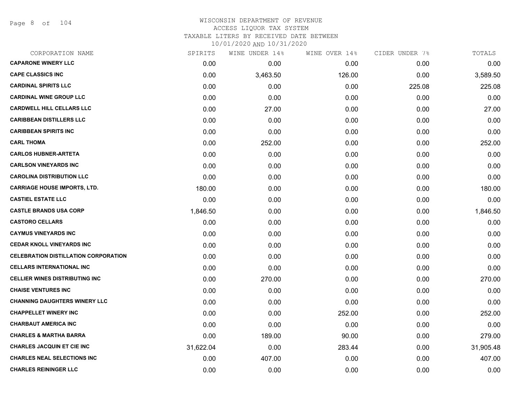Page 8 of 104

## WISCONSIN DEPARTMENT OF REVENUE ACCESS LIQUOR TAX SYSTEM TAXABLE LITERS BY RECEIVED DATE BETWEEN

| CORPORATION NAME                            | SPIRITS   | WINE UNDER 14% | WINE OVER 14% | CIDER UNDER 7% | TOTALS    |
|---------------------------------------------|-----------|----------------|---------------|----------------|-----------|
| <b>CAPARONE WINERY LLC</b>                  | 0.00      | 0.00           | 0.00          | 0.00           | 0.00      |
| <b>CAPE CLASSICS INC</b>                    | 0.00      | 3,463.50       | 126.00        | 0.00           | 3,589.50  |
| <b>CARDINAL SPIRITS LLC</b>                 | 0.00      | 0.00           | 0.00          | 225.08         | 225.08    |
| <b>CARDINAL WINE GROUP LLC</b>              | 0.00      | 0.00           | 0.00          | 0.00           | 0.00      |
| <b>CARDWELL HILL CELLARS LLC</b>            | 0.00      | 27.00          | 0.00          | 0.00           | 27.00     |
| <b>CARIBBEAN DISTILLERS LLC</b>             | 0.00      | 0.00           | 0.00          | 0.00           | 0.00      |
| <b>CARIBBEAN SPIRITS INC</b>                | 0.00      | 0.00           | 0.00          | 0.00           | 0.00      |
| <b>CARL THOMA</b>                           | 0.00      | 252.00         | 0.00          | 0.00           | 252.00    |
| <b>CARLOS HUBNER-ARTETA</b>                 | 0.00      | 0.00           | 0.00          | 0.00           | 0.00      |
| <b>CARLSON VINEYARDS INC</b>                | 0.00      | 0.00           | 0.00          | 0.00           | 0.00      |
| <b>CAROLINA DISTRIBUTION LLC</b>            | 0.00      | 0.00           | 0.00          | 0.00           | 0.00      |
| <b>CARRIAGE HOUSE IMPORTS, LTD.</b>         | 180.00    | 0.00           | 0.00          | 0.00           | 180.00    |
| <b>CASTIEL ESTATE LLC</b>                   | 0.00      | 0.00           | 0.00          | 0.00           | 0.00      |
| <b>CASTLE BRANDS USA CORP</b>               | 1,846.50  | 0.00           | 0.00          | 0.00           | 1,846.50  |
| <b>CASTORO CELLARS</b>                      | 0.00      | 0.00           | 0.00          | 0.00           | 0.00      |
| <b>CAYMUS VINEYARDS INC</b>                 | 0.00      | 0.00           | 0.00          | 0.00           | 0.00      |
| <b>CEDAR KNOLL VINEYARDS INC</b>            | 0.00      | 0.00           | 0.00          | 0.00           | 0.00      |
| <b>CELEBRATION DISTILLATION CORPORATION</b> | 0.00      | 0.00           | 0.00          | 0.00           | 0.00      |
| <b>CELLARS INTERNATIONAL INC</b>            | 0.00      | 0.00           | 0.00          | 0.00           | 0.00      |
| <b>CELLIER WINES DISTRIBUTING INC</b>       | 0.00      | 270.00         | 0.00          | 0.00           | 270.00    |
| <b>CHAISE VENTURES INC</b>                  | 0.00      | 0.00           | 0.00          | 0.00           | 0.00      |
| <b>CHANNING DAUGHTERS WINERY LLC</b>        | 0.00      | 0.00           | 0.00          | 0.00           | 0.00      |
| <b>CHAPPELLET WINERY INC</b>                | 0.00      | 0.00           | 252.00        | 0.00           | 252.00    |
| <b>CHARBAUT AMERICA INC</b>                 | 0.00      | 0.00           | 0.00          | 0.00           | 0.00      |
| <b>CHARLES &amp; MARTHA BARRA</b>           | 0.00      | 189.00         | 90.00         | 0.00           | 279.00    |
| <b>CHARLES JACQUIN ET CIE INC</b>           | 31,622.04 | 0.00           | 283.44        | 0.00           | 31,905.48 |
| <b>CHARLES NEAL SELECTIONS INC</b>          | 0.00      | 407.00         | 0.00          | 0.00           | 407.00    |
| <b>CHARLES REININGER LLC</b>                | 0.00      | 0.00           | 0.00          | 0.00           | 0.00      |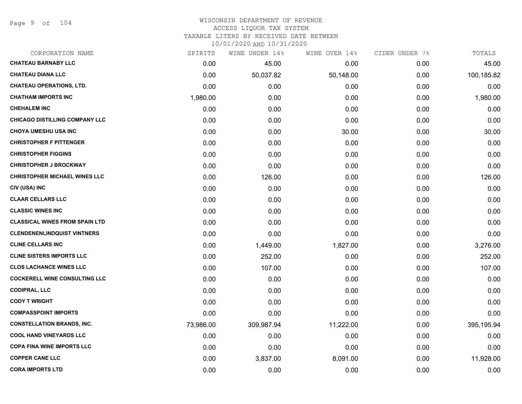Page 9 of 104

# WISCONSIN DEPARTMENT OF REVENUE ACCESS LIQUOR TAX SYSTEM

TAXABLE LITERS BY RECEIVED DATE BETWEEN

| CORPORATION NAME                      | SPIRITS   | WINE UNDER 14% | WINE OVER 14% | CIDER UNDER 7% | TOTALS     |
|---------------------------------------|-----------|----------------|---------------|----------------|------------|
| <b>CHATEAU BARNABY LLC</b>            | 0.00      | 45.00          | 0.00          | 0.00           | 45.00      |
| <b>CHATEAU DIANA LLC</b>              | 0.00      | 50,037.82      | 50,148.00     | 0.00           | 100,185.82 |
| <b>CHATEAU OPERATIONS, LTD.</b>       | 0.00      | 0.00           | 0.00          | 0.00           | 0.00       |
| <b>CHATHAM IMPORTS INC</b>            | 1,980.00  | 0.00           | 0.00          | 0.00           | 1,980.00   |
| <b>CHEHALEM INC</b>                   | 0.00      | 0.00           | 0.00          | 0.00           | 0.00       |
| <b>CHICAGO DISTILLING COMPANY LLC</b> | 0.00      | 0.00           | 0.00          | 0.00           | 0.00       |
| <b>CHOYA UMESHU USA INC</b>           | 0.00      | 0.00           | 30.00         | 0.00           | 30.00      |
| <b>CHRISTOPHER F PITTENGER</b>        | 0.00      | 0.00           | 0.00          | 0.00           | 0.00       |
| <b>CHRISTOPHER FIGGINS</b>            | 0.00      | 0.00           | 0.00          | 0.00           | 0.00       |
| <b>CHRISTOPHER J BROCKWAY</b>         | 0.00      | 0.00           | 0.00          | 0.00           | 0.00       |
| <b>CHRISTOPHER MICHAEL WINES LLC</b>  | 0.00      | 126.00         | 0.00          | 0.00           | 126.00     |
| CIV (USA) INC                         | 0.00      | 0.00           | 0.00          | 0.00           | 0.00       |
| <b>CLAAR CELLARS LLC</b>              | 0.00      | 0.00           | 0.00          | 0.00           | 0.00       |
| <b>CLASSIC WINES INC</b>              | 0.00      | 0.00           | 0.00          | 0.00           | 0.00       |
| <b>CLASSICAL WINES FROM SPAIN LTD</b> | 0.00      | 0.00           | 0.00          | 0.00           | 0.00       |
| <b>CLENDENENLINDQUIST VINTNERS</b>    | 0.00      | 0.00           | 0.00          | 0.00           | 0.00       |
| <b>CLINE CELLARS INC</b>              | 0.00      | 1,449.00       | 1,827.00      | 0.00           | 3,276.00   |
| <b>CLINE SISTERS IMPORTS LLC</b>      | 0.00      | 252.00         | 0.00          | 0.00           | 252.00     |
| <b>CLOS LACHANCE WINES LLC</b>        | 0.00      | 107.00         | 0.00          | 0.00           | 107.00     |
| <b>COCKERELL WINE CONSULTING LLC</b>  | 0.00      | 0.00           | 0.00          | 0.00           | 0.00       |
| <b>CODIPRAL, LLC</b>                  | 0.00      | 0.00           | 0.00          | 0.00           | 0.00       |
| <b>CODY T WRIGHT</b>                  | 0.00      | 0.00           | 0.00          | 0.00           | 0.00       |
| <b>COMPASSPOINT IMPORTS</b>           | 0.00      | 0.00           | 0.00          | 0.00           | 0.00       |
| <b>CONSTELLATION BRANDS, INC.</b>     | 73,986.00 | 309,987.94     | 11,222.00     | 0.00           | 395,195.94 |
| <b>COOL HAND VINEYARDS LLC</b>        | 0.00      | 0.00           | 0.00          | 0.00           | 0.00       |
| <b>COPA FINA WINE IMPORTS LLC</b>     | 0.00      | 0.00           | 0.00          | 0.00           | 0.00       |
| <b>COPPER CANE LLC</b>                | 0.00      | 3,837.00       | 8,091.00      | 0.00           | 11,928.00  |
| <b>CORA IMPORTS LTD</b>               | 0.00      | 0.00           | 0.00          | 0.00           | 0.00       |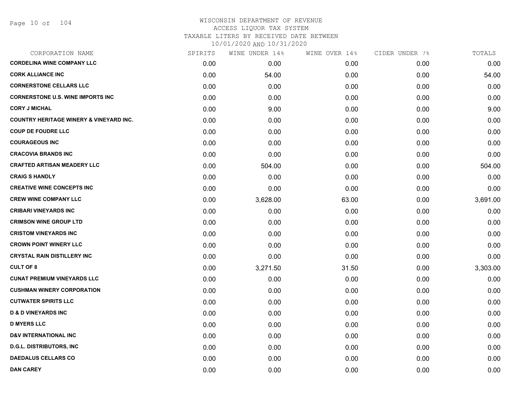| CORPORATION NAME                                   | SPIRITS | WINE UNDER 14% | WINE OVER 14% | CIDER UNDER 7% | TOTALS   |
|----------------------------------------------------|---------|----------------|---------------|----------------|----------|
| <b>CORDELINA WINE COMPANY LLC</b>                  | 0.00    | 0.00           | 0.00          | 0.00           | 0.00     |
| <b>CORK ALLIANCE INC</b>                           | 0.00    | 54.00          | 0.00          | 0.00           | 54.00    |
| <b>CORNERSTONE CELLARS LLC</b>                     | 0.00    | 0.00           | 0.00          | 0.00           | 0.00     |
| <b>CORNERSTONE U.S. WINE IMPORTS INC</b>           | 0.00    | 0.00           | 0.00          | 0.00           | 0.00     |
| <b>CORY J MICHAL</b>                               | 0.00    | 9.00           | 0.00          | 0.00           | 9.00     |
| <b>COUNTRY HERITAGE WINERY &amp; VINEYARD INC.</b> | 0.00    | 0.00           | 0.00          | 0.00           | 0.00     |
| <b>COUP DE FOUDRE LLC</b>                          | 0.00    | 0.00           | 0.00          | 0.00           | 0.00     |
| <b>COURAGEOUS INC</b>                              | 0.00    | 0.00           | 0.00          | 0.00           | 0.00     |
| <b>CRACOVIA BRANDS INC</b>                         | 0.00    | 0.00           | 0.00          | 0.00           | 0.00     |
| <b>CRAFTED ARTISAN MEADERY LLC</b>                 | 0.00    | 504.00         | 0.00          | 0.00           | 504.00   |
| <b>CRAIG S HANDLY</b>                              | 0.00    | 0.00           | 0.00          | 0.00           | 0.00     |
| <b>CREATIVE WINE CONCEPTS INC</b>                  | 0.00    | 0.00           | 0.00          | 0.00           | 0.00     |
| <b>CREW WINE COMPANY LLC</b>                       | 0.00    | 3,628.00       | 63.00         | 0.00           | 3,691.00 |
| <b>CRIBARI VINEYARDS INC</b>                       | 0.00    | 0.00           | 0.00          | 0.00           | 0.00     |
| <b>CRIMSON WINE GROUP LTD</b>                      | 0.00    | 0.00           | 0.00          | 0.00           | 0.00     |
| <b>CRISTOM VINEYARDS INC</b>                       | 0.00    | 0.00           | 0.00          | 0.00           | 0.00     |
| <b>CROWN POINT WINERY LLC</b>                      | 0.00    | 0.00           | 0.00          | 0.00           | 0.00     |
| <b>CRYSTAL RAIN DISTILLERY INC</b>                 | 0.00    | 0.00           | 0.00          | 0.00           | 0.00     |
| <b>CULT OF 8</b>                                   | 0.00    | 3,271.50       | 31.50         | 0.00           | 3,303.00 |
| <b>CUNAT PREMIUM VINEYARDS LLC</b>                 | 0.00    | 0.00           | 0.00          | 0.00           | 0.00     |
| <b>CUSHMAN WINERY CORPORATION</b>                  | 0.00    | 0.00           | 0.00          | 0.00           | 0.00     |
| <b>CUTWATER SPIRITS LLC</b>                        | 0.00    | 0.00           | 0.00          | 0.00           | 0.00     |
| <b>D &amp; D VINEYARDS INC</b>                     | 0.00    | 0.00           | 0.00          | 0.00           | 0.00     |
| <b>D MYERS LLC</b>                                 | 0.00    | 0.00           | 0.00          | 0.00           | 0.00     |
| <b>D&amp;V INTERNATIONAL INC</b>                   | 0.00    | 0.00           | 0.00          | 0.00           | 0.00     |
| <b>D.G.L. DISTRIBUTORS, INC</b>                    | 0.00    | 0.00           | 0.00          | 0.00           | 0.00     |
| <b>DAEDALUS CELLARS CO</b>                         | 0.00    | 0.00           | 0.00          | 0.00           | 0.00     |
| <b>DAN CAREY</b>                                   | 0.00    | 0.00           | 0.00          | 0.00           | 0.00     |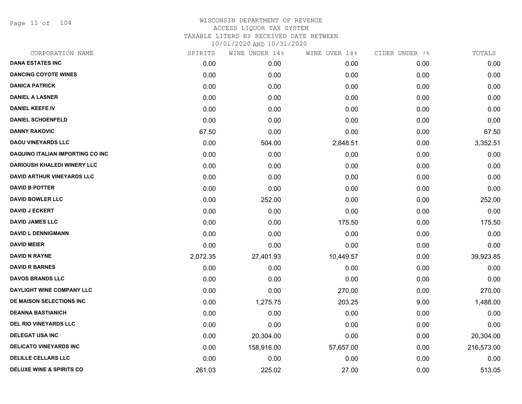Page 11 of 104

| CORPORATION NAME                    | SPIRITS  | WINE UNDER 14% | WINE OVER 14% | CIDER UNDER 7% | TOTALS     |
|-------------------------------------|----------|----------------|---------------|----------------|------------|
| <b>DANA ESTATES INC</b>             | 0.00     | 0.00           | 0.00          | 0.00           | 0.00       |
| <b>DANCING COYOTE WINES</b>         | 0.00     | 0.00           | 0.00          | 0.00           | 0.00       |
| <b>DANICA PATRICK</b>               | 0.00     | 0.00           | 0.00          | 0.00           | 0.00       |
| <b>DANIEL A LASNER</b>              | 0.00     | 0.00           | 0.00          | 0.00           | 0.00       |
| <b>DANIEL KEEFE IV</b>              | 0.00     | 0.00           | 0.00          | 0.00           | 0.00       |
| <b>DANIEL SCHOENFELD</b>            | 0.00     | 0.00           | 0.00          | 0.00           | 0.00       |
| <b>DANNY RAKOVIC</b>                | 67.50    | 0.00           | 0.00          | 0.00           | 67.50      |
| <b>DAOU VINEYARDS LLC</b>           | 0.00     | 504.00         | 2,848.51      | 0.00           | 3,352.51   |
| DAQUINO ITALIAN IMPORTING CO INC    | 0.00     | 0.00           | 0.00          | 0.00           | 0.00       |
| <b>DARIOUSH KHALEDI WINERY LLC</b>  | 0.00     | 0.00           | 0.00          | 0.00           | 0.00       |
| DAVID ARTHUR VINEYARDS LLC          | 0.00     | 0.00           | 0.00          | 0.00           | 0.00       |
| <b>DAVID B POTTER</b>               | 0.00     | 0.00           | 0.00          | 0.00           | 0.00       |
| <b>DAVID BOWLER LLC</b>             | 0.00     | 252.00         | 0.00          | 0.00           | 252.00     |
| <b>DAVID J ECKERT</b>               | 0.00     | 0.00           | 0.00          | 0.00           | 0.00       |
| <b>DAVID JAMES LLC</b>              | 0.00     | 0.00           | 175.50        | 0.00           | 175.50     |
| <b>DAVID L DENNIGMANN</b>           | 0.00     | 0.00           | 0.00          | 0.00           | 0.00       |
| <b>DAVID MEIER</b>                  | 0.00     | 0.00           | 0.00          | 0.00           | 0.00       |
| DAVID N RAYNE                       | 2,072.35 | 27,401.93      | 10,449.57     | 0.00           | 39,923.85  |
| <b>DAVID R BARNES</b>               | 0.00     | 0.00           | 0.00          | 0.00           | 0.00       |
| <b>DAVOS BRANDS LLC</b>             | 0.00     | 0.00           | 0.00          | 0.00           | 0.00       |
| DAYLIGHT WINE COMPANY LLC           | 0.00     | 0.00           | 270.00        | 0.00           | 270.00     |
| DE MAISON SELECTIONS INC            | 0.00     | 1,275.75       | 203.25        | 9.00           | 1,488.00   |
| <b>DEANNA BASTIANICH</b>            | 0.00     | 0.00           | 0.00          | 0.00           | 0.00       |
| <b>DEL RIO VINEYARDS LLC</b>        | 0.00     | 0.00           | 0.00          | 0.00           | 0.00       |
| <b>DELEGAT USA INC</b>              | 0.00     | 20,304.00      | 0.00          | 0.00           | 20,304.00  |
| <b>DELICATO VINEYARDS INC</b>       | 0.00     | 158,916.00     | 57,657.00     | 0.00           | 216,573.00 |
| <b>DELILLE CELLARS LLC</b>          | 0.00     | 0.00           | 0.00          | 0.00           | 0.00       |
| <b>DELUXE WINE &amp; SPIRITS CO</b> | 261.03   | 225.02         | 27.00         | 0.00           | 513.05     |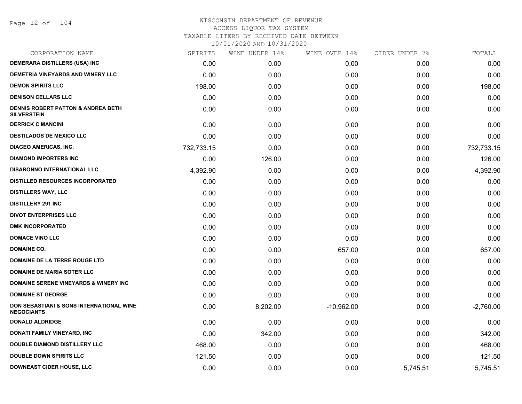Page 12 of 104

| CORPORATION NAME                                                    | SPIRITS    | WINE UNDER 14% | WINE OVER 14% | CIDER UNDER 7% | TOTALS      |
|---------------------------------------------------------------------|------------|----------------|---------------|----------------|-------------|
| <b>DEMERARA DISTILLERS (USA) INC</b>                                | 0.00       | 0.00           | 0.00          | 0.00           | 0.00        |
| DEMETRIA VINEYARDS AND WINERY LLC                                   | 0.00       | 0.00           | 0.00          | 0.00           | 0.00        |
| <b>DEMON SPIRITS LLC</b>                                            | 198.00     | 0.00           | 0.00          | 0.00           | 198.00      |
| <b>DENISON CELLARS LLC</b>                                          | 0.00       | 0.00           | 0.00          | 0.00           | 0.00        |
| <b>DENNIS ROBERT PATTON &amp; ANDREA BETH</b><br><b>SILVERSTEIN</b> | 0.00       | 0.00           | 0.00          | 0.00           | 0.00        |
| <b>DERRICK C MANCINI</b>                                            | 0.00       | 0.00           | 0.00          | 0.00           | 0.00        |
| <b>DESTILADOS DE MEXICO LLC</b>                                     | 0.00       | 0.00           | 0.00          | 0.00           | 0.00        |
| <b>DIAGEO AMERICAS, INC.</b>                                        | 732,733.15 | 0.00           | 0.00          | 0.00           | 732,733.15  |
| <b>DIAMOND IMPORTERS INC</b>                                        | 0.00       | 126.00         | 0.00          | 0.00           | 126.00      |
| <b>DISARONNO INTERNATIONAL LLC</b>                                  | 4,392.90   | 0.00           | 0.00          | 0.00           | 4,392.90    |
| <b>DISTILLED RESOURCES INCORPORATED</b>                             | 0.00       | 0.00           | 0.00          | 0.00           | 0.00        |
| <b>DISTILLERS WAY, LLC</b>                                          | 0.00       | 0.00           | 0.00          | 0.00           | 0.00        |
| <b>DISTILLERY 291 INC</b>                                           | 0.00       | 0.00           | 0.00          | 0.00           | 0.00        |
| <b>DIVOT ENTERPRISES LLC</b>                                        | 0.00       | 0.00           | 0.00          | 0.00           | 0.00        |
| <b>DMK INCORPORATED</b>                                             | 0.00       | 0.00           | 0.00          | 0.00           | 0.00        |
| <b>DOMACE VINO LLC</b>                                              | 0.00       | 0.00           | 0.00          | 0.00           | 0.00        |
| <b>DOMAINE CO.</b>                                                  | 0.00       | 0.00           | 657.00        | 0.00           | 657.00      |
| <b>DOMAINE DE LA TERRE ROUGE LTD</b>                                | 0.00       | 0.00           | 0.00          | 0.00           | 0.00        |
| <b>DOMAINE DE MARIA SOTER LLC</b>                                   | 0.00       | 0.00           | 0.00          | 0.00           | 0.00        |
| <b>DOMAINE SERENE VINEYARDS &amp; WINERY INC</b>                    | 0.00       | 0.00           | 0.00          | 0.00           | 0.00        |
| <b>DOMAINE ST GEORGE</b>                                            | 0.00       | 0.00           | 0.00          | 0.00           | 0.00        |
| DON SEBASTIANI & SONS INTERNATIONAL WINE<br><b>NEGOCIANTS</b>       | 0.00       | 8,202.00       | $-10,962.00$  | 0.00           | $-2,760.00$ |
| <b>DONALD ALDRIDGE</b>                                              | 0.00       | 0.00           | 0.00          | 0.00           | 0.00        |
| DONATI FAMILY VINEYARD, INC                                         | 0.00       | 342.00         | 0.00          | 0.00           | 342.00      |
| <b>DOUBLE DIAMOND DISTILLERY LLC</b>                                | 468.00     | 0.00           | 0.00          | 0.00           | 468.00      |
| <b>DOUBLE DOWN SPIRITS LLC</b>                                      | 121.50     | 0.00           | 0.00          | 0.00           | 121.50      |
| <b>DOWNEAST CIDER HOUSE, LLC</b>                                    | 0.00       | 0.00           | 0.00          | 5,745.51       | 5,745.51    |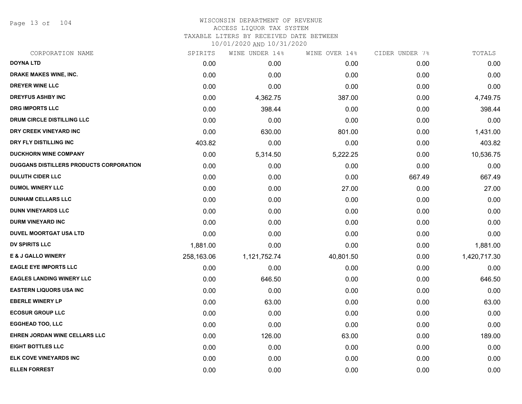Page 13 of 104

#### WISCONSIN DEPARTMENT OF REVENUE ACCESS LIQUOR TAX SYSTEM TAXABLE LITERS BY RECEIVED DATE BETWEEN

| CORPORATION NAME                        | SPIRITS    | WINE UNDER 14% | WINE OVER 14% | CIDER UNDER 7% | TOTALS       |
|-----------------------------------------|------------|----------------|---------------|----------------|--------------|
| <b>DOYNA LTD</b>                        | 0.00       | 0.00           | 0.00          | 0.00           | 0.00         |
| DRAKE MAKES WINE, INC.                  | 0.00       | 0.00           | 0.00          | 0.00           | 0.00         |
| DREYER WINE LLC                         | 0.00       | 0.00           | 0.00          | 0.00           | 0.00         |
| <b>DREYFUS ASHBY INC</b>                | 0.00       | 4,362.75       | 387.00        | 0.00           | 4,749.75     |
| <b>DRG IMPORTS LLC</b>                  | 0.00       | 398.44         | 0.00          | 0.00           | 398.44       |
| DRUM CIRCLE DISTILLING LLC              | 0.00       | 0.00           | 0.00          | 0.00           | 0.00         |
| DRY CREEK VINEYARD INC                  | 0.00       | 630.00         | 801.00        | 0.00           | 1,431.00     |
| DRY FLY DISTILLING INC                  | 403.82     | 0.00           | 0.00          | 0.00           | 403.82       |
| <b>DUCKHORN WINE COMPANY</b>            | 0.00       | 5,314.50       | 5,222.25      | 0.00           | 10,536.75    |
| DUGGANS DISTILLERS PRODUCTS CORPORATION | 0.00       | 0.00           | 0.00          | 0.00           | 0.00         |
| <b>DULUTH CIDER LLC</b>                 | 0.00       | 0.00           | 0.00          | 667.49         | 667.49       |
| <b>DUMOL WINERY LLC</b>                 | 0.00       | 0.00           | 27.00         | 0.00           | 27.00        |
| <b>DUNHAM CELLARS LLC</b>               | 0.00       | 0.00           | 0.00          | 0.00           | 0.00         |
| <b>DUNN VINEYARDS LLC</b>               | 0.00       | 0.00           | 0.00          | 0.00           | 0.00         |
| <b>DURM VINEYARD INC</b>                | 0.00       | 0.00           | 0.00          | 0.00           | 0.00         |
| <b>DUVEL MOORTGAT USA LTD</b>           | 0.00       | 0.00           | 0.00          | 0.00           | 0.00         |
| <b>DV SPIRITS LLC</b>                   | 1,881.00   | 0.00           | 0.00          | 0.00           | 1,881.00     |
| <b>E &amp; J GALLO WINERY</b>           | 258,163.06 | 1,121,752.74   | 40,801.50     | 0.00           | 1,420,717.30 |
| <b>EAGLE EYE IMPORTS LLC</b>            | 0.00       | 0.00           | 0.00          | 0.00           | 0.00         |
| <b>EAGLES LANDING WINERY LLC</b>        | 0.00       | 646.50         | 0.00          | 0.00           | 646.50       |
| EASTERN LIQUORS USA INC                 | 0.00       | 0.00           | 0.00          | 0.00           | 0.00         |
| <b>EBERLE WINERY LP</b>                 | 0.00       | 63.00          | 0.00          | 0.00           | 63.00        |
| <b>ECOSUR GROUP LLC</b>                 | 0.00       | 0.00           | 0.00          | 0.00           | 0.00         |
| <b>EGGHEAD TOO, LLC</b>                 | 0.00       | 0.00           | 0.00          | 0.00           | 0.00         |
| EHREN JORDAN WINE CELLARS LLC           | 0.00       | 126.00         | 63.00         | 0.00           | 189.00       |
| <b>EIGHT BOTTLES LLC</b>                | 0.00       | 0.00           | 0.00          | 0.00           | 0.00         |
| ELK COVE VINEYARDS INC                  | 0.00       | 0.00           | 0.00          | 0.00           | 0.00         |
| <b>ELLEN FORREST</b>                    | 0.00       | 0.00           | 0.00          | 0.00           | 0.00         |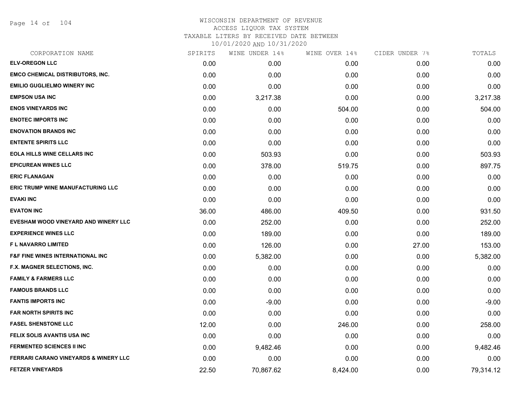Page 14 of 104

| CORPORATION NAME                                 | SPIRITS | WINE UNDER 14% | WINE OVER 14% | CIDER UNDER 7% | TOTALS    |
|--------------------------------------------------|---------|----------------|---------------|----------------|-----------|
| <b>ELV-OREGON LLC</b>                            | 0.00    | 0.00           | 0.00          | 0.00           | 0.00      |
| <b>EMCO CHEMICAL DISTRIBUTORS, INC.</b>          | 0.00    | 0.00           | 0.00          | 0.00           | 0.00      |
| <b>EMILIO GUGLIELMO WINERY INC</b>               | 0.00    | 0.00           | 0.00          | 0.00           | 0.00      |
| <b>EMPSON USA INC</b>                            | 0.00    | 3,217.38       | 0.00          | 0.00           | 3,217.38  |
| <b>ENOS VINEYARDS INC</b>                        | 0.00    | 0.00           | 504.00        | 0.00           | 504.00    |
| <b>ENOTEC IMPORTS INC</b>                        | 0.00    | 0.00           | 0.00          | 0.00           | 0.00      |
| <b>ENOVATION BRANDS INC</b>                      | 0.00    | 0.00           | 0.00          | 0.00           | 0.00      |
| <b>ENTENTE SPIRITS LLC</b>                       | 0.00    | 0.00           | 0.00          | 0.00           | 0.00      |
| <b>EOLA HILLS WINE CELLARS INC</b>               | 0.00    | 503.93         | 0.00          | 0.00           | 503.93    |
| <b>EPICUREAN WINES LLC</b>                       | 0.00    | 378.00         | 519.75        | 0.00           | 897.75    |
| <b>ERIC FLANAGAN</b>                             | 0.00    | 0.00           | 0.00          | 0.00           | 0.00      |
| <b>ERIC TRUMP WINE MANUFACTURING LLC</b>         | 0.00    | 0.00           | 0.00          | 0.00           | 0.00      |
| <b>EVAKI INC</b>                                 | 0.00    | 0.00           | 0.00          | 0.00           | 0.00      |
| <b>EVATON INC</b>                                | 36.00   | 486.00         | 409.50        | 0.00           | 931.50    |
| EVESHAM WOOD VINEYARD AND WINERY LLC             | 0.00    | 252.00         | 0.00          | 0.00           | 252.00    |
| <b>EXPERIENCE WINES LLC</b>                      | 0.00    | 189.00         | 0.00          | 0.00           | 189.00    |
| <b>FL NAVARRO LIMITED</b>                        | 0.00    | 126.00         | 0.00          | 27.00          | 153.00    |
| <b>F&amp;F FINE WINES INTERNATIONAL INC</b>      | 0.00    | 5,382.00       | 0.00          | 0.00           | 5,382.00  |
| F.X. MAGNER SELECTIONS, INC.                     | 0.00    | 0.00           | 0.00          | 0.00           | 0.00      |
| <b>FAMILY &amp; FARMERS LLC</b>                  | 0.00    | 0.00           | 0.00          | 0.00           | 0.00      |
| <b>FAMOUS BRANDS LLC</b>                         | 0.00    | 0.00           | 0.00          | 0.00           | 0.00      |
| <b>FANTIS IMPORTS INC</b>                        | 0.00    | $-9.00$        | 0.00          | 0.00           | $-9.00$   |
| <b>FAR NORTH SPIRITS INC</b>                     | 0.00    | 0.00           | 0.00          | 0.00           | 0.00      |
| <b>FASEL SHENSTONE LLC</b>                       | 12.00   | 0.00           | 246.00        | 0.00           | 258.00    |
| FELIX SOLIS AVANTIS USA INC                      | 0.00    | 0.00           | 0.00          | 0.00           | 0.00      |
| <b>FERMENTED SCIENCES II INC</b>                 | 0.00    | 9,482.46       | 0.00          | 0.00           | 9,482.46  |
| <b>FERRARI CARANO VINEYARDS &amp; WINERY LLC</b> | 0.00    | 0.00           | 0.00          | 0.00           | 0.00      |
| <b>FETZER VINEYARDS</b>                          | 22.50   | 70,867.62      | 8,424.00      | 0.00           | 79,314.12 |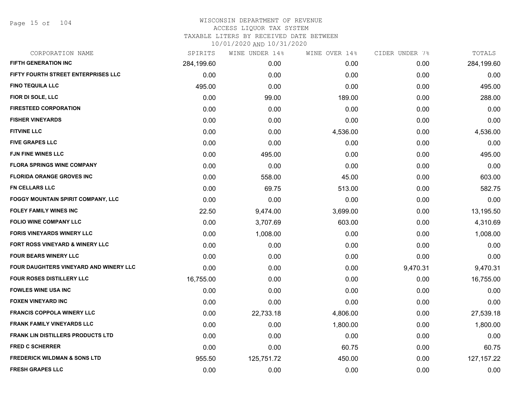Page 15 of 104

| <b>FIFTH GENERATION INC</b><br>284,199.60<br>0.00<br>FIFTY FOURTH STREET ENTERPRISES LLC<br>0.00<br>0.00 | 0.00<br>0.00<br>0.00 | 0.00<br>0.00 | 284,199.60<br>0.00 |
|----------------------------------------------------------------------------------------------------------|----------------------|--------------|--------------------|
|                                                                                                          |                      |              |                    |
|                                                                                                          |                      |              |                    |
| <b>FINO TEQUILA LLC</b><br>495.00<br>0.00                                                                |                      | 0.00         | 495.00             |
| FIOR DI SOLE, LLC<br>0.00<br>99.00                                                                       | 189.00               | 0.00         | 288.00             |
| <b>FIRESTEED CORPORATION</b><br>0.00<br>0.00                                                             | 0.00                 | 0.00         | 0.00               |
| <b>FISHER VINEYARDS</b><br>0.00<br>0.00                                                                  | 0.00                 | 0.00         | 0.00               |
| <b>FITVINE LLC</b><br>0.00<br>0.00                                                                       | 4,536.00             | 0.00         | 4,536.00           |
| <b>FIVE GRAPES LLC</b><br>0.00<br>0.00                                                                   | 0.00                 | 0.00         | 0.00               |
| <b>FJN FINE WINES LLC</b><br>0.00<br>495.00                                                              | 0.00                 | 0.00         | 495.00             |
| <b>FLORA SPRINGS WINE COMPANY</b><br>0.00<br>0.00                                                        | 0.00                 | 0.00         | 0.00               |
| <b>FLORIDA ORANGE GROVES INC</b><br>0.00<br>558.00                                                       | 45.00                | 0.00         | 603.00             |
| FN CELLARS LLC<br>0.00<br>69.75                                                                          | 513.00               | 0.00         | 582.75             |
| FOGGY MOUNTAIN SPIRIT COMPANY, LLC<br>0.00<br>0.00                                                       | 0.00                 | 0.00         | 0.00               |
| <b>FOLEY FAMILY WINES INC</b><br>22.50<br>9,474.00                                                       | 3,699.00             | 0.00         | 13,195.50          |
| <b>FOLIO WINE COMPANY LLC</b><br>0.00<br>3,707.69                                                        | 603.00               | 0.00         | 4,310.69           |
| <b>FORIS VINEYARDS WINERY LLC</b><br>0.00<br>1,008.00                                                    | 0.00                 | 0.00         | 1,008.00           |
| FORT ROSS VINEYARD & WINERY LLC<br>0.00<br>0.00                                                          | 0.00                 | 0.00         | 0.00               |
| <b>FOUR BEARS WINERY LLC</b><br>0.00<br>0.00                                                             | 0.00                 | 0.00         | 0.00               |
| FOUR DAUGHTERS VINEYARD AND WINERY LLC<br>0.00<br>0.00                                                   | 0.00                 | 9,470.31     | 9,470.31           |
| <b>FOUR ROSES DISTILLERY LLC</b><br>0.00<br>16,755.00                                                    | 0.00                 | 0.00         | 16,755.00          |
| <b>FOWLES WINE USA INC</b><br>0.00<br>0.00                                                               | 0.00                 | 0.00         | 0.00               |
| <b>FOXEN VINEYARD INC</b><br>0.00<br>0.00                                                                | 0.00                 | 0.00         | 0.00               |
| <b>FRANCIS COPPOLA WINERY LLC</b><br>0.00<br>22,733.18                                                   | 4,806.00             | 0.00         | 27,539.18          |
| <b>FRANK FAMILY VINEYARDS LLC</b><br>0.00<br>0.00                                                        | 1,800.00             | 0.00         | 1,800.00           |
| <b>FRANK LIN DISTILLERS PRODUCTS LTD</b><br>0.00<br>0.00                                                 | 0.00                 | 0.00         | 0.00               |
| <b>FRED C SCHERRER</b><br>0.00<br>0.00                                                                   | 60.75                | 0.00         | 60.75              |
| <b>FREDERICK WILDMAN &amp; SONS LTD</b><br>955.50<br>125,751.72                                          | 450.00               | 0.00         | 127, 157. 22       |
| <b>FRESH GRAPES LLC</b><br>0.00<br>0.00                                                                  | 0.00                 | 0.00         | 0.00               |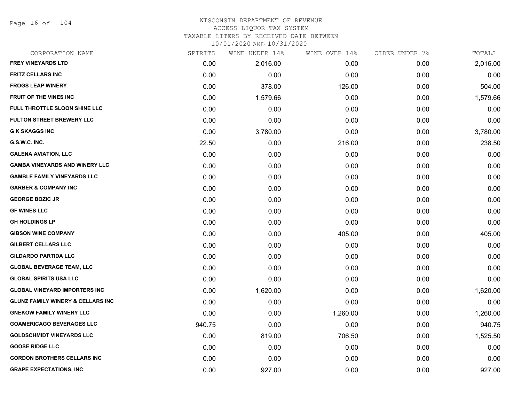Page 16 of 104

#### WISCONSIN DEPARTMENT OF REVENUE ACCESS LIQUOR TAX SYSTEM

TAXABLE LITERS BY RECEIVED DATE BETWEEN

| CORPORATION NAME                             | SPIRITS | WINE UNDER 14% | WINE OVER 14% | CIDER UNDER 7% | TOTALS   |
|----------------------------------------------|---------|----------------|---------------|----------------|----------|
| <b>FREY VINEYARDS LTD</b>                    | 0.00    | 2,016.00       | 0.00          | 0.00           | 2,016.00 |
| <b>FRITZ CELLARS INC</b>                     | 0.00    | 0.00           | 0.00          | 0.00           | 0.00     |
| <b>FROGS LEAP WINERY</b>                     | 0.00    | 378.00         | 126.00        | 0.00           | 504.00   |
| <b>FRUIT OF THE VINES INC</b>                | 0.00    | 1,579.66       | 0.00          | 0.00           | 1,579.66 |
| FULL THROTTLE SLOON SHINE LLC                | 0.00    | 0.00           | 0.00          | 0.00           | 0.00     |
| <b>FULTON STREET BREWERY LLC</b>             | 0.00    | 0.00           | 0.00          | 0.00           | 0.00     |
| <b>G K SKAGGS INC</b>                        | 0.00    | 3,780.00       | 0.00          | 0.00           | 3,780.00 |
| G.S.W.C. INC.                                | 22.50   | 0.00           | 216.00        | 0.00           | 238.50   |
| <b>GALENA AVIATION, LLC</b>                  | 0.00    | 0.00           | 0.00          | 0.00           | 0.00     |
| <b>GAMBA VINEYARDS AND WINERY LLC</b>        | 0.00    | 0.00           | 0.00          | 0.00           | 0.00     |
| <b>GAMBLE FAMILY VINEYARDS LLC</b>           | 0.00    | 0.00           | 0.00          | 0.00           | 0.00     |
| <b>GARBER &amp; COMPANY INC</b>              | 0.00    | 0.00           | 0.00          | 0.00           | 0.00     |
| <b>GEORGE BOZIC JR</b>                       | 0.00    | 0.00           | 0.00          | 0.00           | 0.00     |
| <b>GF WINES LLC</b>                          | 0.00    | 0.00           | 0.00          | 0.00           | 0.00     |
| <b>GH HOLDINGS LP</b>                        | 0.00    | 0.00           | 0.00          | 0.00           | 0.00     |
| <b>GIBSON WINE COMPANY</b>                   | 0.00    | 0.00           | 405.00        | 0.00           | 405.00   |
| <b>GILBERT CELLARS LLC</b>                   | 0.00    | 0.00           | 0.00          | 0.00           | 0.00     |
| <b>GILDARDO PARTIDA LLC</b>                  | 0.00    | 0.00           | 0.00          | 0.00           | 0.00     |
| <b>GLOBAL BEVERAGE TEAM, LLC</b>             | 0.00    | 0.00           | 0.00          | 0.00           | 0.00     |
| <b>GLOBAL SPIRITS USA LLC</b>                | 0.00    | 0.00           | 0.00          | 0.00           | 0.00     |
| <b>GLOBAL VINEYARD IMPORTERS INC</b>         | 0.00    | 1,620.00       | 0.00          | 0.00           | 1,620.00 |
| <b>GLUNZ FAMILY WINERY &amp; CELLARS INC</b> | 0.00    | 0.00           | 0.00          | 0.00           | 0.00     |
| <b>GNEKOW FAMILY WINERY LLC</b>              | 0.00    | 0.00           | 1,260.00      | 0.00           | 1,260.00 |
| <b>GOAMERICAGO BEVERAGES LLC</b>             | 940.75  | 0.00           | 0.00          | 0.00           | 940.75   |
| <b>GOLDSCHMIDT VINEYARDS LLC</b>             | 0.00    | 819.00         | 706.50        | 0.00           | 1,525.50 |
| <b>GOOSE RIDGE LLC</b>                       | 0.00    | 0.00           | 0.00          | 0.00           | 0.00     |
| <b>GORDON BROTHERS CELLARS INC</b>           | 0.00    | 0.00           | 0.00          | 0.00           | 0.00     |
| <b>GRAPE EXPECTATIONS, INC</b>               | 0.00    | 927.00         | 0.00          | 0.00           | 927.00   |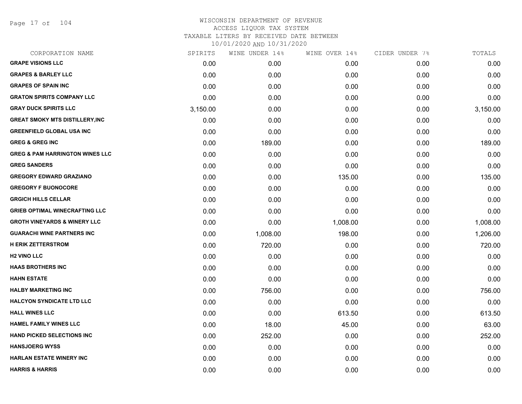Page 17 of 104

| CORPORATION NAME                           | SPIRITS  | WINE UNDER 14% | WINE OVER 14% | CIDER UNDER 7% | TOTALS   |
|--------------------------------------------|----------|----------------|---------------|----------------|----------|
| <b>GRAPE VISIONS LLC</b>                   | 0.00     | 0.00           | 0.00          | 0.00           | 0.00     |
| <b>GRAPES &amp; BARLEY LLC</b>             | 0.00     | 0.00           | 0.00          | 0.00           | 0.00     |
| <b>GRAPES OF SPAIN INC</b>                 | 0.00     | 0.00           | 0.00          | 0.00           | 0.00     |
| <b>GRATON SPIRITS COMPANY LLC</b>          | 0.00     | 0.00           | 0.00          | 0.00           | 0.00     |
| <b>GRAY DUCK SPIRITS LLC</b>               | 3,150.00 | 0.00           | 0.00          | 0.00           | 3,150.00 |
| <b>GREAT SMOKY MTS DISTILLERY, INC</b>     | 0.00     | 0.00           | 0.00          | 0.00           | 0.00     |
| <b>GREENFIELD GLOBAL USA INC</b>           | 0.00     | 0.00           | 0.00          | 0.00           | 0.00     |
| <b>GREG &amp; GREG INC</b>                 | 0.00     | 189.00         | 0.00          | 0.00           | 189.00   |
| <b>GREG &amp; PAM HARRINGTON WINES LLC</b> | 0.00     | 0.00           | 0.00          | 0.00           | 0.00     |
| <b>GREG SANDERS</b>                        | 0.00     | 0.00           | 0.00          | 0.00           | 0.00     |
| <b>GREGORY EDWARD GRAZIANO</b>             | 0.00     | 0.00           | 135.00        | 0.00           | 135.00   |
| <b>GREGORY F BUONOCORE</b>                 | 0.00     | 0.00           | 0.00          | 0.00           | 0.00     |
| <b>GRGICH HILLS CELLAR</b>                 | 0.00     | 0.00           | 0.00          | 0.00           | 0.00     |
| <b>GRIEB OPTIMAL WINECRAFTING LLC</b>      | 0.00     | 0.00           | 0.00          | 0.00           | 0.00     |
| <b>GROTH VINEYARDS &amp; WINERY LLC</b>    | 0.00     | 0.00           | 1,008.00      | 0.00           | 1,008.00 |
| <b>GUARACHI WINE PARTNERS INC</b>          | 0.00     | 1,008.00       | 198.00        | 0.00           | 1,206.00 |
| <b>H ERIK ZETTERSTROM</b>                  | 0.00     | 720.00         | 0.00          | 0.00           | 720.00   |
| <b>H2 VINO LLC</b>                         | 0.00     | 0.00           | 0.00          | 0.00           | 0.00     |
| <b>HAAS BROTHERS INC</b>                   | 0.00     | 0.00           | 0.00          | 0.00           | 0.00     |
| <b>HAHN ESTATE</b>                         | 0.00     | 0.00           | 0.00          | 0.00           | 0.00     |
| <b>HALBY MARKETING INC</b>                 | 0.00     | 756.00         | 0.00          | 0.00           | 756.00   |
| <b>HALCYON SYNDICATE LTD LLC</b>           | 0.00     | 0.00           | 0.00          | 0.00           | 0.00     |
| <b>HALL WINES LLC</b>                      | 0.00     | 0.00           | 613.50        | 0.00           | 613.50   |
| <b>HAMEL FAMILY WINES LLC</b>              | 0.00     | 18.00          | 45.00         | 0.00           | 63.00    |
| <b>HAND PICKED SELECTIONS INC</b>          | 0.00     | 252.00         | 0.00          | 0.00           | 252.00   |
| <b>HANSJOERG WYSS</b>                      | 0.00     | 0.00           | 0.00          | 0.00           | 0.00     |
| <b>HARLAN ESTATE WINERY INC</b>            | 0.00     | 0.00           | 0.00          | 0.00           | 0.00     |
| <b>HARRIS &amp; HARRIS</b>                 | 0.00     | 0.00           | 0.00          | 0.00           | 0.00     |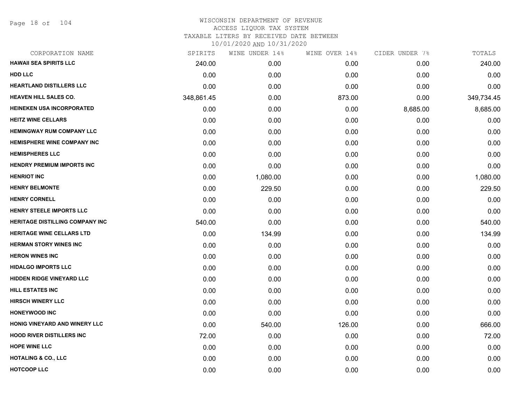Page 18 of 104

| CORPORATION NAME                       | SPIRITS    | WINE UNDER 14% | WINE OVER 14% | CIDER UNDER 7% | TOTALS     |
|----------------------------------------|------------|----------------|---------------|----------------|------------|
| <b>HAWAII SEA SPIRITS LLC</b>          | 240.00     | 0.00           | 0.00          | 0.00           | 240.00     |
| <b>HDD LLC</b>                         | 0.00       | 0.00           | 0.00          | 0.00           | 0.00       |
| HEARTLAND DISTILLERS LLC               | 0.00       | 0.00           | 0.00          | 0.00           | 0.00       |
| <b>HEAVEN HILL SALES CO.</b>           | 348,861.45 | 0.00           | 873.00        | 0.00           | 349,734.45 |
| <b>HEINEKEN USA INCORPORATED</b>       | 0.00       | 0.00           | 0.00          | 8,685.00       | 8,685.00   |
| <b>HEITZ WINE CELLARS</b>              | 0.00       | 0.00           | 0.00          | 0.00           | 0.00       |
| <b>HEMINGWAY RUM COMPANY LLC</b>       | 0.00       | 0.00           | 0.00          | 0.00           | 0.00       |
| <b>HEMISPHERE WINE COMPANY INC</b>     | 0.00       | 0.00           | 0.00          | 0.00           | 0.00       |
| <b>HEMISPHERES LLC</b>                 | 0.00       | 0.00           | 0.00          | 0.00           | 0.00       |
| <b>HENDRY PREMIUM IMPORTS INC</b>      | 0.00       | 0.00           | 0.00          | 0.00           | 0.00       |
| <b>HENRIOT INC</b>                     | 0.00       | 1,080.00       | 0.00          | 0.00           | 1,080.00   |
| <b>HENRY BELMONTE</b>                  | 0.00       | 229.50         | 0.00          | 0.00           | 229.50     |
| <b>HENRY CORNELL</b>                   | 0.00       | 0.00           | 0.00          | 0.00           | 0.00       |
| HENRY STEELE IMPORTS LLC               | 0.00       | 0.00           | 0.00          | 0.00           | 0.00       |
| <b>HERITAGE DISTILLING COMPANY INC</b> | 540.00     | 0.00           | 0.00          | 0.00           | 540.00     |
| <b>HERITAGE WINE CELLARS LTD</b>       | 0.00       | 134.99         | 0.00          | 0.00           | 134.99     |
| <b>HERMAN STORY WINES INC</b>          | 0.00       | 0.00           | 0.00          | 0.00           | 0.00       |
| <b>HERON WINES INC</b>                 | 0.00       | 0.00           | 0.00          | 0.00           | 0.00       |
| <b>HIDALGO IMPORTS LLC</b>             | 0.00       | 0.00           | 0.00          | 0.00           | 0.00       |
| <b>HIDDEN RIDGE VINEYARD LLC</b>       | 0.00       | 0.00           | 0.00          | 0.00           | 0.00       |
| <b>HILL ESTATES INC</b>                | 0.00       | 0.00           | 0.00          | 0.00           | 0.00       |
| <b>HIRSCH WINERY LLC</b>               | 0.00       | 0.00           | 0.00          | 0.00           | 0.00       |
| <b>HONEYWOOD INC</b>                   | 0.00       | 0.00           | 0.00          | 0.00           | 0.00       |
| HONIG VINEYARD AND WINERY LLC          | 0.00       | 540.00         | 126.00        | 0.00           | 666.00     |
| <b>HOOD RIVER DISTILLERS INC</b>       | 72.00      | 0.00           | 0.00          | 0.00           | 72.00      |
| <b>HOPE WINE LLC</b>                   | 0.00       | 0.00           | 0.00          | 0.00           | 0.00       |
| <b>HOTALING &amp; CO., LLC</b>         | 0.00       | 0.00           | 0.00          | 0.00           | 0.00       |
| <b>HOTCOOP LLC</b>                     | 0.00       | 0.00           | 0.00          | 0.00           | 0.00       |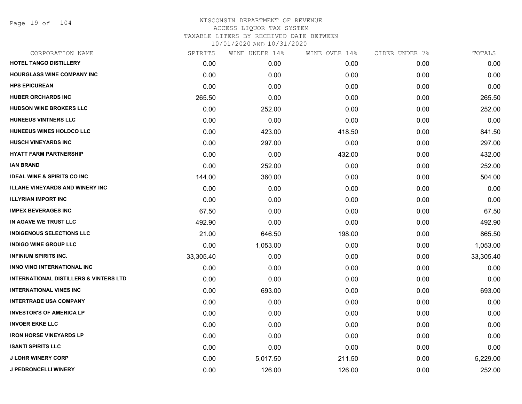Page 19 of 104

| CORPORATION NAME                                  | SPIRITS   | WINE UNDER 14% | WINE OVER 14% | CIDER UNDER 7% | TOTALS    |
|---------------------------------------------------|-----------|----------------|---------------|----------------|-----------|
| HOTEL TANGO DISTILLERY                            | 0.00      | 0.00           | 0.00          | 0.00           | 0.00      |
| <b>HOURGLASS WINE COMPANY INC</b>                 | 0.00      | 0.00           | 0.00          | 0.00           | 0.00      |
| <b>HPS EPICUREAN</b>                              | 0.00      | 0.00           | 0.00          | 0.00           | 0.00      |
| <b>HUBER ORCHARDS INC</b>                         | 265.50    | 0.00           | 0.00          | 0.00           | 265.50    |
| <b>HUDSON WINE BROKERS LLC</b>                    | 0.00      | 252.00         | 0.00          | 0.00           | 252.00    |
| HUNEEUS VINTNERS LLC                              | 0.00      | 0.00           | 0.00          | 0.00           | 0.00      |
| HUNEEUS WINES HOLDCO LLC                          | 0.00      | 423.00         | 418.50        | 0.00           | 841.50    |
| <b>HUSCH VINEYARDS INC</b>                        | 0.00      | 297.00         | 0.00          | 0.00           | 297.00    |
| <b>HYATT FARM PARTNERSHIP</b>                     | 0.00      | 0.00           | 432.00        | 0.00           | 432.00    |
| <b>IAN BRAND</b>                                  | 0.00      | 252.00         | 0.00          | 0.00           | 252.00    |
| <b>IDEAL WINE &amp; SPIRITS CO INC</b>            | 144.00    | 360.00         | 0.00          | 0.00           | 504.00    |
| <b>ILLAHE VINEYARDS AND WINERY INC</b>            | 0.00      | 0.00           | 0.00          | 0.00           | 0.00      |
| <b>ILLYRIAN IMPORT INC</b>                        | 0.00      | 0.00           | 0.00          | 0.00           | 0.00      |
| <b>IMPEX BEVERAGES INC</b>                        | 67.50     | 0.00           | 0.00          | 0.00           | 67.50     |
| IN AGAVE WE TRUST LLC                             | 492.90    | 0.00           | 0.00          | 0.00           | 492.90    |
| <b>INDIGENOUS SELECTIONS LLC</b>                  | 21.00     | 646.50         | 198.00        | 0.00           | 865.50    |
| <b>INDIGO WINE GROUP LLC</b>                      | 0.00      | 1,053.00       | 0.00          | 0.00           | 1,053.00  |
| <b>INFINIUM SPIRITS INC.</b>                      | 33,305.40 | 0.00           | 0.00          | 0.00           | 33,305.40 |
| <b>INNO VINO INTERNATIONAL INC</b>                | 0.00      | 0.00           | 0.00          | 0.00           | 0.00      |
| <b>INTERNATIONAL DISTILLERS &amp; VINTERS LTD</b> | 0.00      | 0.00           | 0.00          | 0.00           | 0.00      |
| <b>INTERNATIONAL VINES INC</b>                    | 0.00      | 693.00         | 0.00          | 0.00           | 693.00    |
| <b>INTERTRADE USA COMPANY</b>                     | 0.00      | 0.00           | 0.00          | 0.00           | 0.00      |
| <b>INVESTOR'S OF AMERICA LP</b>                   | 0.00      | 0.00           | 0.00          | 0.00           | 0.00      |
| <b>INVOER EKKE LLC</b>                            | 0.00      | 0.00           | 0.00          | 0.00           | 0.00      |
| <b>IRON HORSE VINEYARDS LP</b>                    | 0.00      | 0.00           | 0.00          | 0.00           | 0.00      |
| <b>ISANTI SPIRITS LLC</b>                         | 0.00      | 0.00           | 0.00          | 0.00           | 0.00      |
| <b>J LOHR WINERY CORP</b>                         | 0.00      | 5,017.50       | 211.50        | 0.00           | 5,229.00  |
| <b>J PEDRONCELLI WINERY</b>                       | 0.00      | 126.00         | 126.00        | 0.00           | 252.00    |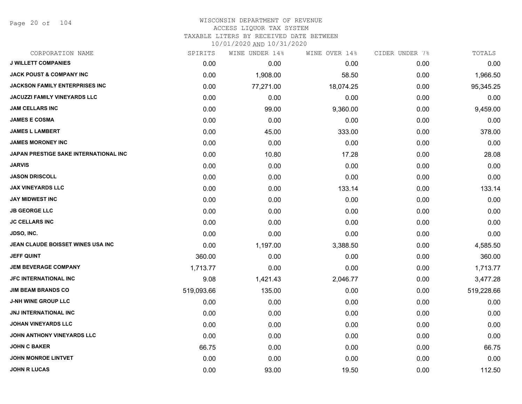Page 20 of 104

| CORPORATION NAME                      | SPIRITS    | WINE UNDER 14% | WINE OVER 14% | CIDER UNDER 7% | TOTALS     |
|---------------------------------------|------------|----------------|---------------|----------------|------------|
| <b>J WILLETT COMPANIES</b>            | 0.00       | 0.00           | 0.00          | 0.00           | 0.00       |
| <b>JACK POUST &amp; COMPANY INC</b>   | 0.00       | 1,908.00       | 58.50         | 0.00           | 1,966.50   |
| <b>JACKSON FAMILY ENTERPRISES INC</b> | 0.00       | 77,271.00      | 18,074.25     | 0.00           | 95,345.25  |
| <b>JACUZZI FAMILY VINEYARDS LLC</b>   | 0.00       | 0.00           | 0.00          | 0.00           | 0.00       |
| <b>JAM CELLARS INC</b>                | 0.00       | 99.00          | 9,360.00      | 0.00           | 9,459.00   |
| <b>JAMES E COSMA</b>                  | 0.00       | 0.00           | 0.00          | 0.00           | 0.00       |
| <b>JAMES L LAMBERT</b>                | 0.00       | 45.00          | 333.00        | 0.00           | 378.00     |
| <b>JAMES MORONEY INC</b>              | 0.00       | 0.00           | 0.00          | 0.00           | 0.00       |
| JAPAN PRESTIGE SAKE INTERNATIONAL INC | 0.00       | 10.80          | 17.28         | 0.00           | 28.08      |
| <b>JARVIS</b>                         | 0.00       | 0.00           | 0.00          | 0.00           | 0.00       |
| <b>JASON DRISCOLL</b>                 | 0.00       | 0.00           | 0.00          | 0.00           | 0.00       |
| <b>JAX VINEYARDS LLC</b>              | 0.00       | 0.00           | 133.14        | 0.00           | 133.14     |
| <b>JAY MIDWEST INC</b>                | 0.00       | 0.00           | 0.00          | 0.00           | 0.00       |
| <b>JB GEORGE LLC</b>                  | 0.00       | 0.00           | 0.00          | 0.00           | 0.00       |
| <b>JC CELLARS INC</b>                 | 0.00       | 0.00           | 0.00          | 0.00           | 0.00       |
| <b>JDSO, INC.</b>                     | 0.00       | 0.00           | 0.00          | 0.00           | 0.00       |
| JEAN CLAUDE BOISSET WINES USA INC     | 0.00       | 1,197.00       | 3,388.50      | 0.00           | 4,585.50   |
| <b>JEFF QUINT</b>                     | 360.00     | 0.00           | 0.00          | 0.00           | 360.00     |
| <b>JEM BEVERAGE COMPANY</b>           | 1,713.77   | 0.00           | 0.00          | 0.00           | 1,713.77   |
| <b>JFC INTERNATIONAL INC</b>          | 9.08       | 1,421.43       | 2,046.77      | 0.00           | 3,477.28   |
| <b>JIM BEAM BRANDS CO</b>             | 519,093.66 | 135.00         | 0.00          | 0.00           | 519,228.66 |
| <b>J-NH WINE GROUP LLC</b>            | 0.00       | 0.00           | 0.00          | 0.00           | 0.00       |
| <b>JNJ INTERNATIONAL INC</b>          | 0.00       | 0.00           | 0.00          | 0.00           | 0.00       |
| <b>JOHAN VINEYARDS LLC</b>            | 0.00       | 0.00           | 0.00          | 0.00           | 0.00       |
| JOHN ANTHONY VINEYARDS LLC            | 0.00       | 0.00           | 0.00          | 0.00           | 0.00       |
| <b>JOHN C BAKER</b>                   | 66.75      | 0.00           | 0.00          | 0.00           | 66.75      |
| <b>JOHN MONROE LINTVET</b>            | 0.00       | 0.00           | 0.00          | 0.00           | 0.00       |
| <b>JOHN R LUCAS</b>                   | 0.00       | 93.00          | 19.50         | 0.00           | 112.50     |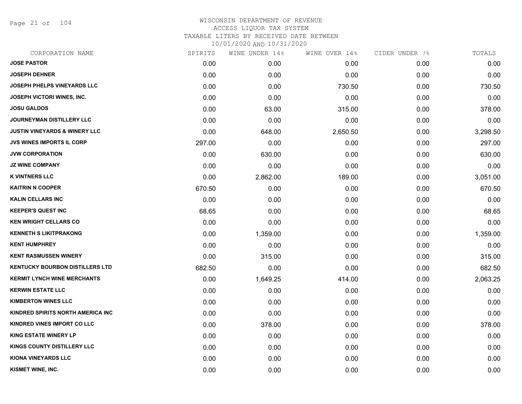Page 21 of 104

| CORPORATION NAME                         | SPIRITS | WINE UNDER 14% | WINE OVER 14% | CIDER UNDER 7% | TOTALS   |
|------------------------------------------|---------|----------------|---------------|----------------|----------|
| <b>JOSE PASTOR</b>                       | 0.00    | 0.00           | 0.00          | 0.00           | 0.00     |
| <b>JOSEPH DEHNER</b>                     | 0.00    | 0.00           | 0.00          | 0.00           | 0.00     |
| JOSEPH PHELPS VINEYARDS LLC              | 0.00    | 0.00           | 730.50        | 0.00           | 730.50   |
| <b>JOSEPH VICTORI WINES, INC.</b>        | 0.00    | 0.00           | 0.00          | 0.00           | 0.00     |
| <b>JOSU GALDOS</b>                       | 0.00    | 63.00          | 315.00        | 0.00           | 378.00   |
| JOURNEYMAN DISTILLERY LLC                | 0.00    | 0.00           | 0.00          | 0.00           | 0.00     |
| <b>JUSTIN VINEYARDS &amp; WINERY LLC</b> | 0.00    | 648.00         | 2,650.50      | 0.00           | 3,298.50 |
| <b>JVS WINES IMPORTS IL CORP</b>         | 297.00  | 0.00           | 0.00          | 0.00           | 297.00   |
| <b>JVW CORPORATION</b>                   | 0.00    | 630.00         | 0.00          | 0.00           | 630.00   |
| <b>JZ WINE COMPANY</b>                   | 0.00    | 0.00           | 0.00          | 0.00           | 0.00     |
| <b>K VINTNERS LLC</b>                    | 0.00    | 2,862.00       | 189.00        | 0.00           | 3,051.00 |
| <b>KAITRIN N COOPER</b>                  | 670.50  | 0.00           | 0.00          | 0.00           | 670.50   |
| <b>KALIN CELLARS INC</b>                 | 0.00    | 0.00           | 0.00          | 0.00           | 0.00     |
| <b>KEEPER'S QUEST INC</b>                | 68.65   | 0.00           | 0.00          | 0.00           | 68.65    |
| <b>KEN WRIGHT CELLARS CO</b>             | 0.00    | 0.00           | 0.00          | 0.00           | 0.00     |
| <b>KENNETH S LIKITPRAKONG</b>            | 0.00    | 1,359.00       | 0.00          | 0.00           | 1,359.00 |
| <b>KENT HUMPHREY</b>                     | 0.00    | 0.00           | 0.00          | 0.00           | 0.00     |
| <b>KENT RASMUSSEN WINERY</b>             | 0.00    | 315.00         | 0.00          | 0.00           | 315.00   |
| <b>KENTUCKY BOURBON DISTILLERS LTD</b>   | 682.50  | 0.00           | 0.00          | 0.00           | 682.50   |
| <b>KERMIT LYNCH WINE MERCHANTS</b>       | 0.00    | 1,649.25       | 414.00        | 0.00           | 2,063.25 |
| <b>KERWIN ESTATE LLC</b>                 | 0.00    | 0.00           | 0.00          | 0.00           | 0.00     |
| <b>KIMBERTON WINES LLC</b>               | 0.00    | 0.00           | 0.00          | 0.00           | 0.00     |
| KINDRED SPIRITS NORTH AMERICA INC        | 0.00    | 0.00           | 0.00          | 0.00           | 0.00     |
| KINDRED VINES IMPORT CO LLC              | 0.00    | 378.00         | 0.00          | 0.00           | 378.00   |
| <b>KING ESTATE WINERY LP</b>             | 0.00    | 0.00           | 0.00          | 0.00           | 0.00     |
| KINGS COUNTY DISTILLERY LLC              | 0.00    | 0.00           | 0.00          | 0.00           | 0.00     |
| <b>KIONA VINEYARDS LLC</b>               | 0.00    | 0.00           | 0.00          | 0.00           | 0.00     |
| KISMET WINE, INC.                        | 0.00    | 0.00           | 0.00          | 0.00           | 0.00     |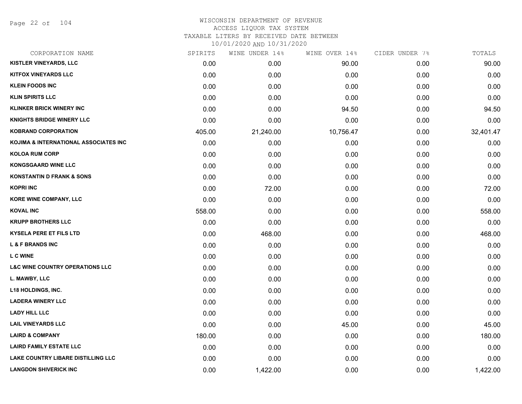Page 22 of 104

| CORPORATION NAME                           | SPIRITS | WINE UNDER 14% | WINE OVER 14% | CIDER UNDER 7% | TOTALS    |
|--------------------------------------------|---------|----------------|---------------|----------------|-----------|
| <b>KISTLER VINEYARDS, LLC</b>              | 0.00    | 0.00           | 90.00         | 0.00           | 90.00     |
| <b>KITFOX VINEYARDS LLC</b>                | 0.00    | 0.00           | 0.00          | 0.00           | 0.00      |
| <b>KLEIN FOODS INC</b>                     | 0.00    | 0.00           | 0.00          | 0.00           | 0.00      |
| <b>KLIN SPIRITS LLC</b>                    | 0.00    | 0.00           | 0.00          | 0.00           | 0.00      |
| <b>KLINKER BRICK WINERY INC</b>            | 0.00    | 0.00           | 94.50         | 0.00           | 94.50     |
| <b>KNIGHTS BRIDGE WINERY LLC</b>           | 0.00    | 0.00           | 0.00          | 0.00           | 0.00      |
| <b>KOBRAND CORPORATION</b>                 | 405.00  | 21,240.00      | 10,756.47     | 0.00           | 32,401.47 |
| KOJIMA & INTERNATIONAL ASSOCIATES INC      | 0.00    | 0.00           | 0.00          | 0.00           | 0.00      |
| <b>KOLOA RUM CORP</b>                      | 0.00    | 0.00           | 0.00          | 0.00           | 0.00      |
| <b>KONGSGAARD WINE LLC</b>                 | 0.00    | 0.00           | 0.00          | 0.00           | 0.00      |
| <b>KONSTANTIN D FRANK &amp; SONS</b>       | 0.00    | 0.00           | 0.00          | 0.00           | 0.00      |
| <b>KOPRI INC</b>                           | 0.00    | 72.00          | 0.00          | 0.00           | 72.00     |
| KORE WINE COMPANY, LLC                     | 0.00    | 0.00           | 0.00          | 0.00           | 0.00      |
| <b>KOVAL INC</b>                           | 558.00  | 0.00           | 0.00          | 0.00           | 558.00    |
| <b>KRUPP BROTHERS LLC</b>                  | 0.00    | 0.00           | 0.00          | 0.00           | 0.00      |
| <b>KYSELA PERE ET FILS LTD</b>             | 0.00    | 468.00         | 0.00          | 0.00           | 468.00    |
| <b>L &amp; F BRANDS INC</b>                | 0.00    | 0.00           | 0.00          | 0.00           | 0.00      |
| <b>LC WINE</b>                             | 0.00    | 0.00           | 0.00          | 0.00           | 0.00      |
| <b>L&amp;C WINE COUNTRY OPERATIONS LLC</b> | 0.00    | 0.00           | 0.00          | 0.00           | 0.00      |
| L. MAWBY, LLC                              | 0.00    | 0.00           | 0.00          | 0.00           | 0.00      |
| <b>L18 HOLDINGS, INC.</b>                  | 0.00    | 0.00           | 0.00          | 0.00           | 0.00      |
| <b>LADERA WINERY LLC</b>                   | 0.00    | 0.00           | 0.00          | 0.00           | 0.00      |
| <b>LADY HILL LLC</b>                       | 0.00    | 0.00           | 0.00          | 0.00           | 0.00      |
| <b>LAIL VINEYARDS LLC</b>                  | 0.00    | 0.00           | 45.00         | 0.00           | 45.00     |
| <b>LAIRD &amp; COMPANY</b>                 | 180.00  | 0.00           | 0.00          | 0.00           | 180.00    |
| <b>LAIRD FAMILY ESTATE LLC</b>             | 0.00    | 0.00           | 0.00          | 0.00           | 0.00      |
| LAKE COUNTRY LIBARE DISTILLING LLC         | 0.00    | 0.00           | 0.00          | 0.00           | 0.00      |
| <b>LANGDON SHIVERICK INC</b>               | 0.00    | 1,422.00       | 0.00          | 0.00           | 1,422.00  |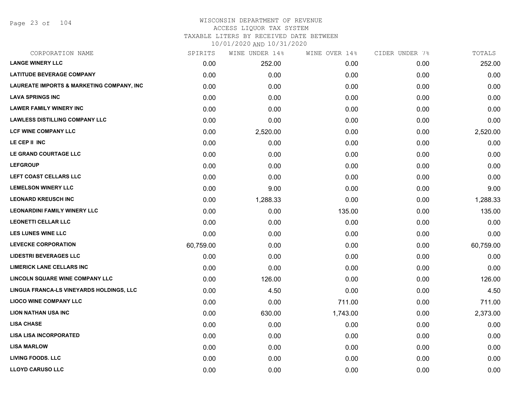Page 23 of 104

#### WISCONSIN DEPARTMENT OF REVENUE ACCESS LIQUOR TAX SYSTEM

TAXABLE LITERS BY RECEIVED DATE BETWEEN

| CORPORATION NAME                          | SPIRITS   | WINE UNDER 14% | WINE OVER 14% | CIDER UNDER 7% | TOTALS    |
|-------------------------------------------|-----------|----------------|---------------|----------------|-----------|
| <b>LANGE WINERY LLC</b>                   | 0.00      | 252.00         | 0.00          | 0.00           | 252.00    |
| <b>LATITUDE BEVERAGE COMPANY</b>          | 0.00      | 0.00           | 0.00          | 0.00           | 0.00      |
| LAUREATE IMPORTS & MARKETING COMPANY, INC | 0.00      | 0.00           | 0.00          | 0.00           | 0.00      |
| <b>LAVA SPRINGS INC</b>                   | 0.00      | 0.00           | 0.00          | 0.00           | 0.00      |
| <b>LAWER FAMILY WINERY INC</b>            | 0.00      | 0.00           | 0.00          | 0.00           | 0.00      |
| <b>LAWLESS DISTILLING COMPANY LLC</b>     | 0.00      | 0.00           | 0.00          | 0.00           | 0.00      |
| <b>LCF WINE COMPANY LLC</b>               | 0.00      | 2,520.00       | 0.00          | 0.00           | 2,520.00  |
| LE CEP II INC                             | 0.00      | 0.00           | 0.00          | 0.00           | 0.00      |
| LE GRAND COURTAGE LLC                     | 0.00      | 0.00           | 0.00          | 0.00           | 0.00      |
| <b>LEFGROUP</b>                           | 0.00      | 0.00           | 0.00          | 0.00           | 0.00      |
| LEFT COAST CELLARS LLC                    | 0.00      | 0.00           | 0.00          | 0.00           | 0.00      |
| <b>LEMELSON WINERY LLC</b>                | 0.00      | 9.00           | 0.00          | 0.00           | 9.00      |
| <b>LEONARD KREUSCH INC</b>                | 0.00      | 1,288.33       | 0.00          | 0.00           | 1,288.33  |
| <b>LEONARDINI FAMILY WINERY LLC</b>       | 0.00      | 0.00           | 135.00        | 0.00           | 135.00    |
| <b>LEONETTI CELLAR LLC</b>                | 0.00      | 0.00           | 0.00          | 0.00           | 0.00      |
| <b>LES LUNES WINE LLC</b>                 | 0.00      | 0.00           | 0.00          | 0.00           | 0.00      |
| <b>LEVECKE CORPORATION</b>                | 60,759.00 | 0.00           | 0.00          | 0.00           | 60,759.00 |
| <b>LIDESTRI BEVERAGES LLC</b>             | 0.00      | 0.00           | 0.00          | 0.00           | 0.00      |
| <b>LIMERICK LANE CELLARS INC</b>          | 0.00      | 0.00           | 0.00          | 0.00           | 0.00      |
| <b>LINCOLN SQUARE WINE COMPANY LLC</b>    | 0.00      | 126.00         | 0.00          | 0.00           | 126.00    |
| LINGUA FRANCA-LS VINEYARDS HOLDINGS, LLC  | 0.00      | 4.50           | 0.00          | 0.00           | 4.50      |
| <b>LIOCO WINE COMPANY LLC</b>             | 0.00      | 0.00           | 711.00        | 0.00           | 711.00    |
| <b>LION NATHAN USA INC</b>                | 0.00      | 630.00         | 1,743.00      | 0.00           | 2,373.00  |
| <b>LISA CHASE</b>                         | 0.00      | 0.00           | 0.00          | 0.00           | 0.00      |
| <b>LISA LISA INCORPORATED</b>             | 0.00      | 0.00           | 0.00          | 0.00           | 0.00      |
| <b>LISA MARLOW</b>                        | 0.00      | 0.00           | 0.00          | 0.00           | 0.00      |
| <b>LIVING FOODS. LLC</b>                  | 0.00      | 0.00           | 0.00          | 0.00           | 0.00      |
| <b>LLOYD CARUSO LLC</b>                   | 0.00      | 0.00           | 0.00          | 0.00           | 0.00      |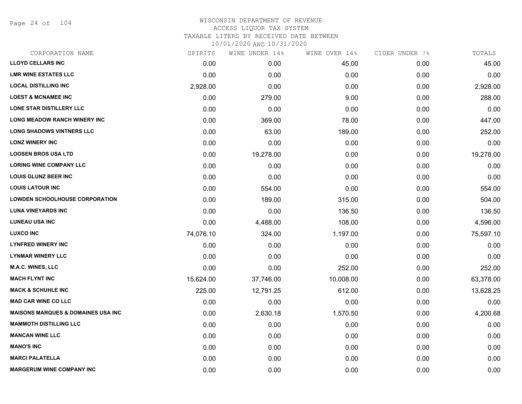Page 24 of 104

## WISCONSIN DEPARTMENT OF REVENUE ACCESS LIQUOR TAX SYSTEM TAXABLE LITERS BY RECEIVED DATE BETWEEN

| CORPORATION NAME                              | SPIRITS   | WINE UNDER 14% | WINE OVER 14% | CIDER UNDER 7% | TOTALS    |
|-----------------------------------------------|-----------|----------------|---------------|----------------|-----------|
| <b>LLOYD CELLARS INC</b>                      | 0.00      | 0.00           | 45.00         | 0.00           | 45.00     |
| <b>LMR WINE ESTATES LLC</b>                   | 0.00      | 0.00           | 0.00          | 0.00           | 0.00      |
| <b>LOCAL DISTILLING INC</b>                   | 2,928.00  | 0.00           | 0.00          | 0.00           | 2,928.00  |
| <b>LOEST &amp; MCNAMEE INC</b>                | 0.00      | 279.00         | 9.00          | 0.00           | 288.00    |
| LONE STAR DISTILLERY LLC                      | 0.00      | 0.00           | 0.00          | 0.00           | 0.00      |
| <b>LONG MEADOW RANCH WINERY INC</b>           | 0.00      | 369.00         | 78.00         | 0.00           | 447.00    |
| <b>LONG SHADOWS VINTNERS LLC</b>              | 0.00      | 63.00          | 189.00        | 0.00           | 252.00    |
| <b>LONZ WINERY INC</b>                        | 0.00      | 0.00           | 0.00          | 0.00           | 0.00      |
| <b>LOOSEN BROS USA LTD</b>                    | 0.00      | 19,278.00      | 0.00          | 0.00           | 19,278.00 |
| <b>LORING WINE COMPANY LLC</b>                | 0.00      | 0.00           | 0.00          | 0.00           | 0.00      |
| <b>LOUIS GLUNZ BEER INC</b>                   | 0.00      | 0.00           | 0.00          | 0.00           | 0.00      |
| <b>LOUIS LATOUR INC</b>                       | 0.00      | 554.00         | 0.00          | 0.00           | 554.00    |
| <b>LOWDEN SCHOOLHOUSE CORPORATION</b>         | 0.00      | 189.00         | 315.00        | 0.00           | 504.00    |
| <b>LUNA VINEYARDS INC</b>                     | 0.00      | 0.00           | 136.50        | 0.00           | 136.50    |
| <b>LUNEAU USA INC</b>                         | 0.00      | 4,488.00       | 108.00        | 0.00           | 4,596.00  |
| <b>LUXCO INC</b>                              | 74,076.10 | 324.00         | 1,197.00      | 0.00           | 75,597.10 |
| <b>LYNFRED WINERY INC</b>                     | 0.00      | 0.00           | 0.00          | 0.00           | 0.00      |
| <b>LYNMAR WINERY LLC</b>                      | 0.00      | 0.00           | 0.00          | 0.00           | 0.00      |
| <b>M.A.C. WINES, LLC</b>                      | 0.00      | 0.00           | 252.00        | 0.00           | 252.00    |
| <b>MACH FLYNT INC</b>                         | 15,624.00 | 37,746.00      | 10,008.00     | 0.00           | 63,378.00 |
| <b>MACK &amp; SCHUHLE INC</b>                 | 225.00    | 12,791.25      | 612.00        | 0.00           | 13,628.25 |
| <b>MAD CAR WINE CO LLC</b>                    | 0.00      | 0.00           | 0.00          | 0.00           | 0.00      |
| <b>MAISONS MARQUES &amp; DOMAINES USA INC</b> | 0.00      | 2,630.18       | 1,570.50      | 0.00           | 4,200.68  |
| <b>MAMMOTH DISTILLING LLC</b>                 | 0.00      | 0.00           | 0.00          | 0.00           | 0.00      |
| <b>MANCAN WINE LLC</b>                        | 0.00      | 0.00           | 0.00          | 0.00           | 0.00      |
| <b>MANO'S INC</b>                             | 0.00      | 0.00           | 0.00          | 0.00           | 0.00      |
| <b>MARCI PALATELLA</b>                        | 0.00      | 0.00           | 0.00          | 0.00           | 0.00      |
| <b>MARGERUM WINE COMPANY INC</b>              | 0.00      | 0.00           | 0.00          | 0.00           | 0.00      |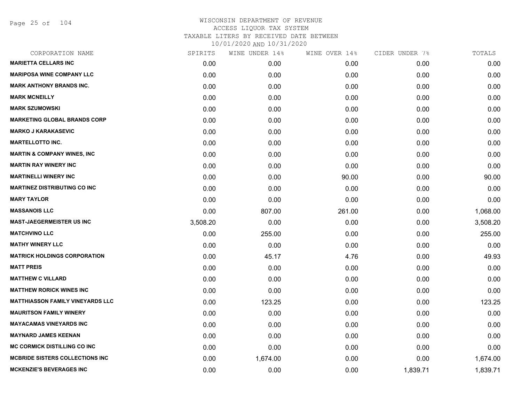Page 25 of 104

| CORPORATION NAME                        | SPIRITS  | WINE UNDER 14% | WINE OVER 14% | CIDER UNDER 7% | TOTALS   |
|-----------------------------------------|----------|----------------|---------------|----------------|----------|
| <b>MARIETTA CELLARS INC</b>             | 0.00     | 0.00           | 0.00          | 0.00           | 0.00     |
| <b>MARIPOSA WINE COMPANY LLC</b>        | 0.00     | 0.00           | 0.00          | 0.00           | 0.00     |
| <b>MARK ANTHONY BRANDS INC.</b>         | 0.00     | 0.00           | 0.00          | 0.00           | 0.00     |
| <b>MARK MCNEILLY</b>                    | 0.00     | 0.00           | 0.00          | 0.00           | 0.00     |
| <b>MARK SZUMOWSKI</b>                   | 0.00     | 0.00           | 0.00          | 0.00           | 0.00     |
| <b>MARKETING GLOBAL BRANDS CORP</b>     | 0.00     | 0.00           | 0.00          | 0.00           | 0.00     |
| <b>MARKO J KARAKASEVIC</b>              | 0.00     | 0.00           | 0.00          | 0.00           | 0.00     |
| <b>MARTELLOTTO INC.</b>                 | 0.00     | 0.00           | 0.00          | 0.00           | 0.00     |
| <b>MARTIN &amp; COMPANY WINES, INC</b>  | 0.00     | 0.00           | 0.00          | 0.00           | 0.00     |
| <b>MARTIN RAY WINERY INC</b>            | 0.00     | 0.00           | 0.00          | 0.00           | 0.00     |
| <b>MARTINELLI WINERY INC</b>            | 0.00     | 0.00           | 90.00         | 0.00           | 90.00    |
| <b>MARTINEZ DISTRIBUTING CO INC</b>     | 0.00     | 0.00           | 0.00          | 0.00           | 0.00     |
| <b>MARY TAYLOR</b>                      | 0.00     | 0.00           | 0.00          | 0.00           | 0.00     |
| <b>MASSANOIS LLC</b>                    | 0.00     | 807.00         | 261.00        | 0.00           | 1,068.00 |
| <b>MAST-JAEGERMEISTER US INC</b>        | 3,508.20 | 0.00           | 0.00          | 0.00           | 3,508.20 |
| <b>MATCHVINO LLC</b>                    | 0.00     | 255.00         | 0.00          | 0.00           | 255.00   |
| <b>MATHY WINERY LLC</b>                 | 0.00     | 0.00           | 0.00          | 0.00           | 0.00     |
| <b>MATRICK HOLDINGS CORPORATION</b>     | 0.00     | 45.17          | 4.76          | 0.00           | 49.93    |
| <b>MATT PREIS</b>                       | 0.00     | 0.00           | 0.00          | 0.00           | 0.00     |
| <b>MATTHEW C VILLARD</b>                | 0.00     | 0.00           | 0.00          | 0.00           | 0.00     |
| <b>MATTHEW RORICK WINES INC</b>         | 0.00     | 0.00           | 0.00          | 0.00           | 0.00     |
| <b>MATTHIASSON FAMILY VINEYARDS LLC</b> | 0.00     | 123.25         | 0.00          | 0.00           | 123.25   |
| <b>MAURITSON FAMILY WINERY</b>          | 0.00     | 0.00           | 0.00          | 0.00           | 0.00     |
| <b>MAYACAMAS VINEYARDS INC</b>          | 0.00     | 0.00           | 0.00          | 0.00           | 0.00     |
| <b>MAYNARD JAMES KEENAN</b>             | 0.00     | 0.00           | 0.00          | 0.00           | 0.00     |
| <b>MC CORMICK DISTILLING CO INC</b>     | 0.00     | 0.00           | 0.00          | 0.00           | 0.00     |
| <b>MCBRIDE SISTERS COLLECTIONS INC</b>  | 0.00     | 1,674.00       | 0.00          | 0.00           | 1,674.00 |
| <b>MCKENZIE'S BEVERAGES INC</b>         | 0.00     | 0.00           | 0.00          | 1,839.71       | 1,839.71 |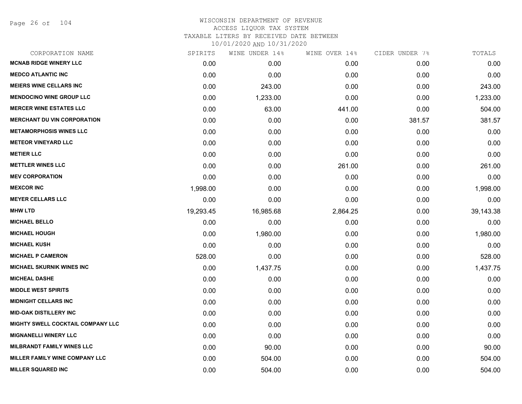Page 26 of 104

| CORPORATION NAME                      | SPIRITS   | WINE UNDER 14% | WINE OVER 14% | CIDER UNDER 7% | TOTALS    |
|---------------------------------------|-----------|----------------|---------------|----------------|-----------|
| <b>MCNAB RIDGE WINERY LLC</b>         | 0.00      | 0.00           | 0.00          | 0.00           | 0.00      |
| <b>MEDCO ATLANTIC INC</b>             | 0.00      | 0.00           | 0.00          | 0.00           | 0.00      |
| <b>MEIERS WINE CELLARS INC</b>        | 0.00      | 243.00         | 0.00          | 0.00           | 243.00    |
| <b>MENDOCINO WINE GROUP LLC</b>       | 0.00      | 1,233.00       | 0.00          | 0.00           | 1,233.00  |
| <b>MERCER WINE ESTATES LLC</b>        | 0.00      | 63.00          | 441.00        | 0.00           | 504.00    |
| <b>MERCHANT DU VIN CORPORATION</b>    | 0.00      | 0.00           | 0.00          | 381.57         | 381.57    |
| <b>METAMORPHOSIS WINES LLC</b>        | 0.00      | 0.00           | 0.00          | 0.00           | 0.00      |
| <b>METEOR VINEYARD LLC</b>            | 0.00      | 0.00           | 0.00          | 0.00           | 0.00      |
| <b>METIER LLC</b>                     | 0.00      | 0.00           | 0.00          | 0.00           | 0.00      |
| <b>METTLER WINES LLC</b>              | 0.00      | 0.00           | 261.00        | 0.00           | 261.00    |
| <b>MEV CORPORATION</b>                | 0.00      | 0.00           | 0.00          | 0.00           | 0.00      |
| <b>MEXCOR INC</b>                     | 1,998.00  | 0.00           | 0.00          | 0.00           | 1,998.00  |
| <b>MEYER CELLARS LLC</b>              | 0.00      | 0.00           | 0.00          | 0.00           | 0.00      |
| <b>MHW LTD</b>                        | 19,293.45 | 16,985.68      | 2,864.25      | 0.00           | 39,143.38 |
| <b>MICHAEL BELLO</b>                  | 0.00      | 0.00           | 0.00          | 0.00           | 0.00      |
| <b>MICHAEL HOUGH</b>                  | 0.00      | 1,980.00       | 0.00          | 0.00           | 1,980.00  |
| <b>MICHAEL KUSH</b>                   | 0.00      | 0.00           | 0.00          | 0.00           | 0.00      |
| <b>MICHAEL P CAMERON</b>              | 528.00    | 0.00           | 0.00          | 0.00           | 528.00    |
| <b>MICHAEL SKURNIK WINES INC</b>      | 0.00      | 1,437.75       | 0.00          | 0.00           | 1,437.75  |
| <b>MICHEAL DASHE</b>                  | 0.00      | 0.00           | 0.00          | 0.00           | 0.00      |
| <b>MIDDLE WEST SPIRITS</b>            | 0.00      | 0.00           | 0.00          | 0.00           | 0.00      |
| <b>MIDNIGHT CELLARS INC</b>           | 0.00      | 0.00           | 0.00          | 0.00           | 0.00      |
| <b>MID-OAK DISTILLERY INC</b>         | 0.00      | 0.00           | 0.00          | 0.00           | 0.00      |
| MIGHTY SWELL COCKTAIL COMPANY LLC     | 0.00      | 0.00           | 0.00          | 0.00           | 0.00      |
| <b>MIGNANELLI WINERY LLC</b>          | 0.00      | 0.00           | 0.00          | 0.00           | 0.00      |
| <b>MILBRANDT FAMILY WINES LLC</b>     | 0.00      | 90.00          | 0.00          | 0.00           | 90.00     |
| <b>MILLER FAMILY WINE COMPANY LLC</b> | 0.00      | 504.00         | 0.00          | 0.00           | 504.00    |
| <b>MILLER SQUARED INC</b>             | 0.00      | 504.00         | 0.00          | 0.00           | 504.00    |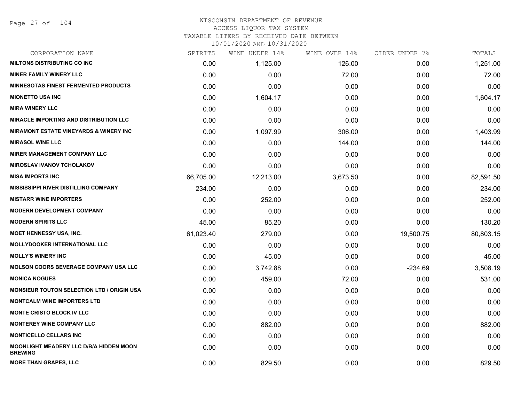# WISCONSIN DEPARTMENT OF REVENUE ACCESS LIQUOR TAX SYSTEM

TAXABLE LITERS BY RECEIVED DATE BETWEEN

| CORPORATION NAME                                          | SPIRITS   | WINE UNDER 14% | WINE OVER 14% | CIDER UNDER 7% | TOTALS    |
|-----------------------------------------------------------|-----------|----------------|---------------|----------------|-----------|
| <b>MILTONS DISTRIBUTING CO INC</b>                        | 0.00      | 1,125.00       | 126.00        | 0.00           | 1,251.00  |
| <b>MINER FAMILY WINERY LLC</b>                            | 0.00      | 0.00           | 72.00         | 0.00           | 72.00     |
| <b>MINNESOTAS FINEST FERMENTED PRODUCTS</b>               | 0.00      | 0.00           | 0.00          | 0.00           | 0.00      |
| <b>MIONETTO USA INC</b>                                   | 0.00      | 1,604.17       | 0.00          | 0.00           | 1,604.17  |
| <b>MIRA WINERY LLC</b>                                    | 0.00      | 0.00           | 0.00          | 0.00           | 0.00      |
| <b>MIRACLE IMPORTING AND DISTRIBUTION LLC</b>             | 0.00      | 0.00           | 0.00          | 0.00           | 0.00      |
| <b>MIRAMONT ESTATE VINEYARDS &amp; WINERY INC</b>         | 0.00      | 1,097.99       | 306.00        | 0.00           | 1,403.99  |
| <b>MIRASOL WINE LLC</b>                                   | 0.00      | 0.00           | 144.00        | 0.00           | 144.00    |
| <b>MIRER MANAGEMENT COMPANY LLC</b>                       | 0.00      | 0.00           | 0.00          | 0.00           | 0.00      |
| <b>MIROSLAV IVANOV TCHOLAKOV</b>                          | 0.00      | 0.00           | 0.00          | 0.00           | 0.00      |
| <b>MISA IMPORTS INC</b>                                   | 66,705.00 | 12,213.00      | 3,673.50      | 0.00           | 82,591.50 |
| <b>MISSISSIPPI RIVER DISTILLING COMPANY</b>               | 234.00    | 0.00           | 0.00          | 0.00           | 234.00    |
| <b>MISTARR WINE IMPORTERS</b>                             | 0.00      | 252.00         | 0.00          | 0.00           | 252.00    |
| <b>MODERN DEVELOPMENT COMPANY</b>                         | 0.00      | 0.00           | 0.00          | 0.00           | 0.00      |
| <b>MODERN SPIRITS LLC</b>                                 | 45.00     | 85.20          | 0.00          | 0.00           | 130.20    |
| MOET HENNESSY USA, INC.                                   | 61,023.40 | 279.00         | 0.00          | 19,500.75      | 80,803.15 |
| <b>MOLLYDOOKER INTERNATIONAL LLC</b>                      | 0.00      | 0.00           | 0.00          | 0.00           | 0.00      |
| <b>MOLLY'S WINERY INC</b>                                 | 0.00      | 45.00          | 0.00          | 0.00           | 45.00     |
| <b>MOLSON COORS BEVERAGE COMPANY USA LLC</b>              | 0.00      | 3,742.88       | 0.00          | $-234.69$      | 3,508.19  |
| <b>MONICA NOGUES</b>                                      | 0.00      | 459.00         | 72.00         | 0.00           | 531.00    |
| <b>MONSIEUR TOUTON SELECTION LTD / ORIGIN USA</b>         | 0.00      | 0.00           | 0.00          | 0.00           | 0.00      |
| <b>MONTCALM WINE IMPORTERS LTD</b>                        | 0.00      | 0.00           | 0.00          | 0.00           | 0.00      |
| <b>MONTE CRISTO BLOCK IV LLC</b>                          | 0.00      | 0.00           | 0.00          | 0.00           | 0.00      |
| <b>MONTEREY WINE COMPANY LLC</b>                          | 0.00      | 882.00         | 0.00          | 0.00           | 882.00    |
| <b>MONTICELLO CELLARS INC</b>                             | 0.00      | 0.00           | 0.00          | 0.00           | 0.00      |
| MOONLIGHT MEADERY LLC D/B/A HIDDEN MOON<br><b>BREWING</b> | 0.00      | 0.00           | 0.00          | 0.00           | 0.00      |
| <b>MORE THAN GRAPES, LLC</b>                              | 0.00      | 829.50         | 0.00          | 0.00           | 829.50    |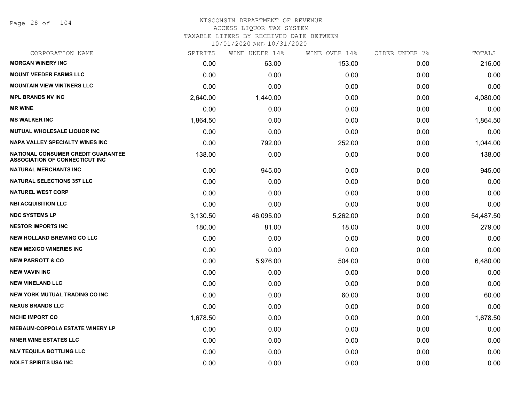Page 28 of 104

## WISCONSIN DEPARTMENT OF REVENUE ACCESS LIQUOR TAX SYSTEM TAXABLE LITERS BY RECEIVED DATE BETWEEN

| CORPORATION NAME                                                            | SPIRITS  | WINE UNDER 14% | WINE OVER 14% | CIDER UNDER 7% | TOTALS    |
|-----------------------------------------------------------------------------|----------|----------------|---------------|----------------|-----------|
| <b>MORGAN WINERY INC</b>                                                    | 0.00     | 63.00          | 153.00        | 0.00           | 216.00    |
| <b>MOUNT VEEDER FARMS LLC</b>                                               | 0.00     | 0.00           | 0.00          | 0.00           | 0.00      |
| <b>MOUNTAIN VIEW VINTNERS LLC</b>                                           | 0.00     | 0.00           | 0.00          | 0.00           | 0.00      |
| <b>MPL BRANDS NV INC</b>                                                    | 2,640.00 | 1,440.00       | 0.00          | 0.00           | 4,080.00  |
| <b>MR WINE</b>                                                              | 0.00     | 0.00           | 0.00          | 0.00           | 0.00      |
| <b>MS WALKER INC</b>                                                        | 1,864.50 | 0.00           | 0.00          | 0.00           | 1,864.50  |
| <b>MUTUAL WHOLESALE LIQUOR INC</b>                                          | 0.00     | 0.00           | 0.00          | 0.00           | 0.00      |
| NAPA VALLEY SPECIALTY WINES INC                                             | 0.00     | 792.00         | 252.00        | 0.00           | 1,044.00  |
| NATIONAL CONSUMER CREDIT GUARANTEE<br><b>ASSOCIATION OF CONNECTICUT INC</b> | 138.00   | 0.00           | 0.00          | 0.00           | 138.00    |
| <b>NATURAL MERCHANTS INC</b>                                                | 0.00     | 945.00         | 0.00          | 0.00           | 945.00    |
| <b>NATURAL SELECTIONS 357 LLC</b>                                           | 0.00     | 0.00           | 0.00          | 0.00           | 0.00      |
| <b>NATUREL WEST CORP</b>                                                    | 0.00     | 0.00           | 0.00          | 0.00           | 0.00      |
| <b>NBI ACQUISITION LLC</b>                                                  | 0.00     | 0.00           | 0.00          | 0.00           | 0.00      |
| <b>NDC SYSTEMS LP</b>                                                       | 3,130.50 | 46,095.00      | 5,262.00      | 0.00           | 54,487.50 |
| <b>NESTOR IMPORTS INC</b>                                                   | 180.00   | 81.00          | 18.00         | 0.00           | 279.00    |
| <b>NEW HOLLAND BREWING CO LLC</b>                                           | 0.00     | 0.00           | 0.00          | 0.00           | 0.00      |
| <b>NEW MEXICO WINERIES INC.</b>                                             | 0.00     | 0.00           | 0.00          | 0.00           | 0.00      |
| <b>NEW PARROTT &amp; CO</b>                                                 | 0.00     | 5,976.00       | 504.00        | 0.00           | 6,480.00  |
| <b>NEW VAVIN INC</b>                                                        | 0.00     | 0.00           | 0.00          | 0.00           | 0.00      |
| <b>NEW VINELAND LLC</b>                                                     | 0.00     | 0.00           | 0.00          | 0.00           | 0.00      |
| NEW YORK MUTUAL TRADING CO INC                                              | 0.00     | 0.00           | 60.00         | 0.00           | 60.00     |
| <b>NEXUS BRANDS LLC</b>                                                     | 0.00     | 0.00           | 0.00          | 0.00           | 0.00      |
| <b>NICHE IMPORT CO</b>                                                      | 1,678.50 | 0.00           | 0.00          | 0.00           | 1,678.50  |
| NIEBAUM-COPPOLA ESTATE WINERY LP                                            | 0.00     | 0.00           | 0.00          | 0.00           | 0.00      |
| <b>NINER WINE ESTATES LLC</b>                                               | 0.00     | 0.00           | 0.00          | 0.00           | 0.00      |
| <b>NLV TEQUILA BOTTLING LLC</b>                                             | 0.00     | 0.00           | 0.00          | 0.00           | 0.00      |
| <b>NOLET SPIRITS USA INC</b>                                                | 0.00     | 0.00           | 0.00          | 0.00           | 0.00      |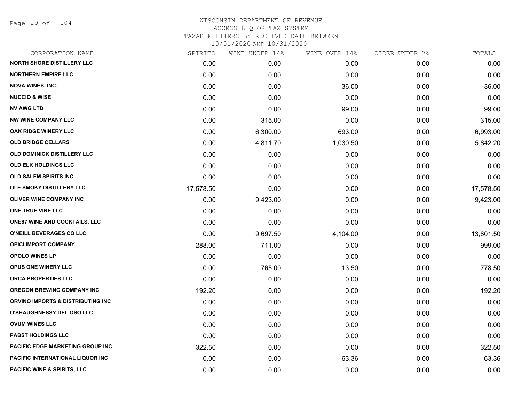Page 29 of 104

| CORPORATION NAME                        | SPIRITS   | WINE UNDER 14% | WINE OVER 14% | CIDER UNDER 7% | TOTALS    |
|-----------------------------------------|-----------|----------------|---------------|----------------|-----------|
| <b>NORTH SHORE DISTILLERY LLC</b>       | 0.00      | 0.00           | 0.00          | 0.00           | 0.00      |
| <b>NORTHERN EMPIRE LLC</b>              | 0.00      | 0.00           | 0.00          | 0.00           | 0.00      |
| <b>NOVA WINES, INC.</b>                 | 0.00      | 0.00           | 36.00         | 0.00           | 36.00     |
| <b>NUCCIO &amp; WISE</b>                | 0.00      | 0.00           | 0.00          | 0.00           | 0.00      |
| <b>NV AWG LTD</b>                       | 0.00      | 0.00           | 99.00         | 0.00           | 99.00     |
| <b>NW WINE COMPANY LLC</b>              | 0.00      | 315.00         | 0.00          | 0.00           | 315.00    |
| OAK RIDGE WINERY LLC                    | 0.00      | 6,300.00       | 693.00        | 0.00           | 6,993.00  |
| <b>OLD BRIDGE CELLARS</b>               | 0.00      | 4,811.70       | 1,030.50      | 0.00           | 5,842.20  |
| OLD DOMINICK DISTILLERY LLC             | 0.00      | 0.00           | 0.00          | 0.00           | 0.00      |
| OLD ELK HOLDINGS LLC                    | 0.00      | 0.00           | 0.00          | 0.00           | 0.00      |
| <b>OLD SALEM SPIRITS INC</b>            | 0.00      | 0.00           | 0.00          | 0.00           | 0.00      |
| OLE SMOKY DISTILLERY LLC                | 17,578.50 | 0.00           | 0.00          | 0.00           | 17,578.50 |
| OLIVER WINE COMPANY INC                 | 0.00      | 9,423.00       | 0.00          | 0.00           | 9,423.00  |
| ONE TRUE VINE LLC                       | 0.00      | 0.00           | 0.00          | 0.00           | 0.00      |
| <b>ONE87 WINE AND COCKTAILS, LLC</b>    | 0.00      | 0.00           | 0.00          | 0.00           | 0.00      |
| O'NEILL BEVERAGES CO LLC                | 0.00      | 9,697.50       | 4,104.00      | 0.00           | 13,801.50 |
| <b>OPICI IMPORT COMPANY</b>             | 288.00    | 711.00         | 0.00          | 0.00           | 999.00    |
| <b>OPOLO WINES LP</b>                   | 0.00      | 0.00           | 0.00          | 0.00           | 0.00      |
| OPUS ONE WINERY LLC                     | 0.00      | 765.00         | 13.50         | 0.00           | 778.50    |
| ORCA PROPERTIES LLC                     | 0.00      | 0.00           | 0.00          | 0.00           | 0.00      |
| <b>OREGON BREWING COMPANY INC</b>       | 192.20    | 0.00           | 0.00          | 0.00           | 192.20    |
| ORVINO IMPORTS & DISTRIBUTING INC       | 0.00      | 0.00           | 0.00          | 0.00           | 0.00      |
| <b>O'SHAUGHNESSY DEL OSO LLC</b>        | 0.00      | 0.00           | 0.00          | 0.00           | 0.00      |
| <b>OVUM WINES LLC</b>                   | 0.00      | 0.00           | 0.00          | 0.00           | 0.00      |
| <b>PABST HOLDINGS LLC</b>               | 0.00      | 0.00           | 0.00          | 0.00           | 0.00      |
| PACIFIC EDGE MARKETING GROUP INC        | 322.50    | 0.00           | 0.00          | 0.00           | 322.50    |
| <b>PACIFIC INTERNATIONAL LIQUOR INC</b> | 0.00      | 0.00           | 63.36         | 0.00           | 63.36     |
| <b>PACIFIC WINE &amp; SPIRITS, LLC</b>  | 0.00      | 0.00           | 0.00          | 0.00           | 0.00      |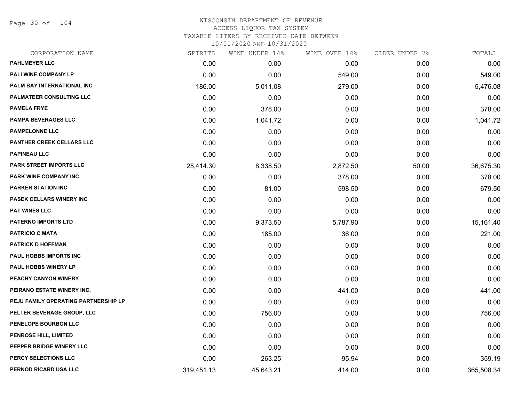Page 30 of 104

| CORPORATION NAME                     | SPIRITS    | WINE UNDER 14% | WINE OVER 14% | CIDER UNDER 7% | TOTALS     |
|--------------------------------------|------------|----------------|---------------|----------------|------------|
| <b>PAHLMEYER LLC</b>                 | 0.00       | 0.00           | 0.00          | 0.00           | 0.00       |
| PALI WINE COMPANY LP                 | 0.00       | 0.00           | 549.00        | 0.00           | 549.00     |
| PALM BAY INTERNATIONAL INC           | 186.00     | 5,011.08       | 279.00        | 0.00           | 5,476.08   |
| PALMATEER CONSULTING LLC             | 0.00       | 0.00           | 0.00          | 0.00           | 0.00       |
| <b>PAMELA FRYE</b>                   | 0.00       | 378.00         | 0.00          | 0.00           | 378.00     |
| <b>PAMPA BEVERAGES LLC</b>           | 0.00       | 1,041.72       | 0.00          | 0.00           | 1,041.72   |
| <b>PAMPELONNE LLC</b>                | 0.00       | 0.00           | 0.00          | 0.00           | 0.00       |
| PANTHER CREEK CELLARS LLC            | 0.00       | 0.00           | 0.00          | 0.00           | 0.00       |
| <b>PAPINEAU LLC</b>                  | 0.00       | 0.00           | 0.00          | 0.00           | 0.00       |
| <b>PARK STREET IMPORTS LLC</b>       | 25,414.30  | 8,338.50       | 2,872.50      | 50.00          | 36,675.30  |
| PARK WINE COMPANY INC                | 0.00       | 0.00           | 378.00        | 0.00           | 378.00     |
| <b>PARKER STATION INC</b>            | 0.00       | 81.00          | 598.50        | 0.00           | 679.50     |
| <b>PASEK CELLARS WINERY INC</b>      | 0.00       | 0.00           | 0.00          | 0.00           | 0.00       |
| <b>PAT WINES LLC</b>                 | 0.00       | 0.00           | 0.00          | 0.00           | 0.00       |
| <b>PATERNO IMPORTS LTD</b>           | 0.00       | 9,373.50       | 5,787.90      | 0.00           | 15,161.40  |
| <b>PATRICIO C MATA</b>               | 0.00       | 185.00         | 36.00         | 0.00           | 221.00     |
| <b>PATRICK D HOFFMAN</b>             | 0.00       | 0.00           | 0.00          | 0.00           | 0.00       |
| <b>PAUL HOBBS IMPORTS INC</b>        | 0.00       | 0.00           | 0.00          | 0.00           | 0.00       |
| PAUL HOBBS WINERY LP                 | 0.00       | 0.00           | 0.00          | 0.00           | 0.00       |
| PEACHY CANYON WINERY                 | 0.00       | 0.00           | 0.00          | 0.00           | 0.00       |
| PEIRANO ESTATE WINERY INC.           | 0.00       | 0.00           | 441.00        | 0.00           | 441.00     |
| PEJU FAMILY OPERATING PARTNERSHIP LP | 0.00       | 0.00           | 0.00          | 0.00           | 0.00       |
| PELTER BEVERAGE GROUP, LLC           | 0.00       | 756.00         | 0.00          | 0.00           | 756.00     |
| PENELOPE BOURBON LLC                 | 0.00       | 0.00           | 0.00          | 0.00           | 0.00       |
| PENROSE HILL, LIMITED                | 0.00       | 0.00           | 0.00          | 0.00           | 0.00       |
| PEPPER BRIDGE WINERY LLC             | 0.00       | 0.00           | 0.00          | 0.00           | 0.00       |
| PERCY SELECTIONS LLC                 | 0.00       | 263.25         | 95.94         | 0.00           | 359.19     |
| PERNOD RICARD USA LLC                | 319,451.13 | 45,643.21      | 414.00        | 0.00           | 365,508.34 |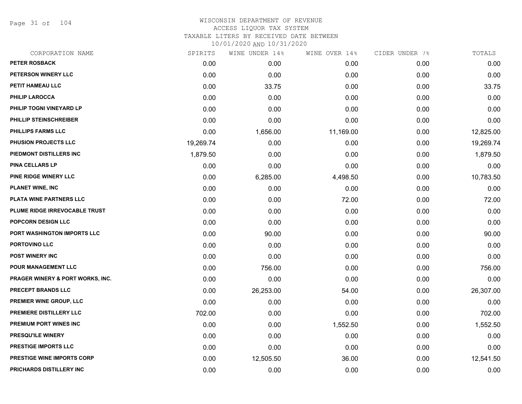Page 31 of 104

| CORPORATION NAME                            | SPIRITS   | WINE UNDER 14% | WINE OVER 14% | CIDER UNDER 7% | TOTALS    |
|---------------------------------------------|-----------|----------------|---------------|----------------|-----------|
| <b>PETER ROSBACK</b>                        | 0.00      | 0.00           | 0.00          | 0.00           | 0.00      |
| <b>PETERSON WINERY LLC</b>                  | 0.00      | 0.00           | 0.00          | 0.00           | 0.00      |
| PETIT HAMEAU LLC                            | 0.00      | 33.75          | 0.00          | 0.00           | 33.75     |
| <b>PHILIP LAROCCA</b>                       | 0.00      | 0.00           | 0.00          | 0.00           | 0.00      |
| PHILIP TOGNI VINEYARD LP                    | 0.00      | 0.00           | 0.00          | 0.00           | 0.00      |
| PHILLIP STEINSCHREIBER                      | 0.00      | 0.00           | 0.00          | 0.00           | 0.00      |
| <b>PHILLIPS FARMS LLC</b>                   | 0.00      | 1,656.00       | 11,169.00     | 0.00           | 12,825.00 |
| <b>PHUSION PROJECTS LLC</b>                 | 19,269.74 | 0.00           | 0.00          | 0.00           | 19,269.74 |
| PIEDMONT DISTILLERS INC                     | 1,879.50  | 0.00           | 0.00          | 0.00           | 1,879.50  |
| <b>PINA CELLARS LP</b>                      | 0.00      | 0.00           | 0.00          | 0.00           | 0.00      |
| PINE RIDGE WINERY LLC                       | 0.00      | 6,285.00       | 4,498.50      | 0.00           | 10,783.50 |
| <b>PLANET WINE, INC</b>                     | 0.00      | 0.00           | 0.00          | 0.00           | 0.00      |
| PLATA WINE PARTNERS LLC                     | 0.00      | 0.00           | 72.00         | 0.00           | 72.00     |
| PLUME RIDGE IRREVOCABLE TRUST               | 0.00      | 0.00           | 0.00          | 0.00           | 0.00      |
| POPCORN DESIGN LLC                          | 0.00      | 0.00           | 0.00          | 0.00           | 0.00      |
| PORT WASHINGTON IMPORTS LLC                 | 0.00      | 90.00          | 0.00          | 0.00           | 90.00     |
| PORTOVINO LLC                               | 0.00      | 0.00           | 0.00          | 0.00           | 0.00      |
| <b>POST WINERY INC</b>                      | 0.00      | 0.00           | 0.00          | 0.00           | 0.00      |
| POUR MANAGEMENT LLC                         | 0.00      | 756.00         | 0.00          | 0.00           | 756.00    |
| <b>PRAGER WINERY &amp; PORT WORKS, INC.</b> | 0.00      | 0.00           | 0.00          | 0.00           | 0.00      |
| PRECEPT BRANDS LLC                          | 0.00      | 26,253.00      | 54.00         | 0.00           | 26,307.00 |
| PREMIER WINE GROUP, LLC                     | 0.00      | 0.00           | 0.00          | 0.00           | 0.00      |
| PREMIERE DISTILLERY LLC                     | 702.00    | 0.00           | 0.00          | 0.00           | 702.00    |
| PREMIUM PORT WINES INC                      | 0.00      | 0.00           | 1,552.50      | 0.00           | 1,552.50  |
| <b>PRESQU'ILE WINERY</b>                    | 0.00      | 0.00           | 0.00          | 0.00           | 0.00      |
| <b>PRESTIGE IMPORTS LLC</b>                 | 0.00      | 0.00           | 0.00          | 0.00           | 0.00      |
| <b>PRESTIGE WINE IMPORTS CORP</b>           | 0.00      | 12,505.50      | 36.00         | 0.00           | 12,541.50 |
| PRICHARDS DISTILLERY INC                    | 0.00      | 0.00           | 0.00          | 0.00           | 0.00      |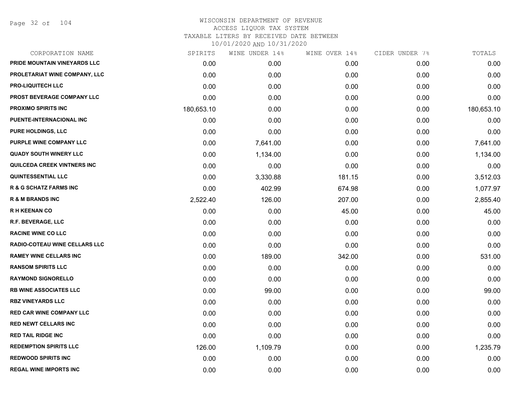Page 32 of 104

| CORPORATION NAME                     | SPIRITS    | WINE UNDER 14% | WINE OVER 14% | CIDER UNDER 7% | TOTALS     |
|--------------------------------------|------------|----------------|---------------|----------------|------------|
| PRIDE MOUNTAIN VINEYARDS LLC         | 0.00       | 0.00           | 0.00          | 0.00           | 0.00       |
| PROLETARIAT WINE COMPANY, LLC        | 0.00       | 0.00           | 0.00          | 0.00           | 0.00       |
| <b>PRO-LIQUITECH LLC</b>             | 0.00       | 0.00           | 0.00          | 0.00           | 0.00       |
| PROST BEVERAGE COMPANY LLC           | 0.00       | 0.00           | 0.00          | 0.00           | 0.00       |
| <b>PROXIMO SPIRITS INC</b>           | 180,653.10 | 0.00           | 0.00          | 0.00           | 180,653.10 |
| PUENTE-INTERNACIONAL INC             | 0.00       | 0.00           | 0.00          | 0.00           | 0.00       |
| <b>PURE HOLDINGS, LLC</b>            | 0.00       | 0.00           | 0.00          | 0.00           | 0.00       |
| <b>PURPLE WINE COMPANY LLC</b>       | 0.00       | 7,641.00       | 0.00          | 0.00           | 7,641.00   |
| <b>QUADY SOUTH WINERY LLC</b>        | 0.00       | 1,134.00       | 0.00          | 0.00           | 1,134.00   |
| <b>QUILCEDA CREEK VINTNERS INC</b>   | 0.00       | 0.00           | 0.00          | 0.00           | 0.00       |
| <b>QUINTESSENTIAL LLC</b>            | 0.00       | 3,330.88       | 181.15        | 0.00           | 3,512.03   |
| <b>R &amp; G SCHATZ FARMS INC</b>    | 0.00       | 402.99         | 674.98        | 0.00           | 1,077.97   |
| <b>R &amp; M BRANDS INC</b>          | 2,522.40   | 126.00         | 207.00        | 0.00           | 2,855.40   |
| <b>RH KEENAN CO</b>                  | 0.00       | 0.00           | 45.00         | 0.00           | 45.00      |
| R.F. BEVERAGE, LLC                   | 0.00       | 0.00           | 0.00          | 0.00           | 0.00       |
| <b>RACINE WINE CO LLC</b>            | 0.00       | 0.00           | 0.00          | 0.00           | 0.00       |
| <b>RADIO-COTEAU WINE CELLARS LLC</b> | 0.00       | 0.00           | 0.00          | 0.00           | 0.00       |
| <b>RAMEY WINE CELLARS INC</b>        | 0.00       | 189.00         | 342.00        | 0.00           | 531.00     |
| <b>RANSOM SPIRITS LLC</b>            | 0.00       | 0.00           | 0.00          | 0.00           | 0.00       |
| <b>RAYMOND SIGNORELLO</b>            | 0.00       | 0.00           | 0.00          | 0.00           | 0.00       |
| <b>RB WINE ASSOCIATES LLC</b>        | 0.00       | 99.00          | 0.00          | 0.00           | 99.00      |
| <b>RBZ VINEYARDS LLC</b>             | 0.00       | 0.00           | 0.00          | 0.00           | 0.00       |
| <b>RED CAR WINE COMPANY LLC</b>      | 0.00       | 0.00           | 0.00          | 0.00           | 0.00       |
| <b>RED NEWT CELLARS INC</b>          | 0.00       | 0.00           | 0.00          | 0.00           | 0.00       |
| <b>RED TAIL RIDGE INC</b>            | 0.00       | 0.00           | 0.00          | 0.00           | 0.00       |
| <b>REDEMPTION SPIRITS LLC</b>        | 126.00     | 1,109.79       | 0.00          | 0.00           | 1,235.79   |
| <b>REDWOOD SPIRITS INC</b>           | 0.00       | 0.00           | 0.00          | 0.00           | 0.00       |
| <b>REGAL WINE IMPORTS INC</b>        | 0.00       | 0.00           | 0.00          | 0.00           | 0.00       |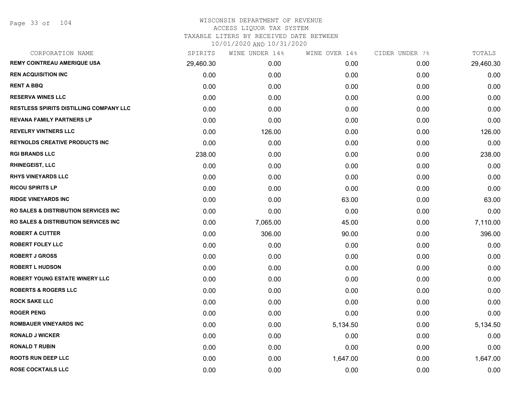| CORPORATION NAME                                 | SPIRITS   | WINE UNDER 14% | WINE OVER 14% | CIDER UNDER 7% | TOTALS    |
|--------------------------------------------------|-----------|----------------|---------------|----------------|-----------|
| <b>REMY COINTREAU AMERIQUE USA</b>               | 29,460.30 | 0.00           | 0.00          | 0.00           | 29,460.30 |
| <b>REN ACQUISITION INC</b>                       | 0.00      | 0.00           | 0.00          | 0.00           | 0.00      |
| <b>RENT A BBQ</b>                                | 0.00      | 0.00           | 0.00          | 0.00           | 0.00      |
| <b>RESERVA WINES LLC</b>                         | 0.00      | 0.00           | 0.00          | 0.00           | 0.00      |
| <b>RESTLESS SPIRITS DISTILLING COMPANY LLC</b>   | 0.00      | 0.00           | 0.00          | 0.00           | 0.00      |
| <b>REVANA FAMILY PARTNERS LP</b>                 | 0.00      | 0.00           | 0.00          | 0.00           | 0.00      |
| <b>REVELRY VINTNERS LLC</b>                      | 0.00      | 126.00         | 0.00          | 0.00           | 126.00    |
| <b>REYNOLDS CREATIVE PRODUCTS INC</b>            | 0.00      | 0.00           | 0.00          | 0.00           | 0.00      |
| <b>RGI BRANDS LLC</b>                            | 238.00    | 0.00           | 0.00          | 0.00           | 238.00    |
| <b>RHINEGEIST, LLC</b>                           | 0.00      | 0.00           | 0.00          | 0.00           | 0.00      |
| <b>RHYS VINEYARDS LLC</b>                        | 0.00      | 0.00           | 0.00          | 0.00           | 0.00      |
| <b>RICOU SPIRITS LP</b>                          | 0.00      | 0.00           | 0.00          | 0.00           | 0.00      |
| <b>RIDGE VINEYARDS INC</b>                       | 0.00      | 0.00           | 63.00         | 0.00           | 63.00     |
| <b>RO SALES &amp; DISTRIBUTION SERVICES INC.</b> | 0.00      | 0.00           | 0.00          | 0.00           | 0.00      |
| RO SALES & DISTRIBUTION SERVICES INC             | 0.00      | 7,065.00       | 45.00         | 0.00           | 7,110.00  |
| <b>ROBERT A CUTTER</b>                           | 0.00      | 306.00         | 90.00         | 0.00           | 396.00    |
| <b>ROBERT FOLEY LLC</b>                          | 0.00      | 0.00           | 0.00          | 0.00           | 0.00      |
| <b>ROBERT J GROSS</b>                            | 0.00      | 0.00           | 0.00          | 0.00           | 0.00      |
| <b>ROBERT L HUDSON</b>                           | 0.00      | 0.00           | 0.00          | 0.00           | 0.00      |
| ROBERT YOUNG ESTATE WINERY LLC                   | 0.00      | 0.00           | 0.00          | 0.00           | 0.00      |
| <b>ROBERTS &amp; ROGERS LLC</b>                  | 0.00      | 0.00           | 0.00          | 0.00           | 0.00      |
| <b>ROCK SAKE LLC</b>                             | 0.00      | 0.00           | 0.00          | 0.00           | 0.00      |
| <b>ROGER PENG</b>                                | 0.00      | 0.00           | 0.00          | 0.00           | 0.00      |
| <b>ROMBAUER VINEYARDS INC</b>                    | 0.00      | 0.00           | 5,134.50      | 0.00           | 5,134.50  |
| <b>RONALD J WICKER</b>                           | 0.00      | 0.00           | 0.00          | 0.00           | 0.00      |
| <b>RONALD T RUBIN</b>                            | 0.00      | 0.00           | 0.00          | 0.00           | 0.00      |
| <b>ROOTS RUN DEEP LLC</b>                        | 0.00      | 0.00           | 1,647.00      | 0.00           | 1,647.00  |
| <b>ROSE COCKTAILS LLC</b>                        | 0.00      | 0.00           | 0.00          | 0.00           | 0.00      |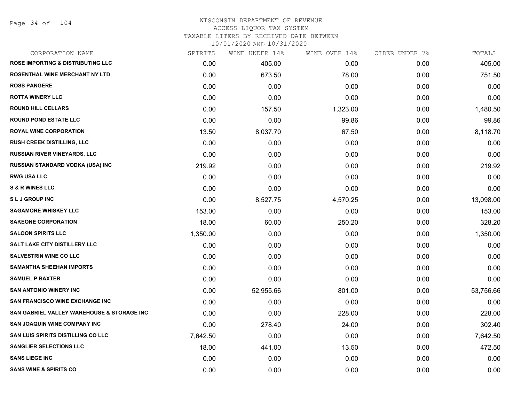Page 34 of 104

| CORPORATION NAME                             | SPIRITS  | WINE UNDER 14% | WINE OVER 14% | CIDER UNDER 7% | TOTALS    |
|----------------------------------------------|----------|----------------|---------------|----------------|-----------|
| <b>ROSE IMPORTING &amp; DISTRIBUTING LLC</b> | 0.00     | 405.00         | 0.00          | 0.00           | 405.00    |
| ROSENTHAL WINE MERCHANT NY LTD               | 0.00     | 673.50         | 78.00         | 0.00           | 751.50    |
| <b>ROSS PANGERE</b>                          | 0.00     | 0.00           | 0.00          | 0.00           | 0.00      |
| <b>ROTTA WINERY LLC</b>                      | 0.00     | 0.00           | 0.00          | 0.00           | 0.00      |
| <b>ROUND HILL CELLARS</b>                    | 0.00     | 157.50         | 1,323.00      | 0.00           | 1,480.50  |
| <b>ROUND POND ESTATE LLC</b>                 | 0.00     | 0.00           | 99.86         | 0.00           | 99.86     |
| <b>ROYAL WINE CORPORATION</b>                | 13.50    | 8,037.70       | 67.50         | 0.00           | 8,118.70  |
| <b>RUSH CREEK DISTILLING, LLC</b>            | 0.00     | 0.00           | 0.00          | 0.00           | 0.00      |
| <b>RUSSIAN RIVER VINEYARDS, LLC</b>          | 0.00     | 0.00           | 0.00          | 0.00           | 0.00      |
| RUSSIAN STANDARD VODKA (USA) INC             | 219.92   | 0.00           | 0.00          | 0.00           | 219.92    |
| <b>RWG USA LLC</b>                           | 0.00     | 0.00           | 0.00          | 0.00           | 0.00      |
| <b>S &amp; R WINES LLC</b>                   | 0.00     | 0.00           | 0.00          | 0.00           | 0.00      |
| <b>SLJ GROUP INC</b>                         | 0.00     | 8,527.75       | 4,570.25      | 0.00           | 13,098.00 |
| <b>SAGAMORE WHISKEY LLC</b>                  | 153.00   | 0.00           | 0.00          | 0.00           | 153.00    |
| <b>SAKEONE CORPORATION</b>                   | 18.00    | 60.00          | 250.20        | 0.00           | 328.20    |
| <b>SALOON SPIRITS LLC</b>                    | 1,350.00 | 0.00           | 0.00          | 0.00           | 1,350.00  |
| SALT LAKE CITY DISTILLERY LLC                | 0.00     | 0.00           | 0.00          | 0.00           | 0.00      |
| <b>SALVESTRIN WINE CO LLC</b>                | 0.00     | 0.00           | 0.00          | 0.00           | 0.00      |
| <b>SAMANTHA SHEEHAN IMPORTS</b>              | 0.00     | 0.00           | 0.00          | 0.00           | 0.00      |
| <b>SAMUEL P BAXTER</b>                       | 0.00     | 0.00           | 0.00          | 0.00           | 0.00      |
| <b>SAN ANTONIO WINERY INC</b>                | 0.00     | 52,955.66      | 801.00        | 0.00           | 53,756.66 |
| SAN FRANCISCO WINE EXCHANGE INC              | 0.00     | 0.00           | 0.00          | 0.00           | 0.00      |
| SAN GABRIEL VALLEY WAREHOUSE & STORAGE INC   | 0.00     | 0.00           | 228.00        | 0.00           | 228.00    |
| <b>SAN JOAQUIN WINE COMPANY INC</b>          | 0.00     | 278.40         | 24.00         | 0.00           | 302.40    |
| SAN LUIS SPIRITS DISTILLING CO LLC           | 7,642.50 | 0.00           | 0.00          | 0.00           | 7,642.50  |
| <b>SANGLIER SELECTIONS LLC</b>               | 18.00    | 441.00         | 13.50         | 0.00           | 472.50    |
| <b>SANS LIEGE INC</b>                        | 0.00     | 0.00           | 0.00          | 0.00           | 0.00      |
| <b>SANS WINE &amp; SPIRITS CO</b>            | 0.00     | 0.00           | 0.00          | 0.00           | 0.00      |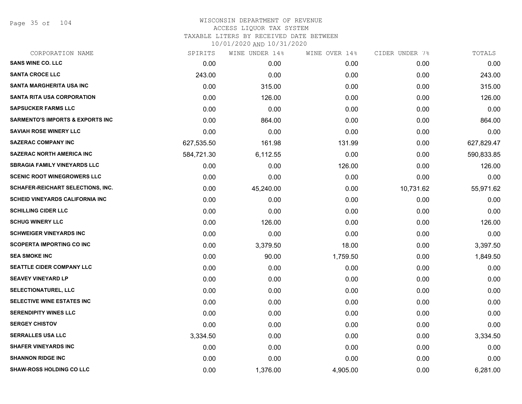Page 35 of 104

| CORPORATION NAME                            | SPIRITS    | WINE UNDER 14% | WINE OVER 14% | CIDER UNDER 7% | TOTALS     |
|---------------------------------------------|------------|----------------|---------------|----------------|------------|
| <b>SANS WINE CO. LLC</b>                    | 0.00       | 0.00           | 0.00          | 0.00           | 0.00       |
| <b>SANTA CROCE LLC</b>                      | 243.00     | 0.00           | 0.00          | 0.00           | 243.00     |
| SANTA MARGHERITA USA INC                    | 0.00       | 315.00         | 0.00          | 0.00           | 315.00     |
| <b>SANTA RITA USA CORPORATION</b>           | 0.00       | 126.00         | 0.00          | 0.00           | 126.00     |
| <b>SAPSUCKER FARMS LLC</b>                  | 0.00       | 0.00           | 0.00          | 0.00           | 0.00       |
| <b>SARMENTO'S IMPORTS &amp; EXPORTS INC</b> | 0.00       | 864.00         | 0.00          | 0.00           | 864.00     |
| <b>SAVIAH ROSE WINERY LLC</b>               | 0.00       | 0.00           | 0.00          | 0.00           | 0.00       |
| <b>SAZERAC COMPANY INC</b>                  | 627,535.50 | 161.98         | 131.99        | 0.00           | 627,829.47 |
| <b>SAZERAC NORTH AMERICA INC</b>            | 584,721.30 | 6,112.55       | 0.00          | 0.00           | 590,833.85 |
| <b>SBRAGIA FAMILY VINEYARDS LLC</b>         | 0.00       | 0.00           | 126.00        | 0.00           | 126.00     |
| <b>SCENIC ROOT WINEGROWERS LLC</b>          | 0.00       | 0.00           | 0.00          | 0.00           | 0.00       |
| SCHAFER-REICHART SELECTIONS, INC.           | 0.00       | 45,240.00      | 0.00          | 10,731.62      | 55,971.62  |
| <b>SCHEID VINEYARDS CALIFORNIA INC</b>      | 0.00       | 0.00           | 0.00          | 0.00           | 0.00       |
| <b>SCHILLING CIDER LLC</b>                  | 0.00       | 0.00           | 0.00          | 0.00           | 0.00       |
| <b>SCHUG WINERY LLC</b>                     | 0.00       | 126.00         | 0.00          | 0.00           | 126.00     |
| <b>SCHWEIGER VINEYARDS INC</b>              | 0.00       | 0.00           | 0.00          | 0.00           | 0.00       |
| <b>SCOPERTA IMPORTING CO INC</b>            | 0.00       | 3,379.50       | 18.00         | 0.00           | 3,397.50   |
| <b>SEA SMOKE INC</b>                        | 0.00       | 90.00          | 1,759.50      | 0.00           | 1,849.50   |
| <b>SEATTLE CIDER COMPANY LLC</b>            | 0.00       | 0.00           | 0.00          | 0.00           | 0.00       |
| <b>SEAVEY VINEYARD LP</b>                   | 0.00       | 0.00           | 0.00          | 0.00           | 0.00       |
| <b>SELECTIONATUREL, LLC</b>                 | 0.00       | 0.00           | 0.00          | 0.00           | 0.00       |
| <b>SELECTIVE WINE ESTATES INC</b>           | 0.00       | 0.00           | 0.00          | 0.00           | 0.00       |
| <b>SERENDIPITY WINES LLC</b>                | 0.00       | 0.00           | 0.00          | 0.00           | 0.00       |
| <b>SERGEY CHISTOV</b>                       | 0.00       | 0.00           | 0.00          | 0.00           | 0.00       |
| <b>SERRALLES USA LLC</b>                    | 3,334.50   | 0.00           | 0.00          | 0.00           | 3,334.50   |
| <b>SHAFER VINEYARDS INC</b>                 | 0.00       | 0.00           | 0.00          | 0.00           | 0.00       |
| <b>SHANNON RIDGE INC</b>                    | 0.00       | 0.00           | 0.00          | 0.00           | 0.00       |
| <b>SHAW-ROSS HOLDING CO LLC</b>             | 0.00       | 1,376.00       | 4,905.00      | 0.00           | 6,281.00   |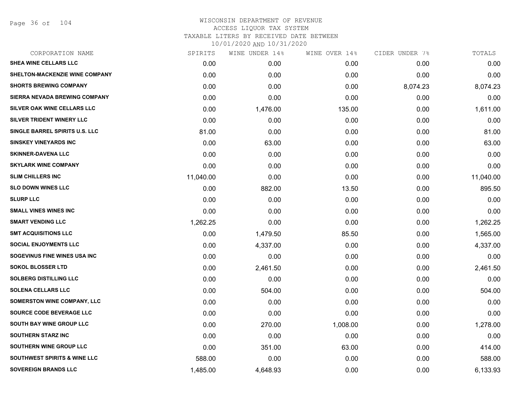Page 36 of 104

| CORPORATION NAME                        | SPIRITS   | WINE UNDER 14% | WINE OVER 14% | CIDER UNDER 7% | TOTALS    |
|-----------------------------------------|-----------|----------------|---------------|----------------|-----------|
| SHEA WINE CELLARS LLC                   | 0.00      | 0.00           | 0.00          | 0.00           | 0.00      |
| SHELTON-MACKENZIE WINE COMPANY          | 0.00      | 0.00           | 0.00          | 0.00           | 0.00      |
| <b>SHORTS BREWING COMPANY</b>           | 0.00      | 0.00           | 0.00          | 8,074.23       | 8,074.23  |
| SIERRA NEVADA BREWING COMPANY           | 0.00      | 0.00           | 0.00          | 0.00           | 0.00      |
| SILVER OAK WINE CELLARS LLC             | 0.00      | 1,476.00       | 135.00        | 0.00           | 1,611.00  |
| SILVER TRIDENT WINERY LLC               | 0.00      | 0.00           | 0.00          | 0.00           | 0.00      |
| SINGLE BARREL SPIRITS U.S. LLC          | 81.00     | 0.00           | 0.00          | 0.00           | 81.00     |
| <b>SINSKEY VINEYARDS INC</b>            | 0.00      | 63.00          | 0.00          | 0.00           | 63.00     |
| <b>SKINNER-DAVENA LLC</b>               | 0.00      | 0.00           | 0.00          | 0.00           | 0.00      |
| <b>SKYLARK WINE COMPANY</b>             | 0.00      | 0.00           | 0.00          | 0.00           | 0.00      |
| <b>SLIM CHILLERS INC</b>                | 11,040.00 | 0.00           | 0.00          | 0.00           | 11,040.00 |
| <b>SLO DOWN WINES LLC</b>               | 0.00      | 882.00         | 13.50         | 0.00           | 895.50    |
| <b>SLURP LLC</b>                        | 0.00      | 0.00           | 0.00          | 0.00           | 0.00      |
| <b>SMALL VINES WINES INC</b>            | 0.00      | 0.00           | 0.00          | 0.00           | 0.00      |
| <b>SMART VENDING LLC</b>                | 1,262.25  | 0.00           | 0.00          | 0.00           | 1,262.25  |
| <b>SMT ACQUISITIONS LLC</b>             | 0.00      | 1,479.50       | 85.50         | 0.00           | 1,565.00  |
| <b>SOCIAL ENJOYMENTS LLC</b>            | 0.00      | 4,337.00       | 0.00          | 0.00           | 4,337.00  |
| SOGEVINUS FINE WINES USA INC            | 0.00      | 0.00           | 0.00          | 0.00           | 0.00      |
| <b>SOKOL BLOSSER LTD</b>                | 0.00      | 2,461.50       | 0.00          | 0.00           | 2,461.50  |
| <b>SOLBERG DISTILLING LLC</b>           | 0.00      | 0.00           | 0.00          | 0.00           | 0.00      |
| <b>SOLENA CELLARS LLC</b>               | 0.00      | 504.00         | 0.00          | 0.00           | 504.00    |
| <b>SOMERSTON WINE COMPANY, LLC</b>      | 0.00      | 0.00           | 0.00          | 0.00           | 0.00      |
| SOURCE CODE BEVERAGE LLC                | 0.00      | 0.00           | 0.00          | 0.00           | 0.00      |
| SOUTH BAY WINE GROUP LLC                | 0.00      | 270.00         | 1,008.00      | 0.00           | 1,278.00  |
| <b>SOUTHERN STARZ INC</b>               | 0.00      | 0.00           | 0.00          | 0.00           | 0.00      |
| SOUTHERN WINE GROUP LLC                 | 0.00      | 351.00         | 63.00         | 0.00           | 414.00    |
| <b>SOUTHWEST SPIRITS &amp; WINE LLC</b> | 588.00    | 0.00           | 0.00          | 0.00           | 588.00    |
| <b>SOVEREIGN BRANDS LLC</b>             | 1,485.00  | 4,648.93       | 0.00          | 0.00           | 6,133.93  |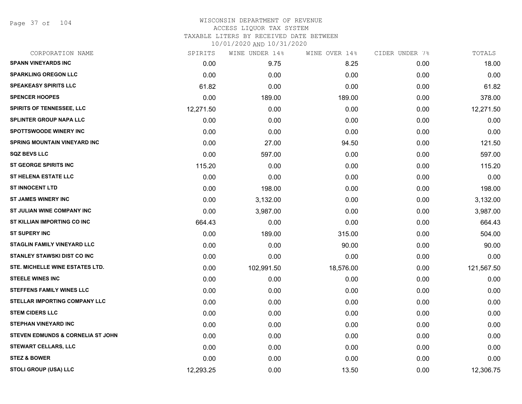Page 37 of 104

#### WISCONSIN DEPARTMENT OF REVENUE ACCESS LIQUOR TAX SYSTEM TAXABLE LITERS BY RECEIVED DATE BETWEEN

| CORPORATION NAME                    | SPIRITS   | WINE UNDER 14% | WINE OVER 14% | CIDER UNDER 7% | TOTALS     |
|-------------------------------------|-----------|----------------|---------------|----------------|------------|
| <b>SPANN VINEYARDS INC</b>          | 0.00      | 9.75           | 8.25          | 0.00           | 18.00      |
| <b>SPARKLING OREGON LLC</b>         | 0.00      | 0.00           | 0.00          | 0.00           | 0.00       |
| <b>SPEAKEASY SPIRITS LLC</b>        | 61.82     | 0.00           | 0.00          | 0.00           | 61.82      |
| <b>SPENCER HOOPES</b>               | 0.00      | 189.00         | 189.00        | 0.00           | 378.00     |
| <b>SPIRITS OF TENNESSEE, LLC</b>    | 12,271.50 | 0.00           | 0.00          | 0.00           | 12,271.50  |
| SPLINTER GROUP NAPA LLC             | 0.00      | 0.00           | 0.00          | 0.00           | 0.00       |
| <b>SPOTTSWOODE WINERY INC</b>       | 0.00      | 0.00           | 0.00          | 0.00           | 0.00       |
| <b>SPRING MOUNTAIN VINEYARD INC</b> | 0.00      | 27.00          | 94.50         | 0.00           | 121.50     |
| <b>SQZ BEVS LLC</b>                 | 0.00      | 597.00         | 0.00          | 0.00           | 597.00     |
| ST GEORGE SPIRITS INC               | 115.20    | 0.00           | 0.00          | 0.00           | 115.20     |
| <b>ST HELENA ESTATE LLC</b>         | 0.00      | 0.00           | 0.00          | 0.00           | 0.00       |
| <b>ST INNOCENT LTD</b>              | 0.00      | 198.00         | 0.00          | 0.00           | 198.00     |
| <b>ST JAMES WINERY INC</b>          | 0.00      | 3,132.00       | 0.00          | 0.00           | 3,132.00   |
| ST JULIAN WINE COMPANY INC          | 0.00      | 3,987.00       | 0.00          | 0.00           | 3,987.00   |
| ST KILLIAN IMPORTING CO INC         | 664.43    | 0.00           | 0.00          | 0.00           | 664.43     |
| <b>ST SUPERY INC</b>                | 0.00      | 189.00         | 315.00        | 0.00           | 504.00     |
| <b>STAGLIN FAMILY VINEYARD LLC</b>  | 0.00      | 0.00           | 90.00         | 0.00           | 90.00      |
| <b>STANLEY STAWSKI DIST CO INC</b>  | 0.00      | 0.00           | 0.00          | 0.00           | 0.00       |
| STE. MICHELLE WINE ESTATES LTD.     | 0.00      | 102,991.50     | 18,576.00     | 0.00           | 121,567.50 |
| <b>STEELE WINES INC</b>             | 0.00      | 0.00           | 0.00          | 0.00           | 0.00       |
| <b>STEFFENS FAMILY WINES LLC</b>    | 0.00      | 0.00           | 0.00          | 0.00           | 0.00       |
| STELLAR IMPORTING COMPANY LLC       | 0.00      | 0.00           | 0.00          | 0.00           | 0.00       |
| <b>STEM CIDERS LLC</b>              | 0.00      | 0.00           | 0.00          | 0.00           | 0.00       |
| <b>STEPHAN VINEYARD INC</b>         | 0.00      | 0.00           | 0.00          | 0.00           | 0.00       |
| STEVEN EDMUNDS & CORNELIA ST JOHN   | 0.00      | 0.00           | 0.00          | 0.00           | 0.00       |
| <b>STEWART CELLARS, LLC</b>         | 0.00      | 0.00           | 0.00          | 0.00           | 0.00       |
| <b>STEZ &amp; BOWER</b>             | 0.00      | 0.00           | 0.00          | 0.00           | 0.00       |
| STOLI GROUP (USA) LLC               | 12,293.25 | 0.00           | 13.50         | 0.00           | 12,306.75  |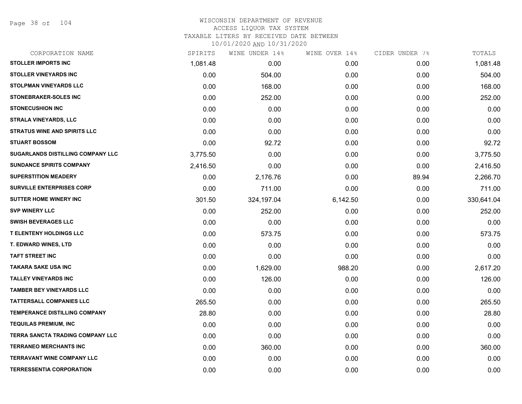Page 38 of 104

# WISCONSIN DEPARTMENT OF REVENUE ACCESS LIQUOR TAX SYSTEM TAXABLE LITERS BY RECEIVED DATE BETWEEN

| CORPORATION NAME                        | SPIRITS  | WINE UNDER 14% | WINE OVER 14% | CIDER UNDER 7% | TOTALS     |
|-----------------------------------------|----------|----------------|---------------|----------------|------------|
| <b>STOLLER IMPORTS INC</b>              | 1,081.48 | 0.00           | 0.00          | 0.00           | 1,081.48   |
| <b>STOLLER VINEYARDS INC</b>            | 0.00     | 504.00         | 0.00          | 0.00           | 504.00     |
| <b>STOLPMAN VINEYARDS LLC</b>           | 0.00     | 168.00         | 0.00          | 0.00           | 168.00     |
| <b>STONEBRAKER-SOLES INC</b>            | 0.00     | 252.00         | 0.00          | 0.00           | 252.00     |
| <b>STONECUSHION INC</b>                 | 0.00     | 0.00           | 0.00          | 0.00           | 0.00       |
| <b>STRALA VINEYARDS, LLC</b>            | 0.00     | 0.00           | 0.00          | 0.00           | 0.00       |
| <b>STRATUS WINE AND SPIRITS LLC</b>     | 0.00     | 0.00           | 0.00          | 0.00           | 0.00       |
| <b>STUART BOSSOM</b>                    | 0.00     | 92.72          | 0.00          | 0.00           | 92.72      |
| SUGARLANDS DISTILLING COMPANY LLC       | 3,775.50 | 0.00           | 0.00          | 0.00           | 3,775.50   |
| <b>SUNDANCE SPIRITS COMPANY</b>         | 2,416.50 | 0.00           | 0.00          | 0.00           | 2,416.50   |
| <b>SUPERSTITION MEADERY</b>             | 0.00     | 2,176.76       | 0.00          | 89.94          | 2,266.70   |
| <b>SURVILLE ENTERPRISES CORP</b>        | 0.00     | 711.00         | 0.00          | 0.00           | 711.00     |
| <b>SUTTER HOME WINERY INC</b>           | 301.50   | 324,197.04     | 6,142.50      | 0.00           | 330,641.04 |
| <b>SVP WINERY LLC</b>                   | 0.00     | 252.00         | 0.00          | 0.00           | 252.00     |
| <b>SWISH BEVERAGES LLC</b>              | 0.00     | 0.00           | 0.00          | 0.00           | 0.00       |
| <b>T ELENTENY HOLDINGS LLC</b>          | 0.00     | 573.75         | 0.00          | 0.00           | 573.75     |
| <b>T. EDWARD WINES, LTD</b>             | 0.00     | 0.00           | 0.00          | 0.00           | 0.00       |
| <b>TAFT STREET INC</b>                  | 0.00     | 0.00           | 0.00          | 0.00           | 0.00       |
| <b>TAKARA SAKE USA INC</b>              | 0.00     | 1,629.00       | 988.20        | 0.00           | 2,617.20   |
| <b>TALLEY VINEYARDS INC</b>             | 0.00     | 126.00         | 0.00          | 0.00           | 126.00     |
| <b>TAMBER BEY VINEYARDS LLC</b>         | 0.00     | 0.00           | 0.00          | 0.00           | 0.00       |
| <b>TATTERSALL COMPANIES LLC</b>         | 265.50   | 0.00           | 0.00          | 0.00           | 265.50     |
| TEMPERANCE DISTILLING COMPANY           | 28.80    | 0.00           | 0.00          | 0.00           | 28.80      |
| <b>TEQUILAS PREMIUM, INC</b>            | 0.00     | 0.00           | 0.00          | 0.00           | 0.00       |
| <b>TERRA SANCTA TRADING COMPANY LLC</b> | 0.00     | 0.00           | 0.00          | 0.00           | 0.00       |
| <b>TERRANEO MERCHANTS INC</b>           | 0.00     | 360.00         | 0.00          | 0.00           | 360.00     |
| <b>TERRAVANT WINE COMPANY LLC</b>       | 0.00     | 0.00           | 0.00          | 0.00           | 0.00       |
| <b>TERRESSENTIA CORPORATION</b>         | 0.00     | 0.00           | 0.00          | 0.00           | 0.00       |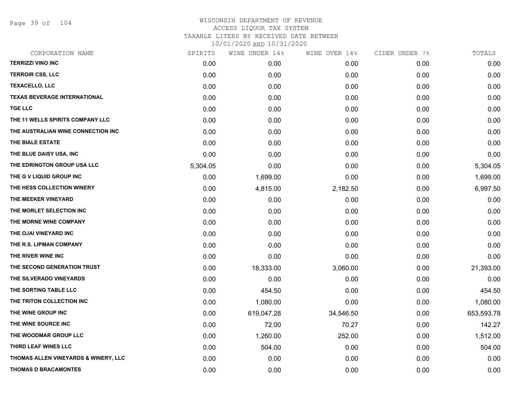Page 39 of 104

| <b>TERRIZZI VINO INC</b><br>0.00<br>0.00<br><b>TERROIR CSS, LLC</b><br>0.00<br>0.00<br><b>TEXACELLO, LLC</b><br>0.00<br>0.00<br><b>TEXAS BEVERAGE INTERNATIONAL</b><br>0.00<br>0.00<br><b>TGE LLC</b><br>0.00<br>0.00<br>THE 11 WELLS SPIRITS COMPANY LLC<br>0.00<br>0.00<br>THE AUSTRALIAN WINE CONNECTION INC<br>0.00<br>0.00 | 0.00<br>0.00<br>0.00<br>0.00<br>0.00<br>0.00<br>0.00<br>0.00<br>0.00<br>0.00 | 0.00<br>0.00<br>0.00<br>0.00<br>0.00<br>0.00<br>0.00<br>0.00<br>0.00 | 0.00<br>0.00<br>0.00<br>0.00<br>0.00<br>0.00<br>0.00<br>0.00 |
|---------------------------------------------------------------------------------------------------------------------------------------------------------------------------------------------------------------------------------------------------------------------------------------------------------------------------------|------------------------------------------------------------------------------|----------------------------------------------------------------------|--------------------------------------------------------------|
|                                                                                                                                                                                                                                                                                                                                 |                                                                              |                                                                      |                                                              |
|                                                                                                                                                                                                                                                                                                                                 |                                                                              |                                                                      |                                                              |
|                                                                                                                                                                                                                                                                                                                                 |                                                                              |                                                                      |                                                              |
|                                                                                                                                                                                                                                                                                                                                 |                                                                              |                                                                      |                                                              |
|                                                                                                                                                                                                                                                                                                                                 |                                                                              |                                                                      |                                                              |
|                                                                                                                                                                                                                                                                                                                                 |                                                                              |                                                                      |                                                              |
|                                                                                                                                                                                                                                                                                                                                 |                                                                              |                                                                      |                                                              |
| THE BIALE ESTATE<br>0.00<br>0.00                                                                                                                                                                                                                                                                                                |                                                                              |                                                                      |                                                              |
| THE BLUE DAISY USA, INC<br>0.00<br>0.00                                                                                                                                                                                                                                                                                         |                                                                              |                                                                      | 0.00                                                         |
| THE EDRINGTON GROUP USA LLC<br>0.00<br>5,304.05                                                                                                                                                                                                                                                                                 |                                                                              | 0.00                                                                 | 5,304.05                                                     |
| THE G V LIQUID GROUP INC<br>0.00<br>1,699.00                                                                                                                                                                                                                                                                                    | 0.00                                                                         | 0.00                                                                 | 1,699.00                                                     |
| THE HESS COLLECTION WINERY<br>0.00<br>4,815.00                                                                                                                                                                                                                                                                                  | 2,182.50                                                                     | 0.00                                                                 | 6,997.50                                                     |
| THE MEEKER VINEYARD<br>0.00<br>0.00                                                                                                                                                                                                                                                                                             | 0.00                                                                         | 0.00                                                                 | 0.00                                                         |
| THE MORLET SELECTION INC<br>0.00<br>0.00                                                                                                                                                                                                                                                                                        | 0.00                                                                         | 0.00                                                                 | 0.00                                                         |
| THE MORNE WINE COMPANY<br>0.00<br>0.00                                                                                                                                                                                                                                                                                          | 0.00                                                                         | 0.00                                                                 | 0.00                                                         |
| THE OJAI VINEYARD INC<br>0.00<br>0.00                                                                                                                                                                                                                                                                                           | 0.00                                                                         | 0.00                                                                 | 0.00                                                         |
| THE R.S. LIPMAN COMPANY<br>0.00<br>0.00                                                                                                                                                                                                                                                                                         | 0.00                                                                         | 0.00                                                                 | 0.00                                                         |
| THE RIVER WINE INC<br>0.00<br>0.00                                                                                                                                                                                                                                                                                              | 0.00                                                                         | 0.00                                                                 | 0.00                                                         |
| THE SECOND GENERATION TRUST<br>0.00<br>18,333.00                                                                                                                                                                                                                                                                                | 3,060.00                                                                     | 0.00                                                                 | 21,393.00                                                    |
| THE SILVERADO VINEYARDS<br>0.00<br>0.00                                                                                                                                                                                                                                                                                         | 0.00                                                                         | 0.00                                                                 | 0.00                                                         |
| THE SORTING TABLE LLC<br>0.00<br>454.50                                                                                                                                                                                                                                                                                         | 0.00                                                                         | 0.00                                                                 | 454.50                                                       |
| THE TRITON COLLECTION INC<br>0.00<br>1,080.00                                                                                                                                                                                                                                                                                   | 0.00                                                                         | 0.00                                                                 | 1,080.00                                                     |
| THE WINE GROUP INC<br>0.00<br>619,047.28                                                                                                                                                                                                                                                                                        | 34,546.50                                                                    | 0.00                                                                 | 653,593.78                                                   |
| THE WINE SOURCE INC<br>0.00<br>72.00                                                                                                                                                                                                                                                                                            | 70.27                                                                        | 0.00                                                                 | 142.27                                                       |
| THE WOODMAR GROUP LLC<br>0.00<br>1,260.00                                                                                                                                                                                                                                                                                       | 252.00                                                                       | 0.00                                                                 | 1,512.00                                                     |
| THIRD LEAF WINES LLC<br>0.00<br>504.00                                                                                                                                                                                                                                                                                          | 0.00                                                                         | 0.00                                                                 | 504.00                                                       |
| THOMAS ALLEN VINEYARDS & WINERY, LLC<br>0.00<br>0.00                                                                                                                                                                                                                                                                            | 0.00                                                                         | 0.00                                                                 | 0.00                                                         |
| <b>THOMAS D BRACAMONTES</b><br>0.00<br>0.00                                                                                                                                                                                                                                                                                     | 0.00                                                                         | 0.00                                                                 | 0.00                                                         |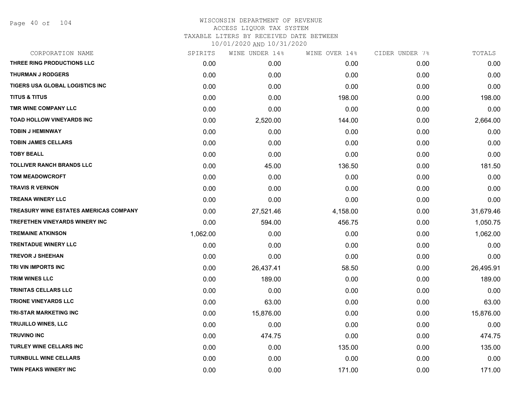| CORPORATION NAME                              | SPIRITS  | WINE UNDER 14% | WINE OVER 14% | CIDER UNDER 7% | TOTALS    |
|-----------------------------------------------|----------|----------------|---------------|----------------|-----------|
| THREE RING PRODUCTIONS LLC                    | 0.00     | 0.00           | 0.00          | 0.00           | 0.00      |
| <b>THURMAN J RODGERS</b>                      | 0.00     | 0.00           | 0.00          | 0.00           | 0.00      |
| TIGERS USA GLOBAL LOGISTICS INC               | 0.00     | 0.00           | 0.00          | 0.00           | 0.00      |
| <b>TITUS &amp; TITUS</b>                      | 0.00     | 0.00           | 198.00        | 0.00           | 198.00    |
| TMR WINE COMPANY LLC                          | 0.00     | 0.00           | 0.00          | 0.00           | 0.00      |
| TOAD HOLLOW VINEYARDS INC                     | 0.00     | 2,520.00       | 144.00        | 0.00           | 2,664.00  |
| <b>TOBIN J HEMINWAY</b>                       | 0.00     | 0.00           | 0.00          | 0.00           | 0.00      |
| <b>TOBIN JAMES CELLARS</b>                    | 0.00     | 0.00           | 0.00          | 0.00           | 0.00      |
| <b>TOBY BEALL</b>                             | 0.00     | 0.00           | 0.00          | 0.00           | 0.00      |
| <b>TOLLIVER RANCH BRANDS LLC</b>              | 0.00     | 45.00          | 136.50        | 0.00           | 181.50    |
| <b>TOM MEADOWCROFT</b>                        | 0.00     | 0.00           | 0.00          | 0.00           | 0.00      |
| <b>TRAVIS R VERNON</b>                        | 0.00     | 0.00           | 0.00          | 0.00           | 0.00      |
| <b>TREANA WINERY LLC</b>                      | 0.00     | 0.00           | 0.00          | 0.00           | 0.00      |
| <b>TREASURY WINE ESTATES AMERICAS COMPANY</b> | 0.00     | 27,521.46      | 4,158.00      | 0.00           | 31,679.46 |
| <b>TREFETHEN VINEYARDS WINERY INC</b>         | 0.00     | 594.00         | 456.75        | 0.00           | 1,050.75  |
| <b>TREMAINE ATKINSON</b>                      | 1,062.00 | 0.00           | 0.00          | 0.00           | 1,062.00  |
| <b>TRENTADUE WINERY LLC</b>                   | 0.00     | 0.00           | 0.00          | 0.00           | 0.00      |
| <b>TREVOR J SHEEHAN</b>                       | 0.00     | 0.00           | 0.00          | 0.00           | 0.00      |
| TRI VIN IMPORTS INC                           | 0.00     | 26,437.41      | 58.50         | 0.00           | 26,495.91 |
| <b>TRIM WINES LLC</b>                         | 0.00     | 189.00         | 0.00          | 0.00           | 189.00    |
| <b>TRINITAS CELLARS LLC</b>                   | 0.00     | 0.00           | 0.00          | 0.00           | 0.00      |
| <b>TRIONE VINEYARDS LLC</b>                   | 0.00     | 63.00          | 0.00          | 0.00           | 63.00     |
| <b>TRI-STAR MARKETING INC</b>                 | 0.00     | 15,876.00      | 0.00          | 0.00           | 15,876.00 |
| <b>TRUJILLO WINES, LLC</b>                    | 0.00     | 0.00           | 0.00          | 0.00           | 0.00      |
| <b>TRUVINO INC</b>                            | 0.00     | 474.75         | 0.00          | 0.00           | 474.75    |
| <b>TURLEY WINE CELLARS INC</b>                | 0.00     | 0.00           | 135.00        | 0.00           | 135.00    |
| <b>TURNBULL WINE CELLARS</b>                  | 0.00     | 0.00           | 0.00          | 0.00           | 0.00      |
| <b>TWIN PEAKS WINERY INC</b>                  | 0.00     | 0.00           | 171.00        | 0.00           | 171.00    |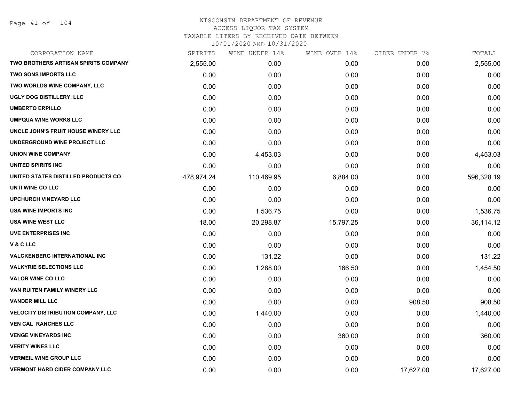Page 41 of 104

| CORPORATION NAME                            | SPIRITS    | WINE UNDER 14% | WINE OVER 14% | CIDER UNDER 7% | TOTALS     |
|---------------------------------------------|------------|----------------|---------------|----------------|------------|
| <b>TWO BROTHERS ARTISAN SPIRITS COMPANY</b> | 2,555.00   | 0.00           | 0.00          | 0.00           | 2,555.00   |
| <b>TWO SONS IMPORTS LLC</b>                 | 0.00       | 0.00           | 0.00          | 0.00           | 0.00       |
| TWO WORLDS WINE COMPANY, LLC                | 0.00       | 0.00           | 0.00          | 0.00           | 0.00       |
| UGLY DOG DISTILLERY, LLC                    | 0.00       | 0.00           | 0.00          | 0.00           | 0.00       |
| <b>UMBERTO ERPILLO</b>                      | 0.00       | 0.00           | 0.00          | 0.00           | 0.00       |
| <b>UMPQUA WINE WORKS LLC</b>                | 0.00       | 0.00           | 0.00          | 0.00           | 0.00       |
| UNCLE JOHN'S FRUIT HOUSE WINERY LLC         | 0.00       | 0.00           | 0.00          | 0.00           | 0.00       |
| UNDERGROUND WINE PROJECT LLC                | 0.00       | 0.00           | 0.00          | 0.00           | 0.00       |
| <b>UNION WINE COMPANY</b>                   | 0.00       | 4,453.03       | 0.00          | 0.00           | 4,453.03   |
| <b>UNITED SPIRITS INC</b>                   | 0.00       | 0.00           | 0.00          | 0.00           | 0.00       |
| UNITED STATES DISTILLED PRODUCTS CO.        | 478,974.24 | 110,469.95     | 6,884.00      | 0.00           | 596,328.19 |
| UNTI WINE CO LLC                            | 0.00       | 0.00           | 0.00          | 0.00           | 0.00       |
| <b>UPCHURCH VINEYARD LLC</b>                | 0.00       | 0.00           | 0.00          | 0.00           | 0.00       |
| USA WINE IMPORTS INC                        | 0.00       | 1,536.75       | 0.00          | 0.00           | 1,536.75   |
| <b>USA WINE WEST LLC</b>                    | 18.00      | 20,298.87      | 15,797.25     | 0.00           | 36,114.12  |
| <b>UVE ENTERPRISES INC</b>                  | 0.00       | 0.00           | 0.00          | 0.00           | 0.00       |
| V & C LLC                                   | 0.00       | 0.00           | 0.00          | 0.00           | 0.00       |
| <b>VALCKENBERG INTERNATIONAL INC</b>        | 0.00       | 131.22         | 0.00          | 0.00           | 131.22     |
| <b>VALKYRIE SELECTIONS LLC</b>              | 0.00       | 1,288.00       | 166.50        | 0.00           | 1,454.50   |
| <b>VALOR WINE CO LLC</b>                    | 0.00       | 0.00           | 0.00          | 0.00           | 0.00       |
| VAN RUITEN FAMILY WINERY LLC                | 0.00       | 0.00           | 0.00          | 0.00           | 0.00       |
| <b>VANDER MILL LLC</b>                      | 0.00       | 0.00           | 0.00          | 908.50         | 908.50     |
| <b>VELOCITY DISTRIBUTION COMPANY, LLC</b>   | 0.00       | 1,440.00       | 0.00          | 0.00           | 1,440.00   |
| <b>VEN CAL RANCHES LLC</b>                  | 0.00       | 0.00           | 0.00          | 0.00           | 0.00       |
| <b>VENGE VINEYARDS INC</b>                  | 0.00       | 0.00           | 360.00        | 0.00           | 360.00     |
| <b>VERITY WINES LLC</b>                     | 0.00       | 0.00           | 0.00          | 0.00           | 0.00       |
| <b>VERMEIL WINE GROUP LLC</b>               | 0.00       | 0.00           | 0.00          | 0.00           | 0.00       |
| <b>VERMONT HARD CIDER COMPANY LLC</b>       | 0.00       | 0.00           | 0.00          | 17,627.00      | 17,627.00  |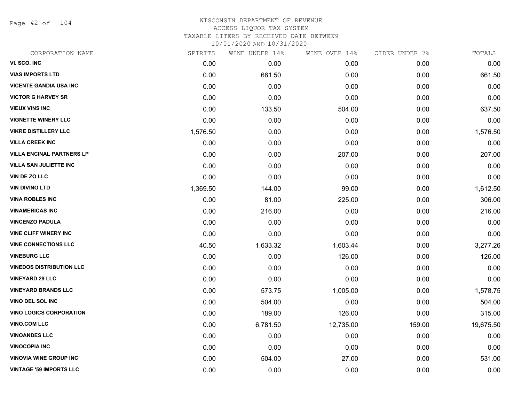Page 42 of 104

### WISCONSIN DEPARTMENT OF REVENUE ACCESS LIQUOR TAX SYSTEM TAXABLE LITERS BY RECEIVED DATE BETWEEN

| CORPORATION NAME                 | SPIRITS  | WINE UNDER 14% | WINE OVER 14% | CIDER UNDER 7% | TOTALS    |
|----------------------------------|----------|----------------|---------------|----------------|-----------|
| VI. SCO. INC                     | 0.00     | 0.00           | 0.00          | 0.00           | 0.00      |
| <b>VIAS IMPORTS LTD</b>          | 0.00     | 661.50         | 0.00          | 0.00           | 661.50    |
| <b>VICENTE GANDIA USA INC</b>    | 0.00     | 0.00           | 0.00          | 0.00           | 0.00      |
| <b>VICTOR G HARVEY SR</b>        | 0.00     | 0.00           | 0.00          | 0.00           | 0.00      |
| <b>VIEUX VINS INC</b>            | 0.00     | 133.50         | 504.00        | 0.00           | 637.50    |
| <b>VIGNETTE WINERY LLC</b>       | 0.00     | 0.00           | 0.00          | 0.00           | 0.00      |
| <b>VIKRE DISTILLERY LLC</b>      | 1,576.50 | 0.00           | 0.00          | 0.00           | 1,576.50  |
| <b>VILLA CREEK INC</b>           | 0.00     | 0.00           | 0.00          | 0.00           | 0.00      |
| <b>VILLA ENCINAL PARTNERS LP</b> | 0.00     | 0.00           | 207.00        | 0.00           | 207.00    |
| <b>VILLA SAN JULIETTE INC</b>    | 0.00     | 0.00           | 0.00          | 0.00           | 0.00      |
| VIN DE ZO LLC                    | 0.00     | 0.00           | 0.00          | 0.00           | 0.00      |
| <b>VIN DIVINO LTD</b>            | 1,369.50 | 144.00         | 99.00         | 0.00           | 1,612.50  |
| <b>VINA ROBLES INC</b>           | 0.00     | 81.00          | 225.00        | 0.00           | 306.00    |
| <b>VINAMERICAS INC</b>           | 0.00     | 216.00         | 0.00          | 0.00           | 216.00    |
| <b>VINCENZO PADULA</b>           | 0.00     | 0.00           | 0.00          | 0.00           | 0.00      |
| <b>VINE CLIFF WINERY INC</b>     | 0.00     | 0.00           | 0.00          | 0.00           | 0.00      |
| <b>VINE CONNECTIONS LLC</b>      | 40.50    | 1,633.32       | 1,603.44      | 0.00           | 3,277.26  |
| <b>VINEBURG LLC</b>              | 0.00     | 0.00           | 126.00        | 0.00           | 126.00    |
| <b>VINEDOS DISTRIBUTION LLC</b>  | 0.00     | 0.00           | 0.00          | 0.00           | 0.00      |
| <b>VINEYARD 29 LLC</b>           | 0.00     | 0.00           | 0.00          | 0.00           | 0.00      |
| <b>VINEYARD BRANDS LLC</b>       | 0.00     | 573.75         | 1,005.00      | 0.00           | 1,578.75  |
| VINO DEL SOL INC                 | 0.00     | 504.00         | 0.00          | 0.00           | 504.00    |
| <b>VINO LOGICS CORPORATION</b>   | 0.00     | 189.00         | 126.00        | 0.00           | 315.00    |
| <b>VINO.COM LLC</b>              | 0.00     | 6,781.50       | 12,735.00     | 159.00         | 19,675.50 |
| <b>VINOANDES LLC</b>             | 0.00     | 0.00           | 0.00          | 0.00           | 0.00      |
| <b>VINOCOPIA INC</b>             | 0.00     | 0.00           | 0.00          | 0.00           | 0.00      |
| <b>VINOVIA WINE GROUP INC</b>    | 0.00     | 504.00         | 27.00         | 0.00           | 531.00    |
| <b>VINTAGE '59 IMPORTS LLC</b>   | 0.00     | 0.00           | 0.00          | 0.00           | 0.00      |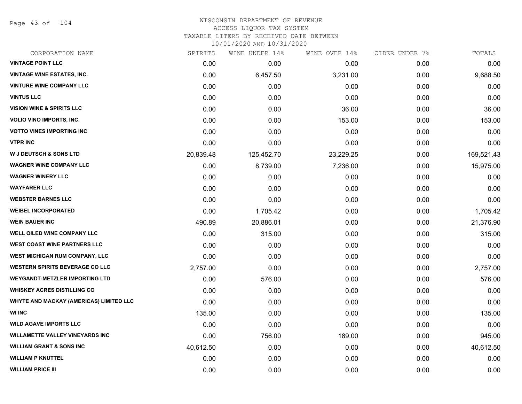Page 43 of 104

### WISCONSIN DEPARTMENT OF REVENUE ACCESS LIQUOR TAX SYSTEM TAXABLE LITERS BY RECEIVED DATE BETWEEN

| CORPORATION NAME                        | SPIRITS   | WINE UNDER 14% | WINE OVER 14% | CIDER UNDER 7% | TOTALS     |
|-----------------------------------------|-----------|----------------|---------------|----------------|------------|
| <b>VINTAGE POINT LLC</b>                | 0.00      | 0.00           | 0.00          | 0.00           | 0.00       |
| <b>VINTAGE WINE ESTATES, INC.</b>       | 0.00      | 6,457.50       | 3,231.00      | 0.00           | 9,688.50   |
| <b>VINTURE WINE COMPANY LLC</b>         | 0.00      | 0.00           | 0.00          | 0.00           | 0.00       |
| <b>VINTUS LLC</b>                       | 0.00      | 0.00           | 0.00          | 0.00           | 0.00       |
| <b>VISION WINE &amp; SPIRITS LLC</b>    | 0.00      | 0.00           | 36.00         | 0.00           | 36.00      |
| <b>VOLIO VINO IMPORTS, INC.</b>         | 0.00      | 0.00           | 153.00        | 0.00           | 153.00     |
| <b>VOTTO VINES IMPORTING INC</b>        | 0.00      | 0.00           | 0.00          | 0.00           | 0.00       |
| <b>VTPR INC</b>                         | 0.00      | 0.00           | 0.00          | 0.00           | 0.00       |
| <b>W J DEUTSCH &amp; SONS LTD</b>       | 20,839.48 | 125,452.70     | 23,229.25     | 0.00           | 169,521.43 |
| <b>WAGNER WINE COMPANY LLC</b>          | 0.00      | 8,739.00       | 7,236.00      | 0.00           | 15,975.00  |
| <b>WAGNER WINERY LLC</b>                | 0.00      | 0.00           | 0.00          | 0.00           | 0.00       |
| <b>WAYFARER LLC</b>                     | 0.00      | 0.00           | 0.00          | 0.00           | 0.00       |
| <b>WEBSTER BARNES LLC</b>               | 0.00      | 0.00           | 0.00          | 0.00           | 0.00       |
| <b>WEIBEL INCORPORATED</b>              | 0.00      | 1,705.42       | 0.00          | 0.00           | 1,705.42   |
| <b>WEIN BAUER INC</b>                   | 490.89    | 20,886.01      | 0.00          | 0.00           | 21,376.90  |
| <b>WELL OILED WINE COMPANY LLC</b>      | 0.00      | 315.00         | 0.00          | 0.00           | 315.00     |
| <b>WEST COAST WINE PARTNERS LLC</b>     | 0.00      | 0.00           | 0.00          | 0.00           | 0.00       |
| WEST MICHIGAN RUM COMPANY, LLC          | 0.00      | 0.00           | 0.00          | 0.00           | 0.00       |
| <b>WESTERN SPIRITS BEVERAGE CO LLC</b>  | 2,757.00  | 0.00           | 0.00          | 0.00           | 2,757.00   |
| <b>WEYGANDT-METZLER IMPORTING LTD</b>   | 0.00      | 576.00         | 0.00          | 0.00           | 576.00     |
| <b>WHISKEY ACRES DISTILLING CO</b>      | 0.00      | 0.00           | 0.00          | 0.00           | 0.00       |
| WHYTE AND MACKAY (AMERICAS) LIMITED LLC | 0.00      | 0.00           | 0.00          | 0.00           | 0.00       |
| <b>WI INC</b>                           | 135.00    | 0.00           | 0.00          | 0.00           | 135.00     |
| <b>WILD AGAVE IMPORTS LLC</b>           | 0.00      | 0.00           | 0.00          | 0.00           | 0.00       |
| <b>WILLAMETTE VALLEY VINEYARDS INC</b>  | 0.00      | 756.00         | 189.00        | 0.00           | 945.00     |
| <b>WILLIAM GRANT &amp; SONS INC</b>     | 40,612.50 | 0.00           | 0.00          | 0.00           | 40,612.50  |
| <b>WILLIAM P KNUTTEL</b>                | 0.00      | 0.00           | 0.00          | 0.00           | 0.00       |
| <b>WILLIAM PRICE III</b>                | 0.00      | 0.00           | 0.00          | 0.00           | 0.00       |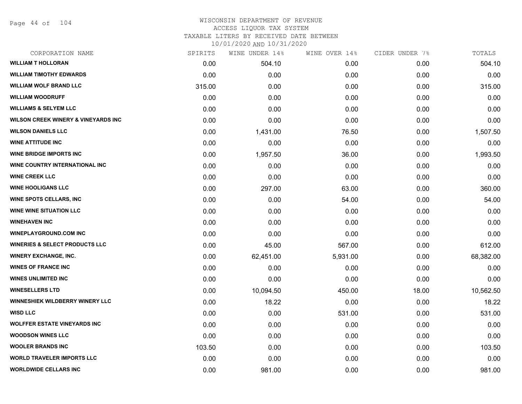Page 44 of 104

### WISCONSIN DEPARTMENT OF REVENUE ACCESS LIQUOR TAX SYSTEM TAXABLE LITERS BY RECEIVED DATE BETWEEN

| CORPORATION NAME                               | SPIRITS | WINE UNDER 14% | WINE OVER 14% | CIDER UNDER 7% | TOTALS    |
|------------------------------------------------|---------|----------------|---------------|----------------|-----------|
| <b>WILLIAM T HOLLORAN</b>                      | 0.00    | 504.10         | 0.00          | 0.00           | 504.10    |
| <b>WILLIAM TIMOTHY EDWARDS</b>                 | 0.00    | 0.00           | 0.00          | 0.00           | 0.00      |
| <b>WILLIAM WOLF BRAND LLC</b>                  | 315.00  | 0.00           | 0.00          | 0.00           | 315.00    |
| <b>WILLIAM WOODRUFF</b>                        | 0.00    | 0.00           | 0.00          | 0.00           | 0.00      |
| <b>WILLIAMS &amp; SELYEM LLC</b>               | 0.00    | 0.00           | 0.00          | 0.00           | 0.00      |
| <b>WILSON CREEK WINERY &amp; VINEYARDS INC</b> | 0.00    | 0.00           | 0.00          | 0.00           | 0.00      |
| <b>WILSON DANIELS LLC</b>                      | 0.00    | 1,431.00       | 76.50         | 0.00           | 1,507.50  |
| <b>WINE ATTITUDE INC</b>                       | 0.00    | 0.00           | 0.00          | 0.00           | 0.00      |
| <b>WINE BRIDGE IMPORTS INC</b>                 | 0.00    | 1,957.50       | 36.00         | 0.00           | 1,993.50  |
| WINE COUNTRY INTERNATIONAL INC                 | 0.00    | 0.00           | 0.00          | 0.00           | 0.00      |
| <b>WINE CREEK LLC</b>                          | 0.00    | 0.00           | 0.00          | 0.00           | 0.00      |
| <b>WINE HOOLIGANS LLC</b>                      | 0.00    | 297.00         | 63.00         | 0.00           | 360.00    |
| <b>WINE SPOTS CELLARS, INC</b>                 | 0.00    | 0.00           | 54.00         | 0.00           | 54.00     |
| <b>WINE WINE SITUATION LLC</b>                 | 0.00    | 0.00           | 0.00          | 0.00           | 0.00      |
| <b>WINEHAVEN INC</b>                           | 0.00    | 0.00           | 0.00          | 0.00           | 0.00      |
| <b>WINEPLAYGROUND.COM INC</b>                  | 0.00    | 0.00           | 0.00          | 0.00           | 0.00      |
| <b>WINERIES &amp; SELECT PRODUCTS LLC</b>      | 0.00    | 45.00          | 567.00        | 0.00           | 612.00    |
| <b>WINERY EXCHANGE, INC.</b>                   | 0.00    | 62,451.00      | 5,931.00      | 0.00           | 68,382.00 |
| <b>WINES OF FRANCE INC</b>                     | 0.00    | 0.00           | 0.00          | 0.00           | 0.00      |
| <b>WINES UNLIMITED INC</b>                     | 0.00    | 0.00           | 0.00          | 0.00           | 0.00      |
| <b>WINESELLERS LTD</b>                         | 0.00    | 10,094.50      | 450.00        | 18.00          | 10,562.50 |
| <b>WINNESHIEK WILDBERRY WINERY LLC</b>         | 0.00    | 18.22          | 0.00          | 0.00           | 18.22     |
| <b>WISD LLC</b>                                | 0.00    | 0.00           | 531.00        | 0.00           | 531.00    |
| <b>WOLFFER ESTATE VINEYARDS INC</b>            | 0.00    | 0.00           | 0.00          | 0.00           | 0.00      |
| <b>WOODSON WINES LLC</b>                       | 0.00    | 0.00           | 0.00          | 0.00           | 0.00      |
| <b>WOOLER BRANDS INC</b>                       | 103.50  | 0.00           | 0.00          | 0.00           | 103.50    |
| <b>WORLD TRAVELER IMPORTS LLC</b>              | 0.00    | 0.00           | 0.00          | 0.00           | 0.00      |
| <b>WORLDWIDE CELLARS INC</b>                   | 0.00    | 981.00         | 0.00          | 0.00           | 981.00    |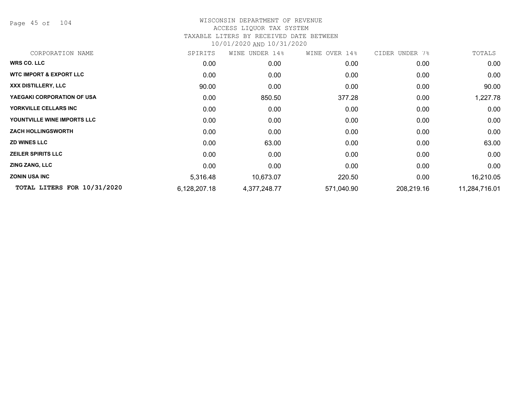Page 45 of 104

## WISCONSIN DEPARTMENT OF REVENUE ACCESS LIQUOR TAX SYSTEM TAXABLE LITERS BY RECEIVED DATE BETWEEN

| CORPORATION NAME                   | SPIRITS      | WINE UNDER 14% | WINE OVER 14% | CIDER UNDER 7% | TOTALS        |
|------------------------------------|--------------|----------------|---------------|----------------|---------------|
| <b>WRS CO. LLC</b>                 | 0.00         | 0.00           | 0.00          | 0.00           | 0.00          |
| <b>WTC IMPORT &amp; EXPORT LLC</b> | 0.00         | 0.00           | 0.00          | 0.00           | 0.00          |
| XXX DISTILLERY, LLC                | 90.00        | 0.00           | 0.00          | 0.00           | 90.00         |
| YAEGAKI CORPORATION OF USA         | 0.00         | 850.50         | 377.28        | 0.00           | 1,227.78      |
| <b>YORKVILLE CELLARS INC</b>       | 0.00         | 0.00           | 0.00          | 0.00           | 0.00          |
| YOUNTVILLE WINE IMPORTS LLC        | 0.00         | 0.00           | 0.00          | 0.00           | 0.00          |
| <b>ZACH HOLLINGSWORTH</b>          | 0.00         | 0.00           | 0.00          | 0.00           | 0.00          |
| <b>ZD WINES LLC</b>                | 0.00         | 63.00          | 0.00          | 0.00           | 63.00         |
| <b>ZEILER SPIRITS LLC</b>          | 0.00         | 0.00           | 0.00          | 0.00           | 0.00          |
| <b>ZING ZANG, LLC</b>              | 0.00         | 0.00           | 0.00          | 0.00           | 0.00          |
| <b>ZONIN USA INC</b>               | 5,316.48     | 10,673.07      | 220.50        | 0.00           | 16,210.05     |
| TOTAL LITERS FOR 10/31/2020        | 6,128,207.18 | 4,377,248.77   | 571,040.90    | 208,219.16     | 11,284,716.01 |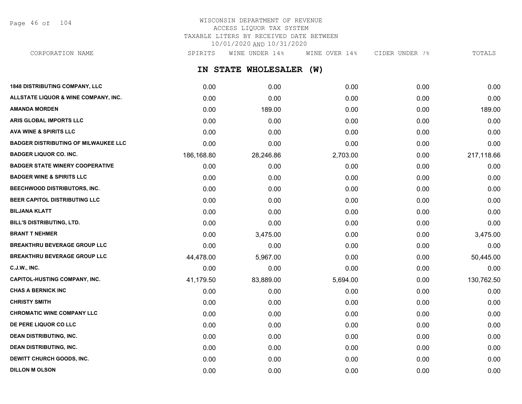Page 46 of 104

## WISCONSIN DEPARTMENT OF REVENUE ACCESS LIQUOR TAX SYSTEM TAXABLE LITERS BY RECEIVED DATE BETWEEN 10/01/2020 AND 10/31/2020

**IN STATE WHOLESALER (W) 1848 DISTRIBUTING COMPANY, LLC** 0.00 0.00 0.00 0.00 0.00 CORPORATION NAME SPIRITS WINE UNDER 14% WINE OVER 14% CIDER UNDER 7% TOTALS

| ALLSTATE LIQUOR & WINE COMPANY, INC.        | 0.00       | 0.00      | 0.00     | 0.00 | 0.00       |
|---------------------------------------------|------------|-----------|----------|------|------------|
| <b>AMANDA MORDEN</b>                        | 0.00       | 189.00    | 0.00     | 0.00 | 189.00     |
| ARIS GLOBAL IMPORTS LLC                     | 0.00       | 0.00      | 0.00     | 0.00 | 0.00       |
| <b>AVA WINE &amp; SPIRITS LLC</b>           | 0.00       | 0.00      | 0.00     | 0.00 | 0.00       |
| <b>BADGER DISTRIBUTING OF MILWAUKEE LLC</b> | 0.00       | 0.00      | 0.00     | 0.00 | 0.00       |
| <b>BADGER LIQUOR CO. INC.</b>               | 186,168.80 | 28,246.86 | 2,703.00 | 0.00 | 217,118.66 |
| <b>BADGER STATE WINERY COOPERATIVE</b>      | 0.00       | 0.00      | 0.00     | 0.00 | 0.00       |
| <b>BADGER WINE &amp; SPIRITS LLC</b>        | 0.00       | 0.00      | 0.00     | 0.00 | 0.00       |
| BEECHWOOD DISTRIBUTORS, INC.                | 0.00       | 0.00      | 0.00     | 0.00 | 0.00       |
| BEER CAPITOL DISTRIBUTING LLC               | 0.00       | 0.00      | 0.00     | 0.00 | 0.00       |
| <b>BILJANA KLATT</b>                        | 0.00       | 0.00      | 0.00     | 0.00 | 0.00       |
| <b>BILL'S DISTRIBUTING, LTD.</b>            | 0.00       | 0.00      | 0.00     | 0.00 | 0.00       |
| <b>BRANT T NEHMER</b>                       | 0.00       | 3,475.00  | 0.00     | 0.00 | 3,475.00   |
| <b>BREAKTHRU BEVERAGE GROUP LLC</b>         | 0.00       | 0.00      | 0.00     | 0.00 | 0.00       |
| <b>BREAKTHRU BEVERAGE GROUP LLC</b>         | 44,478.00  | 5,967.00  | 0.00     | 0.00 | 50,445.00  |
| <b>C.J.W., INC.</b>                         | 0.00       | 0.00      | 0.00     | 0.00 | 0.00       |
| <b>CAPITOL-HUSTING COMPANY, INC.</b>        | 41,179.50  | 83,889.00 | 5,694.00 | 0.00 | 130,762.50 |
| <b>CHAS A BERNICK INC</b>                   | 0.00       | 0.00      | 0.00     | 0.00 | 0.00       |
| <b>CHRISTY SMITH</b>                        | 0.00       | 0.00      | 0.00     | 0.00 | 0.00       |
| <b>CHROMATIC WINE COMPANY LLC</b>           | 0.00       | 0.00      | 0.00     | 0.00 | 0.00       |
| DE PERE LIQUOR CO LLC                       | 0.00       | 0.00      | 0.00     | 0.00 | 0.00       |
| <b>DEAN DISTRIBUTING, INC.</b>              | 0.00       | 0.00      | 0.00     | 0.00 | 0.00       |
| <b>DEAN DISTRIBUTING, INC.</b>              | 0.00       | 0.00      | 0.00     | 0.00 | 0.00       |
| DEWITT CHURCH GOODS, INC.                   | 0.00       | 0.00      | 0.00     | 0.00 | 0.00       |
| <b>DILLON M OLSON</b>                       | 0.00       | 0.00      | 0.00     | 0.00 | 0.00       |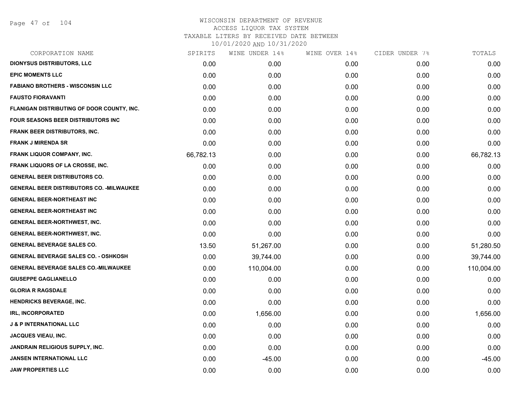| SPIRITS   | WINE UNDER 14% | WINE OVER 14% |      | TOTALS         |
|-----------|----------------|---------------|------|----------------|
| 0.00      | 0.00           | 0.00          | 0.00 | 0.00           |
| 0.00      | 0.00           | 0.00          | 0.00 | 0.00           |
| 0.00      | 0.00           | 0.00          | 0.00 | 0.00           |
| 0.00      | 0.00           | 0.00          | 0.00 | 0.00           |
| 0.00      | 0.00           | 0.00          | 0.00 | 0.00           |
| 0.00      | 0.00           | 0.00          | 0.00 | 0.00           |
| 0.00      | 0.00           | 0.00          | 0.00 | 0.00           |
| 0.00      | 0.00           | 0.00          | 0.00 | 0.00           |
| 66,782.13 | 0.00           | 0.00          | 0.00 | 66,782.13      |
| 0.00      | 0.00           | 0.00          | 0.00 | 0.00           |
| 0.00      | 0.00           | 0.00          | 0.00 | 0.00           |
| 0.00      | 0.00           | 0.00          | 0.00 | 0.00           |
| 0.00      | 0.00           | 0.00          | 0.00 | 0.00           |
| 0.00      | 0.00           | 0.00          | 0.00 | 0.00           |
| 0.00      | 0.00           | 0.00          | 0.00 | 0.00           |
| 0.00      | 0.00           | 0.00          | 0.00 | 0.00           |
| 13.50     | 51,267.00      | 0.00          | 0.00 | 51,280.50      |
| 0.00      | 39,744.00      | 0.00          | 0.00 | 39,744.00      |
| 0.00      | 110,004.00     | 0.00          | 0.00 | 110,004.00     |
| 0.00      | 0.00           | 0.00          | 0.00 | 0.00           |
| 0.00      | 0.00           | 0.00          | 0.00 | 0.00           |
| 0.00      | 0.00           | 0.00          | 0.00 | 0.00           |
| 0.00      | 1,656.00       | 0.00          | 0.00 | 1,656.00       |
| 0.00      | 0.00           | 0.00          | 0.00 | 0.00           |
| 0.00      | 0.00           | 0.00          | 0.00 | 0.00           |
| 0.00      | 0.00           | 0.00          | 0.00 | 0.00           |
| 0.00      | $-45.00$       | 0.00          | 0.00 | $-45.00$       |
| 0.00      | 0.00           | 0.00          | 0.00 | 0.00           |
|           |                |               |      | CIDER UNDER 7% |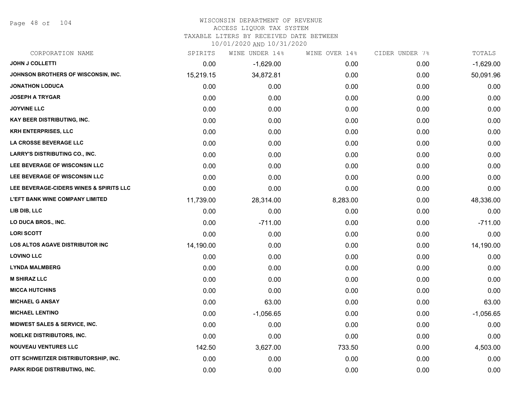Page 48 of 104

## WISCONSIN DEPARTMENT OF REVENUE

#### ACCESS LIQUOR TAX SYSTEM

TAXABLE LITERS BY RECEIVED DATE BETWEEN

| CORPORATION NAME                         | SPIRITS   | WINE UNDER 14% | WINE OVER 14% | CIDER UNDER 7% | TOTALS      |
|------------------------------------------|-----------|----------------|---------------|----------------|-------------|
| JOHN J COLLETTI                          | 0.00      | $-1,629.00$    | 0.00          | 0.00           | $-1,629.00$ |
| JOHNSON BROTHERS OF WISCONSIN, INC.      | 15,219.15 | 34,872.81      | 0.00          | 0.00           | 50,091.96   |
| <b>JONATHON LODUCA</b>                   | 0.00      | 0.00           | 0.00          | 0.00           | 0.00        |
| <b>JOSEPH A TRYGAR</b>                   | 0.00      | 0.00           | 0.00          | 0.00           | 0.00        |
| <b>JOYVINE LLC</b>                       | 0.00      | 0.00           | 0.00          | 0.00           | 0.00        |
| KAY BEER DISTRIBUTING, INC.              | 0.00      | 0.00           | 0.00          | 0.00           | 0.00        |
| <b>KRH ENTERPRISES, LLC</b>              | 0.00      | 0.00           | 0.00          | 0.00           | 0.00        |
| <b>LA CROSSE BEVERAGE LLC</b>            | 0.00      | 0.00           | 0.00          | 0.00           | 0.00        |
| <b>LARRY'S DISTRIBUTING CO., INC.</b>    | 0.00      | 0.00           | 0.00          | 0.00           | 0.00        |
| LEE BEVERAGE OF WISCONSIN LLC            | 0.00      | 0.00           | 0.00          | 0.00           | 0.00        |
| LEE BEVERAGE OF WISCONSIN LLC            | 0.00      | 0.00           | 0.00          | 0.00           | 0.00        |
| LEE BEVERAGE-CIDERS WINES & SPIRITS LLC  | 0.00      | 0.00           | 0.00          | 0.00           | 0.00        |
| <b>L'EFT BANK WINE COMPANY LIMITED</b>   | 11,739.00 | 28,314.00      | 8,283.00      | 0.00           | 48,336.00   |
| LIB DIB, LLC                             | 0.00      | 0.00           | 0.00          | 0.00           | 0.00        |
| LO DUCA BROS., INC.                      | 0.00      | $-711.00$      | 0.00          | 0.00           | $-711.00$   |
| <b>LORI SCOTT</b>                        | 0.00      | 0.00           | 0.00          | 0.00           | 0.00        |
| LOS ALTOS AGAVE DISTRIBUTOR INC          | 14,190.00 | 0.00           | 0.00          | 0.00           | 14,190.00   |
| <b>LOVINO LLC</b>                        | 0.00      | 0.00           | 0.00          | 0.00           | 0.00        |
| <b>LYNDA MALMBERG</b>                    | 0.00      | 0.00           | 0.00          | 0.00           | 0.00        |
| <b>M SHIRAZ LLC</b>                      | 0.00      | 0.00           | 0.00          | 0.00           | 0.00        |
| <b>MICCA HUTCHINS</b>                    | 0.00      | 0.00           | 0.00          | 0.00           | 0.00        |
| <b>MICHAEL G ANSAY</b>                   | 0.00      | 63.00          | 0.00          | 0.00           | 63.00       |
| <b>MICHAEL LENTINO</b>                   | 0.00      | $-1,056.65$    | 0.00          | 0.00           | $-1,056.65$ |
| <b>MIDWEST SALES &amp; SERVICE, INC.</b> | 0.00      | 0.00           | 0.00          | 0.00           | 0.00        |
| <b>NOELKE DISTRIBUTORS, INC.</b>         | 0.00      | 0.00           | 0.00          | 0.00           | 0.00        |
| <b>NOUVEAU VENTURES LLC</b>              | 142.50    | 3,627.00       | 733.50        | 0.00           | 4,503.00    |
| OTT SCHWEITZER DISTRIBUTORSHIP, INC.     | 0.00      | 0.00           | 0.00          | 0.00           | 0.00        |
| PARK RIDGE DISTRIBUTING, INC.            | 0.00      | 0.00           | 0.00          | 0.00           | 0.00        |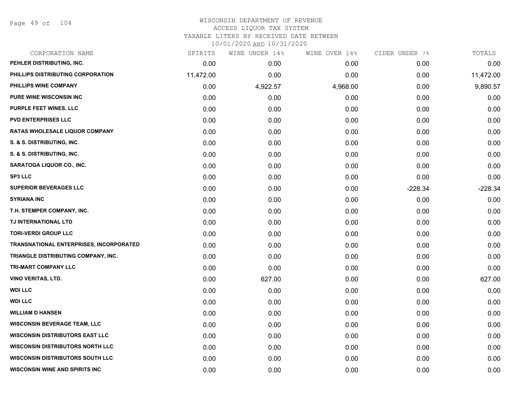Page 49 of 104

| CORPORATION NAME                               | SPIRITS   | WINE UNDER 14% | WINE OVER 14% | CIDER UNDER 7% | TOTALS    |
|------------------------------------------------|-----------|----------------|---------------|----------------|-----------|
| PEHLER DISTRIBUTING, INC.                      | 0.00      | 0.00           | 0.00          | 0.00           | 0.00      |
| PHILLIPS DISTRIBUTING CORPORATION              | 11,472.00 | 0.00           | 0.00          | 0.00           | 11,472.00 |
| PHILLIPS WINE COMPANY                          | 0.00      | 4,922.57       | 4,968.00      | 0.00           | 9,890.57  |
| <b>PURE WINE WISCONSIN INC</b>                 | 0.00      | 0.00           | 0.00          | 0.00           | 0.00      |
| PURPLE FEET WINES, LLC                         | 0.00      | 0.00           | 0.00          | 0.00           | 0.00      |
| <b>PVD ENTERPRISES LLC</b>                     | 0.00      | 0.00           | 0.00          | 0.00           | 0.00      |
| <b>RATAS WHOLESALE LIQUOR COMPANY</b>          | 0.00      | 0.00           | 0.00          | 0.00           | 0.00      |
| S. & S. DISTRIBUTING, INC.                     | 0.00      | 0.00           | 0.00          | 0.00           | 0.00      |
| S. & S. DISTRIBUTING, INC.                     | 0.00      | 0.00           | 0.00          | 0.00           | 0.00      |
| <b>SARATOGA LIQUOR CO., INC.</b>               | 0.00      | 0.00           | 0.00          | 0.00           | 0.00      |
| <b>SP3 LLC</b>                                 | 0.00      | 0.00           | 0.00          | 0.00           | 0.00      |
| <b>SUPERIOR BEVERAGES LLC</b>                  | 0.00      | 0.00           | 0.00          | $-228.34$      | $-228.34$ |
| <b>SYRIANA INC</b>                             | 0.00      | 0.00           | 0.00          | 0.00           | 0.00      |
| T.H. STEMPER COMPANY, INC.                     | 0.00      | 0.00           | 0.00          | 0.00           | 0.00      |
| TJ INTERNATIONAL LTD                           | 0.00      | 0.00           | 0.00          | 0.00           | 0.00      |
| <b>TORI-VERDI GROUP LLC</b>                    | 0.00      | 0.00           | 0.00          | 0.00           | 0.00      |
| <b>TRANSNATIONAL ENTERPRISES, INCORPORATED</b> | 0.00      | 0.00           | 0.00          | 0.00           | 0.00      |
| TRIANGLE DISTRIBUTING COMPANY, INC.            | 0.00      | 0.00           | 0.00          | 0.00           | 0.00      |
| TRI-MART COMPANY LLC                           | 0.00      | 0.00           | 0.00          | 0.00           | 0.00      |
| <b>VINO VERITAS, LTD.</b>                      | 0.00      | 627.00         | 0.00          | 0.00           | 627.00    |
| <b>WDI LLC</b>                                 | 0.00      | 0.00           | 0.00          | 0.00           | 0.00      |
| <b>WDI LLC</b>                                 | 0.00      | 0.00           | 0.00          | 0.00           | 0.00      |
| <b>WILLIAM D HANSEN</b>                        | 0.00      | 0.00           | 0.00          | 0.00           | 0.00      |
| <b>WISCONSIN BEVERAGE TEAM, LLC</b>            | 0.00      | 0.00           | 0.00          | 0.00           | 0.00      |
| <b>WISCONSIN DISTRIBUTORS EAST LLC</b>         | 0.00      | 0.00           | 0.00          | 0.00           | 0.00      |
| <b>WISCONSIN DISTRIBUTORS NORTH LLC</b>        | 0.00      | 0.00           | 0.00          | 0.00           | 0.00      |
| <b>WISCONSIN DISTRIBUTORS SOUTH LLC</b>        | 0.00      | 0.00           | 0.00          | 0.00           | 0.00      |
| <b>WISCONSIN WINE AND SPIRITS INC</b>          | 0.00      | 0.00           | 0.00          | 0.00           | 0.00      |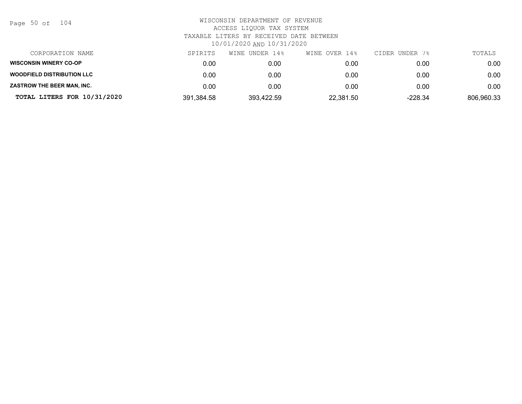| Page 50 of |  |  | 104 |
|------------|--|--|-----|
|------------|--|--|-----|

| CORPORATION NAME                  | SPIRITS    | WINE UNDER 14% | WINE OVER 14% | CIDER UNDER 7% | TOTALS     |
|-----------------------------------|------------|----------------|---------------|----------------|------------|
| <b>WISCONSIN WINERY CO-OP</b>     | 0.00       | 0.00           | 0.00          | 0.00           | 0.00       |
| <b>WOODFIELD DISTRIBUTION LLC</b> | 0.00       | 0.00           | 0.00          | 0.00           | 0.00       |
| ZASTROW THE BEER MAN, INC.        | 0.00       | 0.00           | 0.00          | 0.00           | 0.00       |
| TOTAL LITERS FOR 10/31/2020       | 391,384.58 | 393,422.59     | 22,381.50     | $-228.34$      | 806,960.33 |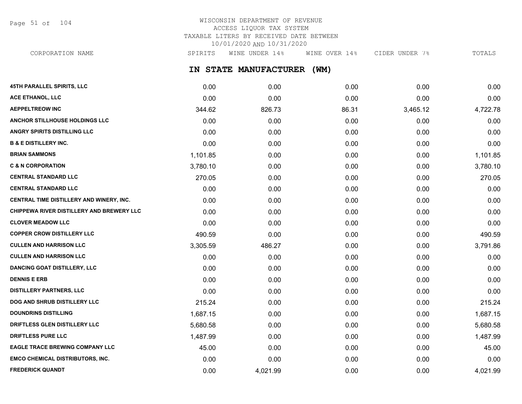Page 51 of 104

# WISCONSIN DEPARTMENT OF REVENUE ACCESS LIQUOR TAX SYSTEM TAXABLE LITERS BY RECEIVED DATE BETWEEN 10/01/2020 AND 10/31/2020

**IN STATE MANUFACTURER (WM) 45TH PARALLEL SPIRITS, LLC** 0.00 0.00 0.00 0.00 0.00 CORPORATION NAME SPIRITS WINE UNDER 14% WINE OVER 14% CIDER UNDER 7% TOTALS

| ACE ETHANOL, LLC                                 | 0.00     | 0.00     | 0.00  | 0.00     | 0.00     |
|--------------------------------------------------|----------|----------|-------|----------|----------|
| <b>AEPPELTREOW INC</b>                           | 344.62   | 826.73   | 86.31 | 3,465.12 | 4,722.78 |
| ANCHOR STILLHOUSE HOLDINGS LLC                   | 0.00     | 0.00     | 0.00  | 0.00     | 0.00     |
| <b>ANGRY SPIRITS DISTILLING LLC</b>              | 0.00     | 0.00     | 0.00  | 0.00     | 0.00     |
| <b>B &amp; E DISTILLERY INC.</b>                 | 0.00     | 0.00     | 0.00  | 0.00     | 0.00     |
| <b>BRIAN SAMMONS</b>                             | 1,101.85 | 0.00     | 0.00  | 0.00     | 1,101.85 |
| <b>C &amp; N CORPORATION</b>                     | 3,780.10 | 0.00     | 0.00  | 0.00     | 3,780.10 |
| <b>CENTRAL STANDARD LLC</b>                      | 270.05   | 0.00     | 0.00  | 0.00     | 270.05   |
| <b>CENTRAL STANDARD LLC</b>                      | 0.00     | 0.00     | 0.00  | 0.00     | 0.00     |
| CENTRAL TIME DISTILLERY AND WINERY, INC.         | 0.00     | 0.00     | 0.00  | 0.00     | 0.00     |
| <b>CHIPPEWA RIVER DISTILLERY AND BREWERY LLC</b> | 0.00     | 0.00     | 0.00  | 0.00     | 0.00     |
| <b>CLOVER MEADOW LLC</b>                         | 0.00     | 0.00     | 0.00  | 0.00     | 0.00     |
| <b>COPPER CROW DISTILLERY LLC</b>                | 490.59   | 0.00     | 0.00  | 0.00     | 490.59   |
| <b>CULLEN AND HARRISON LLC</b>                   | 3,305.59 | 486.27   | 0.00  | 0.00     | 3,791.86 |
| <b>CULLEN AND HARRISON LLC</b>                   | 0.00     | 0.00     | 0.00  | 0.00     | 0.00     |
| <b>DANCING GOAT DISTILLERY, LLC</b>              | 0.00     | 0.00     | 0.00  | 0.00     | 0.00     |
| <b>DENNIS E ERB</b>                              | 0.00     | 0.00     | 0.00  | 0.00     | 0.00     |
| <b>DISTILLERY PARTNERS, LLC</b>                  | 0.00     | 0.00     | 0.00  | 0.00     | 0.00     |
| <b>DOG AND SHRUB DISTILLERY LLC</b>              | 215.24   | 0.00     | 0.00  | 0.00     | 215.24   |
| <b>DOUNDRINS DISTILLING</b>                      | 1,687.15 | 0.00     | 0.00  | 0.00     | 1,687.15 |
| <b>DRIFTLESS GLEN DISTILLERY LLC</b>             | 5,680.58 | 0.00     | 0.00  | 0.00     | 5,680.58 |
| <b>DRIFTLESS PURE LLC</b>                        | 1,487.99 | 0.00     | 0.00  | 0.00     | 1,487.99 |
| <b>EAGLE TRACE BREWING COMPANY LLC</b>           | 45.00    | 0.00     | 0.00  | 0.00     | 45.00    |
| EMCO CHEMICAL DISTRIBUTORS, INC.                 | 0.00     | 0.00     | 0.00  | 0.00     | 0.00     |
| <b>FREDERICK QUANDT</b>                          | 0.00     | 4,021.99 | 0.00  | 0.00     | 4,021.99 |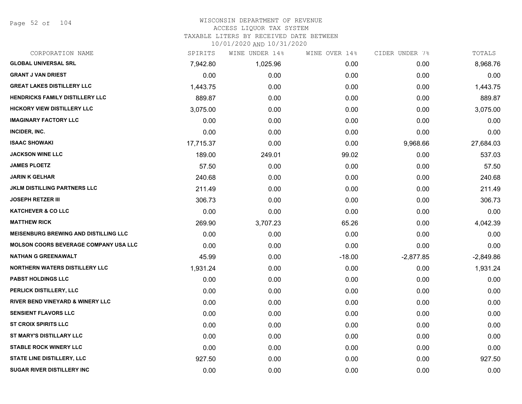Page 52 of 104

### WISCONSIN DEPARTMENT OF REVENUE ACCESS LIQUOR TAX SYSTEM TAXABLE LITERS BY RECEIVED DATE BETWEEN

| CORPORATION NAME                             | SPIRITS   | WINE UNDER 14% | WINE OVER 14% | CIDER UNDER 7% | TOTALS      |
|----------------------------------------------|-----------|----------------|---------------|----------------|-------------|
| <b>GLOBAL UNIVERSAL SRL</b>                  | 7,942.80  | 1,025.96       | 0.00          | 0.00           | 8,968.76    |
| <b>GRANT J VAN DRIEST</b>                    | 0.00      | 0.00           | 0.00          | 0.00           | 0.00        |
| <b>GREAT LAKES DISTILLERY LLC</b>            | 1,443.75  | 0.00           | 0.00          | 0.00           | 1,443.75    |
| <b>HENDRICKS FAMILY DISTILLERY LLC</b>       | 889.87    | 0.00           | 0.00          | 0.00           | 889.87      |
| <b>HICKORY VIEW DISTILLERY LLC</b>           | 3,075.00  | 0.00           | 0.00          | 0.00           | 3,075.00    |
| <b>IMAGINARY FACTORY LLC</b>                 | 0.00      | 0.00           | 0.00          | 0.00           | 0.00        |
| INCIDER, INC.                                | 0.00      | 0.00           | 0.00          | 0.00           | 0.00        |
| <b>ISAAC SHOWAKI</b>                         | 17,715.37 | 0.00           | 0.00          | 9,968.66       | 27,684.03   |
| <b>JACKSON WINE LLC</b>                      | 189.00    | 249.01         | 99.02         | 0.00           | 537.03      |
| <b>JAMES PLOETZ</b>                          | 57.50     | 0.00           | 0.00          | 0.00           | 57.50       |
| <b>JARIN K GELHAR</b>                        | 240.68    | 0.00           | 0.00          | 0.00           | 240.68      |
| <b>JKLM DISTILLING PARTNERS LLC</b>          | 211.49    | 0.00           | 0.00          | 0.00           | 211.49      |
| <b>JOSEPH RETZER III</b>                     | 306.73    | 0.00           | 0.00          | 0.00           | 306.73      |
| <b>KATCHEVER &amp; CO LLC</b>                | 0.00      | 0.00           | 0.00          | 0.00           | 0.00        |
| <b>MATTHEW RICK</b>                          | 269.90    | 3,707.23       | 65.26         | 0.00           | 4,042.39    |
| <b>MEISENBURG BREWING AND DISTILLING LLC</b> | 0.00      | 0.00           | 0.00          | 0.00           | 0.00        |
| <b>MOLSON COORS BEVERAGE COMPANY USA LLC</b> | 0.00      | 0.00           | 0.00          | 0.00           | 0.00        |
| <b>NATHAN G GREENAWALT</b>                   | 45.99     | 0.00           | $-18.00$      | $-2,877.85$    | $-2,849.86$ |
| <b>NORTHERN WATERS DISTILLERY LLC</b>        | 1,931.24  | 0.00           | 0.00          | 0.00           | 1,931.24    |
| <b>PABST HOLDINGS LLC</b>                    | 0.00      | 0.00           | 0.00          | 0.00           | 0.00        |
| PERLICK DISTILLERY, LLC                      | 0.00      | 0.00           | 0.00          | 0.00           | 0.00        |
| <b>RIVER BEND VINEYARD &amp; WINERY LLC</b>  | 0.00      | 0.00           | 0.00          | 0.00           | 0.00        |
| <b>SENSIENT FLAVORS LLC</b>                  | 0.00      | 0.00           | 0.00          | 0.00           | 0.00        |
| <b>ST CROIX SPIRITS LLC</b>                  | 0.00      | 0.00           | 0.00          | 0.00           | 0.00        |
| ST MARY'S DISTILLARY LLC                     | 0.00      | 0.00           | 0.00          | 0.00           | 0.00        |
| <b>STABLE ROCK WINERY LLC</b>                | 0.00      | 0.00           | 0.00          | 0.00           | 0.00        |
| <b>STATE LINE DISTILLERY, LLC</b>            | 927.50    | 0.00           | 0.00          | 0.00           | 927.50      |
| <b>SUGAR RIVER DISTILLERY INC</b>            | 0.00      | 0.00           | 0.00          | 0.00           | 0.00        |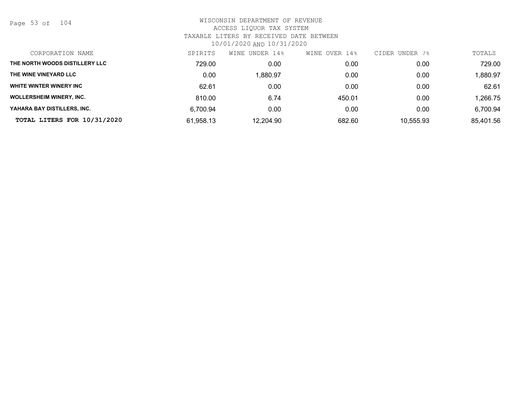Page 53 of 104

| CORPORATION NAME                | SPIRITS   | WINE<br>UNDER 14% | WINE OVER 14% | CIDER UNDER 7% | TOTALS    |
|---------------------------------|-----------|-------------------|---------------|----------------|-----------|
| THE NORTH WOODS DISTILLERY LLC  | 729.00    | 0.00              | 0.00          | 0.00           | 729.00    |
| THE WINE VINEYARD LLC           | 0.00      | 1,880.97          | 0.00          | 0.00           | 1,880.97  |
| WHITE WINTER WINERY INC         | 62.61     | 0.00              | 0.00          | 0.00           | 62.61     |
| <b>WOLLERSHEIM WINERY, INC.</b> | 810.00    | 6.74              | 450.01        | 0.00           | 1,266.75  |
| YAHARA BAY DISTILLERS, INC.     | 6.700.94  | 0.00              | 0.00          | 0.00           | 6,700.94  |
| TOTAL LITERS FOR 10/31/2020     | 61,958.13 | 12,204.90         | 682.60        | 10,555.93      | 85,401.56 |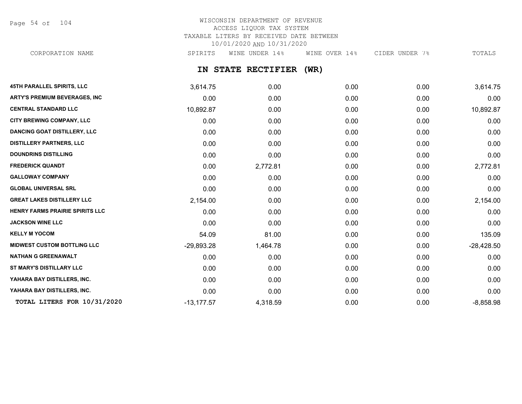Page 54 of 104

# WISCONSIN DEPARTMENT OF REVENUE ACCESS LIQUOR TAX SYSTEM TAXABLE LITERS BY RECEIVED DATE BETWEEN 10/01/2020 AND 10/31/2020

CORPORATION NAME SPIRITS WINE UNDER 14% WINE OVER 14% CIDER UNDER 7% TOTALS

## **IN STATE RECTIFIER (WR)**

| <b>45TH PARALLEL SPIRITS, LLC</b>    | 3,614.75     | 0.00     | 0.00 | 0.00 | 3,614.75     |
|--------------------------------------|--------------|----------|------|------|--------------|
| <b>ARTY'S PREMIUM BEVERAGES, INC</b> | 0.00         | 0.00     | 0.00 | 0.00 | 0.00         |
| <b>CENTRAL STANDARD LLC</b>          | 10,892.87    | 0.00     | 0.00 | 0.00 | 10,892.87    |
| <b>CITY BREWING COMPANY, LLC</b>     | 0.00         | 0.00     | 0.00 | 0.00 | 0.00         |
| <b>DANCING GOAT DISTILLERY, LLC</b>  | 0.00         | 0.00     | 0.00 | 0.00 | 0.00         |
| <b>DISTILLERY PARTNERS, LLC</b>      | 0.00         | 0.00     | 0.00 | 0.00 | 0.00         |
| <b>DOUNDRINS DISTILLING</b>          | 0.00         | 0.00     | 0.00 | 0.00 | 0.00         |
| <b>FREDERICK QUANDT</b>              | 0.00         | 2,772.81 | 0.00 | 0.00 | 2,772.81     |
| <b>GALLOWAY COMPANY</b>              | 0.00         | 0.00     | 0.00 | 0.00 | 0.00         |
| <b>GLOBAL UNIVERSAL SRL</b>          | 0.00         | 0.00     | 0.00 | 0.00 | 0.00         |
| <b>GREAT LAKES DISTILLERY LLC</b>    | 2,154.00     | 0.00     | 0.00 | 0.00 | 2,154.00     |
| HENRY FARMS PRAIRIE SPIRITS LLC      | 0.00         | 0.00     | 0.00 | 0.00 | 0.00         |
| <b>JACKSON WINE LLC</b>              | 0.00         | 0.00     | 0.00 | 0.00 | 0.00         |
| <b>KELLY M YOCOM</b>                 | 54.09        | 81.00    | 0.00 | 0.00 | 135.09       |
| <b>MIDWEST CUSTOM BOTTLING LLC</b>   | $-29,893.28$ | 1,464.78 | 0.00 | 0.00 | $-28,428.50$ |
| <b>NATHAN G GREENAWALT</b>           | 0.00         | 0.00     | 0.00 | 0.00 | 0.00         |
| ST MARY'S DISTILLARY LLC             | 0.00         | 0.00     | 0.00 | 0.00 | 0.00         |
| YAHARA BAY DISTILLERS, INC.          | 0.00         | 0.00     | 0.00 | 0.00 | 0.00         |
| YAHARA BAY DISTILLERS, INC.          | 0.00         | 0.00     | 0.00 | 0.00 | 0.00         |
| TOTAL LITERS FOR 10/31/2020          | $-13,177.57$ | 4,318.59 | 0.00 | 0.00 | $-8,858.98$  |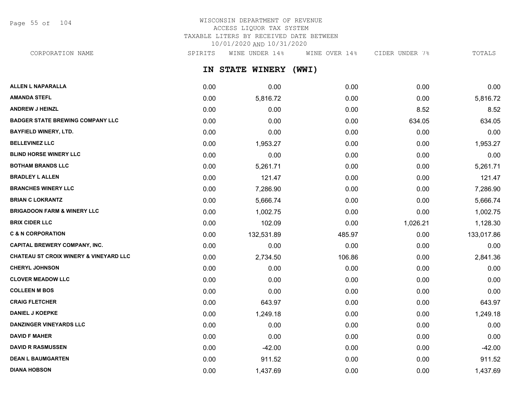Page 55 of 104

## WISCONSIN DEPARTMENT OF REVENUE ACCESS LIQUOR TAX SYSTEM TAXABLE LITERS BY RECEIVED DATE BETWEEN 10/01/2020 AND 10/31/2020

CORPORATION NAME SPIRITS WINE UNDER 14% WINE OVER 14% CIDER UNDER 7% TOTALS

**IN STATE WINERY (WWI)**

| <b>ALLEN L NAPARALLA</b>                          | 0.00 | 0.00       | 0.00   | 0.00     | 0.00       |
|---------------------------------------------------|------|------------|--------|----------|------------|
| <b>AMANDA STEFL</b>                               | 0.00 | 5,816.72   | 0.00   | 0.00     | 5,816.72   |
| <b>ANDREW J HEINZL</b>                            | 0.00 | 0.00       | 0.00   | 8.52     | 8.52       |
| <b>BADGER STATE BREWING COMPANY LLC</b>           | 0.00 | 0.00       | 0.00   | 634.05   | 634.05     |
| <b>BAYFIELD WINERY, LTD.</b>                      | 0.00 | 0.00       | 0.00   | 0.00     | 0.00       |
| <b>BELLEVINEZ LLC</b>                             | 0.00 | 1,953.27   | 0.00   | 0.00     | 1,953.27   |
| <b>BLIND HORSE WINERY LLC</b>                     | 0.00 | 0.00       | 0.00   | 0.00     | 0.00       |
| <b>BOTHAM BRANDS LLC</b>                          | 0.00 | 5,261.71   | 0.00   | 0.00     | 5,261.71   |
| <b>BRADLEY L ALLEN</b>                            | 0.00 | 121.47     | 0.00   | 0.00     | 121.47     |
| <b>BRANCHES WINERY LLC</b>                        | 0.00 | 7,286.90   | 0.00   | 0.00     | 7,286.90   |
| <b>BRIAN C LOKRANTZ</b>                           | 0.00 | 5,666.74   | 0.00   | 0.00     | 5,666.74   |
| <b>BRIGADOON FARM &amp; WINERY LLC</b>            | 0.00 | 1,002.75   | 0.00   | 0.00     | 1,002.75   |
| <b>BRIX CIDER LLC</b>                             | 0.00 | 102.09     | 0.00   | 1,026.21 | 1,128.30   |
| <b>C &amp; N CORPORATION</b>                      | 0.00 | 132,531.89 | 485.97 | 0.00     | 133,017.86 |
| <b>CAPITAL BREWERY COMPANY, INC.</b>              | 0.00 | 0.00       | 0.00   | 0.00     | 0.00       |
| <b>CHATEAU ST CROIX WINERY &amp; VINEYARD LLC</b> | 0.00 | 2,734.50   | 106.86 | 0.00     | 2,841.36   |
| <b>CHERYL JOHNSON</b>                             | 0.00 | 0.00       | 0.00   | 0.00     | 0.00       |
| <b>CLOVER MEADOW LLC</b>                          | 0.00 | 0.00       | 0.00   | 0.00     | 0.00       |
| <b>COLLEEN M BOS</b>                              | 0.00 | 0.00       | 0.00   | 0.00     | 0.00       |
| <b>CRAIG FLETCHER</b>                             | 0.00 | 643.97     | 0.00   | 0.00     | 643.97     |
| <b>DANIEL J KOEPKE</b>                            | 0.00 | 1,249.18   | 0.00   | 0.00     | 1,249.18   |
| <b>DANZINGER VINEYARDS LLC</b>                    | 0.00 | 0.00       | 0.00   | 0.00     | 0.00       |
| <b>DAVID F MAHER</b>                              | 0.00 | 0.00       | 0.00   | 0.00     | 0.00       |
| <b>DAVID R RASMUSSEN</b>                          | 0.00 | $-42.00$   | 0.00   | 0.00     | $-42.00$   |
| <b>DEAN L BAUMGARTEN</b>                          | 0.00 | 911.52     | 0.00   | 0.00     | 911.52     |
| <b>DIANA HOBSON</b>                               | 0.00 | 1,437.69   | 0.00   | 0.00     | 1,437.69   |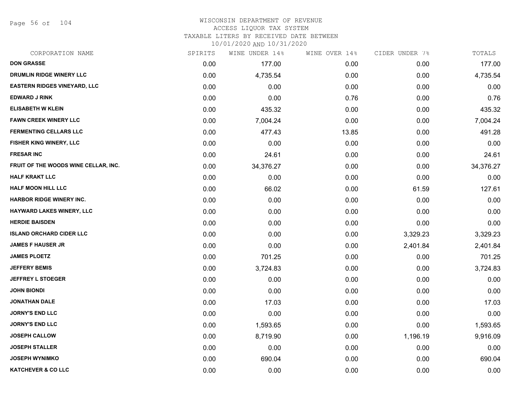Page 56 of 104

# WISCONSIN DEPARTMENT OF REVENUE ACCESS LIQUOR TAX SYSTEM TAXABLE LITERS BY RECEIVED DATE BETWEEN

| CORPORATION NAME                     | SPIRITS | WINE UNDER 14% | WINE OVER 14% | CIDER UNDER 7% | TOTALS    |
|--------------------------------------|---------|----------------|---------------|----------------|-----------|
| <b>DON GRASSE</b>                    | 0.00    | 177.00         | 0.00          | 0.00           | 177.00    |
| DRUMLIN RIDGE WINERY LLC             | 0.00    | 4,735.54       | 0.00          | 0.00           | 4,735.54  |
| <b>EASTERN RIDGES VINEYARD, LLC</b>  | 0.00    | 0.00           | 0.00          | 0.00           | 0.00      |
| <b>EDWARD J RINK</b>                 | 0.00    | 0.00           | 0.76          | 0.00           | 0.76      |
| <b>ELISABETH W KLEIN</b>             | 0.00    | 435.32         | 0.00          | 0.00           | 435.32    |
| <b>FAWN CREEK WINERY LLC</b>         | 0.00    | 7,004.24       | 0.00          | 0.00           | 7,004.24  |
| <b>FERMENTING CELLARS LLC</b>        | 0.00    | 477.43         | 13.85         | 0.00           | 491.28    |
| FISHER KING WINERY, LLC              | 0.00    | 0.00           | 0.00          | 0.00           | 0.00      |
| <b>FRESAR INC</b>                    | 0.00    | 24.61          | 0.00          | 0.00           | 24.61     |
| FRUIT OF THE WOODS WINE CELLAR, INC. | 0.00    | 34,376.27      | 0.00          | 0.00           | 34,376.27 |
| <b>HALF KRAKT LLC</b>                | 0.00    | 0.00           | 0.00          | 0.00           | 0.00      |
| <b>HALF MOON HILL LLC</b>            | 0.00    | 66.02          | 0.00          | 61.59          | 127.61    |
| <b>HARBOR RIDGE WINERY INC.</b>      | 0.00    | 0.00           | 0.00          | 0.00           | 0.00      |
| <b>HAYWARD LAKES WINERY, LLC</b>     | 0.00    | 0.00           | 0.00          | 0.00           | 0.00      |
| <b>HERDIE BAISDEN</b>                | 0.00    | 0.00           | 0.00          | 0.00           | 0.00      |
| <b>ISLAND ORCHARD CIDER LLC</b>      | 0.00    | 0.00           | 0.00          | 3,329.23       | 3,329.23  |
| <b>JAMES F HAUSER JR</b>             | 0.00    | 0.00           | 0.00          | 2,401.84       | 2,401.84  |
| <b>JAMES PLOETZ</b>                  | 0.00    | 701.25         | 0.00          | 0.00           | 701.25    |
| <b>JEFFERY BEMIS</b>                 | 0.00    | 3,724.83       | 0.00          | 0.00           | 3,724.83  |
| <b>JEFFREY L STOEGER</b>             | 0.00    | 0.00           | 0.00          | 0.00           | 0.00      |
| <b>JOHN BIONDI</b>                   | 0.00    | 0.00           | 0.00          | 0.00           | 0.00      |
| <b>JONATHAN DALE</b>                 | 0.00    | 17.03          | 0.00          | 0.00           | 17.03     |
| <b>JORNY'S END LLC</b>               | 0.00    | 0.00           | 0.00          | 0.00           | 0.00      |
| <b>JORNY'S END LLC</b>               | 0.00    | 1,593.65       | 0.00          | 0.00           | 1,593.65  |
| <b>JOSEPH CALLOW</b>                 | 0.00    | 8,719.90       | 0.00          | 1,196.19       | 9,916.09  |
| <b>JOSEPH STALLER</b>                | 0.00    | 0.00           | 0.00          | 0.00           | 0.00      |
| <b>JOSEPH WYNIMKO</b>                | 0.00    | 690.04         | 0.00          | 0.00           | 690.04    |
| <b>KATCHEVER &amp; CO LLC</b>        | 0.00    | 0.00           | 0.00          | 0.00           | 0.00      |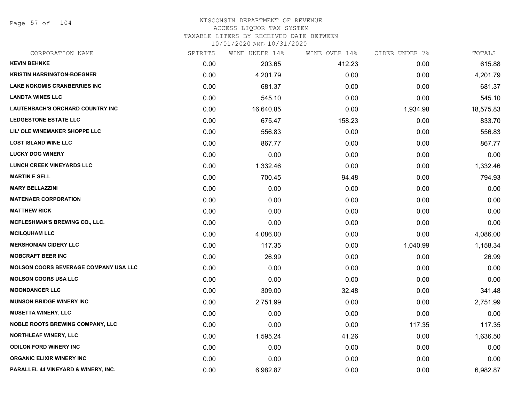Page 57 of 104

### WISCONSIN DEPARTMENT OF REVENUE ACCESS LIQUOR TAX SYSTEM TAXABLE LITERS BY RECEIVED DATE BETWEEN

| CORPORATION NAME                             | SPIRITS | WINE UNDER 14% | WINE OVER 14% | CIDER UNDER 7% | TOTALS    |
|----------------------------------------------|---------|----------------|---------------|----------------|-----------|
| <b>KEVIN BEHNKE</b>                          | 0.00    | 203.65         | 412.23        | 0.00           | 615.88    |
| <b>KRISTIN HARRINGTON-BOEGNER</b>            | 0.00    | 4,201.79       | 0.00          | 0.00           | 4,201.79  |
| <b>LAKE NOKOMIS CRANBERRIES INC</b>          | 0.00    | 681.37         | 0.00          | 0.00           | 681.37    |
| <b>LANDTA WINES LLC</b>                      | 0.00    | 545.10         | 0.00          | 0.00           | 545.10    |
| <b>LAUTENBACH'S ORCHARD COUNTRY INC</b>      | 0.00    | 16,640.85      | 0.00          | 1,934.98       | 18,575.83 |
| <b>LEDGESTONE ESTATE LLC</b>                 | 0.00    | 675.47         | 158.23        | 0.00           | 833.70    |
| LIL' OLE WINEMAKER SHOPPE LLC                | 0.00    | 556.83         | 0.00          | 0.00           | 556.83    |
| <b>LOST ISLAND WINE LLC</b>                  | 0.00    | 867.77         | 0.00          | 0.00           | 867.77    |
| <b>LUCKY DOG WINERY</b>                      | 0.00    | 0.00           | 0.00          | 0.00           | 0.00      |
| LUNCH CREEK VINEYARDS LLC                    | 0.00    | 1,332.46       | 0.00          | 0.00           | 1,332.46  |
| <b>MARTIN E SELL</b>                         | 0.00    | 700.45         | 94.48         | 0.00           | 794.93    |
| <b>MARY BELLAZZINI</b>                       | 0.00    | 0.00           | 0.00          | 0.00           | 0.00      |
| <b>MATENAER CORPORATION</b>                  | 0.00    | 0.00           | 0.00          | 0.00           | 0.00      |
| <b>MATTHEW RICK</b>                          | 0.00    | 0.00           | 0.00          | 0.00           | 0.00      |
| MCFLESHMAN'S BREWING CO., LLC.               | 0.00    | 0.00           | 0.00          | 0.00           | 0.00      |
| <b>MCILQUHAM LLC</b>                         | 0.00    | 4,086.00       | 0.00          | 0.00           | 4,086.00  |
| <b>MERSHONIAN CIDERY LLC</b>                 | 0.00    | 117.35         | 0.00          | 1,040.99       | 1,158.34  |
| <b>MOBCRAFT BEER INC</b>                     | 0.00    | 26.99          | 0.00          | 0.00           | 26.99     |
| <b>MOLSON COORS BEVERAGE COMPANY USA LLC</b> | 0.00    | 0.00           | 0.00          | 0.00           | 0.00      |
| <b>MOLSON COORS USA LLC</b>                  | 0.00    | 0.00           | 0.00          | 0.00           | 0.00      |
| <b>MOONDANCER LLC</b>                        | 0.00    | 309.00         | 32.48         | 0.00           | 341.48    |
| <b>MUNSON BRIDGE WINERY INC</b>              | 0.00    | 2,751.99       | 0.00          | 0.00           | 2,751.99  |
| <b>MUSETTA WINERY, LLC</b>                   | 0.00    | 0.00           | 0.00          | 0.00           | 0.00      |
| NOBLE ROOTS BREWING COMPANY, LLC             | 0.00    | 0.00           | 0.00          | 117.35         | 117.35    |
| <b>NORTHLEAF WINERY, LLC</b>                 | 0.00    | 1,595.24       | 41.26         | 0.00           | 1,636.50  |
| <b>ODILON FORD WINERY INC</b>                | 0.00    | 0.00           | 0.00          | 0.00           | 0.00      |
| <b>ORGANIC ELIXIR WINERY INC</b>             | 0.00    | 0.00           | 0.00          | 0.00           | 0.00      |
| PARALLEL 44 VINEYARD & WINERY, INC.          | 0.00    | 6,982.87       | 0.00          | 0.00           | 6,982.87  |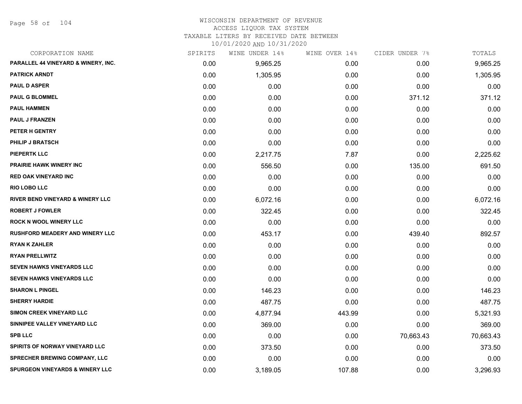Page 58 of 104

#### WISCONSIN DEPARTMENT OF REVENUE ACCESS LIQUOR TAX SYSTEM

TAXABLE LITERS BY RECEIVED DATE BETWEEN

| CORPORATION NAME                            | SPIRITS | WINE UNDER 14% | WINE OVER 14% | CIDER UNDER 7% | TOTALS    |
|---------------------------------------------|---------|----------------|---------------|----------------|-----------|
| PARALLEL 44 VINEYARD & WINERY, INC.         | 0.00    | 9,965.25       | 0.00          | 0.00           | 9,965.25  |
| <b>PATRICK ARNDT</b>                        | 0.00    | 1,305.95       | 0.00          | 0.00           | 1,305.95  |
| <b>PAUL D ASPER</b>                         | 0.00    | 0.00           | 0.00          | 0.00           | 0.00      |
| <b>PAUL G BLOMMEL</b>                       | 0.00    | 0.00           | 0.00          | 371.12         | 371.12    |
| <b>PAUL HAMMEN</b>                          | 0.00    | 0.00           | 0.00          | 0.00           | 0.00      |
| <b>PAUL J FRANZEN</b>                       | 0.00    | 0.00           | 0.00          | 0.00           | 0.00      |
| PETER H GENTRY                              | 0.00    | 0.00           | 0.00          | 0.00           | 0.00      |
| PHILIP J BRATSCH                            | 0.00    | 0.00           | 0.00          | 0.00           | 0.00      |
| <b>PIEPERTK LLC</b>                         | 0.00    | 2,217.75       | 7.87          | 0.00           | 2,225.62  |
| <b>PRAIRIE HAWK WINERY INC</b>              | 0.00    | 556.50         | 0.00          | 135.00         | 691.50    |
| <b>RED OAK VINEYARD INC</b>                 | 0.00    | 0.00           | 0.00          | 0.00           | 0.00      |
| <b>RIO LOBO LLC</b>                         | 0.00    | 0.00           | 0.00          | 0.00           | 0.00      |
| <b>RIVER BEND VINEYARD &amp; WINERY LLC</b> | 0.00    | 6,072.16       | 0.00          | 0.00           | 6,072.16  |
| <b>ROBERT J FOWLER</b>                      | 0.00    | 322.45         | 0.00          | 0.00           | 322.45    |
| <b>ROCK N WOOL WINERY LLC</b>               | 0.00    | 0.00           | 0.00          | 0.00           | 0.00      |
| <b>RUSHFORD MEADERY AND WINERY LLC</b>      | 0.00    | 453.17         | 0.00          | 439.40         | 892.57    |
| <b>RYAN K ZAHLER</b>                        | 0.00    | 0.00           | 0.00          | 0.00           | 0.00      |
| <b>RYAN PRELLWITZ</b>                       | 0.00    | 0.00           | 0.00          | 0.00           | 0.00      |
| SEVEN HAWKS VINEYARDS LLC                   | 0.00    | 0.00           | 0.00          | 0.00           | 0.00      |
| <b>SEVEN HAWKS VINEYARDS LLC</b>            | 0.00    | 0.00           | 0.00          | 0.00           | 0.00      |
| <b>SHARON L PINGEL</b>                      | 0.00    | 146.23         | 0.00          | 0.00           | 146.23    |
| <b>SHERRY HARDIE</b>                        | 0.00    | 487.75         | 0.00          | 0.00           | 487.75    |
| SIMON CREEK VINEYARD LLC                    | 0.00    | 4,877.94       | 443.99        | 0.00           | 5,321.93  |
| SINNIPEE VALLEY VINEYARD LLC                | 0.00    | 369.00         | 0.00          | 0.00           | 369.00    |
| <b>SPB LLC</b>                              | 0.00    | 0.00           | 0.00          | 70,663.43      | 70,663.43 |
| SPIRITS OF NORWAY VINEYARD LLC              | 0.00    | 373.50         | 0.00          | 0.00           | 373.50    |
| SPRECHER BREWING COMPANY, LLC               | 0.00    | 0.00           | 0.00          | 0.00           | 0.00      |
| <b>SPURGEON VINEYARDS &amp; WINERY LLC</b>  | 0.00    | 3,189.05       | 107.88        | 0.00           | 3,296.93  |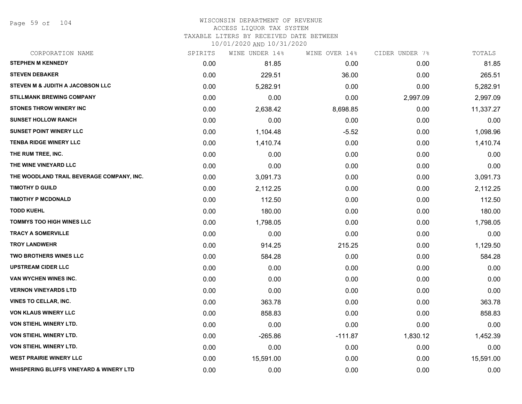Page 59 of 104

| SPIRITS | WINE UNDER 14% | WINE OVER 14% | CIDER UNDER 7% | TOTALS    |
|---------|----------------|---------------|----------------|-----------|
| 0.00    | 81.85          | 0.00          | 0.00           | 81.85     |
| 0.00    | 229.51         | 36.00         | 0.00           | 265.51    |
| 0.00    | 5,282.91       | 0.00          | 0.00           | 5,282.91  |
| 0.00    | 0.00           | 0.00          | 2,997.09       | 2,997.09  |
| 0.00    | 2,638.42       | 8,698.85      | 0.00           | 11,337.27 |
| 0.00    | 0.00           | 0.00          | 0.00           | 0.00      |
| 0.00    | 1,104.48       | $-5.52$       | 0.00           | 1,098.96  |
| 0.00    | 1,410.74       | 0.00          | 0.00           | 1,410.74  |
| 0.00    | 0.00           | 0.00          | 0.00           | 0.00      |
| 0.00    | 0.00           | 0.00          | 0.00           | 0.00      |
| 0.00    | 3,091.73       | 0.00          | 0.00           | 3,091.73  |
| 0.00    | 2,112.25       | 0.00          | 0.00           | 2,112.25  |
| 0.00    | 112.50         | 0.00          | 0.00           | 112.50    |
| 0.00    | 180.00         | 0.00          | 0.00           | 180.00    |
| 0.00    | 1,798.05       | 0.00          | 0.00           | 1,798.05  |
| 0.00    | 0.00           | 0.00          | 0.00           | 0.00      |
| 0.00    | 914.25         | 215.25        | 0.00           | 1,129.50  |
| 0.00    | 584.28         | 0.00          | 0.00           | 584.28    |
| 0.00    | 0.00           | 0.00          | 0.00           | 0.00      |
| 0.00    | 0.00           | 0.00          | 0.00           | 0.00      |
| 0.00    | 0.00           | 0.00          | 0.00           | 0.00      |
| 0.00    | 363.78         | 0.00          | 0.00           | 363.78    |
| 0.00    | 858.83         | 0.00          | 0.00           | 858.83    |
| 0.00    | 0.00           | 0.00          | 0.00           | 0.00      |
| 0.00    | $-265.86$      | $-111.87$     | 1,830.12       | 1,452.39  |
| 0.00    | 0.00           | 0.00          | 0.00           | 0.00      |
| 0.00    | 15,591.00      | 0.00          | 0.00           | 15,591.00 |
| 0.00    | 0.00           | 0.00          | 0.00           | 0.00      |
|         |                |               |                |           |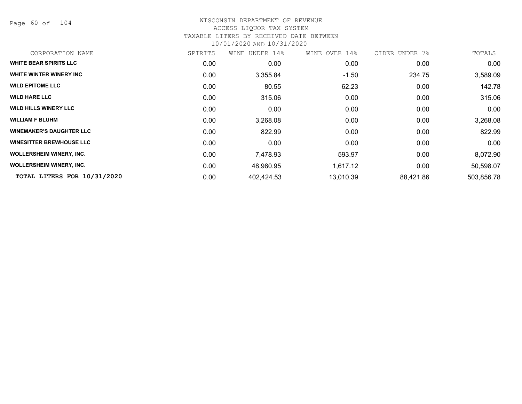Page 60 of 104

# WISCONSIN DEPARTMENT OF REVENUE ACCESS LIQUOR TAX SYSTEM TAXABLE LITERS BY RECEIVED DATE BETWEEN

| CORPORATION NAME                | SPIRITS           | WINE UNDER 14% | WINE OVER 14% | CIDER UNDER 7% | TOTALS     |
|---------------------------------|-------------------|----------------|---------------|----------------|------------|
| <b>WHITE BEAR SPIRITS LLC</b>   | 0.00              | 0.00           | 0.00          | 0.00           | 0.00       |
| WHITE WINTER WINERY INC         | 0.00              | 3,355.84       | $-1.50$       | 234.75         | 3,589.09   |
| <b>WILD EPITOME LLC</b>         | 0.00              | 80.55          | 62.23         | 0.00           | 142.78     |
| <b>WILD HARE LLC</b>            | 0.00              | 315.06         | 0.00          | 0.00           | 315.06     |
| <b>WILD HILLS WINERY LLC</b>    | 0.00              | 0.00           | 0.00          | 0.00           | 0.00       |
| <b>WILLIAM F BLUHM</b>          | 0.00              | 3,268.08       | 0.00          | 0.00           | 3,268.08   |
| <b>WINEMAKER'S DAUGHTER LLC</b> | 0.00              | 822.99         | 0.00          | 0.00           | 822.99     |
| <b>WINESITTER BREWHOUSE LLC</b> | 0.00              | 0.00           | 0.00          | 0.00           | 0.00       |
| <b>WOLLERSHEIM WINERY, INC.</b> | 0.00              | 7,478.93       | 593.97        | 0.00           | 8,072.90   |
| <b>WOLLERSHEIM WINERY, INC.</b> | 0.00 <sub>1</sub> | 48,980.95      | 1,617.12      | 0.00           | 50,598.07  |
| TOTAL LITERS FOR 10/31/2020     | 0.00              | 402,424.53     | 13,010.39     | 88,421.86      | 503,856.78 |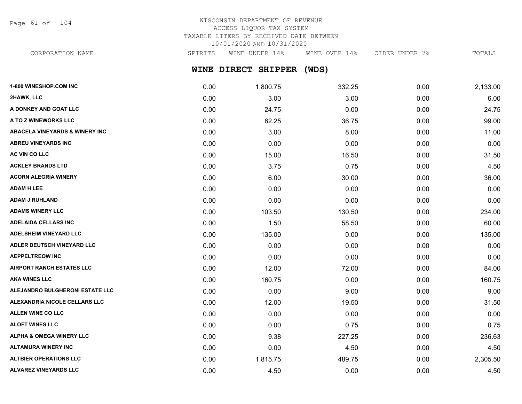Page 61 of 104

# WISCONSIN DEPARTMENT OF REVENUE ACCESS LIQUOR TAX SYSTEM TAXABLE LITERS BY RECEIVED DATE BETWEEN 10/01/2020 AND 10/31/2020

CORPORATION NAME SPIRITS WINE UNDER 14% WINE OVER 14% CIDER UNDER 7% TOTALS

**WINE DIRECT SHIPPER (WDS)**

| 1-800 WINESHOP.COM INC                    | 0.00 | 1,800.75 | 332.25 | 0.00 | 2,133.00 |
|-------------------------------------------|------|----------|--------|------|----------|
| 2HAWK, LLC                                | 0.00 | 3.00     | 3.00   | 0.00 | 6.00     |
| A DONKEY AND GOAT LLC                     | 0.00 | 24.75    | 0.00   | 0.00 | 24.75    |
| A TO Z WINEWORKS LLC                      | 0.00 | 62.25    | 36.75  | 0.00 | 99.00    |
| <b>ABACELA VINEYARDS &amp; WINERY INC</b> | 0.00 | 3.00     | 8.00   | 0.00 | 11.00    |
| <b>ABREU VINEYARDS INC</b>                | 0.00 | 0.00     | 0.00   | 0.00 | 0.00     |
| <b>AC VIN CO LLC</b>                      | 0.00 | 15.00    | 16.50  | 0.00 | 31.50    |
| <b>ACKLEY BRANDS LTD</b>                  | 0.00 | 3.75     | 0.75   | 0.00 | 4.50     |
| <b>ACORN ALEGRIA WINERY</b>               | 0.00 | 6.00     | 30.00  | 0.00 | 36.00    |
| <b>ADAM H LEE</b>                         | 0.00 | 0.00     | 0.00   | 0.00 | 0.00     |
| <b>ADAM J RUHLAND</b>                     | 0.00 | 0.00     | 0.00   | 0.00 | 0.00     |
| <b>ADAMS WINERY LLC</b>                   | 0.00 | 103.50   | 130.50 | 0.00 | 234.00   |
| <b>ADELAIDA CELLARS INC</b>               | 0.00 | 1.50     | 58.50  | 0.00 | 60.00    |
| <b>ADELSHEIM VINEYARD LLC</b>             | 0.00 | 135.00   | 0.00   | 0.00 | 135.00   |
| ADLER DEUTSCH VINEYARD LLC                | 0.00 | 0.00     | 0.00   | 0.00 | 0.00     |
| <b>AEPPELTREOW INC</b>                    | 0.00 | 0.00     | 0.00   | 0.00 | 0.00     |
| <b>AIRPORT RANCH ESTATES LLC</b>          | 0.00 | 12.00    | 72.00  | 0.00 | 84.00    |
| <b>AKA WINES LLC</b>                      | 0.00 | 160.75   | 0.00   | 0.00 | 160.75   |
| <b>ALEJANDRO BULGHERONI ESTATE LLC</b>    | 0.00 | 0.00     | 9.00   | 0.00 | 9.00     |
| ALEXANDRIA NICOLE CELLARS LLC             | 0.00 | 12.00    | 19.50  | 0.00 | 31.50    |
| <b>ALLEN WINE CO LLC</b>                  | 0.00 | 0.00     | 0.00   | 0.00 | 0.00     |
| <b>ALOFT WINES LLC</b>                    | 0.00 | 0.00     | 0.75   | 0.00 | 0.75     |
| <b>ALPHA &amp; OMEGA WINERY LLC</b>       | 0.00 | 9.38     | 227.25 | 0.00 | 236.63   |
| <b>ALTAMURA WINERY INC</b>                | 0.00 | 0.00     | 4.50   | 0.00 | 4.50     |
| <b>ALTBIER OPERATIONS LLC</b>             | 0.00 | 1,815.75 | 489.75 | 0.00 | 2,305.50 |
| ALVAREZ VINEYARDS LLC                     | 0.00 | 4.50     | 0.00   | 0.00 | 4.50     |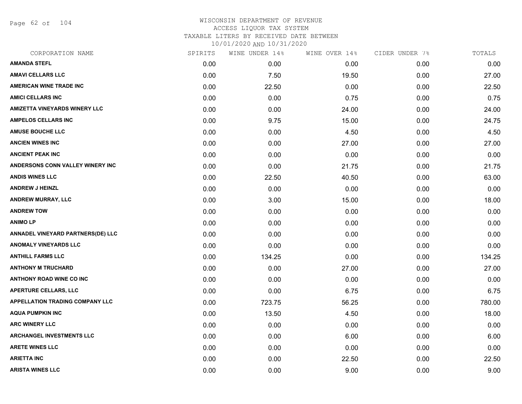Page 62 of 104

| CORPORATION NAME                       | SPIRITS | WINE UNDER 14% | WINE OVER 14% | CIDER UNDER 7% | TOTALS |
|----------------------------------------|---------|----------------|---------------|----------------|--------|
| <b>AMANDA STEFL</b>                    | 0.00    | 0.00           | 0.00          | 0.00           | 0.00   |
| <b>AMAVI CELLARS LLC</b>               | 0.00    | 7.50           | 19.50         | 0.00           | 27.00  |
| <b>AMERICAN WINE TRADE INC</b>         | 0.00    | 22.50          | 0.00          | 0.00           | 22.50  |
| <b>AMICI CELLARS INC</b>               | 0.00    | 0.00           | 0.75          | 0.00           | 0.75   |
| <b>AMIZETTA VINEYARDS WINERY LLC</b>   | 0.00    | 0.00           | 24.00         | 0.00           | 24.00  |
| <b>AMPELOS CELLARS INC</b>             | 0.00    | 9.75           | 15.00         | 0.00           | 24.75  |
| <b>AMUSE BOUCHE LLC</b>                | 0.00    | 0.00           | 4.50          | 0.00           | 4.50   |
| <b>ANCIEN WINES INC</b>                | 0.00    | 0.00           | 27.00         | 0.00           | 27.00  |
| <b>ANCIENT PEAK INC</b>                | 0.00    | 0.00           | 0.00          | 0.00           | 0.00   |
| ANDERSONS CONN VALLEY WINERY INC       | 0.00    | 0.00           | 21.75         | 0.00           | 21.75  |
| <b>ANDIS WINES LLC</b>                 | 0.00    | 22.50          | 40.50         | 0.00           | 63.00  |
| <b>ANDREW J HEINZL</b>                 | 0.00    | 0.00           | 0.00          | 0.00           | 0.00   |
| <b>ANDREW MURRAY, LLC</b>              | 0.00    | 3.00           | 15.00         | 0.00           | 18.00  |
| <b>ANDREW TOW</b>                      | 0.00    | 0.00           | 0.00          | 0.00           | 0.00   |
| <b>ANIMO LP</b>                        | 0.00    | 0.00           | 0.00          | 0.00           | 0.00   |
| ANNADEL VINEYARD PARTNERS(DE) LLC      | 0.00    | 0.00           | 0.00          | 0.00           | 0.00   |
| <b>ANOMALY VINEYARDS LLC</b>           | 0.00    | 0.00           | 0.00          | 0.00           | 0.00   |
| <b>ANTHILL FARMS LLC</b>               | 0.00    | 134.25         | 0.00          | 0.00           | 134.25 |
| <b>ANTHONY M TRUCHARD</b>              | 0.00    | 0.00           | 27.00         | 0.00           | 27.00  |
| <b>ANTHONY ROAD WINE CO INC</b>        | 0.00    | 0.00           | 0.00          | 0.00           | 0.00   |
| <b>APERTURE CELLARS, LLC</b>           | 0.00    | 0.00           | 6.75          | 0.00           | 6.75   |
| <b>APPELLATION TRADING COMPANY LLC</b> | 0.00    | 723.75         | 56.25         | 0.00           | 780.00 |
| <b>AQUA PUMPKIN INC</b>                | 0.00    | 13.50          | 4.50          | 0.00           | 18.00  |
| <b>ARC WINERY LLC</b>                  | 0.00    | 0.00           | 0.00          | 0.00           | 0.00   |
| <b>ARCHANGEL INVESTMENTS LLC</b>       | 0.00    | 0.00           | 6.00          | 0.00           | 6.00   |
| <b>ARETE WINES LLC</b>                 | 0.00    | 0.00           | 0.00          | 0.00           | 0.00   |
| <b>ARIETTA INC</b>                     | 0.00    | 0.00           | 22.50         | 0.00           | 22.50  |
| <b>ARISTA WINES LLC</b>                | 0.00    | 0.00           | 9.00          | 0.00           | 9.00   |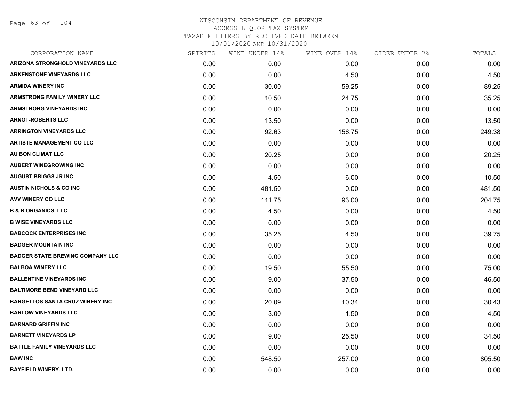Page 63 of 104

| CORPORATION NAME                        | SPIRITS | WINE UNDER 14% | WINE OVER 14% | CIDER UNDER 7% | TOTALS |
|-----------------------------------------|---------|----------------|---------------|----------------|--------|
| <b>ARIZONA STRONGHOLD VINEYARDS LLC</b> | 0.00    | 0.00           | 0.00          | 0.00           | 0.00   |
| <b>ARKENSTONE VINEYARDS LLC</b>         | 0.00    | 0.00           | 4.50          | 0.00           | 4.50   |
| <b>ARMIDA WINERY INC</b>                | 0.00    | 30.00          | 59.25         | 0.00           | 89.25  |
| <b>ARMSTRONG FAMILY WINERY LLC</b>      | 0.00    | 10.50          | 24.75         | 0.00           | 35.25  |
| <b>ARMSTRONG VINEYARDS INC</b>          | 0.00    | 0.00           | 0.00          | 0.00           | 0.00   |
| <b>ARNOT-ROBERTS LLC</b>                | 0.00    | 13.50          | 0.00          | 0.00           | 13.50  |
| <b>ARRINGTON VINEYARDS LLC</b>          | 0.00    | 92.63          | 156.75        | 0.00           | 249.38 |
| <b>ARTISTE MANAGEMENT CO LLC</b>        | 0.00    | 0.00           | 0.00          | 0.00           | 0.00   |
| AU BON CLIMAT LLC                       | 0.00    | 20.25          | 0.00          | 0.00           | 20.25  |
| <b>AUBERT WINEGROWING INC</b>           | 0.00    | 0.00           | 0.00          | 0.00           | 0.00   |
| <b>AUGUST BRIGGS JR INC</b>             | 0.00    | 4.50           | 6.00          | 0.00           | 10.50  |
| <b>AUSTIN NICHOLS &amp; CO INC</b>      | 0.00    | 481.50         | 0.00          | 0.00           | 481.50 |
| AVV WINERY CO LLC                       | 0.00    | 111.75         | 93.00         | 0.00           | 204.75 |
| <b>B &amp; B ORGANICS, LLC</b>          | 0.00    | 4.50           | 0.00          | 0.00           | 4.50   |
| <b>B WISE VINEYARDS LLC</b>             | 0.00    | 0.00           | 0.00          | 0.00           | 0.00   |
| <b>BABCOCK ENTERPRISES INC</b>          | 0.00    | 35.25          | 4.50          | 0.00           | 39.75  |
| <b>BADGER MOUNTAIN INC</b>              | 0.00    | 0.00           | 0.00          | 0.00           | 0.00   |
| <b>BADGER STATE BREWING COMPANY LLC</b> | 0.00    | 0.00           | 0.00          | 0.00           | 0.00   |
| <b>BALBOA WINERY LLC</b>                | 0.00    | 19.50          | 55.50         | 0.00           | 75.00  |
| <b>BALLENTINE VINEYARDS INC</b>         | 0.00    | 9.00           | 37.50         | 0.00           | 46.50  |
| <b>BALTIMORE BEND VINEYARD LLC</b>      | 0.00    | 0.00           | 0.00          | 0.00           | 0.00   |
| <b>BARGETTOS SANTA CRUZ WINERY INC</b>  | 0.00    | 20.09          | 10.34         | 0.00           | 30.43  |
| <b>BARLOW VINEYARDS LLC</b>             | 0.00    | 3.00           | 1.50          | 0.00           | 4.50   |
| <b>BARNARD GRIFFIN INC</b>              | 0.00    | 0.00           | 0.00          | 0.00           | 0.00   |
| <b>BARNETT VINEYARDS LP</b>             | 0.00    | 9.00           | 25.50         | 0.00           | 34.50  |
| <b>BATTLE FAMILY VINEYARDS LLC</b>      | 0.00    | 0.00           | 0.00          | 0.00           | 0.00   |
| <b>BAW INC</b>                          | 0.00    | 548.50         | 257.00        | 0.00           | 805.50 |
| <b>BAYFIELD WINERY, LTD.</b>            | 0.00    | 0.00           | 0.00          | 0.00           | 0.00   |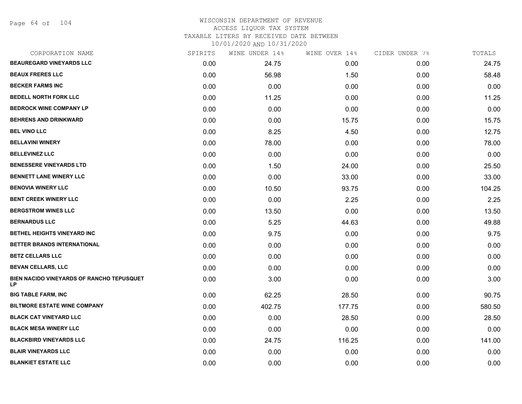Page 64 of 104

## WISCONSIN DEPARTMENT OF REVENUE ACCESS LIQUOR TAX SYSTEM TAXABLE LITERS BY RECEIVED DATE BETWEEN

| CORPORATION NAME                                 | SPIRITS | WINE UNDER 14% | WINE OVER 14% | CIDER UNDER 7% | TOTALS |
|--------------------------------------------------|---------|----------------|---------------|----------------|--------|
| <b>BEAUREGARD VINEYARDS LLC</b>                  | 0.00    | 24.75          | 0.00          | 0.00           | 24.75  |
| <b>BEAUX FRERES LLC</b>                          | 0.00    | 56.98          | 1.50          | 0.00           | 58.48  |
| <b>BECKER FARMS INC</b>                          | 0.00    | 0.00           | 0.00          | 0.00           | 0.00   |
| <b>BEDELL NORTH FORK LLC</b>                     | 0.00    | 11.25          | 0.00          | 0.00           | 11.25  |
| <b>BEDROCK WINE COMPANY LP</b>                   | 0.00    | 0.00           | 0.00          | 0.00           | 0.00   |
| <b>BEHRENS AND DRINKWARD</b>                     | 0.00    | 0.00           | 15.75         | 0.00           | 15.75  |
| <b>BEL VINO LLC</b>                              | 0.00    | 8.25           | 4.50          | 0.00           | 12.75  |
| <b>BELLAVINI WINERY</b>                          | 0.00    | 78.00          | 0.00          | 0.00           | 78.00  |
| <b>BELLEVINEZ LLC</b>                            | 0.00    | 0.00           | 0.00          | 0.00           | 0.00   |
| <b>BENESSERE VINEYARDS LTD</b>                   | 0.00    | 1.50           | 24.00         | 0.00           | 25.50  |
| <b>BENNETT LANE WINERY LLC</b>                   | 0.00    | 0.00           | 33.00         | 0.00           | 33.00  |
| <b>BENOVIA WINERY LLC</b>                        | 0.00    | 10.50          | 93.75         | 0.00           | 104.25 |
| <b>BENT CREEK WINERY LLC</b>                     | 0.00    | 0.00           | 2.25          | 0.00           | 2.25   |
| <b>BERGSTROM WINES LLC</b>                       | 0.00    | 13.50          | 0.00          | 0.00           | 13.50  |
| <b>BERNARDUS LLC</b>                             | 0.00    | 5.25           | 44.63         | 0.00           | 49.88  |
| BETHEL HEIGHTS VINEYARD INC                      | 0.00    | 9.75           | 0.00          | 0.00           | 9.75   |
| <b>BETTER BRANDS INTERNATIONAL</b>               | 0.00    | 0.00           | 0.00          | 0.00           | 0.00   |
| <b>BETZ CELLARS LLC</b>                          | 0.00    | 0.00           | 0.00          | 0.00           | 0.00   |
| <b>BEVAN CELLARS, LLC</b>                        | 0.00    | 0.00           | 0.00          | 0.00           | 0.00   |
| BIEN NACIDO VINEYARDS OF RANCHO TEPUSQUET<br>LP. | 0.00    | 3.00           | 0.00          | 0.00           | 3.00   |
| <b>BIG TABLE FARM, INC</b>                       | 0.00    | 62.25          | 28.50         | 0.00           | 90.75  |
| <b>BILTMORE ESTATE WINE COMPANY</b>              | 0.00    | 402.75         | 177.75        | 0.00           | 580.50 |
| <b>BLACK CAT VINEYARD LLC</b>                    | 0.00    | 0.00           | 28.50         | 0.00           | 28.50  |
| <b>BLACK MESA WINERY LLC</b>                     | 0.00    | 0.00           | 0.00          | 0.00           | 0.00   |
| <b>BLACKBIRD VINEYARDS LLC</b>                   | 0.00    | 24.75          | 116.25        | 0.00           | 141.00 |
| <b>BLAIR VINEYARDS LLC</b>                       | 0.00    | 0.00           | 0.00          | 0.00           | 0.00   |
| <b>BLANKIET ESTATE LLC</b>                       | 0.00    | 0.00           | 0.00          | 0.00           | 0.00   |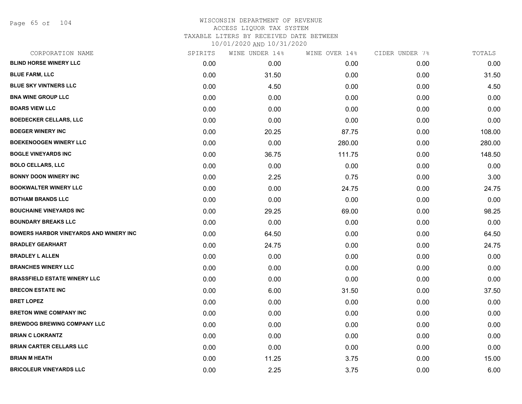Page 65 of 104

| CORPORATION NAME                              | SPIRITS | WINE UNDER 14% | WINE OVER 14% | CIDER UNDER 7% | TOTALS |
|-----------------------------------------------|---------|----------------|---------------|----------------|--------|
| <b>BLIND HORSE WINERY LLC</b>                 | 0.00    | 0.00           | 0.00          | 0.00           | 0.00   |
| <b>BLUE FARM, LLC</b>                         | 0.00    | 31.50          | 0.00          | 0.00           | 31.50  |
| <b>BLUE SKY VINTNERS LLC</b>                  | 0.00    | 4.50           | 0.00          | 0.00           | 4.50   |
| <b>BNA WINE GROUP LLC</b>                     | 0.00    | 0.00           | 0.00          | 0.00           | 0.00   |
| <b>BOARS VIEW LLC</b>                         | 0.00    | 0.00           | 0.00          | 0.00           | 0.00   |
| <b>BOEDECKER CELLARS, LLC</b>                 | 0.00    | 0.00           | 0.00          | 0.00           | 0.00   |
| <b>BOEGER WINERY INC</b>                      | 0.00    | 20.25          | 87.75         | 0.00           | 108.00 |
| <b>BOEKENOOGEN WINERY LLC</b>                 | 0.00    | 0.00           | 280.00        | 0.00           | 280.00 |
| <b>BOGLE VINEYARDS INC</b>                    | 0.00    | 36.75          | 111.75        | 0.00           | 148.50 |
| <b>BOLO CELLARS, LLC</b>                      | 0.00    | 0.00           | 0.00          | 0.00           | 0.00   |
| <b>BONNY DOON WINERY INC</b>                  | 0.00    | 2.25           | 0.75          | 0.00           | 3.00   |
| <b>BOOKWALTER WINERY LLC</b>                  | 0.00    | 0.00           | 24.75         | 0.00           | 24.75  |
| <b>BOTHAM BRANDS LLC</b>                      | 0.00    | 0.00           | 0.00          | 0.00           | 0.00   |
| <b>BOUCHAINE VINEYARDS INC</b>                | 0.00    | 29.25          | 69.00         | 0.00           | 98.25  |
| <b>BOUNDARY BREAKS LLC</b>                    | 0.00    | 0.00           | 0.00          | 0.00           | 0.00   |
| <b>BOWERS HARBOR VINEYARDS AND WINERY INC</b> | 0.00    | 64.50          | 0.00          | 0.00           | 64.50  |
| <b>BRADLEY GEARHART</b>                       | 0.00    | 24.75          | 0.00          | 0.00           | 24.75  |
| <b>BRADLEY L ALLEN</b>                        | 0.00    | 0.00           | 0.00          | 0.00           | 0.00   |
| <b>BRANCHES WINERY LLC</b>                    | 0.00    | 0.00           | 0.00          | 0.00           | 0.00   |
| <b>BRASSFIELD ESTATE WINERY LLC</b>           | 0.00    | 0.00           | 0.00          | 0.00           | 0.00   |
| <b>BRECON ESTATE INC</b>                      | 0.00    | 6.00           | 31.50         | 0.00           | 37.50  |
| <b>BRET LOPEZ</b>                             | 0.00    | 0.00           | 0.00          | 0.00           | 0.00   |
| <b>BRETON WINE COMPANY INC</b>                | 0.00    | 0.00           | 0.00          | 0.00           | 0.00   |
| <b>BREWDOG BREWING COMPANY LLC</b>            | 0.00    | 0.00           | 0.00          | 0.00           | 0.00   |
| <b>BRIAN C LOKRANTZ</b>                       | 0.00    | 0.00           | 0.00          | 0.00           | 0.00   |
| <b>BRIAN CARTER CELLARS LLC</b>               | 0.00    | 0.00           | 0.00          | 0.00           | 0.00   |
| <b>BRIAN M HEATH</b>                          | 0.00    | 11.25          | 3.75          | 0.00           | 15.00  |
| <b>BRICOLEUR VINEYARDS LLC</b>                | 0.00    | 2.25           | 3.75          | 0.00           | 6.00   |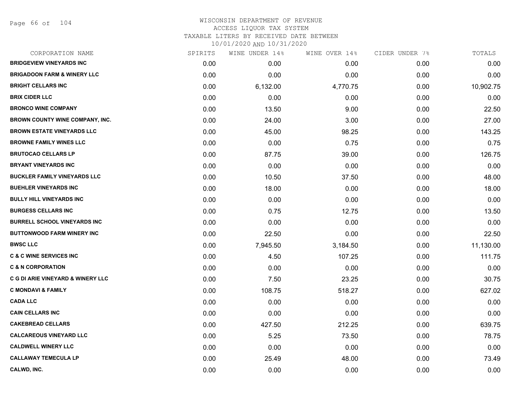| CORPORATION NAME                       | SPIRITS | WINE UNDER 14% | WINE OVER 14% | CIDER UNDER 7% | TOTALS    |
|----------------------------------------|---------|----------------|---------------|----------------|-----------|
| <b>BRIDGEVIEW VINEYARDS INC</b>        | 0.00    | 0.00           | 0.00          | 0.00           | 0.00      |
| <b>BRIGADOON FARM &amp; WINERY LLC</b> | 0.00    | 0.00           | 0.00          | 0.00           | 0.00      |
| <b>BRIGHT CELLARS INC</b>              | 0.00    | 6,132.00       | 4,770.75      | 0.00           | 10,902.75 |
| <b>BRIX CIDER LLC</b>                  | 0.00    | 0.00           | 0.00          | 0.00           | 0.00      |
| <b>BRONCO WINE COMPANY</b>             | 0.00    | 13.50          | 9.00          | 0.00           | 22.50     |
| BROWN COUNTY WINE COMPANY, INC.        | 0.00    | 24.00          | 3.00          | 0.00           | 27.00     |
| <b>BROWN ESTATE VINEYARDS LLC</b>      | 0.00    | 45.00          | 98.25         | 0.00           | 143.25    |
| <b>BROWNE FAMILY WINES LLC</b>         | 0.00    | 0.00           | 0.75          | 0.00           | 0.75      |
| <b>BRUTOCAO CELLARS LP</b>             | 0.00    | 87.75          | 39.00         | 0.00           | 126.75    |
| <b>BRYANT VINEYARDS INC</b>            | 0.00    | 0.00           | 0.00          | 0.00           | 0.00      |
| <b>BUCKLER FAMILY VINEYARDS LLC</b>    | 0.00    | 10.50          | 37.50         | 0.00           | 48.00     |
| <b>BUEHLER VINEYARDS INC</b>           | 0.00    | 18.00          | 0.00          | 0.00           | 18.00     |
| <b>BULLY HILL VINEYARDS INC</b>        | 0.00    | 0.00           | 0.00          | 0.00           | 0.00      |
| <b>BURGESS CELLARS INC</b>             | 0.00    | 0.75           | 12.75         | 0.00           | 13.50     |
| <b>BURRELL SCHOOL VINEYARDS INC</b>    | 0.00    | 0.00           | 0.00          | 0.00           | 0.00      |
| <b>BUTTONWOOD FARM WINERY INC</b>      | 0.00    | 22.50          | 0.00          | 0.00           | 22.50     |
| <b>BWSC LLC</b>                        | 0.00    | 7,945.50       | 3,184.50      | 0.00           | 11,130.00 |
| <b>C &amp; C WINE SERVICES INC</b>     | 0.00    | 4.50           | 107.25        | 0.00           | 111.75    |
| <b>C &amp; N CORPORATION</b>           | 0.00    | 0.00           | 0.00          | 0.00           | 0.00      |
| C G DI ARIE VINEYARD & WINERY LLC      | 0.00    | 7.50           | 23.25         | 0.00           | 30.75     |
| <b>C MONDAVI &amp; FAMILY</b>          | 0.00    | 108.75         | 518.27        | 0.00           | 627.02    |
| <b>CADA LLC</b>                        | 0.00    | 0.00           | 0.00          | 0.00           | 0.00      |
| <b>CAIN CELLARS INC</b>                | 0.00    | 0.00           | 0.00          | 0.00           | 0.00      |
| <b>CAKEBREAD CELLARS</b>               | 0.00    | 427.50         | 212.25        | 0.00           | 639.75    |
| <b>CALCAREOUS VINEYARD LLC</b>         | 0.00    | 5.25           | 73.50         | 0.00           | 78.75     |
| <b>CALDWELL WINERY LLC</b>             | 0.00    | 0.00           | 0.00          | 0.00           | 0.00      |
| <b>CALLAWAY TEMECULA LP</b>            | 0.00    | 25.49          | 48.00         | 0.00           | 73.49     |
| CALWD, INC.                            | 0.00    | 0.00           | 0.00          | 0.00           | 0.00      |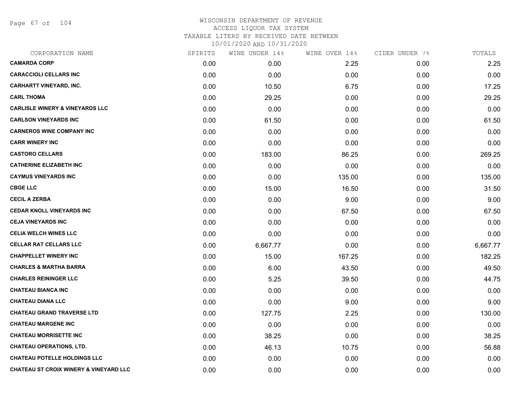Page 67 of 104

| CORPORATION NAME                                  | SPIRITS | WINE UNDER 14% | WINE OVER 14% | CIDER UNDER 7% | TOTALS   |
|---------------------------------------------------|---------|----------------|---------------|----------------|----------|
| <b>CAMARDA CORP</b>                               | 0.00    | 0.00           | 2.25          | 0.00           | 2.25     |
| <b>CARACCIOLI CELLARS INC</b>                     | 0.00    | 0.00           | 0.00          | 0.00           | 0.00     |
| <b>CARHARTT VINEYARD, INC.</b>                    | 0.00    | 10.50          | 6.75          | 0.00           | 17.25    |
| <b>CARL THOMA</b>                                 | 0.00    | 29.25          | 0.00          | 0.00           | 29.25    |
| <b>CARLISLE WINERY &amp; VINEYARDS LLC</b>        | 0.00    | 0.00           | 0.00          | 0.00           | 0.00     |
| <b>CARLSON VINEYARDS INC</b>                      | 0.00    | 61.50          | 0.00          | 0.00           | 61.50    |
| <b>CARNEROS WINE COMPANY INC</b>                  | 0.00    | 0.00           | 0.00          | 0.00           | 0.00     |
| <b>CARR WINERY INC</b>                            | 0.00    | 0.00           | 0.00          | 0.00           | 0.00     |
| <b>CASTORO CELLARS</b>                            | 0.00    | 183.00         | 86.25         | 0.00           | 269.25   |
| <b>CATHERINE ELIZABETH INC</b>                    | 0.00    | 0.00           | 0.00          | 0.00           | 0.00     |
| <b>CAYMUS VINEYARDS INC</b>                       | 0.00    | 0.00           | 135.00        | 0.00           | 135.00   |
| <b>CBGE LLC</b>                                   | 0.00    | 15.00          | 16.50         | 0.00           | 31.50    |
| <b>CECIL A ZERBA</b>                              | 0.00    | 0.00           | 9.00          | 0.00           | 9.00     |
| <b>CEDAR KNOLL VINEYARDS INC</b>                  | 0.00    | 0.00           | 67.50         | 0.00           | 67.50    |
| <b>CEJA VINEYARDS INC</b>                         | 0.00    | 0.00           | 0.00          | 0.00           | 0.00     |
| <b>CELIA WELCH WINES LLC</b>                      | 0.00    | 0.00           | 0.00          | 0.00           | 0.00     |
| <b>CELLAR RAT CELLARS LLC</b>                     | 0.00    | 6,667.77       | 0.00          | 0.00           | 6,667.77 |
| <b>CHAPPELLET WINERY INC</b>                      | 0.00    | 15.00          | 167.25        | 0.00           | 182.25   |
| <b>CHARLES &amp; MARTHA BARRA</b>                 | 0.00    | 6.00           | 43.50         | 0.00           | 49.50    |
| <b>CHARLES REININGER LLC</b>                      | 0.00    | 5.25           | 39.50         | 0.00           | 44.75    |
| <b>CHATEAU BIANCA INC</b>                         | 0.00    | 0.00           | 0.00          | 0.00           | 0.00     |
| <b>CHATEAU DIANA LLC</b>                          | 0.00    | 0.00           | 9.00          | 0.00           | 9.00     |
| <b>CHATEAU GRAND TRAVERSE LTD</b>                 | 0.00    | 127.75         | 2.25          | 0.00           | 130.00   |
| <b>CHATEAU MARGENE INC</b>                        | 0.00    | 0.00           | 0.00          | 0.00           | 0.00     |
| <b>CHATEAU MORRISETTE INC</b>                     | 0.00    | 38.25          | 0.00          | 0.00           | 38.25    |
| <b>CHATEAU OPERATIONS, LTD.</b>                   | 0.00    | 46.13          | 10.75         | 0.00           | 56.88    |
| <b>CHATEAU POTELLE HOLDINGS LLC</b>               | 0.00    | 0.00           | 0.00          | 0.00           | 0.00     |
| <b>CHATEAU ST CROIX WINERY &amp; VINEYARD LLC</b> | 0.00    | 0.00           | 0.00          | 0.00           | 0.00     |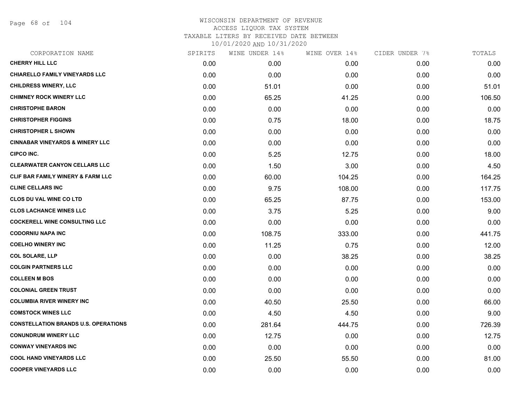Page 68 of 104

| CORPORATION NAME                             | SPIRITS | WINE UNDER 14% | WINE OVER 14% | CIDER UNDER 7% | TOTALS |
|----------------------------------------------|---------|----------------|---------------|----------------|--------|
| <b>CHERRY HILL LLC</b>                       | 0.00    | 0.00           | 0.00          | 0.00           | 0.00   |
| CHIARELLO FAMILY VINEYARDS LLC               | 0.00    | 0.00           | 0.00          | 0.00           | 0.00   |
| <b>CHILDRESS WINERY, LLC</b>                 | 0.00    | 51.01          | 0.00          | 0.00           | 51.01  |
| <b>CHIMNEY ROCK WINERY LLC</b>               | 0.00    | 65.25          | 41.25         | 0.00           | 106.50 |
| <b>CHRISTOPHE BARON</b>                      | 0.00    | 0.00           | 0.00          | 0.00           | 0.00   |
| <b>CHRISTOPHER FIGGINS</b>                   | 0.00    | 0.75           | 18.00         | 0.00           | 18.75  |
| <b>CHRISTOPHER L SHOWN</b>                   | 0.00    | 0.00           | 0.00          | 0.00           | 0.00   |
| <b>CINNABAR VINEYARDS &amp; WINERY LLC</b>   | 0.00    | 0.00           | 0.00          | 0.00           | 0.00   |
| <b>CIPCO INC.</b>                            | 0.00    | 5.25           | 12.75         | 0.00           | 18.00  |
| <b>CLEARWATER CANYON CELLARS LLC</b>         | 0.00    | 1.50           | 3.00          | 0.00           | 4.50   |
| <b>CLIF BAR FAMILY WINERY &amp; FARM LLC</b> | 0.00    | 60.00          | 104.25        | 0.00           | 164.25 |
| <b>CLINE CELLARS INC</b>                     | 0.00    | 9.75           | 108.00        | 0.00           | 117.75 |
| <b>CLOS DU VAL WINE CO LTD</b>               | 0.00    | 65.25          | 87.75         | 0.00           | 153.00 |
| <b>CLOS LACHANCE WINES LLC</b>               | 0.00    | 3.75           | 5.25          | 0.00           | 9.00   |
| <b>COCKERELL WINE CONSULTING LLC</b>         | 0.00    | 0.00           | 0.00          | 0.00           | 0.00   |
| <b>CODORNIU NAPA INC</b>                     | 0.00    | 108.75         | 333.00        | 0.00           | 441.75 |
| <b>COELHO WINERY INC</b>                     | 0.00    | 11.25          | 0.75          | 0.00           | 12.00  |
| <b>COL SOLARE, LLP</b>                       | 0.00    | 0.00           | 38.25         | 0.00           | 38.25  |
| <b>COLGIN PARTNERS LLC</b>                   | 0.00    | 0.00           | 0.00          | 0.00           | 0.00   |
| <b>COLLEEN M BOS</b>                         | 0.00    | 0.00           | 0.00          | 0.00           | 0.00   |
| <b>COLONIAL GREEN TRUST</b>                  | 0.00    | 0.00           | 0.00          | 0.00           | 0.00   |
| <b>COLUMBIA RIVER WINERY INC</b>             | 0.00    | 40.50          | 25.50         | 0.00           | 66.00  |
| <b>COMSTOCK WINES LLC</b>                    | 0.00    | 4.50           | 4.50          | 0.00           | 9.00   |
| <b>CONSTELLATION BRANDS U.S. OPERATIONS</b>  | 0.00    | 281.64         | 444.75        | 0.00           | 726.39 |
| <b>CONUNDRUM WINERY LLC</b>                  | 0.00    | 12.75          | 0.00          | 0.00           | 12.75  |
| <b>CONWAY VINEYARDS INC</b>                  | 0.00    | 0.00           | 0.00          | 0.00           | 0.00   |
| <b>COOL HAND VINEYARDS LLC</b>               | 0.00    | 25.50          | 55.50         | 0.00           | 81.00  |
| <b>COOPER VINEYARDS LLC</b>                  | 0.00    | 0.00           | 0.00          | 0.00           | 0.00   |
|                                              |         |                |               |                |        |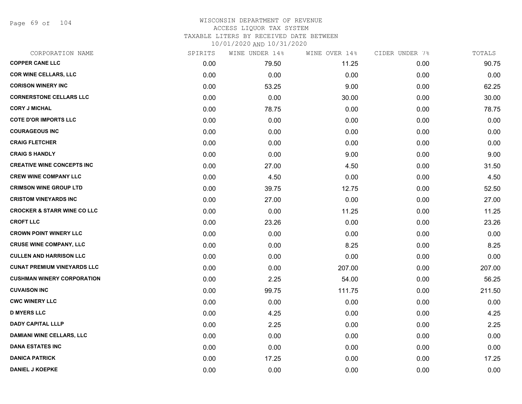Page 69 of 104

## WISCONSIN DEPARTMENT OF REVENUE ACCESS LIQUOR TAX SYSTEM TAXABLE LITERS BY RECEIVED DATE BETWEEN

| CORPORATION NAME                       | SPIRITS | WINE UNDER 14% | WINE OVER 14% | CIDER UNDER 7% | TOTALS |
|----------------------------------------|---------|----------------|---------------|----------------|--------|
| <b>COPPER CANE LLC</b>                 | 0.00    | 79.50          | 11.25         | 0.00           | 90.75  |
| <b>COR WINE CELLARS, LLC</b>           | 0.00    | 0.00           | 0.00          | 0.00           | 0.00   |
| <b>CORISON WINERY INC</b>              | 0.00    | 53.25          | 9.00          | 0.00           | 62.25  |
| <b>CORNERSTONE CELLARS LLC</b>         | 0.00    | 0.00           | 30.00         | 0.00           | 30.00  |
| <b>CORY J MICHAL</b>                   | 0.00    | 78.75          | 0.00          | 0.00           | 78.75  |
| <b>COTE D'OR IMPORTS LLC</b>           | 0.00    | 0.00           | 0.00          | 0.00           | 0.00   |
| <b>COURAGEOUS INC</b>                  | 0.00    | 0.00           | 0.00          | 0.00           | 0.00   |
| <b>CRAIG FLETCHER</b>                  | 0.00    | 0.00           | 0.00          | 0.00           | 0.00   |
| <b>CRAIG S HANDLY</b>                  | 0.00    | 0.00           | 9.00          | 0.00           | 9.00   |
| <b>CREATIVE WINE CONCEPTS INC</b>      | 0.00    | 27.00          | 4.50          | 0.00           | 31.50  |
| <b>CREW WINE COMPANY LLC</b>           | 0.00    | 4.50           | 0.00          | 0.00           | 4.50   |
| <b>CRIMSON WINE GROUP LTD</b>          | 0.00    | 39.75          | 12.75         | 0.00           | 52.50  |
| <b>CRISTOM VINEYARDS INC</b>           | 0.00    | 27.00          | 0.00          | 0.00           | 27.00  |
| <b>CROCKER &amp; STARR WINE CO LLC</b> | 0.00    | 0.00           | 11.25         | 0.00           | 11.25  |
| <b>CROFT LLC</b>                       | 0.00    | 23.26          | 0.00          | 0.00           | 23.26  |
| <b>CROWN POINT WINERY LLC</b>          | 0.00    | 0.00           | 0.00          | 0.00           | 0.00   |
| <b>CRUSE WINE COMPANY, LLC</b>         | 0.00    | 0.00           | 8.25          | 0.00           | 8.25   |
| <b>CULLEN AND HARRISON LLC</b>         | 0.00    | 0.00           | 0.00          | 0.00           | 0.00   |
| <b>CUNAT PREMIUM VINEYARDS LLC</b>     | 0.00    | 0.00           | 207.00        | 0.00           | 207.00 |
| <b>CUSHMAN WINERY CORPORATION</b>      | 0.00    | 2.25           | 54.00         | 0.00           | 56.25  |
| <b>CUVAISON INC</b>                    | 0.00    | 99.75          | 111.75        | 0.00           | 211.50 |
| <b>CWC WINERY LLC</b>                  | 0.00    | 0.00           | 0.00          | 0.00           | 0.00   |
| <b>D MYERS LLC</b>                     | 0.00    | 4.25           | 0.00          | 0.00           | 4.25   |
| <b>DADY CAPITAL LLLP</b>               | 0.00    | 2.25           | 0.00          | 0.00           | 2.25   |
| DAMIANI WINE CELLARS, LLC              | 0.00    | 0.00           | 0.00          | 0.00           | 0.00   |
| <b>DANA ESTATES INC</b>                | 0.00    | 0.00           | 0.00          | 0.00           | 0.00   |
| <b>DANICA PATRICK</b>                  | 0.00    | 17.25          | 0.00          | 0.00           | 17.25  |
| <b>DANIEL J KOEPKE</b>                 | 0.00    | 0.00           | 0.00          | 0.00           | 0.00   |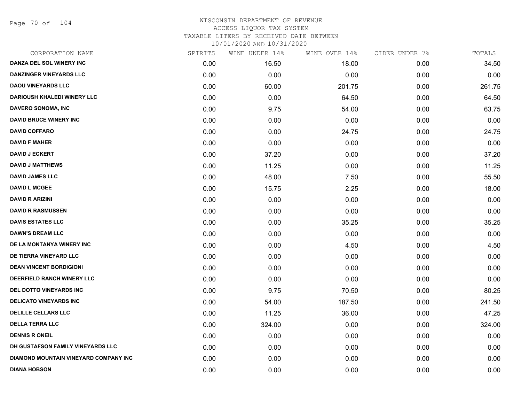Page 70 of 104

| CORPORATION NAME                      | SPIRITS | WINE UNDER 14% | WINE OVER 14% | CIDER UNDER 7% | TOTALS |
|---------------------------------------|---------|----------------|---------------|----------------|--------|
| DANZA DEL SOL WINERY INC              | 0.00    | 16.50          | 18.00         | 0.00           | 34.50  |
| <b>DANZINGER VINEYARDS LLC</b>        | 0.00    | 0.00           | 0.00          | 0.00           | 0.00   |
| <b>DAOU VINEYARDS LLC</b>             | 0.00    | 60.00          | 201.75        | 0.00           | 261.75 |
| <b>DARIOUSH KHALEDI WINERY LLC</b>    | 0.00    | 0.00           | 64.50         | 0.00           | 64.50  |
| <b>DAVERO SONOMA, INC</b>             | 0.00    | 9.75           | 54.00         | 0.00           | 63.75  |
| <b>DAVID BRUCE WINERY INC</b>         | 0.00    | 0.00           | 0.00          | 0.00           | 0.00   |
| <b>DAVID COFFARO</b>                  | 0.00    | 0.00           | 24.75         | 0.00           | 24.75  |
| <b>DAVID F MAHER</b>                  | 0.00    | 0.00           | 0.00          | 0.00           | 0.00   |
| <b>DAVID J ECKERT</b>                 | 0.00    | 37.20          | 0.00          | 0.00           | 37.20  |
| <b>DAVID J MATTHEWS</b>               | 0.00    | 11.25          | 0.00          | 0.00           | 11.25  |
| <b>DAVID JAMES LLC</b>                | 0.00    | 48.00          | 7.50          | 0.00           | 55.50  |
| <b>DAVID L MCGEE</b>                  | 0.00    | 15.75          | 2.25          | 0.00           | 18.00  |
| <b>DAVID R ARIZINI</b>                | 0.00    | 0.00           | 0.00          | 0.00           | 0.00   |
| <b>DAVID R RASMUSSEN</b>              | 0.00    | 0.00           | 0.00          | 0.00           | 0.00   |
| <b>DAVIS ESTATES LLC</b>              | 0.00    | 0.00           | 35.25         | 0.00           | 35.25  |
| <b>DAWN'S DREAM LLC</b>               | 0.00    | 0.00           | 0.00          | 0.00           | 0.00   |
| DE LA MONTANYA WINERY INC             | 0.00    | 0.00           | 4.50          | 0.00           | 4.50   |
| DE TIERRA VINEYARD LLC                | 0.00    | 0.00           | 0.00          | 0.00           | 0.00   |
| <b>DEAN VINCENT BORDIGIONI</b>        | 0.00    | 0.00           | 0.00          | 0.00           | 0.00   |
| DEERFIELD RANCH WINERY LLC            | 0.00    | 0.00           | 0.00          | 0.00           | 0.00   |
| DEL DOTTO VINEYARDS INC               | 0.00    | 9.75           | 70.50         | 0.00           | 80.25  |
| <b>DELICATO VINEYARDS INC</b>         | 0.00    | 54.00          | 187.50        | 0.00           | 241.50 |
| <b>DELILLE CELLARS LLC</b>            | 0.00    | 11.25          | 36.00         | 0.00           | 47.25  |
| <b>DELLA TERRA LLC</b>                | 0.00    | 324.00         | 0.00          | 0.00           | 324.00 |
| <b>DENNIS R ONEIL</b>                 | 0.00    | 0.00           | 0.00          | 0.00           | 0.00   |
| DH GUSTAFSON FAMILY VINEYARDS LLC     | 0.00    | 0.00           | 0.00          | 0.00           | 0.00   |
| DIAMOND MOUNTAIN VINEYARD COMPANY INC | 0.00    | 0.00           | 0.00          | 0.00           | 0.00   |
| <b>DIANA HOBSON</b>                   | 0.00    | 0.00           | 0.00          | 0.00           | 0.00   |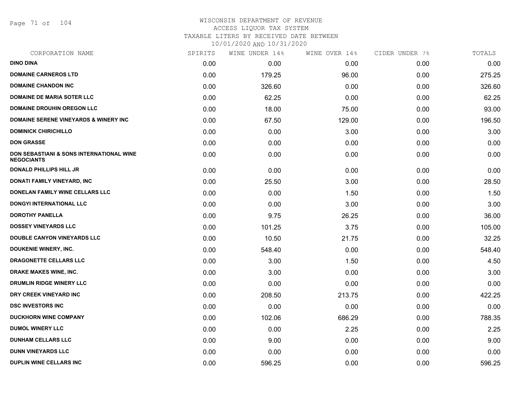Page 71 of 104

# WISCONSIN DEPARTMENT OF REVENUE ACCESS LIQUOR TAX SYSTEM TAXABLE LITERS BY RECEIVED DATE BETWEEN

| CORPORATION NAME                                              | SPIRITS | WINE UNDER 14% | WINE OVER 14% | CIDER UNDER 7% | TOTALS |
|---------------------------------------------------------------|---------|----------------|---------------|----------------|--------|
| <b>DINO DINA</b>                                              | 0.00    | 0.00           | 0.00          | 0.00           | 0.00   |
| <b>DOMAINE CARNEROS LTD</b>                                   | 0.00    | 179.25         | 96.00         | 0.00           | 275.25 |
| <b>DOMAINE CHANDON INC</b>                                    | 0.00    | 326.60         | 0.00          | 0.00           | 326.60 |
| <b>DOMAINE DE MARIA SOTER LLC</b>                             | 0.00    | 62.25          | 0.00          | 0.00           | 62.25  |
| <b>DOMAINE DROUHIN OREGON LLC</b>                             | 0.00    | 18.00          | 75.00         | 0.00           | 93.00  |
| <b>DOMAINE SERENE VINEYARDS &amp; WINERY INC</b>              | 0.00    | 67.50          | 129.00        | 0.00           | 196.50 |
| <b>DOMINICK CHIRICHILLO</b>                                   | 0.00    | 0.00           | 3.00          | 0.00           | 3.00   |
| <b>DON GRASSE</b>                                             | 0.00    | 0.00           | 0.00          | 0.00           | 0.00   |
| DON SEBASTIANI & SONS INTERNATIONAL WINE<br><b>NEGOCIANTS</b> | 0.00    | 0.00           | 0.00          | 0.00           | 0.00   |
| <b>DONALD PHILLIPS HILL JR</b>                                | 0.00    | 0.00           | 0.00          | 0.00           | 0.00   |
| DONATI FAMILY VINEYARD, INC                                   | 0.00    | 25.50          | 3.00          | 0.00           | 28.50  |
| <b>DONELAN FAMILY WINE CELLARS LLC</b>                        | 0.00    | 0.00           | 1.50          | 0.00           | 1.50   |
| <b>DONGYI INTERNATIONAL LLC</b>                               | 0.00    | 0.00           | 3.00          | 0.00           | 3.00   |
| <b>DOROTHY PANELLA</b>                                        | 0.00    | 9.75           | 26.25         | 0.00           | 36.00  |
| <b>DOSSEY VINEYARDS LLC</b>                                   | 0.00    | 101.25         | 3.75          | 0.00           | 105.00 |
| <b>DOUBLE CANYON VINEYARDS LLC</b>                            | 0.00    | 10.50          | 21.75         | 0.00           | 32.25  |
| <b>DOUKENIE WINERY, INC.</b>                                  | 0.00    | 548.40         | 0.00          | 0.00           | 548.40 |
| DRAGONETTE CELLARS LLC                                        | 0.00    | 3.00           | 1.50          | 0.00           | 4.50   |
| <b>DRAKE MAKES WINE, INC.</b>                                 | 0.00    | 3.00           | 0.00          | 0.00           | 3.00   |
| DRUMLIN RIDGE WINERY LLC                                      | 0.00    | 0.00           | 0.00          | 0.00           | 0.00   |
| DRY CREEK VINEYARD INC                                        | 0.00    | 208.50         | 213.75        | 0.00           | 422.25 |
| <b>DSC INVESTORS INC</b>                                      | 0.00    | 0.00           | 0.00          | 0.00           | 0.00   |
| <b>DUCKHORN WINE COMPANY</b>                                  | 0.00    | 102.06         | 686.29        | 0.00           | 788.35 |
| <b>DUMOL WINERY LLC</b>                                       | 0.00    | 0.00           | 2.25          | 0.00           | 2.25   |
| <b>DUNHAM CELLARS LLC</b>                                     | 0.00    | 9.00           | 0.00          | 0.00           | 9.00   |
| <b>DUNN VINEYARDS LLC</b>                                     | 0.00    | 0.00           | 0.00          | 0.00           | 0.00   |
| <b>DUPLIN WINE CELLARS INC</b>                                | 0.00    | 596.25         | 0.00          | 0.00           | 596.25 |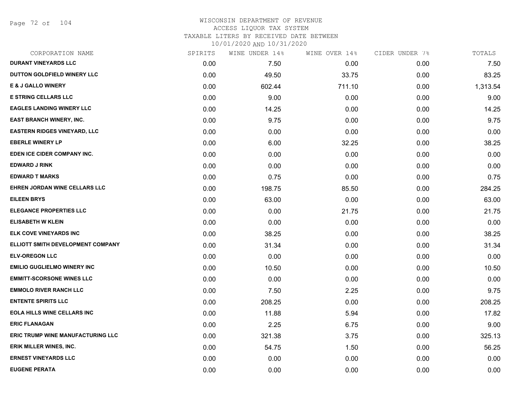Page 72 of 104

| CORPORATION NAME                    | SPIRITS | WINE UNDER 14% | WINE OVER 14% | CIDER UNDER 7% | TOTALS   |
|-------------------------------------|---------|----------------|---------------|----------------|----------|
| <b>DURANT VINEYARDS LLC</b>         | 0.00    | 7.50           | 0.00          | 0.00           | 7.50     |
| DUTTON GOLDFIELD WINERY LLC         | 0.00    | 49.50          | 33.75         | 0.00           | 83.25    |
| <b>E &amp; J GALLO WINERY</b>       | 0.00    | 602.44         | 711.10        | 0.00           | 1,313.54 |
| <b>E STRING CELLARS LLC</b>         | 0.00    | 9.00           | 0.00          | 0.00           | 9.00     |
| <b>EAGLES LANDING WINERY LLC</b>    | 0.00    | 14.25          | 0.00          | 0.00           | 14.25    |
| EAST BRANCH WINERY, INC.            | 0.00    | 9.75           | 0.00          | 0.00           | 9.75     |
| <b>EASTERN RIDGES VINEYARD, LLC</b> | 0.00    | 0.00           | 0.00          | 0.00           | 0.00     |
| <b>EBERLE WINERY LP</b>             | 0.00    | 6.00           | 32.25         | 0.00           | 38.25    |
| EDEN ICE CIDER COMPANY INC.         | 0.00    | 0.00           | 0.00          | 0.00           | 0.00     |
| <b>EDWARD J RINK</b>                | 0.00    | 0.00           | 0.00          | 0.00           | 0.00     |
| <b>EDWARD T MARKS</b>               | 0.00    | 0.75           | 0.00          | 0.00           | 0.75     |
| EHREN JORDAN WINE CELLARS LLC       | 0.00    | 198.75         | 85.50         | 0.00           | 284.25   |
| <b>EILEEN BRYS</b>                  | 0.00    | 63.00          | 0.00          | 0.00           | 63.00    |
| <b>ELEGANCE PROPERTIES LLC</b>      | 0.00    | 0.00           | 21.75         | 0.00           | 21.75    |
| <b>ELISABETH W KLEIN</b>            | 0.00    | 0.00           | 0.00          | 0.00           | 0.00     |
| <b>ELK COVE VINEYARDS INC</b>       | 0.00    | 38.25          | 0.00          | 0.00           | 38.25    |
| ELLIOTT SMITH DEVELOPMENT COMPANY   | 0.00    | 31.34          | 0.00          | 0.00           | 31.34    |
| <b>ELV-OREGON LLC</b>               | 0.00    | 0.00           | 0.00          | 0.00           | 0.00     |
| <b>EMILIO GUGLIELMO WINERY INC</b>  | 0.00    | 10.50          | 0.00          | 0.00           | 10.50    |
| <b>EMMITT-SCORSONE WINES LLC</b>    | 0.00    | 0.00           | 0.00          | 0.00           | 0.00     |
| <b>EMMOLO RIVER RANCH LLC</b>       | 0.00    | 7.50           | 2.25          | 0.00           | 9.75     |
| <b>ENTENTE SPIRITS LLC</b>          | 0.00    | 208.25         | 0.00          | 0.00           | 208.25   |
| <b>EOLA HILLS WINE CELLARS INC</b>  | 0.00    | 11.88          | 5.94          | 0.00           | 17.82    |
| <b>ERIC FLANAGAN</b>                | 0.00    | 2.25           | 6.75          | 0.00           | 9.00     |
| ERIC TRUMP WINE MANUFACTURING LLC   | 0.00    | 321.38         | 3.75          | 0.00           | 325.13   |
| <b>ERIK MILLER WINES, INC.</b>      | 0.00    | 54.75          | 1.50          | 0.00           | 56.25    |
| <b>ERNEST VINEYARDS LLC</b>         | 0.00    | 0.00           | 0.00          | 0.00           | 0.00     |
| <b>EUGENE PERATA</b>                | 0.00    | 0.00           | 0.00          | 0.00           | 0.00     |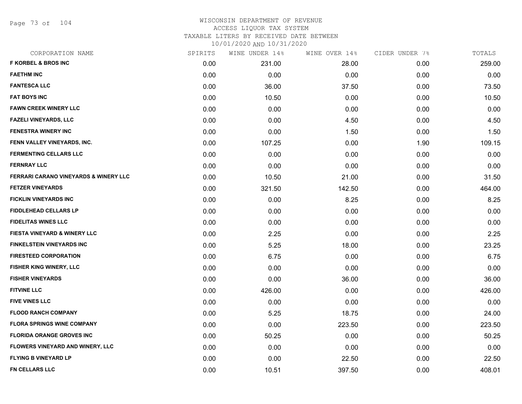Page 73 of 104

### WISCONSIN DEPARTMENT OF REVENUE ACCESS LIQUOR TAX SYSTEM TAXABLE LITERS BY RECEIVED DATE BETWEEN

| CORPORATION NAME                        | SPIRITS | WINE UNDER 14% | WINE OVER 14% | CIDER UNDER 7% | TOTALS |
|-----------------------------------------|---------|----------------|---------------|----------------|--------|
| <b>F KORBEL &amp; BROS INC</b>          | 0.00    | 231.00         | 28.00         | 0.00           | 259.00 |
| <b>FAETHM INC</b>                       | 0.00    | 0.00           | 0.00          | 0.00           | 0.00   |
| <b>FANTESCA LLC</b>                     | 0.00    | 36.00          | 37.50         | 0.00           | 73.50  |
| <b>FAT BOYS INC</b>                     | 0.00    | 10.50          | 0.00          | 0.00           | 10.50  |
| <b>FAWN CREEK WINERY LLC</b>            | 0.00    | 0.00           | 0.00          | 0.00           | 0.00   |
| FAZELI VINEYARDS, LLC                   | 0.00    | 0.00           | 4.50          | 0.00           | 4.50   |
| <b>FENESTRA WINERY INC</b>              | 0.00    | 0.00           | 1.50          | 0.00           | 1.50   |
| FENN VALLEY VINEYARDS, INC.             | 0.00    | 107.25         | 0.00          | 1.90           | 109.15 |
| <b>FERMENTING CELLARS LLC</b>           | 0.00    | 0.00           | 0.00          | 0.00           | 0.00   |
| <b>FERNRAY LLC</b>                      | 0.00    | 0.00           | 0.00          | 0.00           | 0.00   |
| FERRARI CARANO VINEYARDS & WINERY LLC   | 0.00    | 10.50          | 21.00         | 0.00           | 31.50  |
| <b>FETZER VINEYARDS</b>                 | 0.00    | 321.50         | 142.50        | 0.00           | 464.00 |
| <b>FICKLIN VINEYARDS INC</b>            | 0.00    | 0.00           | 8.25          | 0.00           | 8.25   |
| <b>FIDDLEHEAD CELLARS LP</b>            | 0.00    | 0.00           | 0.00          | 0.00           | 0.00   |
| <b>FIDELITAS WINES LLC</b>              | 0.00    | 0.00           | 0.00          | 0.00           | 0.00   |
| FIESTA VINEYARD & WINERY LLC            | 0.00    | 2.25           | 0.00          | 0.00           | 2.25   |
| <b>FINKELSTEIN VINEYARDS INC</b>        | 0.00    | 5.25           | 18.00         | 0.00           | 23.25  |
| <b>FIRESTEED CORPORATION</b>            | 0.00    | 6.75           | 0.00          | 0.00           | 6.75   |
| FISHER KING WINERY, LLC                 | 0.00    | 0.00           | 0.00          | 0.00           | 0.00   |
| <b>FISHER VINEYARDS</b>                 | 0.00    | 0.00           | 36.00         | 0.00           | 36.00  |
| <b>FITVINE LLC</b>                      | 0.00    | 426.00         | 0.00          | 0.00           | 426.00 |
| <b>FIVE VINES LLC</b>                   | 0.00    | 0.00           | 0.00          | 0.00           | 0.00   |
| <b>FLOOD RANCH COMPANY</b>              | 0.00    | 5.25           | 18.75         | 0.00           | 24.00  |
| <b>FLORA SPRINGS WINE COMPANY</b>       | 0.00    | 0.00           | 223.50        | 0.00           | 223.50 |
| <b>FLORIDA ORANGE GROVES INC</b>        | 0.00    | 50.25          | 0.00          | 0.00           | 50.25  |
| <b>FLOWERS VINEYARD AND WINERY, LLC</b> | 0.00    | 0.00           | 0.00          | 0.00           | 0.00   |
| <b>FLYING B VINEYARD LP</b>             | 0.00    | 0.00           | 22.50         | 0.00           | 22.50  |
| FN CELLARS LLC                          | 0.00    | 10.51          | 397.50        | 0.00           | 408.01 |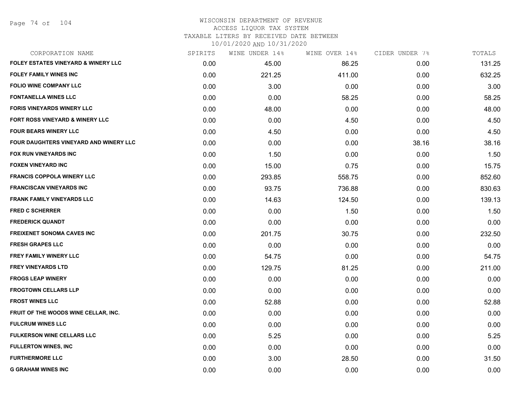Page 74 of 104

## WISCONSIN DEPARTMENT OF REVENUE ACCESS LIQUOR TAX SYSTEM TAXABLE LITERS BY RECEIVED DATE BETWEEN

| CORPORATION NAME                               | SPIRITS | WINE UNDER 14% | WINE OVER 14% | CIDER UNDER 7% | TOTALS |
|------------------------------------------------|---------|----------------|---------------|----------------|--------|
| <b>FOLEY ESTATES VINEYARD &amp; WINERY LLC</b> | 0.00    | 45.00          | 86.25         | 0.00           | 131.25 |
| <b>FOLEY FAMILY WINES INC</b>                  | 0.00    | 221.25         | 411.00        | 0.00           | 632.25 |
| <b>FOLIO WINE COMPANY LLC</b>                  | 0.00    | 3.00           | 0.00          | 0.00           | 3.00   |
| <b>FONTANELLA WINES LLC</b>                    | 0.00    | 0.00           | 58.25         | 0.00           | 58.25  |
| <b>FORIS VINEYARDS WINERY LLC</b>              | 0.00    | 48.00          | 0.00          | 0.00           | 48.00  |
| FORT ROSS VINEYARD & WINERY LLC                | 0.00    | 0.00           | 4.50          | 0.00           | 4.50   |
| <b>FOUR BEARS WINERY LLC</b>                   | 0.00    | 4.50           | 0.00          | 0.00           | 4.50   |
| <b>FOUR DAUGHTERS VINEYARD AND WINERY LLC</b>  | 0.00    | 0.00           | 0.00          | 38.16          | 38.16  |
| <b>FOX RUN VINEYARDS INC</b>                   | 0.00    | 1.50           | 0.00          | 0.00           | 1.50   |
| <b>FOXEN VINEYARD INC</b>                      | 0.00    | 15.00          | 0.75          | 0.00           | 15.75  |
| <b>FRANCIS COPPOLA WINERY LLC</b>              | 0.00    | 293.85         | 558.75        | 0.00           | 852.60 |
| <b>FRANCISCAN VINEYARDS INC</b>                | 0.00    | 93.75          | 736.88        | 0.00           | 830.63 |
| <b>FRANK FAMILY VINEYARDS LLC</b>              | 0.00    | 14.63          | 124.50        | 0.00           | 139.13 |
| <b>FRED C SCHERRER</b>                         | 0.00    | 0.00           | 1.50          | 0.00           | 1.50   |
| <b>FREDERICK QUANDT</b>                        | 0.00    | 0.00           | 0.00          | 0.00           | 0.00   |
| <b>FREIXENET SONOMA CAVES INC</b>              | 0.00    | 201.75         | 30.75         | 0.00           | 232.50 |
| <b>FRESH GRAPES LLC</b>                        | 0.00    | 0.00           | 0.00          | 0.00           | 0.00   |
| <b>FREY FAMILY WINERY LLC</b>                  | 0.00    | 54.75          | 0.00          | 0.00           | 54.75  |
| <b>FREY VINEYARDS LTD</b>                      | 0.00    | 129.75         | 81.25         | 0.00           | 211.00 |
| <b>FROGS LEAP WINERY</b>                       | 0.00    | 0.00           | 0.00          | 0.00           | 0.00   |
| <b>FROGTOWN CELLARS LLP</b>                    | 0.00    | 0.00           | 0.00          | 0.00           | 0.00   |
| <b>FROST WINES LLC</b>                         | 0.00    | 52.88          | 0.00          | 0.00           | 52.88  |
| FRUIT OF THE WOODS WINE CELLAR, INC.           | 0.00    | 0.00           | 0.00          | 0.00           | 0.00   |
| <b>FULCRUM WINES LLC</b>                       | 0.00    | 0.00           | 0.00          | 0.00           | 0.00   |
| <b>FULKERSON WINE CELLARS LLC</b>              | 0.00    | 5.25           | 0.00          | 0.00           | 5.25   |
| <b>FULLERTON WINES, INC</b>                    | 0.00    | 0.00           | 0.00          | 0.00           | 0.00   |
| <b>FURTHERMORE LLC</b>                         | 0.00    | 3.00           | 28.50         | 0.00           | 31.50  |
| <b>G GRAHAM WINES INC</b>                      | 0.00    | 0.00           | 0.00          | 0.00           | 0.00   |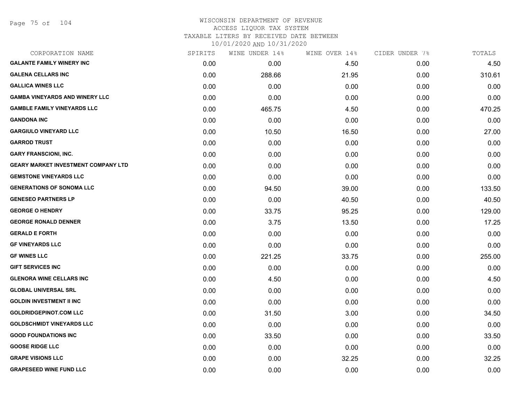#### WISCONSIN DEPARTMENT OF REVENUE ACCESS LIQUOR TAX SYSTEM TAXABLE LITERS BY RECEIVED DATE BETWEEN

| CORPORATION NAME                           | SPIRITS | WINE UNDER 14% | WINE OVER 14% | CIDER UNDER 7% | TOTALS |
|--------------------------------------------|---------|----------------|---------------|----------------|--------|
| <b>GALANTE FAMILY WINERY INC</b>           | 0.00    | 0.00           | 4.50          | 0.00           | 4.50   |
| <b>GALENA CELLARS INC</b>                  | 0.00    | 288.66         | 21.95         | 0.00           | 310.61 |
| <b>GALLICA WINES LLC</b>                   | 0.00    | 0.00           | 0.00          | 0.00           | 0.00   |
| <b>GAMBA VINEYARDS AND WINERY LLC</b>      | 0.00    | 0.00           | 0.00          | 0.00           | 0.00   |
| <b>GAMBLE FAMILY VINEYARDS LLC</b>         | 0.00    | 465.75         | 4.50          | 0.00           | 470.25 |
| <b>GANDONA INC</b>                         | 0.00    | 0.00           | 0.00          | 0.00           | 0.00   |
| <b>GARGIULO VINEYARD LLC</b>               | 0.00    | 10.50          | 16.50         | 0.00           | 27.00  |
| <b>GARROD TRUST</b>                        | 0.00    | 0.00           | 0.00          | 0.00           | 0.00   |
| <b>GARY FRANSCIONI, INC.</b>               | 0.00    | 0.00           | 0.00          | 0.00           | 0.00   |
| <b>GEARY MARKET INVESTMENT COMPANY LTD</b> | 0.00    | 0.00           | 0.00          | 0.00           | 0.00   |
| <b>GEMSTONE VINEYARDS LLC</b>              | 0.00    | 0.00           | 0.00          | 0.00           | 0.00   |
| <b>GENERATIONS OF SONOMA LLC</b>           | 0.00    | 94.50          | 39.00         | 0.00           | 133.50 |
| <b>GENESEO PARTNERS LP</b>                 | 0.00    | 0.00           | 40.50         | 0.00           | 40.50  |
| <b>GEORGE O HENDRY</b>                     | 0.00    | 33.75          | 95.25         | 0.00           | 129.00 |
| <b>GEORGE RONALD DENNER</b>                | 0.00    | 3.75           | 13.50         | 0.00           | 17.25  |
| <b>GERALD E FORTH</b>                      | 0.00    | 0.00           | 0.00          | 0.00           | 0.00   |
| <b>GF VINEYARDS LLC</b>                    | 0.00    | 0.00           | 0.00          | 0.00           | 0.00   |
| <b>GF WINES LLC</b>                        | 0.00    | 221.25         | 33.75         | 0.00           | 255.00 |
| <b>GIFT SERVICES INC</b>                   | 0.00    | 0.00           | 0.00          | 0.00           | 0.00   |
| <b>GLENORA WINE CELLARS INC</b>            | 0.00    | 4.50           | 0.00          | 0.00           | 4.50   |
| <b>GLOBAL UNIVERSAL SRL</b>                | 0.00    | 0.00           | 0.00          | 0.00           | 0.00   |
| <b>GOLDIN INVESTMENT II INC</b>            | 0.00    | 0.00           | 0.00          | 0.00           | 0.00   |
| <b>GOLDRIDGEPINOT.COM LLC</b>              | 0.00    | 31.50          | 3.00          | 0.00           | 34.50  |
| <b>GOLDSCHMIDT VINEYARDS LLC</b>           | 0.00    | 0.00           | 0.00          | 0.00           | 0.00   |
| <b>GOOD FOUNDATIONS INC</b>                | 0.00    | 33.50          | 0.00          | 0.00           | 33.50  |
| <b>GOOSE RIDGE LLC</b>                     | 0.00    | 0.00           | 0.00          | 0.00           | 0.00   |
| <b>GRAPE VISIONS LLC</b>                   | 0.00    | 0.00           | 32.25         | 0.00           | 32.25  |
| <b>GRAPESEED WINE FUND LLC</b>             | 0.00    | 0.00           | 0.00          | 0.00           | 0.00   |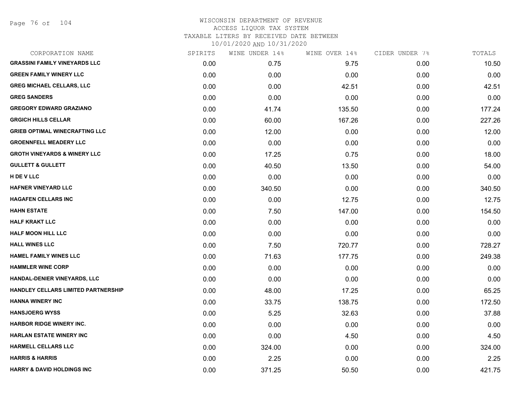Page 76 of 104

| CORPORATION NAME                        | SPIRITS | WINE UNDER 14% | WINE OVER 14% | CIDER UNDER 7% | TOTALS |
|-----------------------------------------|---------|----------------|---------------|----------------|--------|
| <b>GRASSINI FAMILY VINEYARDS LLC</b>    | 0.00    | 0.75           | 9.75          | 0.00           | 10.50  |
| <b>GREEN FAMILY WINERY LLC</b>          | 0.00    | 0.00           | 0.00          | 0.00           | 0.00   |
| <b>GREG MICHAEL CELLARS, LLC</b>        | 0.00    | 0.00           | 42.51         | 0.00           | 42.51  |
| <b>GREG SANDERS</b>                     | 0.00    | 0.00           | 0.00          | 0.00           | 0.00   |
| <b>GREGORY EDWARD GRAZIANO</b>          | 0.00    | 41.74          | 135.50        | 0.00           | 177.24 |
| <b>GRGICH HILLS CELLAR</b>              | 0.00    | 60.00          | 167.26        | 0.00           | 227.26 |
| <b>GRIEB OPTIMAL WINECRAFTING LLC</b>   | 0.00    | 12.00          | 0.00          | 0.00           | 12.00  |
| <b>GROENNFELL MEADERY LLC</b>           | 0.00    | 0.00           | 0.00          | 0.00           | 0.00   |
| <b>GROTH VINEYARDS &amp; WINERY LLC</b> | 0.00    | 17.25          | 0.75          | 0.00           | 18.00  |
| <b>GULLETT &amp; GULLETT</b>            | 0.00    | 40.50          | 13.50         | 0.00           | 54.00  |
| H DE V LLC                              | 0.00    | 0.00           | 0.00          | 0.00           | 0.00   |
| <b>HAFNER VINEYARD LLC</b>              | 0.00    | 340.50         | 0.00          | 0.00           | 340.50 |
| <b>HAGAFEN CELLARS INC</b>              | 0.00    | 0.00           | 12.75         | 0.00           | 12.75  |
| <b>HAHN ESTATE</b>                      | 0.00    | 7.50           | 147.00        | 0.00           | 154.50 |
| <b>HALF KRAKT LLC</b>                   | 0.00    | 0.00           | 0.00          | 0.00           | 0.00   |
| <b>HALF MOON HILL LLC</b>               | 0.00    | 0.00           | 0.00          | 0.00           | 0.00   |
| <b>HALL WINES LLC</b>                   | 0.00    | 7.50           | 720.77        | 0.00           | 728.27 |
| <b>HAMEL FAMILY WINES LLC</b>           | 0.00    | 71.63          | 177.75        | 0.00           | 249.38 |
| <b>HAMMLER WINE CORP</b>                | 0.00    | 0.00           | 0.00          | 0.00           | 0.00   |
| HANDAL-DENIER VINEYARDS, LLC            | 0.00    | 0.00           | 0.00          | 0.00           | 0.00   |
| HANDLEY CELLARS LIMITED PARTNERSHIP     | 0.00    | 48.00          | 17.25         | 0.00           | 65.25  |
| <b>HANNA WINERY INC</b>                 | 0.00    | 33.75          | 138.75        | 0.00           | 172.50 |
| <b>HANSJOERG WYSS</b>                   | 0.00    | 5.25           | 32.63         | 0.00           | 37.88  |
| <b>HARBOR RIDGE WINERY INC.</b>         | 0.00    | 0.00           | 0.00          | 0.00           | 0.00   |
| <b>HARLAN ESTATE WINERY INC</b>         | 0.00    | 0.00           | 4.50          | 0.00           | 4.50   |
| HARMELL CELLARS LLC                     | 0.00    | 324.00         | 0.00          | 0.00           | 324.00 |
| <b>HARRIS &amp; HARRIS</b>              | 0.00    | 2.25           | 0.00          | 0.00           | 2.25   |
| <b>HARRY &amp; DAVID HOLDINGS INC</b>   | 0.00    | 371.25         | 50.50         | 0.00           | 421.75 |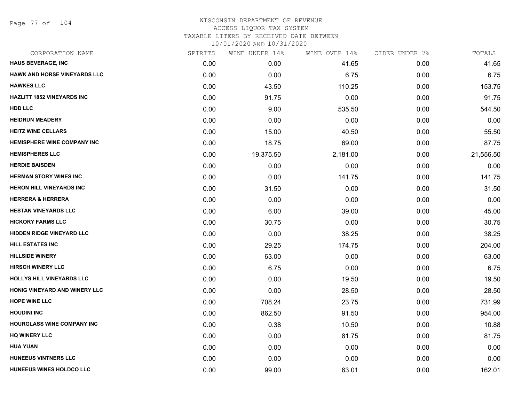Page 77 of 104

| CORPORATION NAME                     | SPIRITS | WINE UNDER 14% | WINE OVER 14% | CIDER UNDER 7% | TOTALS    |
|--------------------------------------|---------|----------------|---------------|----------------|-----------|
| <b>HAUS BEVERAGE, INC</b>            | 0.00    | 0.00           | 41.65         | 0.00           | 41.65     |
| HAWK AND HORSE VINEYARDS LLC         | 0.00    | 0.00           | 6.75          | 0.00           | 6.75      |
| <b>HAWKES LLC</b>                    | 0.00    | 43.50          | 110.25        | 0.00           | 153.75    |
| <b>HAZLITT 1852 VINEYARDS INC</b>    | 0.00    | 91.75          | 0.00          | 0.00           | 91.75     |
| <b>HDD LLC</b>                       | 0.00    | 9.00           | 535.50        | 0.00           | 544.50    |
| <b>HEIDRUN MEADERY</b>               | 0.00    | 0.00           | 0.00          | 0.00           | 0.00      |
| <b>HEITZ WINE CELLARS</b>            | 0.00    | 15.00          | 40.50         | 0.00           | 55.50     |
| <b>HEMISPHERE WINE COMPANY INC</b>   | 0.00    | 18.75          | 69.00         | 0.00           | 87.75     |
| <b>HEMISPHERES LLC</b>               | 0.00    | 19,375.50      | 2,181.00      | 0.00           | 21,556.50 |
| <b>HERDIE BAISDEN</b>                | 0.00    | 0.00           | 0.00          | 0.00           | 0.00      |
| <b>HERMAN STORY WINES INC</b>        | 0.00    | 0.00           | 141.75        | 0.00           | 141.75    |
| <b>HERON HILL VINEYARDS INC</b>      | 0.00    | 31.50          | 0.00          | 0.00           | 31.50     |
| <b>HERRERA &amp; HERRERA</b>         | 0.00    | 0.00           | 0.00          | 0.00           | 0.00      |
| <b>HESTAN VINEYARDS LLC</b>          | 0.00    | 6.00           | 39.00         | 0.00           | 45.00     |
| <b>HICKORY FARMS LLC</b>             | 0.00    | 30.75          | 0.00          | 0.00           | 30.75     |
| <b>HIDDEN RIDGE VINEYARD LLC</b>     | 0.00    | 0.00           | 38.25         | 0.00           | 38.25     |
| HILL ESTATES INC                     | 0.00    | 29.25          | 174.75        | 0.00           | 204.00    |
| <b>HILLSIDE WINERY</b>               | 0.00    | 63.00          | 0.00          | 0.00           | 63.00     |
| <b>HIRSCH WINERY LLC</b>             | 0.00    | 6.75           | 0.00          | 0.00           | 6.75      |
| <b>HOLLYS HILL VINEYARDS LLC</b>     | 0.00    | 0.00           | 19.50         | 0.00           | 19.50     |
| <b>HONIG VINEYARD AND WINERY LLC</b> | 0.00    | 0.00           | 28.50         | 0.00           | 28.50     |
| <b>HOPE WINE LLC</b>                 | 0.00    | 708.24         | 23.75         | 0.00           | 731.99    |
| <b>HOUDINI INC</b>                   | 0.00    | 862.50         | 91.50         | 0.00           | 954.00    |
| <b>HOURGLASS WINE COMPANY INC</b>    | 0.00    | 0.38           | 10.50         | 0.00           | 10.88     |
| <b>HQ WINERY LLC</b>                 | 0.00    | 0.00           | 81.75         | 0.00           | 81.75     |
| <b>HUA YUAN</b>                      | 0.00    | 0.00           | 0.00          | 0.00           | 0.00      |
| <b>HUNEEUS VINTNERS LLC</b>          | 0.00    | 0.00           | 0.00          | 0.00           | 0.00      |
| HUNEEUS WINES HOLDCO LLC             | 0.00    | 99.00          | 63.01         | 0.00           | 162.01    |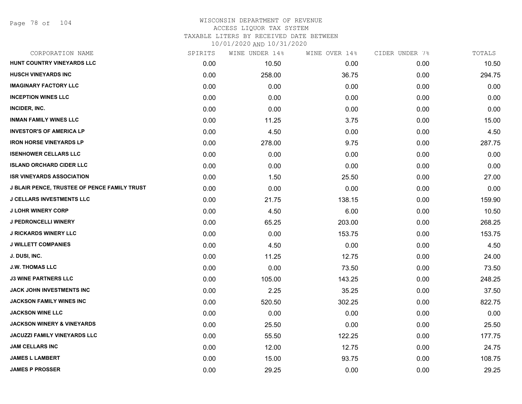Page 78 of 104

## WISCONSIN DEPARTMENT OF REVENUE ACCESS LIQUOR TAX SYSTEM TAXABLE LITERS BY RECEIVED DATE BETWEEN

| CORPORATION NAME                             | SPIRITS | WINE UNDER 14% | WINE OVER 14% | CIDER UNDER 7% | TOTALS |
|----------------------------------------------|---------|----------------|---------------|----------------|--------|
| HUNT COUNTRY VINEYARDS LLC                   | 0.00    | 10.50          | 0.00          | 0.00           | 10.50  |
| <b>HUSCH VINEYARDS INC</b>                   | 0.00    | 258.00         | 36.75         | 0.00           | 294.75 |
| <b>IMAGINARY FACTORY LLC</b>                 | 0.00    | 0.00           | 0.00          | 0.00           | 0.00   |
| <b>INCEPTION WINES LLC</b>                   | 0.00    | 0.00           | 0.00          | 0.00           | 0.00   |
| INCIDER, INC.                                | 0.00    | 0.00           | 0.00          | 0.00           | 0.00   |
| <b>INMAN FAMILY WINES LLC</b>                | 0.00    | 11.25          | 3.75          | 0.00           | 15.00  |
| <b>INVESTOR'S OF AMERICA LP</b>              | 0.00    | 4.50           | 0.00          | 0.00           | 4.50   |
| <b>IRON HORSE VINEYARDS LP</b>               | 0.00    | 278.00         | 9.75          | 0.00           | 287.75 |
| <b>ISENHOWER CELLARS LLC</b>                 | 0.00    | 0.00           | 0.00          | 0.00           | 0.00   |
| <b>ISLAND ORCHARD CIDER LLC</b>              | 0.00    | 0.00           | 0.00          | 0.00           | 0.00   |
| <b>ISR VINEYARDS ASSOCIATION</b>             | 0.00    | 1.50           | 25.50         | 0.00           | 27.00  |
| J BLAIR PENCE, TRUSTEE OF PENCE FAMILY TRUST | 0.00    | 0.00           | 0.00          | 0.00           | 0.00   |
| <b>J CELLARS INVESTMENTS LLC</b>             | 0.00    | 21.75          | 138.15        | 0.00           | 159.90 |
| <b>J LOHR WINERY CORP</b>                    | 0.00    | 4.50           | 6.00          | 0.00           | 10.50  |
| <b>J PEDRONCELLI WINERY</b>                  | 0.00    | 65.25          | 203.00        | 0.00           | 268.25 |
| <b>J RICKARDS WINERY LLC</b>                 | 0.00    | 0.00           | 153.75        | 0.00           | 153.75 |
| <b>J WILLETT COMPANIES</b>                   | 0.00    | 4.50           | 0.00          | 0.00           | 4.50   |
| J. DUSI, INC.                                | 0.00    | 11.25          | 12.75         | 0.00           | 24.00  |
| <b>J.W. THOMAS LLC</b>                       | 0.00    | 0.00           | 73.50         | 0.00           | 73.50  |
| <b>J3 WINE PARTNERS LLC</b>                  | 0.00    | 105.00         | 143.25        | 0.00           | 248.25 |
| JACK JOHN INVESTMENTS INC                    | 0.00    | 2.25           | 35.25         | 0.00           | 37.50  |
| JACKSON FAMILY WINES INC                     | 0.00    | 520.50         | 302.25        | 0.00           | 822.75 |
| <b>JACKSON WINE LLC</b>                      | 0.00    | 0.00           | 0.00          | 0.00           | 0.00   |
| <b>JACKSON WINERY &amp; VINEYARDS</b>        | 0.00    | 25.50          | 0.00          | 0.00           | 25.50  |
| <b>JACUZZI FAMILY VINEYARDS LLC</b>          | 0.00    | 55.50          | 122.25        | 0.00           | 177.75 |
| <b>JAM CELLARS INC</b>                       | 0.00    | 12.00          | 12.75         | 0.00           | 24.75  |
| <b>JAMES L LAMBERT</b>                       | 0.00    | 15.00          | 93.75         | 0.00           | 108.75 |
| <b>JAMES P PROSSER</b>                       | 0.00    | 29.25          | 0.00          | 0.00           | 29.25  |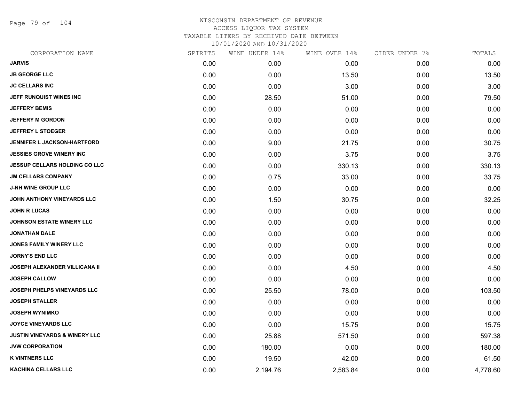Page 79 of 104

| CORPORATION NAME                         | SPIRITS | WINE UNDER 14% | WINE OVER 14% | CIDER UNDER 7% | TOTALS   |
|------------------------------------------|---------|----------------|---------------|----------------|----------|
| <b>JARVIS</b>                            | 0.00    | 0.00           | 0.00          | 0.00           | 0.00     |
| <b>JB GEORGE LLC</b>                     | 0.00    | 0.00           | 13.50         | 0.00           | 13.50    |
| <b>JC CELLARS INC</b>                    | 0.00    | 0.00           | 3.00          | 0.00           | 3.00     |
| JEFF RUNQUIST WINES INC                  | 0.00    | 28.50          | 51.00         | 0.00           | 79.50    |
| <b>JEFFERY BEMIS</b>                     | 0.00    | 0.00           | 0.00          | 0.00           | 0.00     |
| <b>JEFFERY M GORDON</b>                  | 0.00    | 0.00           | 0.00          | 0.00           | 0.00     |
| <b>JEFFREY L STOEGER</b>                 | 0.00    | 0.00           | 0.00          | 0.00           | 0.00     |
| JENNIFER L JACKSON-HARTFORD              | 0.00    | 9.00           | 21.75         | 0.00           | 30.75    |
| <b>JESSIES GROVE WINERY INC</b>          | 0.00    | 0.00           | 3.75          | 0.00           | 3.75     |
| <b>JESSUP CELLARS HOLDING CO LLC</b>     | 0.00    | 0.00           | 330.13        | 0.00           | 330.13   |
| <b>JM CELLARS COMPANY</b>                | 0.00    | 0.75           | 33.00         | 0.00           | 33.75    |
| <b>J-NH WINE GROUP LLC</b>               | 0.00    | 0.00           | 0.00          | 0.00           | 0.00     |
| JOHN ANTHONY VINEYARDS LLC               | 0.00    | 1.50           | 30.75         | 0.00           | 32.25    |
| <b>JOHN R LUCAS</b>                      | 0.00    | 0.00           | 0.00          | 0.00           | 0.00     |
| JOHNSON ESTATE WINERY LLC                | 0.00    | 0.00           | 0.00          | 0.00           | 0.00     |
| <b>JONATHAN DALE</b>                     | 0.00    | 0.00           | 0.00          | 0.00           | 0.00     |
| <b>JONES FAMILY WINERY LLC</b>           | 0.00    | 0.00           | 0.00          | 0.00           | 0.00     |
| <b>JORNY'S END LLC</b>                   | 0.00    | 0.00           | 0.00          | 0.00           | 0.00     |
| <b>JOSEPH ALEXANDER VILLICANA II</b>     | 0.00    | 0.00           | 4.50          | 0.00           | 4.50     |
| <b>JOSEPH CALLOW</b>                     | 0.00    | 0.00           | 0.00          | 0.00           | 0.00     |
| JOSEPH PHELPS VINEYARDS LLC              | 0.00    | 25.50          | 78.00         | 0.00           | 103.50   |
| <b>JOSEPH STALLER</b>                    | 0.00    | 0.00           | 0.00          | 0.00           | 0.00     |
| <b>JOSEPH WYNIMKO</b>                    | 0.00    | 0.00           | 0.00          | 0.00           | 0.00     |
| <b>JOYCE VINEYARDS LLC</b>               | 0.00    | 0.00           | 15.75         | 0.00           | 15.75    |
| <b>JUSTIN VINEYARDS &amp; WINERY LLC</b> | 0.00    | 25.88          | 571.50        | 0.00           | 597.38   |
| <b>JVW CORPORATION</b>                   | 0.00    | 180.00         | 0.00          | 0.00           | 180.00   |
| <b>K VINTNERS LLC</b>                    | 0.00    | 19.50          | 42.00         | 0.00           | 61.50    |
| <b>KACHINA CELLARS LLC</b>               | 0.00    | 2,194.76       | 2,583.84      | 0.00           | 4,778.60 |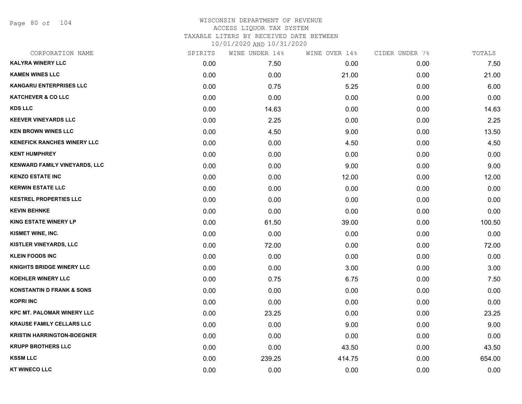Page 80 of 104

| CORPORATION NAME                     | SPIRITS | WINE UNDER 14% | WINE OVER 14% | CIDER UNDER 7% | TOTALS |
|--------------------------------------|---------|----------------|---------------|----------------|--------|
| <b>KALYRA WINERY LLC</b>             | 0.00    | 7.50           | 0.00          | 0.00           | 7.50   |
| <b>KAMEN WINES LLC</b>               | 0.00    | 0.00           | 21.00         | 0.00           | 21.00  |
| <b>KANGARU ENTERPRISES LLC</b>       | 0.00    | 0.75           | 5.25          | 0.00           | 6.00   |
| <b>KATCHEVER &amp; CO LLC</b>        | 0.00    | 0.00           | 0.00          | 0.00           | 0.00   |
| <b>KDS LLC</b>                       | 0.00    | 14.63          | 0.00          | 0.00           | 14.63  |
| <b>KEEVER VINEYARDS LLC</b>          | 0.00    | 2.25           | 0.00          | 0.00           | 2.25   |
| <b>KEN BROWN WINES LLC</b>           | 0.00    | 4.50           | 9.00          | 0.00           | 13.50  |
| <b>KENEFICK RANCHES WINERY LLC</b>   | 0.00    | 0.00           | 4.50          | 0.00           | 4.50   |
| <b>KENT HUMPHREY</b>                 | 0.00    | 0.00           | 0.00          | 0.00           | 0.00   |
| <b>KENWARD FAMILY VINEYARDS, LLC</b> | 0.00    | 0.00           | 9.00          | 0.00           | 9.00   |
| <b>KENZO ESTATE INC</b>              | 0.00    | 0.00           | 12.00         | 0.00           | 12.00  |
| <b>KERWIN ESTATE LLC</b>             | 0.00    | 0.00           | 0.00          | 0.00           | 0.00   |
| <b>KESTREL PROPERTIES LLC</b>        | 0.00    | 0.00           | 0.00          | 0.00           | 0.00   |
| <b>KEVIN BEHNKE</b>                  | 0.00    | 0.00           | 0.00          | 0.00           | 0.00   |
| <b>KING ESTATE WINERY LP</b>         | 0.00    | 61.50          | 39.00         | 0.00           | 100.50 |
| KISMET WINE, INC.                    | 0.00    | 0.00           | 0.00          | 0.00           | 0.00   |
| <b>KISTLER VINEYARDS, LLC</b>        | 0.00    | 72.00          | 0.00          | 0.00           | 72.00  |
| <b>KLEIN FOODS INC</b>               | 0.00    | 0.00           | 0.00          | 0.00           | 0.00   |
| <b>KNIGHTS BRIDGE WINERY LLC</b>     | 0.00    | 0.00           | 3.00          | 0.00           | 3.00   |
| <b>KOEHLER WINERY LLC</b>            | 0.00    | 0.75           | 6.75          | 0.00           | 7.50   |
| <b>KONSTANTIN D FRANK &amp; SONS</b> | 0.00    | 0.00           | 0.00          | 0.00           | 0.00   |
| <b>KOPRI INC</b>                     | 0.00    | 0.00           | 0.00          | 0.00           | 0.00   |
| <b>KPC MT. PALOMAR WINERY LLC</b>    | 0.00    | 23.25          | 0.00          | 0.00           | 23.25  |
| <b>KRAUSE FAMILY CELLARS LLC</b>     | 0.00    | 0.00           | 9.00          | 0.00           | 9.00   |
| <b>KRISTIN HARRINGTON-BOEGNER</b>    | 0.00    | 0.00           | 0.00          | 0.00           | 0.00   |
| <b>KRUPP BROTHERS LLC</b>            | 0.00    | 0.00           | 43.50         | 0.00           | 43.50  |
| <b>KSSM LLC</b>                      | 0.00    | 239.25         | 414.75        | 0.00           | 654.00 |
| <b>KT WINECO LLC</b>                 | 0.00    | 0.00           | 0.00          | 0.00           | 0.00   |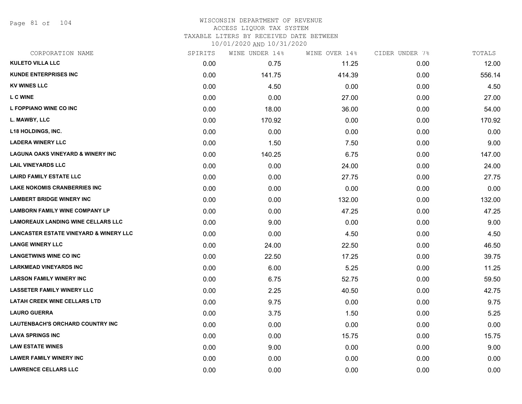Page 81 of 104

# WISCONSIN DEPARTMENT OF REVENUE ACCESS LIQUOR TAX SYSTEM

TAXABLE LITERS BY RECEIVED DATE BETWEEN

| CORPORATION NAME                                  | SPIRITS | WINE UNDER 14% | WINE OVER 14% | CIDER UNDER 7% | TOTALS |
|---------------------------------------------------|---------|----------------|---------------|----------------|--------|
| <b>KULETO VILLA LLC</b>                           | 0.00    | 0.75           | 11.25         | 0.00           | 12.00  |
| <b>KUNDE ENTERPRISES INC.</b>                     | 0.00    | 141.75         | 414.39        | 0.00           | 556.14 |
| <b>KV WINES LLC</b>                               | 0.00    | 4.50           | 0.00          | 0.00           | 4.50   |
| <b>LCWINE</b>                                     | 0.00    | 0.00           | 27.00         | 0.00           | 27.00  |
| L FOPPIANO WINE CO INC                            | 0.00    | 18.00          | 36.00         | 0.00           | 54.00  |
| L. MAWBY, LLC                                     | 0.00    | 170.92         | 0.00          | 0.00           | 170.92 |
| L18 HOLDINGS, INC.                                | 0.00    | 0.00           | 0.00          | 0.00           | 0.00   |
| <b>LADERA WINERY LLC</b>                          | 0.00    | 1.50           | 7.50          | 0.00           | 9.00   |
| <b>LAGUNA OAKS VINEYARD &amp; WINERY INC</b>      | 0.00    | 140.25         | 6.75          | 0.00           | 147.00 |
| <b>LAIL VINEYARDS LLC</b>                         | 0.00    | 0.00           | 24.00         | 0.00           | 24.00  |
| <b>LAIRD FAMILY ESTATE LLC</b>                    | 0.00    | 0.00           | 27.75         | 0.00           | 27.75  |
| <b>LAKE NOKOMIS CRANBERRIES INC</b>               | 0.00    | 0.00           | 0.00          | 0.00           | 0.00   |
| <b>LAMBERT BRIDGE WINERY INC</b>                  | 0.00    | 0.00           | 132.00        | 0.00           | 132.00 |
| <b>LAMBORN FAMILY WINE COMPANY LP</b>             | 0.00    | 0.00           | 47.25         | 0.00           | 47.25  |
| <b>LAMOREAUX LANDING WINE CELLARS LLC</b>         | 0.00    | 9.00           | 0.00          | 0.00           | 9.00   |
| <b>LANCASTER ESTATE VINEYARD &amp; WINERY LLC</b> | 0.00    | 0.00           | 4.50          | 0.00           | 4.50   |
| <b>LANGE WINERY LLC</b>                           | 0.00    | 24.00          | 22.50         | 0.00           | 46.50  |
| <b>LANGETWINS WINE CO INC</b>                     | 0.00    | 22.50          | 17.25         | 0.00           | 39.75  |
| <b>LARKMEAD VINEYARDS INC</b>                     | 0.00    | 6.00           | 5.25          | 0.00           | 11.25  |
| <b>LARSON FAMILY WINERY INC</b>                   | 0.00    | 6.75           | 52.75         | 0.00           | 59.50  |
| <b>LASSETER FAMILY WINERY LLC</b>                 | 0.00    | 2.25           | 40.50         | 0.00           | 42.75  |
| <b>LATAH CREEK WINE CELLARS LTD</b>               | 0.00    | 9.75           | 0.00          | 0.00           | 9.75   |
| <b>LAURO GUERRA</b>                               | 0.00    | 3.75           | 1.50          | 0.00           | 5.25   |
| <b>LAUTENBACH'S ORCHARD COUNTRY INC.</b>          | 0.00    | 0.00           | 0.00          | 0.00           | 0.00   |
| <b>LAVA SPRINGS INC</b>                           | 0.00    | 0.00           | 15.75         | 0.00           | 15.75  |
| <b>LAW ESTATE WINES</b>                           | 0.00    | 9.00           | 0.00          | 0.00           | 9.00   |
| <b>LAWER FAMILY WINERY INC</b>                    | 0.00    | 0.00           | 0.00          | 0.00           | 0.00   |
| <b>LAWRENCE CELLARS LLC</b>                       | 0.00    | 0.00           | 0.00          | 0.00           | 0.00   |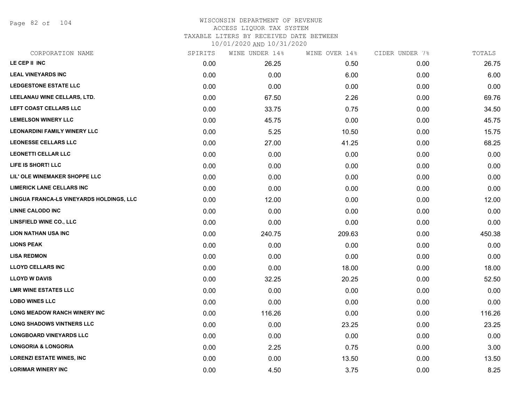Page 82 of 104

### WISCONSIN DEPARTMENT OF REVENUE ACCESS LIQUOR TAX SYSTEM TAXABLE LITERS BY RECEIVED DATE BETWEEN

| CORPORATION NAME                         | SPIRITS | WINE UNDER 14% | WINE OVER 14% | CIDER UNDER 7% | TOTALS |
|------------------------------------------|---------|----------------|---------------|----------------|--------|
| LE CEP II INC                            | 0.00    | 26.25          | 0.50          | 0.00           | 26.75  |
| <b>LEAL VINEYARDS INC</b>                | 0.00    | 0.00           | 6.00          | 0.00           | 6.00   |
| <b>LEDGESTONE ESTATE LLC</b>             | 0.00    | 0.00           | 0.00          | 0.00           | 0.00   |
| LEELANAU WINE CELLARS, LTD.              | 0.00    | 67.50          | 2.26          | 0.00           | 69.76  |
| LEFT COAST CELLARS LLC                   | 0.00    | 33.75          | 0.75          | 0.00           | 34.50  |
| <b>LEMELSON WINERY LLC</b>               | 0.00    | 45.75          | 0.00          | 0.00           | 45.75  |
| <b>LEONARDINI FAMILY WINERY LLC</b>      | 0.00    | 5.25           | 10.50         | 0.00           | 15.75  |
| <b>LEONESSE CELLARS LLC</b>              | 0.00    | 27.00          | 41.25         | 0.00           | 68.25  |
| <b>LEONETTI CELLAR LLC</b>               | 0.00    | 0.00           | 0.00          | 0.00           | 0.00   |
| LIFE IS SHORT! LLC                       | 0.00    | 0.00           | 0.00          | 0.00           | 0.00   |
| LIL' OLE WINEMAKER SHOPPE LLC            | 0.00    | 0.00           | 0.00          | 0.00           | 0.00   |
| <b>LIMERICK LANE CELLARS INC</b>         | 0.00    | 0.00           | 0.00          | 0.00           | 0.00   |
| LINGUA FRANCA-LS VINEYARDS HOLDINGS, LLC | 0.00    | 12.00          | 0.00          | 0.00           | 12.00  |
| <b>LINNE CALODO INC</b>                  | 0.00    | 0.00           | 0.00          | 0.00           | 0.00   |
| <b>LINSFIELD WINE CO., LLC</b>           | 0.00    | 0.00           | 0.00          | 0.00           | 0.00   |
| <b>LION NATHAN USA INC</b>               | 0.00    | 240.75         | 209.63        | 0.00           | 450.38 |
| <b>LIONS PEAK</b>                        | 0.00    | 0.00           | 0.00          | 0.00           | 0.00   |
| <b>LISA REDMON</b>                       | 0.00    | 0.00           | 0.00          | 0.00           | 0.00   |
| <b>LLOYD CELLARS INC</b>                 | 0.00    | 0.00           | 18.00         | 0.00           | 18.00  |
| <b>LLOYD W DAVIS</b>                     | 0.00    | 32.25          | 20.25         | 0.00           | 52.50  |
| <b>LMR WINE ESTATES LLC</b>              | 0.00    | 0.00           | 0.00          | 0.00           | 0.00   |
| <b>LOBO WINES LLC</b>                    | 0.00    | 0.00           | 0.00          | 0.00           | 0.00   |
| LONG MEADOW RANCH WINERY INC             | 0.00    | 116.26         | 0.00          | 0.00           | 116.26 |
| <b>LONG SHADOWS VINTNERS LLC</b>         | 0.00    | 0.00           | 23.25         | 0.00           | 23.25  |
| <b>LONGBOARD VINEYARDS LLC</b>           | 0.00    | 0.00           | 0.00          | 0.00           | 0.00   |
| <b>LONGORIA &amp; LONGORIA</b>           | 0.00    | 2.25           | 0.75          | 0.00           | 3.00   |
| <b>LORENZI ESTATE WINES, INC</b>         | 0.00    | 0.00           | 13.50         | 0.00           | 13.50  |
| <b>LORIMAR WINERY INC</b>                | 0.00    | 4.50           | 3.75          | 0.00           | 8.25   |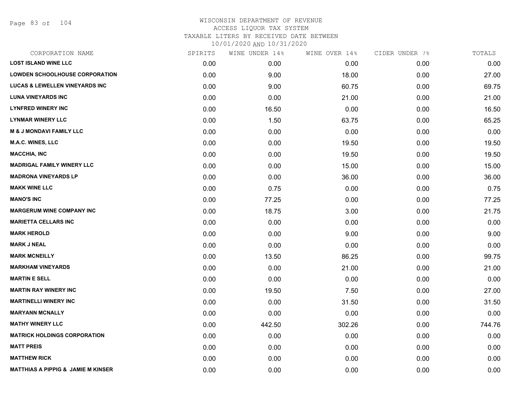Page 83 of 104

| CORPORATION NAME                              | SPIRITS | WINE UNDER 14% | WINE OVER 14% | CIDER UNDER 7% | TOTALS |
|-----------------------------------------------|---------|----------------|---------------|----------------|--------|
| <b>LOST ISLAND WINE LLC</b>                   | 0.00    | 0.00           | 0.00          | 0.00           | 0.00   |
| <b>LOWDEN SCHOOLHOUSE CORPORATION</b>         | 0.00    | 9.00           | 18.00         | 0.00           | 27.00  |
| <b>LUCAS &amp; LEWELLEN VINEYARDS INC</b>     | 0.00    | 9.00           | 60.75         | 0.00           | 69.75  |
| <b>LUNA VINEYARDS INC</b>                     | 0.00    | 0.00           | 21.00         | 0.00           | 21.00  |
| <b>LYNFRED WINERY INC</b>                     | 0.00    | 16.50          | 0.00          | 0.00           | 16.50  |
| <b>LYNMAR WINERY LLC</b>                      | 0.00    | 1.50           | 63.75         | 0.00           | 65.25  |
| <b>M &amp; J MONDAVI FAMILY LLC</b>           | 0.00    | 0.00           | 0.00          | 0.00           | 0.00   |
| <b>M.A.C. WINES, LLC</b>                      | 0.00    | 0.00           | 19.50         | 0.00           | 19.50  |
| <b>MACCHIA, INC</b>                           | 0.00    | 0.00           | 19.50         | 0.00           | 19.50  |
| <b>MADRIGAL FAMILY WINERY LLC</b>             | 0.00    | 0.00           | 15.00         | 0.00           | 15.00  |
| <b>MADRONA VINEYARDS LP</b>                   | 0.00    | 0.00           | 36.00         | 0.00           | 36.00  |
| <b>MAKK WINE LLC</b>                          | 0.00    | 0.75           | 0.00          | 0.00           | 0.75   |
| <b>MANO'S INC</b>                             | 0.00    | 77.25          | 0.00          | 0.00           | 77.25  |
| <b>MARGERUM WINE COMPANY INC</b>              | 0.00    | 18.75          | 3.00          | 0.00           | 21.75  |
| <b>MARIETTA CELLARS INC</b>                   | 0.00    | 0.00           | 0.00          | 0.00           | 0.00   |
| <b>MARK HEROLD</b>                            | 0.00    | 0.00           | 9.00          | 0.00           | 9.00   |
| <b>MARK J NEAL</b>                            | 0.00    | 0.00           | 0.00          | 0.00           | 0.00   |
| <b>MARK MCNEILLY</b>                          | 0.00    | 13.50          | 86.25         | 0.00           | 99.75  |
| <b>MARKHAM VINEYARDS</b>                      | 0.00    | 0.00           | 21.00         | 0.00           | 21.00  |
| <b>MARTIN E SELL</b>                          | 0.00    | 0.00           | 0.00          | 0.00           | 0.00   |
| <b>MARTIN RAY WINERY INC</b>                  | 0.00    | 19.50          | 7.50          | 0.00           | 27.00  |
| <b>MARTINELLI WINERY INC</b>                  | 0.00    | 0.00           | 31.50         | 0.00           | 31.50  |
| <b>MARYANN MCNALLY</b>                        | 0.00    | 0.00           | 0.00          | 0.00           | 0.00   |
| <b>MATHY WINERY LLC</b>                       | 0.00    | 442.50         | 302.26        | 0.00           | 744.76 |
| <b>MATRICK HOLDINGS CORPORATION</b>           | 0.00    | 0.00           | 0.00          | 0.00           | 0.00   |
| <b>MATT PREIS</b>                             | 0.00    | 0.00           | 0.00          | 0.00           | 0.00   |
| <b>MATTHEW RICK</b>                           | 0.00    | 0.00           | 0.00          | 0.00           | 0.00   |
| <b>MATTHIAS A PIPPIG &amp; JAMIE M KINSER</b> | 0.00    | 0.00           | 0.00          | 0.00           | 0.00   |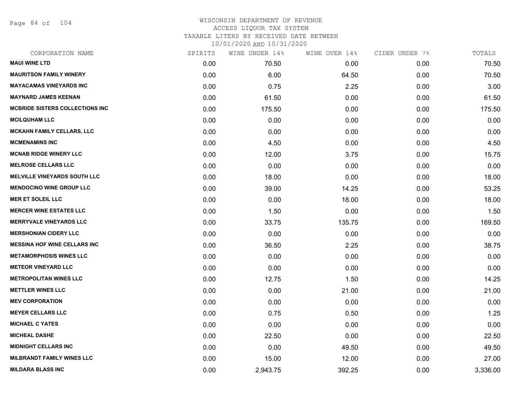Page 84 of 104

| CORPORATION NAME                    | SPIRITS | WINE UNDER 14% | WINE OVER 14% | CIDER UNDER 7% | TOTALS   |
|-------------------------------------|---------|----------------|---------------|----------------|----------|
| <b>MAUI WINE LTD</b>                | 0.00    | 70.50          | 0.00          | 0.00           | 70.50    |
| <b>MAURITSON FAMILY WINERY</b>      | 0.00    | 6.00           | 64.50         | 0.00           | 70.50    |
| <b>MAYACAMAS VINEYARDS INC</b>      | 0.00    | 0.75           | 2.25          | 0.00           | 3.00     |
| <b>MAYNARD JAMES KEENAN</b>         | 0.00    | 61.50          | 0.00          | 0.00           | 61.50    |
| MCBRIDE SISTERS COLLECTIONS INC     | 0.00    | 175.50         | 0.00          | 0.00           | 175.50   |
| <b>MCILQUHAM LLC</b>                | 0.00    | 0.00           | 0.00          | 0.00           | 0.00     |
| <b>MCKAHN FAMILY CELLARS, LLC</b>   | 0.00    | 0.00           | 0.00          | 0.00           | 0.00     |
| <b>MCMENAMINS INC</b>               | 0.00    | 4.50           | 0.00          | 0.00           | 4.50     |
| <b>MCNAB RIDGE WINERY LLC</b>       | 0.00    | 12.00          | 3.75          | 0.00           | 15.75    |
| <b>MELROSE CELLARS LLC</b>          | 0.00    | 0.00           | 0.00          | 0.00           | 0.00     |
| <b>MELVILLE VINEYARDS SOUTH LLC</b> | 0.00    | 18.00          | 0.00          | 0.00           | 18.00    |
| <b>MENDOCINO WINE GROUP LLC</b>     | 0.00    | 39.00          | 14.25         | 0.00           | 53.25    |
| <b>MER ET SOLEIL LLC</b>            | 0.00    | 0.00           | 18.00         | 0.00           | 18.00    |
| <b>MERCER WINE ESTATES LLC</b>      | 0.00    | 1.50           | 0.00          | 0.00           | 1.50     |
| <b>MERRYVALE VINEYARDS LLC</b>      | 0.00    | 33.75          | 135.75        | 0.00           | 169.50   |
| <b>MERSHONIAN CIDERY LLC</b>        | 0.00    | 0.00           | 0.00          | 0.00           | 0.00     |
| <b>MESSINA HOF WINE CELLARS INC</b> | 0.00    | 36.50          | 2.25          | 0.00           | 38.75    |
| <b>METAMORPHOSIS WINES LLC</b>      | 0.00    | 0.00           | 0.00          | 0.00           | 0.00     |
| <b>METEOR VINEYARD LLC</b>          | 0.00    | 0.00           | 0.00          | 0.00           | 0.00     |
| <b>METROPOLITAN WINES LLC</b>       | 0.00    | 12.75          | 1.50          | 0.00           | 14.25    |
| <b>METTLER WINES LLC</b>            | 0.00    | 0.00           | 21.00         | 0.00           | 21.00    |
| <b>MEV CORPORATION</b>              | 0.00    | 0.00           | 0.00          | 0.00           | 0.00     |
| <b>MEYER CELLARS LLC</b>            | 0.00    | 0.75           | 0.50          | 0.00           | 1.25     |
| <b>MICHAEL C YATES</b>              | 0.00    | 0.00           | 0.00          | 0.00           | 0.00     |
| <b>MICHEAL DASHE</b>                | 0.00    | 22.50          | 0.00          | 0.00           | 22.50    |
| <b>MIDNIGHT CELLARS INC</b>         | 0.00    | 0.00           | 49.50         | 0.00           | 49.50    |
| <b>MILBRANDT FAMILY WINES LLC</b>   | 0.00    | 15.00          | 12.00         | 0.00           | 27.00    |
| <b>MILDARA BLASS INC</b>            | 0.00    | 2,943.75       | 392.25        | 0.00           | 3,336.00 |
|                                     |         |                |               |                |          |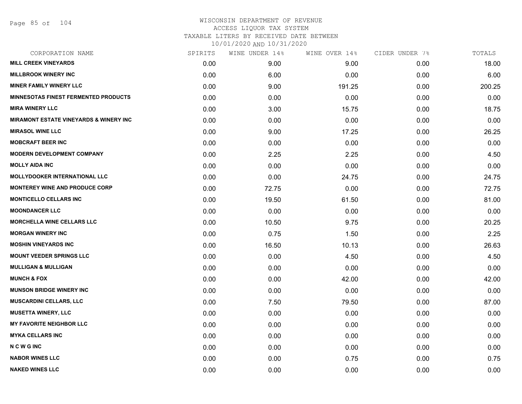Page 85 of 104

| CORPORATION NAME                                  | SPIRITS | WINE UNDER 14% | WINE OVER 14% | CIDER UNDER 7% | TOTALS |
|---------------------------------------------------|---------|----------------|---------------|----------------|--------|
| <b>MILL CREEK VINEYARDS</b>                       | 0.00    | 9.00           | 9.00          | 0.00           | 18.00  |
| <b>MILLBROOK WINERY INC</b>                       | 0.00    | 6.00           | 0.00          | 0.00           | 6.00   |
| <b>MINER FAMILY WINERY LLC</b>                    | 0.00    | 9.00           | 191.25        | 0.00           | 200.25 |
| <b>MINNESOTAS FINEST FERMENTED PRODUCTS</b>       | 0.00    | 0.00           | 0.00          | 0.00           | 0.00   |
| <b>MIRA WINERY LLC</b>                            | 0.00    | 3.00           | 15.75         | 0.00           | 18.75  |
| <b>MIRAMONT ESTATE VINEYARDS &amp; WINERY INC</b> | 0.00    | 0.00           | 0.00          | 0.00           | 0.00   |
| <b>MIRASOL WINE LLC</b>                           | 0.00    | 9.00           | 17.25         | 0.00           | 26.25  |
| <b>MOBCRAFT BEER INC</b>                          | 0.00    | 0.00           | 0.00          | 0.00           | 0.00   |
| <b>MODERN DEVELOPMENT COMPANY</b>                 | 0.00    | 2.25           | 2.25          | 0.00           | 4.50   |
| <b>MOLLY AIDA INC</b>                             | 0.00    | 0.00           | 0.00          | 0.00           | 0.00   |
| <b>MOLLYDOOKER INTERNATIONAL LLC</b>              | 0.00    | 0.00           | 24.75         | 0.00           | 24.75  |
| <b>MONTEREY WINE AND PRODUCE CORP</b>             | 0.00    | 72.75          | 0.00          | 0.00           | 72.75  |
| <b>MONTICELLO CELLARS INC</b>                     | 0.00    | 19.50          | 61.50         | 0.00           | 81.00  |
| <b>MOONDANCER LLC</b>                             | 0.00    | 0.00           | 0.00          | 0.00           | 0.00   |
| MORCHELLA WINE CELLARS LLC                        | 0.00    | 10.50          | 9.75          | 0.00           | 20.25  |
| <b>MORGAN WINERY INC</b>                          | 0.00    | 0.75           | 1.50          | 0.00           | 2.25   |
| <b>MOSHIN VINEYARDS INC</b>                       | 0.00    | 16.50          | 10.13         | 0.00           | 26.63  |
| <b>MOUNT VEEDER SPRINGS LLC</b>                   | 0.00    | 0.00           | 4.50          | 0.00           | 4.50   |
| <b>MULLIGAN &amp; MULLIGAN</b>                    | 0.00    | 0.00           | 0.00          | 0.00           | 0.00   |
| <b>MUNCH &amp; FOX</b>                            | 0.00    | 0.00           | 42.00         | 0.00           | 42.00  |
| <b>MUNSON BRIDGE WINERY INC</b>                   | 0.00    | 0.00           | 0.00          | 0.00           | 0.00   |
| <b>MUSCARDINI CELLARS, LLC</b>                    | 0.00    | 7.50           | 79.50         | 0.00           | 87.00  |
| <b>MUSETTA WINERY, LLC</b>                        | 0.00    | 0.00           | 0.00          | 0.00           | 0.00   |
| <b>MY FAVORITE NEIGHBOR LLC</b>                   | 0.00    | 0.00           | 0.00          | 0.00           | 0.00   |
| <b>MYKA CELLARS INC</b>                           | 0.00    | 0.00           | 0.00          | 0.00           | 0.00   |
| <b>NCWGINC</b>                                    | 0.00    | 0.00           | 0.00          | 0.00           | 0.00   |
| <b>NABOR WINES LLC</b>                            | 0.00    | 0.00           | 0.75          | 0.00           | 0.75   |
| <b>NAKED WINES LLC</b>                            | 0.00    | 0.00           | 0.00          | 0.00           | 0.00   |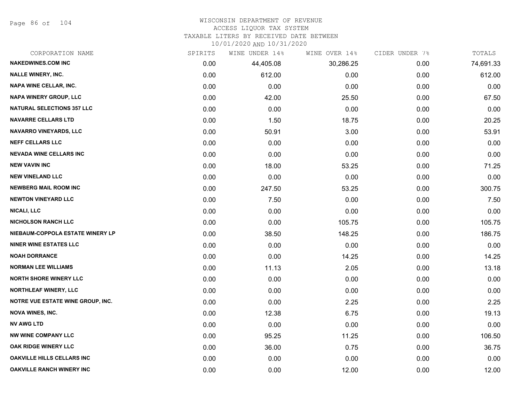Page 86 of 104

# WISCONSIN DEPARTMENT OF REVENUE

## ACCESS LIQUOR TAX SYSTEM

TAXABLE LITERS BY RECEIVED DATE BETWEEN

| CORPORATION NAME                  | SPIRITS | WINE UNDER 14% | WINE OVER 14% | CIDER UNDER 7% | TOTALS    |
|-----------------------------------|---------|----------------|---------------|----------------|-----------|
| <b>NAKEDWINES.COM INC</b>         | 0.00    | 44,405.08      | 30,286.25     | 0.00           | 74,691.33 |
| <b>NALLE WINERY, INC.</b>         | 0.00    | 612.00         | 0.00          | 0.00           | 612.00    |
| <b>NAPA WINE CELLAR, INC.</b>     | 0.00    | 0.00           | 0.00          | 0.00           | 0.00      |
| <b>NAPA WINERY GROUP, LLC</b>     | 0.00    | 42.00          | 25.50         | 0.00           | 67.50     |
| <b>NATURAL SELECTIONS 357 LLC</b> | 0.00    | 0.00           | 0.00          | 0.00           | 0.00      |
| <b>NAVARRE CELLARS LTD</b>        | 0.00    | 1.50           | 18.75         | 0.00           | 20.25     |
| NAVARRO VINEYARDS, LLC            | 0.00    | 50.91          | 3.00          | 0.00           | 53.91     |
| <b>NEFF CELLARS LLC</b>           | 0.00    | 0.00           | 0.00          | 0.00           | 0.00      |
| <b>NEVADA WINE CELLARS INC</b>    | 0.00    | 0.00           | 0.00          | 0.00           | 0.00      |
| <b>NEW VAVIN INC</b>              | 0.00    | 18.00          | 53.25         | 0.00           | 71.25     |
| <b>NEW VINELAND LLC</b>           | 0.00    | 0.00           | 0.00          | 0.00           | 0.00      |
| <b>NEWBERG MAIL ROOM INC</b>      | 0.00    | 247.50         | 53.25         | 0.00           | 300.75    |
| <b>NEWTON VINEYARD LLC</b>        | 0.00    | 7.50           | 0.00          | 0.00           | 7.50      |
| NICALI, LLC                       | 0.00    | 0.00           | 0.00          | 0.00           | 0.00      |
| <b>NICHOLSON RANCH LLC</b>        | 0.00    | 0.00           | 105.75        | 0.00           | 105.75    |
| NIEBAUM-COPPOLA ESTATE WINERY LP  | 0.00    | 38.50          | 148.25        | 0.00           | 186.75    |
| <b>NINER WINE ESTATES LLC</b>     | 0.00    | 0.00           | 0.00          | 0.00           | 0.00      |
| <b>NOAH DORRANCE</b>              | 0.00    | 0.00           | 14.25         | 0.00           | 14.25     |
| <b>NORMAN LEE WILLIAMS</b>        | 0.00    | 11.13          | 2.05          | 0.00           | 13.18     |
| <b>NORTH SHORE WINERY LLC</b>     | 0.00    | 0.00           | 0.00          | 0.00           | 0.00      |
| <b>NORTHLEAF WINERY, LLC</b>      | 0.00    | 0.00           | 0.00          | 0.00           | 0.00      |
| NOTRE VUE ESTATE WINE GROUP, INC. | 0.00    | 0.00           | 2.25          | 0.00           | 2.25      |
| <b>NOVA WINES, INC.</b>           | 0.00    | 12.38          | 6.75          | 0.00           | 19.13     |
| <b>NV AWG LTD</b>                 | 0.00    | 0.00           | 0.00          | 0.00           | 0.00      |
| <b>NW WINE COMPANY LLC</b>        | 0.00    | 95.25          | 11.25         | 0.00           | 106.50    |
| OAK RIDGE WINERY LLC              | 0.00    | 36.00          | 0.75          | 0.00           | 36.75     |
| <b>OAKVILLE HILLS CELLARS INC</b> | 0.00    | 0.00           | 0.00          | 0.00           | 0.00      |
| <b>OAKVILLE RANCH WINERY INC</b>  | 0.00    | 0.00           | 12.00         | 0.00           | 12.00     |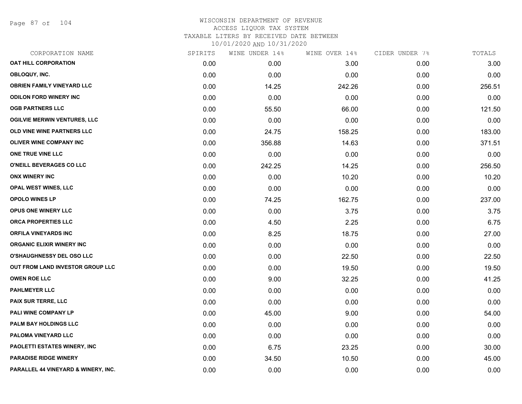Page 87 of 104

| CORPORATION NAME                    | SPIRITS | WINE UNDER 14% | WINE OVER 14% | CIDER UNDER 7% | TOTALS |
|-------------------------------------|---------|----------------|---------------|----------------|--------|
| <b>OAT HILL CORPORATION</b>         | 0.00    | 0.00           | 3.00          | 0.00           | 3.00   |
| OBLOQUY, INC.                       | 0.00    | 0.00           | 0.00          | 0.00           | 0.00   |
| <b>OBRIEN FAMILY VINEYARD LLC</b>   | 0.00    | 14.25          | 242.26        | 0.00           | 256.51 |
| <b>ODILON FORD WINERY INC</b>       | 0.00    | 0.00           | 0.00          | 0.00           | 0.00   |
| <b>OGB PARTNERS LLC</b>             | 0.00    | 55.50          | 66.00         | 0.00           | 121.50 |
| <b>OGILVIE MERWIN VENTURES, LLC</b> | 0.00    | 0.00           | 0.00          | 0.00           | 0.00   |
| OLD VINE WINE PARTNERS LLC          | 0.00    | 24.75          | 158.25        | 0.00           | 183.00 |
| OLIVER WINE COMPANY INC             | 0.00    | 356.88         | 14.63         | 0.00           | 371.51 |
| ONE TRUE VINE LLC                   | 0.00    | 0.00           | 0.00          | 0.00           | 0.00   |
| O'NEILL BEVERAGES CO LLC            | 0.00    | 242.25         | 14.25         | 0.00           | 256.50 |
| <b>ONX WINERY INC</b>               | 0.00    | 0.00           | 10.20         | 0.00           | 10.20  |
| OPAL WEST WINES, LLC                | 0.00    | 0.00           | 0.00          | 0.00           | 0.00   |
| <b>OPOLO WINES LP</b>               | 0.00    | 74.25          | 162.75        | 0.00           | 237.00 |
| OPUS ONE WINERY LLC                 | 0.00    | 0.00           | 3.75          | 0.00           | 3.75   |
| ORCA PROPERTIES LLC                 | 0.00    | 4.50           | 2.25          | 0.00           | 6.75   |
| <b>ORFILA VINEYARDS INC</b>         | 0.00    | 8.25           | 18.75         | 0.00           | 27.00  |
| <b>ORGANIC ELIXIR WINERY INC</b>    | 0.00    | 0.00           | 0.00          | 0.00           | 0.00   |
| <b>O'SHAUGHNESSY DEL OSO LLC</b>    | 0.00    | 0.00           | 22.50         | 0.00           | 22.50  |
| OUT FROM LAND INVESTOR GROUP LLC    | 0.00    | 0.00           | 19.50         | 0.00           | 19.50  |
| <b>OWEN ROE LLC</b>                 | 0.00    | 9.00           | 32.25         | 0.00           | 41.25  |
| <b>PAHLMEYER LLC</b>                | 0.00    | 0.00           | 0.00          | 0.00           | 0.00   |
| PAIX SUR TERRE, LLC                 | 0.00    | 0.00           | 0.00          | 0.00           | 0.00   |
| PALI WINE COMPANY LP                | 0.00    | 45.00          | 9.00          | 0.00           | 54.00  |
| PALM BAY HOLDINGS LLC               | 0.00    | 0.00           | 0.00          | 0.00           | 0.00   |
| PALOMA VINEYARD LLC                 | 0.00    | 0.00           | 0.00          | 0.00           | 0.00   |
| PAOLETTI ESTATES WINERY, INC        | 0.00    | 6.75           | 23.25         | 0.00           | 30.00  |
| <b>PARADISE RIDGE WINERY</b>        | 0.00    | 34.50          | 10.50         | 0.00           | 45.00  |
| PARALLEL 44 VINEYARD & WINERY, INC. | 0.00    | 0.00           | 0.00          | 0.00           | 0.00   |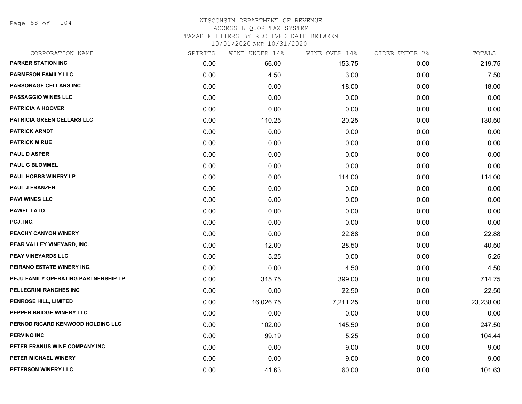Page 88 of 104

| CORPORATION NAME                     | SPIRITS | WINE UNDER 14% | WINE OVER 14% | CIDER UNDER 7% | TOTALS    |
|--------------------------------------|---------|----------------|---------------|----------------|-----------|
| <b>PARKER STATION INC</b>            | 0.00    | 66.00          | 153.75        | 0.00           | 219.75    |
| <b>PARMESON FAMILY LLC</b>           | 0.00    | 4.50           | 3.00          | 0.00           | 7.50      |
| <b>PARSONAGE CELLARS INC</b>         | 0.00    | 0.00           | 18.00         | 0.00           | 18.00     |
| <b>PASSAGGIO WINES LLC</b>           | 0.00    | 0.00           | 0.00          | 0.00           | 0.00      |
| <b>PATRICIA A HOOVER</b>             | 0.00    | 0.00           | 0.00          | 0.00           | 0.00      |
| <b>PATRICIA GREEN CELLARS LLC</b>    | 0.00    | 110.25         | 20.25         | 0.00           | 130.50    |
| <b>PATRICK ARNDT</b>                 | 0.00    | 0.00           | 0.00          | 0.00           | 0.00      |
| <b>PATRICK M RUE</b>                 | 0.00    | 0.00           | 0.00          | 0.00           | 0.00      |
| <b>PAUL D ASPER</b>                  | 0.00    | 0.00           | 0.00          | 0.00           | 0.00      |
| <b>PAUL G BLOMMEL</b>                | 0.00    | 0.00           | 0.00          | 0.00           | 0.00      |
| <b>PAUL HOBBS WINERY LP</b>          | 0.00    | 0.00           | 114.00        | 0.00           | 114.00    |
| <b>PAUL J FRANZEN</b>                | 0.00    | 0.00           | 0.00          | 0.00           | 0.00      |
| <b>PAVI WINES LLC</b>                | 0.00    | 0.00           | 0.00          | 0.00           | 0.00      |
| <b>PAWEL LATO</b>                    | 0.00    | 0.00           | 0.00          | 0.00           | 0.00      |
| PCJ, INC.                            | 0.00    | 0.00           | 0.00          | 0.00           | 0.00      |
| PEACHY CANYON WINERY                 | 0.00    | 0.00           | 22.88         | 0.00           | 22.88     |
| PEAR VALLEY VINEYARD, INC.           | 0.00    | 12.00          | 28.50         | 0.00           | 40.50     |
| PEAY VINEYARDS LLC                   | 0.00    | 5.25           | 0.00          | 0.00           | 5.25      |
| PEIRANO ESTATE WINERY INC.           | 0.00    | 0.00           | 4.50          | 0.00           | 4.50      |
| PEJU FAMILY OPERATING PARTNERSHIP LP | 0.00    | 315.75         | 399.00        | 0.00           | 714.75    |
| PELLEGRINI RANCHES INC               | 0.00    | 0.00           | 22.50         | 0.00           | 22.50     |
| PENROSE HILL, LIMITED                | 0.00    | 16,026.75      | 7,211.25      | 0.00           | 23,238.00 |
| PEPPER BRIDGE WINERY LLC             | 0.00    | 0.00           | 0.00          | 0.00           | 0.00      |
| PERNOD RICARD KENWOOD HOLDING LLC    | 0.00    | 102.00         | 145.50        | 0.00           | 247.50    |
| <b>PERVINO INC</b>                   | 0.00    | 99.19          | 5.25          | 0.00           | 104.44    |
| PETER FRANUS WINE COMPANY INC        | 0.00    | 0.00           | 9.00          | 0.00           | 9.00      |
| PETER MICHAEL WINERY                 | 0.00    | 0.00           | 9.00          | 0.00           | 9.00      |
| PETERSON WINERY LLC                  | 0.00    | 41.63          | 60.00         | 0.00           | 101.63    |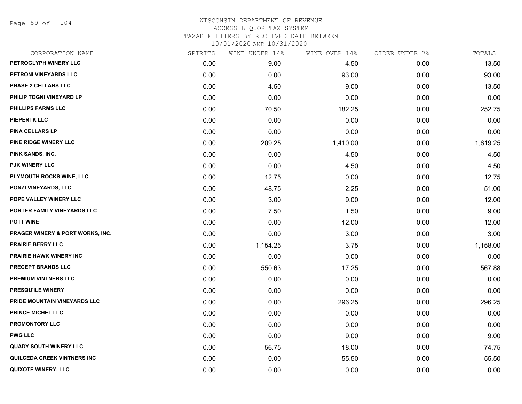Page 89 of 104

# WISCONSIN DEPARTMENT OF REVENUE ACCESS LIQUOR TAX SYSTEM TAXABLE LITERS BY RECEIVED DATE BETWEEN

| CORPORATION NAME                 | SPIRITS | WINE UNDER 14% | WINE OVER 14% | CIDER UNDER 7% | TOTALS   |
|----------------------------------|---------|----------------|---------------|----------------|----------|
| PETROGLYPH WINERY LLC            | 0.00    | 9.00           | 4.50          | 0.00           | 13.50    |
| PETRONI VINEYARDS LLC            | 0.00    | 0.00           | 93.00         | 0.00           | 93.00    |
| PHASE 2 CELLARS LLC              | 0.00    | 4.50           | 9.00          | 0.00           | 13.50    |
| PHILIP TOGNI VINEYARD LP         | 0.00    | 0.00           | 0.00          | 0.00           | 0.00     |
| PHILLIPS FARMS LLC               | 0.00    | 70.50          | 182.25        | 0.00           | 252.75   |
| <b>PIEPERTK LLC</b>              | 0.00    | 0.00           | 0.00          | 0.00           | 0.00     |
| <b>PINA CELLARS LP</b>           | 0.00    | 0.00           | 0.00          | 0.00           | 0.00     |
| PINE RIDGE WINERY LLC            | 0.00    | 209.25         | 1,410.00      | 0.00           | 1,619.25 |
| PINK SANDS, INC.                 | 0.00    | 0.00           | 4.50          | 0.00           | 4.50     |
| PJK WINERY LLC                   | 0.00    | 0.00           | 4.50          | 0.00           | 4.50     |
| PLYMOUTH ROCKS WINE, LLC         | 0.00    | 12.75          | 0.00          | 0.00           | 12.75    |
| PONZI VINEYARDS, LLC             | 0.00    | 48.75          | 2.25          | 0.00           | 51.00    |
| POPE VALLEY WINERY LLC           | 0.00    | 3.00           | 9.00          | 0.00           | 12.00    |
| PORTER FAMILY VINEYARDS LLC      | 0.00    | 7.50           | 1.50          | 0.00           | 9.00     |
| <b>POTT WINE</b>                 | 0.00    | 0.00           | 12.00         | 0.00           | 12.00    |
| PRAGER WINERY & PORT WORKS, INC. | 0.00    | 0.00           | 3.00          | 0.00           | 3.00     |
| <b>PRAIRIE BERRY LLC</b>         | 0.00    | 1,154.25       | 3.75          | 0.00           | 1,158.00 |
| <b>PRAIRIE HAWK WINERY INC</b>   | 0.00    | 0.00           | 0.00          | 0.00           | 0.00     |
| PRECEPT BRANDS LLC               | 0.00    | 550.63         | 17.25         | 0.00           | 567.88   |
| <b>PREMIUM VINTNERS LLC</b>      | 0.00    | 0.00           | 0.00          | 0.00           | 0.00     |
| <b>PRESQU'ILE WINERY</b>         | 0.00    | 0.00           | 0.00          | 0.00           | 0.00     |
| PRIDE MOUNTAIN VINEYARDS LLC     | 0.00    | 0.00           | 296.25        | 0.00           | 296.25   |
| <b>PRINCE MICHEL LLC</b>         | 0.00    | 0.00           | 0.00          | 0.00           | 0.00     |
| <b>PROMONTORY LLC</b>            | 0.00    | 0.00           | 0.00          | 0.00           | 0.00     |
| <b>PWG LLC</b>                   | 0.00    | 0.00           | 9.00          | 0.00           | 9.00     |
| <b>QUADY SOUTH WINERY LLC</b>    | 0.00    | 56.75          | 18.00         | 0.00           | 74.75    |
| QUILCEDA CREEK VINTNERS INC      | 0.00    | 0.00           | 55.50         | 0.00           | 55.50    |
| <b>QUIXOTE WINERY, LLC</b>       | 0.00    | 0.00           | 0.00          | 0.00           | 0.00     |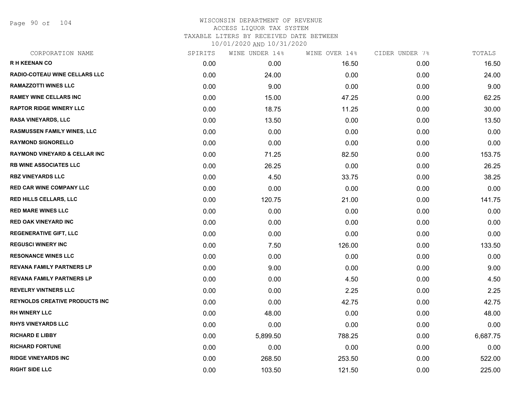Page 90 of 104

| CORPORATION NAME                         | SPIRITS | WINE UNDER 14% | WINE OVER 14% | CIDER UNDER 7% | TOTALS   |
|------------------------------------------|---------|----------------|---------------|----------------|----------|
| <b>RH KEENAN CO</b>                      | 0.00    | 0.00           | 16.50         | 0.00           | 16.50    |
| RADIO-COTEAU WINE CELLARS LLC            | 0.00    | 24.00          | 0.00          | 0.00           | 24.00    |
| <b>RAMAZZOTTI WINES LLC</b>              | 0.00    | 9.00           | 0.00          | 0.00           | 9.00     |
| <b>RAMEY WINE CELLARS INC</b>            | 0.00    | 15.00          | 47.25         | 0.00           | 62.25    |
| <b>RAPTOR RIDGE WINERY LLC</b>           | 0.00    | 18.75          | 11.25         | 0.00           | 30.00    |
| <b>RASA VINEYARDS, LLC</b>               | 0.00    | 13.50          | 0.00          | 0.00           | 13.50    |
| <b>RASMUSSEN FAMILY WINES, LLC</b>       | 0.00    | 0.00           | 0.00          | 0.00           | 0.00     |
| <b>RAYMOND SIGNORELLO</b>                | 0.00    | 0.00           | 0.00          | 0.00           | 0.00     |
| <b>RAYMOND VINEYARD &amp; CELLAR INC</b> | 0.00    | 71.25          | 82.50         | 0.00           | 153.75   |
| <b>RB WINE ASSOCIATES LLC</b>            | 0.00    | 26.25          | 0.00          | 0.00           | 26.25    |
| <b>RBZ VINEYARDS LLC</b>                 | 0.00    | 4.50           | 33.75         | 0.00           | 38.25    |
| <b>RED CAR WINE COMPANY LLC</b>          | 0.00    | 0.00           | 0.00          | 0.00           | 0.00     |
| <b>RED HILLS CELLARS, LLC</b>            | 0.00    | 120.75         | 21.00         | 0.00           | 141.75   |
| <b>RED MARE WINES LLC</b>                | 0.00    | 0.00           | 0.00          | 0.00           | 0.00     |
| <b>RED OAK VINEYARD INC</b>              | 0.00    | 0.00           | 0.00          | 0.00           | 0.00     |
| <b>REGENERATIVE GIFT, LLC</b>            | 0.00    | 0.00           | 0.00          | 0.00           | 0.00     |
| <b>REGUSCI WINERY INC</b>                | 0.00    | 7.50           | 126.00        | 0.00           | 133.50   |
| <b>RESONANCE WINES LLC</b>               | 0.00    | 0.00           | 0.00          | 0.00           | 0.00     |
| <b>REVANA FAMILY PARTNERS LP</b>         | 0.00    | 9.00           | 0.00          | 0.00           | 9.00     |
| <b>REVANA FAMILY PARTNERS LP</b>         | 0.00    | 0.00           | 4.50          | 0.00           | 4.50     |
| <b>REVELRY VINTNERS LLC</b>              | 0.00    | 0.00           | 2.25          | 0.00           | 2.25     |
| <b>REYNOLDS CREATIVE PRODUCTS INC</b>    | 0.00    | 0.00           | 42.75         | 0.00           | 42.75    |
| <b>RH WINERY LLC</b>                     | 0.00    | 48.00          | 0.00          | 0.00           | 48.00    |
| <b>RHYS VINEYARDS LLC</b>                | 0.00    | 0.00           | 0.00          | 0.00           | 0.00     |
| <b>RICHARD E LIBBY</b>                   | 0.00    | 5,899.50       | 788.25        | 0.00           | 6,687.75 |
| <b>RICHARD FORTUNE</b>                   | 0.00    | 0.00           | 0.00          | 0.00           | 0.00     |
| <b>RIDGE VINEYARDS INC</b>               | 0.00    | 268.50         | 253.50        | 0.00           | 522.00   |
| <b>RIGHT SIDE LLC</b>                    | 0.00    | 103.50         | 121.50        | 0.00           | 225.00   |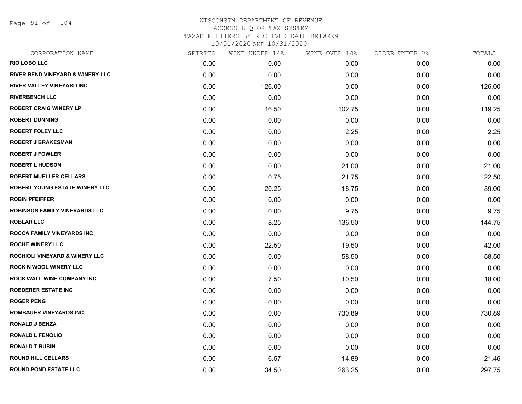Page 91 of 104

| CORPORATION NAME                            | SPIRITS | WINE UNDER 14% | WINE OVER 14% | CIDER UNDER 7% | TOTALS |
|---------------------------------------------|---------|----------------|---------------|----------------|--------|
| <b>RIO LOBO LLC</b>                         | 0.00    | 0.00           | 0.00          | 0.00           | 0.00   |
| <b>RIVER BEND VINEYARD &amp; WINERY LLC</b> | 0.00    | 0.00           | 0.00          | 0.00           | 0.00   |
| RIVER VALLEY VINEYARD INC                   | 0.00    | 126.00         | 0.00          | 0.00           | 126.00 |
| <b>RIVERBENCH LLC</b>                       | 0.00    | 0.00           | 0.00          | 0.00           | 0.00   |
| <b>ROBERT CRAIG WINERY LP</b>               | 0.00    | 16.50          | 102.75        | 0.00           | 119.25 |
| <b>ROBERT DUNNING</b>                       | 0.00    | 0.00           | 0.00          | 0.00           | 0.00   |
| <b>ROBERT FOLEY LLC</b>                     | 0.00    | 0.00           | 2.25          | 0.00           | 2.25   |
| <b>ROBERT J BRAKESMAN</b>                   | 0.00    | 0.00           | 0.00          | 0.00           | 0.00   |
| <b>ROBERT J FOWLER</b>                      | 0.00    | 0.00           | 0.00          | 0.00           | 0.00   |
| <b>ROBERT L HUDSON</b>                      | 0.00    | 0.00           | 21.00         | 0.00           | 21.00  |
| ROBERT MUELLER CELLARS                      | 0.00    | 0.75           | 21.75         | 0.00           | 22.50  |
| ROBERT YOUNG ESTATE WINERY LLC              | 0.00    | 20.25          | 18.75         | 0.00           | 39.00  |
| <b>ROBIN PFEIFFER</b>                       | 0.00    | 0.00           | 0.00          | 0.00           | 0.00   |
| <b>ROBINSON FAMILY VINEYARDS LLC</b>        | 0.00    | 0.00           | 9.75          | 0.00           | 9.75   |
| <b>ROBLAR LLC</b>                           | 0.00    | 8.25           | 136.50        | 0.00           | 144.75 |
| ROCCA FAMILY VINEYARDS INC                  | 0.00    | 0.00           | 0.00          | 0.00           | 0.00   |
| <b>ROCHE WINERY LLC</b>                     | 0.00    | 22.50          | 19.50         | 0.00           | 42.00  |
| <b>ROCHIOLI VINEYARD &amp; WINERY LLC</b>   | 0.00    | 0.00           | 58.50         | 0.00           | 58.50  |
| <b>ROCK N WOOL WINERY LLC</b>               | 0.00    | 0.00           | 0.00          | 0.00           | 0.00   |
| ROCK WALL WINE COMPANY INC                  | 0.00    | 7.50           | 10.50         | 0.00           | 18.00  |
| <b>ROEDERER ESTATE INC</b>                  | 0.00    | 0.00           | 0.00          | 0.00           | 0.00   |
| <b>ROGER PENG</b>                           | 0.00    | 0.00           | 0.00          | 0.00           | 0.00   |
| <b>ROMBAUER VINEYARDS INC</b>               | 0.00    | 0.00           | 730.89        | 0.00           | 730.89 |
| <b>RONALD J BENZA</b>                       | 0.00    | 0.00           | 0.00          | 0.00           | 0.00   |
| <b>RONALD L FENOLIO</b>                     | 0.00    | 0.00           | 0.00          | 0.00           | 0.00   |
| <b>RONALD T RUBIN</b>                       | 0.00    | 0.00           | 0.00          | 0.00           | 0.00   |
| <b>ROUND HILL CELLARS</b>                   | 0.00    | 6.57           | 14.89         | 0.00           | 21.46  |
| <b>ROUND POND ESTATE LLC</b>                | 0.00    | 34.50          | 263.25        | 0.00           | 297.75 |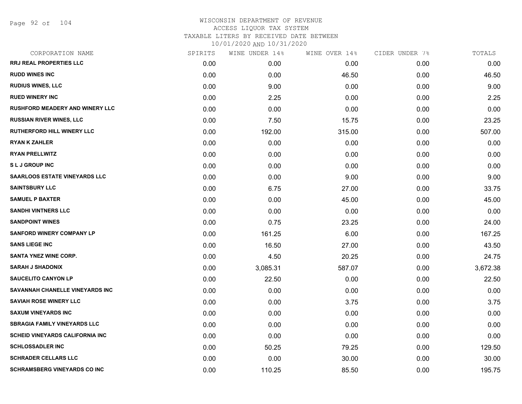Page 92 of 104

| CORPORATION NAME                       | SPIRITS | WINE UNDER 14% | WINE OVER 14% | CIDER UNDER 7% | TOTALS   |
|----------------------------------------|---------|----------------|---------------|----------------|----------|
| <b>RRJ REAL PROPERTIES LLC</b>         | 0.00    | 0.00           | 0.00          | 0.00           | 0.00     |
| <b>RUDD WINES INC</b>                  | 0.00    | 0.00           | 46.50         | 0.00           | 46.50    |
| <b>RUDIUS WINES, LLC</b>               | 0.00    | 9.00           | 0.00          | 0.00           | 9.00     |
| <b>RUED WINERY INC</b>                 | 0.00    | 2.25           | 0.00          | 0.00           | 2.25     |
| <b>RUSHFORD MEADERY AND WINERY LLC</b> | 0.00    | 0.00           | 0.00          | 0.00           | 0.00     |
| <b>RUSSIAN RIVER WINES, LLC</b>        | 0.00    | 7.50           | 15.75         | 0.00           | 23.25    |
| <b>RUTHERFORD HILL WINERY LLC</b>      | 0.00    | 192.00         | 315.00        | 0.00           | 507.00   |
| <b>RYAN K ZAHLER</b>                   | 0.00    | 0.00           | 0.00          | 0.00           | 0.00     |
| <b>RYAN PRELLWITZ</b>                  | 0.00    | 0.00           | 0.00          | 0.00           | 0.00     |
| <b>SLJ GROUP INC</b>                   | 0.00    | 0.00           | 0.00          | 0.00           | 0.00     |
| <b>SAARLOOS ESTATE VINEYARDS LLC</b>   | 0.00    | 0.00           | 9.00          | 0.00           | 9.00     |
| <b>SAINTSBURY LLC</b>                  | 0.00    | 6.75           | 27.00         | 0.00           | 33.75    |
| <b>SAMUEL P BAXTER</b>                 | 0.00    | 0.00           | 45.00         | 0.00           | 45.00    |
| <b>SANDHI VINTNERS LLC</b>             | 0.00    | 0.00           | 0.00          | 0.00           | 0.00     |
| <b>SANDPOINT WINES</b>                 | 0.00    | 0.75           | 23.25         | 0.00           | 24.00    |
| <b>SANFORD WINERY COMPANY LP</b>       | 0.00    | 161.25         | 6.00          | 0.00           | 167.25   |
| <b>SANS LIEGE INC</b>                  | 0.00    | 16.50          | 27.00         | 0.00           | 43.50    |
| <b>SANTA YNEZ WINE CORP.</b>           | 0.00    | 4.50           | 20.25         | 0.00           | 24.75    |
| <b>SARAH J SHADONIX</b>                | 0.00    | 3,085.31       | 587.07        | 0.00           | 3,672.38 |
| <b>SAUCELITO CANYON LP</b>             | 0.00    | 22.50          | 0.00          | 0.00           | 22.50    |
| SAVANNAH CHANELLE VINEYARDS INC        | 0.00    | 0.00           | 0.00          | 0.00           | 0.00     |
| <b>SAVIAH ROSE WINERY LLC</b>          | 0.00    | 0.00           | 3.75          | 0.00           | 3.75     |
| <b>SAXUM VINEYARDS INC</b>             | 0.00    | 0.00           | 0.00          | 0.00           | 0.00     |
| <b>SBRAGIA FAMILY VINEYARDS LLC</b>    | 0.00    | 0.00           | 0.00          | 0.00           | 0.00     |
| <b>SCHEID VINEYARDS CALIFORNIA INC</b> | 0.00    | 0.00           | 0.00          | 0.00           | 0.00     |
| <b>SCHLOSSADLER INC</b>                | 0.00    | 50.25          | 79.25         | 0.00           | 129.50   |
| <b>SCHRADER CELLARS LLC</b>            | 0.00    | 0.00           | 30.00         | 0.00           | 30.00    |
| <b>SCHRAMSBERG VINEYARDS CO INC</b>    | 0.00    | 110.25         | 85.50         | 0.00           | 195.75   |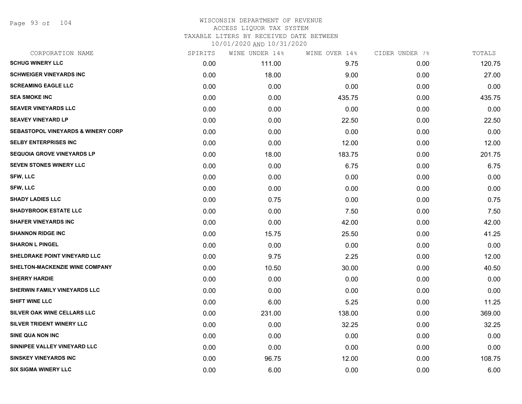Page 93 of 104

| CORPORATION NAME                              | SPIRITS | WINE UNDER 14% | WINE OVER 14% | CIDER UNDER 7% | TOTALS |
|-----------------------------------------------|---------|----------------|---------------|----------------|--------|
| <b>SCHUG WINERY LLC</b>                       | 0.00    | 111.00         | 9.75          | 0.00           | 120.75 |
| <b>SCHWEIGER VINEYARDS INC</b>                | 0.00    | 18.00          | 9.00          | 0.00           | 27.00  |
| <b>SCREAMING EAGLE LLC</b>                    | 0.00    | 0.00           | 0.00          | 0.00           | 0.00   |
| <b>SEA SMOKE INC</b>                          | 0.00    | 0.00           | 435.75        | 0.00           | 435.75 |
| <b>SEAVER VINEYARDS LLC</b>                   | 0.00    | 0.00           | 0.00          | 0.00           | 0.00   |
| <b>SEAVEY VINEYARD LP</b>                     | 0.00    | 0.00           | 22.50         | 0.00           | 22.50  |
| <b>SEBASTOPOL VINEYARDS &amp; WINERY CORP</b> | 0.00    | 0.00           | 0.00          | 0.00           | 0.00   |
| <b>SELBY ENTERPRISES INC</b>                  | 0.00    | 0.00           | 12.00         | 0.00           | 12.00  |
| <b>SEQUOIA GROVE VINEYARDS LP</b>             | 0.00    | 18.00          | 183.75        | 0.00           | 201.75 |
| SEVEN STONES WINERY LLC                       | 0.00    | 0.00           | 6.75          | 0.00           | 6.75   |
| <b>SFW, LLC</b>                               | 0.00    | 0.00           | 0.00          | 0.00           | 0.00   |
| <b>SFW, LLC</b>                               | 0.00    | 0.00           | 0.00          | 0.00           | 0.00   |
| <b>SHADY LADIES LLC</b>                       | 0.00    | 0.75           | 0.00          | 0.00           | 0.75   |
| <b>SHADYBROOK ESTATE LLC</b>                  | 0.00    | 0.00           | 7.50          | 0.00           | 7.50   |
| <b>SHAFER VINEYARDS INC</b>                   | 0.00    | 0.00           | 42.00         | 0.00           | 42.00  |
| <b>SHANNON RIDGE INC</b>                      | 0.00    | 15.75          | 25.50         | 0.00           | 41.25  |
| <b>SHARON L PINGEL</b>                        | 0.00    | 0.00           | 0.00          | 0.00           | 0.00   |
| SHELDRAKE POINT VINEYARD LLC                  | 0.00    | 9.75           | 2.25          | 0.00           | 12.00  |
| SHELTON-MACKENZIE WINE COMPANY                | 0.00    | 10.50          | 30.00         | 0.00           | 40.50  |
| <b>SHERRY HARDIE</b>                          | 0.00    | 0.00           | 0.00          | 0.00           | 0.00   |
| SHERWIN FAMILY VINEYARDS LLC                  | 0.00    | 0.00           | 0.00          | 0.00           | 0.00   |
| <b>SHIFT WINE LLC</b>                         | 0.00    | 6.00           | 5.25          | 0.00           | 11.25  |
| SILVER OAK WINE CELLARS LLC                   | 0.00    | 231.00         | 138.00        | 0.00           | 369.00 |
| SILVER TRIDENT WINERY LLC                     | 0.00    | 0.00           | 32.25         | 0.00           | 32.25  |
| SINE QUA NON INC                              | 0.00    | 0.00           | 0.00          | 0.00           | 0.00   |
| SINNIPEE VALLEY VINEYARD LLC                  | 0.00    | 0.00           | 0.00          | 0.00           | 0.00   |
| <b>SINSKEY VINEYARDS INC</b>                  | 0.00    | 96.75          | 12.00         | 0.00           | 108.75 |
| <b>SIX SIGMA WINERY LLC</b>                   | 0.00    | 6.00           | 0.00          | 0.00           | 6.00   |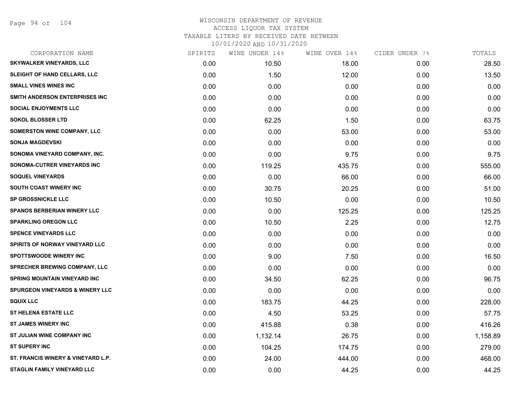| CORPORATION NAME                           | SPIRITS | WINE UNDER 14% | WINE OVER 14% | CIDER UNDER 7% | TOTALS   |
|--------------------------------------------|---------|----------------|---------------|----------------|----------|
| <b>SKYWALKER VINEYARDS, LLC</b>            | 0.00    | 10.50          | 18.00         | 0.00           | 28.50    |
| SLEIGHT OF HAND CELLARS, LLC               | 0.00    | 1.50           | 12.00         | 0.00           | 13.50    |
| <b>SMALL VINES WINES INC</b>               | 0.00    | 0.00           | 0.00          | 0.00           | 0.00     |
| SMITH ANDERSON ENTERPRISES INC             | 0.00    | 0.00           | 0.00          | 0.00           | 0.00     |
| <b>SOCIAL ENJOYMENTS LLC</b>               | 0.00    | 0.00           | 0.00          | 0.00           | 0.00     |
| <b>SOKOL BLOSSER LTD</b>                   | 0.00    | 62.25          | 1.50          | 0.00           | 63.75    |
| <b>SOMERSTON WINE COMPANY, LLC</b>         | 0.00    | 0.00           | 53.00         | 0.00           | 53.00    |
| <b>SONJA MAGDEVSKI</b>                     | 0.00    | 0.00           | 0.00          | 0.00           | 0.00     |
| SONOMA VINEYARD COMPANY, INC.              | 0.00    | 0.00           | 9.75          | 0.00           | 9.75     |
| SONOMA-CUTRER VINEYARDS INC                | 0.00    | 119.25         | 435.75        | 0.00           | 555.00   |
| <b>SOQUEL VINEYARDS</b>                    | 0.00    | 0.00           | 66.00         | 0.00           | 66.00    |
| SOUTH COAST WINERY INC                     | 0.00    | 30.75          | 20.25         | 0.00           | 51.00    |
| <b>SP GROSSNICKLE LLC</b>                  | 0.00    | 10.50          | 0.00          | 0.00           | 10.50    |
| <b>SPANOS BERBERIAN WINERY LLC</b>         | 0.00    | 0.00           | 125.25        | 0.00           | 125.25   |
| <b>SPARKLING OREGON LLC</b>                | 0.00    | 10.50          | 2.25          | 0.00           | 12.75    |
| <b>SPENCE VINEYARDS LLC</b>                | 0.00    | 0.00           | 0.00          | 0.00           | 0.00     |
| SPIRITS OF NORWAY VINEYARD LLC             | 0.00    | 0.00           | 0.00          | 0.00           | 0.00     |
| <b>SPOTTSWOODE WINERY INC</b>              | 0.00    | 9.00           | 7.50          | 0.00           | 16.50    |
| <b>SPRECHER BREWING COMPANY, LLC</b>       | 0.00    | 0.00           | 0.00          | 0.00           | 0.00     |
| <b>SPRING MOUNTAIN VINEYARD INC</b>        | 0.00    | 34.50          | 62.25         | 0.00           | 96.75    |
| <b>SPURGEON VINEYARDS &amp; WINERY LLC</b> | 0.00    | 0.00           | 0.00          | 0.00           | 0.00     |
| <b>SQUIX LLC</b>                           | 0.00    | 183.75         | 44.25         | 0.00           | 228.00   |
| ST HELENA ESTATE LLC                       | 0.00    | 4.50           | 53.25         | 0.00           | 57.75    |
| <b>ST JAMES WINERY INC</b>                 | 0.00    | 415.88         | 0.38          | 0.00           | 416.26   |
| ST JULIAN WINE COMPANY INC                 | 0.00    | 1,132.14       | 26.75         | 0.00           | 1,158.89 |
| <b>ST SUPERY INC</b>                       | 0.00    | 104.25         | 174.75        | 0.00           | 279.00   |
| ST. FRANCIS WINERY & VINEYARD L.P.         | 0.00    | 24.00          | 444.00        | 0.00           | 468.00   |
| <b>STAGLIN FAMILY VINEYARD LLC</b>         | 0.00    | 0.00           | 44.25         | 0.00           | 44.25    |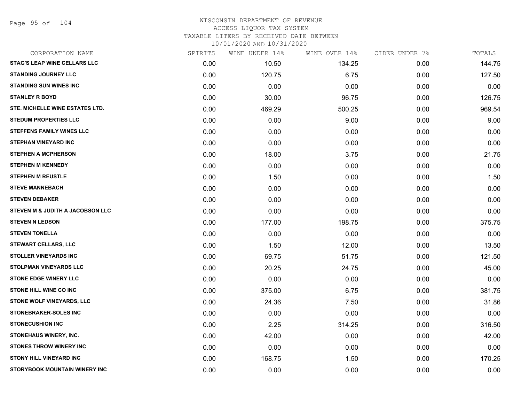Page 95 of 104

### WISCONSIN DEPARTMENT OF REVENUE ACCESS LIQUOR TAX SYSTEM TAXABLE LITERS BY RECEIVED DATE BETWEEN

| CORPORATION NAME                    | SPIRITS | WINE UNDER 14% | WINE OVER 14% | CIDER UNDER 7% | TOTALS |
|-------------------------------------|---------|----------------|---------------|----------------|--------|
| <b>STAG'S LEAP WINE CELLARS LLC</b> | 0.00    | 10.50          | 134.25        | 0.00           | 144.75 |
| <b>STANDING JOURNEY LLC</b>         | 0.00    | 120.75         | 6.75          | 0.00           | 127.50 |
| <b>STANDING SUN WINES INC</b>       | 0.00    | 0.00           | 0.00          | 0.00           | 0.00   |
| <b>STANLEY R BOYD</b>               | 0.00    | 30.00          | 96.75         | 0.00           | 126.75 |
| STE. MICHELLE WINE ESTATES LTD.     | 0.00    | 469.29         | 500.25        | 0.00           | 969.54 |
| <b>STEDUM PROPERTIES LLC</b>        | 0.00    | 0.00           | 9.00          | 0.00           | 9.00   |
| <b>STEFFENS FAMILY WINES LLC</b>    | 0.00    | 0.00           | 0.00          | 0.00           | 0.00   |
| <b>STEPHAN VINEYARD INC</b>         | 0.00    | 0.00           | 0.00          | 0.00           | 0.00   |
| <b>STEPHEN A MCPHERSON</b>          | 0.00    | 18.00          | 3.75          | 0.00           | 21.75  |
| <b>STEPHEN M KENNEDY</b>            | 0.00    | 0.00           | 0.00          | 0.00           | 0.00   |
| <b>STEPHEN M REUSTLE</b>            | 0.00    | 1.50           | 0.00          | 0.00           | 1.50   |
| <b>STEVE MANNEBACH</b>              | 0.00    | 0.00           | 0.00          | 0.00           | 0.00   |
| <b>STEVEN DEBAKER</b>               | 0.00    | 0.00           | 0.00          | 0.00           | 0.00   |
| STEVEN M & JUDITH A JACOBSON LLC    | 0.00    | 0.00           | 0.00          | 0.00           | 0.00   |
| <b>STEVEN N LEDSON</b>              | 0.00    | 177.00         | 198.75        | 0.00           | 375.75 |
| <b>STEVEN TONELLA</b>               | 0.00    | 0.00           | 0.00          | 0.00           | 0.00   |
| <b>STEWART CELLARS, LLC</b>         | 0.00    | 1.50           | 12.00         | 0.00           | 13.50  |
| <b>STOLLER VINEYARDS INC</b>        | 0.00    | 69.75          | 51.75         | 0.00           | 121.50 |
| <b>STOLPMAN VINEYARDS LLC</b>       | 0.00    | 20.25          | 24.75         | 0.00           | 45.00  |
| <b>STONE EDGE WINERY LLC</b>        | 0.00    | 0.00           | 0.00          | 0.00           | 0.00   |
| <b>STONE HILL WINE CO INC</b>       | 0.00    | 375.00         | 6.75          | 0.00           | 381.75 |
| STONE WOLF VINEYARDS, LLC           | 0.00    | 24.36          | 7.50          | 0.00           | 31.86  |
| STONEBRAKER-SOLES INC               | 0.00    | 0.00           | 0.00          | 0.00           | 0.00   |
| <b>STONECUSHION INC</b>             | 0.00    | 2.25           | 314.25        | 0.00           | 316.50 |
| <b>STONEHAUS WINERY, INC.</b>       | 0.00    | 42.00          | 0.00          | 0.00           | 42.00  |
| <b>STONES THROW WINERY INC</b>      | 0.00    | 0.00           | 0.00          | 0.00           | 0.00   |
| <b>STONY HILL VINEYARD INC</b>      | 0.00    | 168.75         | 1.50          | 0.00           | 170.25 |
| STORYBOOK MOUNTAIN WINERY INC       | 0.00    | 0.00           | 0.00          | 0.00           | 0.00   |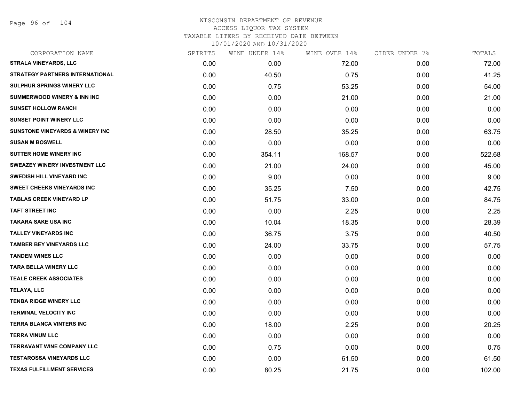Page 96 of 104

| CORPORATION NAME                            | SPIRITS | WINE UNDER 14% | WINE OVER 14% | CIDER UNDER 7% | TOTALS |
|---------------------------------------------|---------|----------------|---------------|----------------|--------|
| <b>STRALA VINEYARDS, LLC</b>                | 0.00    | 0.00           | 72.00         | 0.00           | 72.00  |
| STRATEGY PARTNERS INTERNATIONAL             | 0.00    | 40.50          | 0.75          | 0.00           | 41.25  |
| SULPHUR SPRINGS WINERY LLC                  | 0.00    | 0.75           | 53.25         | 0.00           | 54.00  |
| <b>SUMMERWOOD WINERY &amp; INN INC</b>      | 0.00    | 0.00           | 21.00         | 0.00           | 21.00  |
| <b>SUNSET HOLLOW RANCH</b>                  | 0.00    | 0.00           | 0.00          | 0.00           | 0.00   |
| <b>SUNSET POINT WINERY LLC</b>              | 0.00    | 0.00           | 0.00          | 0.00           | 0.00   |
| <b>SUNSTONE VINEYARDS &amp; WINERY INC.</b> | 0.00    | 28.50          | 35.25         | 0.00           | 63.75  |
| <b>SUSAN M BOSWELL</b>                      | 0.00    | 0.00           | 0.00          | 0.00           | 0.00   |
| <b>SUTTER HOME WINERY INC</b>               | 0.00    | 354.11         | 168.57        | 0.00           | 522.68 |
| <b>SWEAZEY WINERY INVESTMENT LLC</b>        | 0.00    | 21.00          | 24.00         | 0.00           | 45.00  |
| <b>SWEDISH HILL VINEYARD INC</b>            | 0.00    | 9.00           | 0.00          | 0.00           | 9.00   |
| <b>SWEET CHEEKS VINEYARDS INC</b>           | 0.00    | 35.25          | 7.50          | 0.00           | 42.75  |
| <b>TABLAS CREEK VINEYARD LP</b>             | 0.00    | 51.75          | 33.00         | 0.00           | 84.75  |
| <b>TAFT STREET INC</b>                      | 0.00    | 0.00           | 2.25          | 0.00           | 2.25   |
| <b>TAKARA SAKE USA INC</b>                  | 0.00    | 10.04          | 18.35         | 0.00           | 28.39  |
| <b>TALLEY VINEYARDS INC</b>                 | 0.00    | 36.75          | 3.75          | 0.00           | 40.50  |
| <b>TAMBER BEY VINEYARDS LLC</b>             | 0.00    | 24.00          | 33.75         | 0.00           | 57.75  |
| <b>TANDEM WINES LLC</b>                     | 0.00    | 0.00           | 0.00          | 0.00           | 0.00   |
| <b>TARA BELLA WINERY LLC</b>                | 0.00    | 0.00           | 0.00          | 0.00           | 0.00   |
| <b>TEALE CREEK ASSOCIATES</b>               | 0.00    | 0.00           | 0.00          | 0.00           | 0.00   |
| TELAYA, LLC                                 | 0.00    | 0.00           | 0.00          | 0.00           | 0.00   |
| <b>TENBA RIDGE WINERY LLC</b>               | 0.00    | 0.00           | 0.00          | 0.00           | 0.00   |
| <b>TERMINAL VELOCITY INC</b>                | 0.00    | 0.00           | 0.00          | 0.00           | 0.00   |
| TERRA BLANCA VINTERS INC                    | 0.00    | 18.00          | 2.25          | 0.00           | 20.25  |
| <b>TERRA VINUM LLC</b>                      | 0.00    | 0.00           | 0.00          | 0.00           | 0.00   |
| <b>TERRAVANT WINE COMPANY LLC</b>           | 0.00    | 0.75           | 0.00          | 0.00           | 0.75   |
| <b>TESTAROSSA VINEYARDS LLC</b>             | 0.00    | 0.00           | 61.50         | 0.00           | 61.50  |
| <b>TEXAS FULFILLMENT SERVICES</b>           | 0.00    | 80.25          | 21.75         | 0.00           | 102.00 |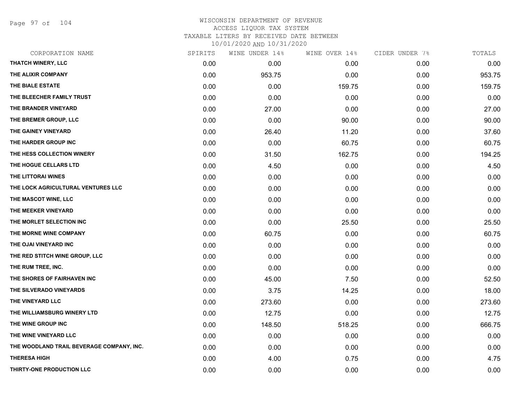Page 97 of 104

| CORPORATION NAME                          | SPIRITS | WINE UNDER 14% | WINE OVER 14% | CIDER UNDER 7% | TOTALS |
|-------------------------------------------|---------|----------------|---------------|----------------|--------|
| <b>THATCH WINERY, LLC</b>                 | 0.00    | 0.00           | 0.00          | 0.00           | 0.00   |
| THE ALIXIR COMPANY                        | 0.00    | 953.75         | 0.00          | 0.00           | 953.75 |
| THE BIALE ESTATE                          | 0.00    | 0.00           | 159.75        | 0.00           | 159.75 |
| THE BLEECHER FAMILY TRUST                 | 0.00    | 0.00           | 0.00          | 0.00           | 0.00   |
| THE BRANDER VINEYARD                      | 0.00    | 27.00          | 0.00          | 0.00           | 27.00  |
| THE BREMER GROUP, LLC                     | 0.00    | 0.00           | 90.00         | 0.00           | 90.00  |
| THE GAINEY VINEYARD                       | 0.00    | 26.40          | 11.20         | 0.00           | 37.60  |
| THE HARDER GROUP INC                      | 0.00    | 0.00           | 60.75         | 0.00           | 60.75  |
| THE HESS COLLECTION WINERY                | 0.00    | 31.50          | 162.75        | 0.00           | 194.25 |
| THE HOGUE CELLARS LTD                     | 0.00    | 4.50           | 0.00          | 0.00           | 4.50   |
| THE LITTORAI WINES                        | 0.00    | 0.00           | 0.00          | 0.00           | 0.00   |
| THE LOCK AGRICULTURAL VENTURES LLC        | 0.00    | 0.00           | 0.00          | 0.00           | 0.00   |
| THE MASCOT WINE, LLC                      | 0.00    | 0.00           | 0.00          | 0.00           | 0.00   |
| THE MEEKER VINEYARD                       | 0.00    | 0.00           | 0.00          | 0.00           | 0.00   |
| THE MORLET SELECTION INC                  | 0.00    | 0.00           | 25.50         | 0.00           | 25.50  |
| THE MORNE WINE COMPANY                    | 0.00    | 60.75          | 0.00          | 0.00           | 60.75  |
| THE OJAI VINEYARD INC                     | 0.00    | 0.00           | 0.00          | 0.00           | 0.00   |
| THE RED STITCH WINE GROUP, LLC            | 0.00    | 0.00           | 0.00          | 0.00           | 0.00   |
| THE RUM TREE, INC.                        | 0.00    | 0.00           | 0.00          | 0.00           | 0.00   |
| THE SHORES OF FAIRHAVEN INC               | 0.00    | 45.00          | 7.50          | 0.00           | 52.50  |
| THE SILVERADO VINEYARDS                   | 0.00    | 3.75           | 14.25         | 0.00           | 18.00  |
| THE VINEYARD LLC                          | 0.00    | 273.60         | 0.00          | 0.00           | 273.60 |
| THE WILLIAMSBURG WINERY LTD               | 0.00    | 12.75          | 0.00          | 0.00           | 12.75  |
| THE WINE GROUP INC                        | 0.00    | 148.50         | 518.25        | 0.00           | 666.75 |
| THE WINE VINEYARD LLC                     | 0.00    | 0.00           | 0.00          | 0.00           | 0.00   |
| THE WOODLAND TRAIL BEVERAGE COMPANY, INC. | 0.00    | 0.00           | 0.00          | 0.00           | 0.00   |
| <b>THERESA HIGH</b>                       | 0.00    | 4.00           | 0.75          | 0.00           | 4.75   |
| THIRTY-ONE PRODUCTION LLC                 | 0.00    | 0.00           | 0.00          | 0.00           | 0.00   |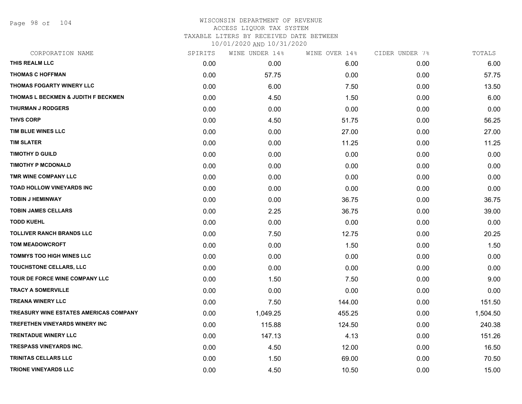Page 98 of 104

| CORPORATION NAME                       | SPIRITS | WINE UNDER 14% | WINE OVER 14% | CIDER UNDER 7% | TOTALS   |
|----------------------------------------|---------|----------------|---------------|----------------|----------|
| THIS REALM LLC                         | 0.00    | 0.00           | 6.00          | 0.00           | 6.00     |
| <b>THOMAS C HOFFMAN</b>                | 0.00    | 57.75          | 0.00          | 0.00           | 57.75    |
| THOMAS FOGARTY WINERY LLC              | 0.00    | 6.00           | 7.50          | 0.00           | 13.50    |
| THOMAS L BECKMEN & JUDITH F BECKMEN    | 0.00    | 4.50           | 1.50          | 0.00           | 6.00     |
| <b>THURMAN J RODGERS</b>               | 0.00    | 0.00           | 0.00          | 0.00           | 0.00     |
| <b>THVS CORP</b>                       | 0.00    | 4.50           | 51.75         | 0.00           | 56.25    |
| TIM BLUE WINES LLC                     | 0.00    | 0.00           | 27.00         | 0.00           | 27.00    |
| <b>TIM SLATER</b>                      | 0.00    | 0.00           | 11.25         | 0.00           | 11.25    |
| <b>TIMOTHY D GUILD</b>                 | 0.00    | 0.00           | 0.00          | 0.00           | 0.00     |
| <b>TIMOTHY P MCDONALD</b>              | 0.00    | 0.00           | 0.00          | 0.00           | 0.00     |
| TMR WINE COMPANY LLC                   | 0.00    | 0.00           | 0.00          | 0.00           | 0.00     |
| TOAD HOLLOW VINEYARDS INC              | 0.00    | 0.00           | 0.00          | 0.00           | 0.00     |
| <b>TOBIN J HEMINWAY</b>                | 0.00    | 0.00           | 36.75         | 0.00           | 36.75    |
| <b>TOBIN JAMES CELLARS</b>             | 0.00    | 2.25           | 36.75         | 0.00           | 39.00    |
| <b>TODD KUEHL</b>                      | 0.00    | 0.00           | 0.00          | 0.00           | 0.00     |
| <b>TOLLIVER RANCH BRANDS LLC</b>       | 0.00    | 7.50           | 12.75         | 0.00           | 20.25    |
| <b>TOM MEADOWCROFT</b>                 | 0.00    | 0.00           | 1.50          | 0.00           | 1.50     |
| <b>TOMMYS TOO HIGH WINES LLC</b>       | 0.00    | 0.00           | 0.00          | 0.00           | 0.00     |
| TOUCHSTONE CELLARS, LLC                | 0.00    | 0.00           | 0.00          | 0.00           | 0.00     |
| TOUR DE FORCE WINE COMPANY LLC         | 0.00    | 1.50           | 7.50          | 0.00           | 9.00     |
| <b>TRACY A SOMERVILLE</b>              | 0.00    | 0.00           | 0.00          | 0.00           | 0.00     |
| <b>TREANA WINERY LLC</b>               | 0.00    | 7.50           | 144.00        | 0.00           | 151.50   |
| TREASURY WINE ESTATES AMERICAS COMPANY | 0.00    | 1,049.25       | 455.25        | 0.00           | 1,504.50 |
| TREFETHEN VINEYARDS WINERY INC         | 0.00    | 115.88         | 124.50        | 0.00           | 240.38   |
| <b>TRENTADUE WINERY LLC</b>            | 0.00    | 147.13         | 4.13          | 0.00           | 151.26   |
| <b>TRESPASS VINEYARDS INC.</b>         | 0.00    | 4.50           | 12.00         | 0.00           | 16.50    |
| <b>TRINITAS CELLARS LLC</b>            | 0.00    | 1.50           | 69.00         | 0.00           | 70.50    |
| <b>TRIONE VINEYARDS LLC</b>            | 0.00    | 4.50           | 10.50         | 0.00           | 15.00    |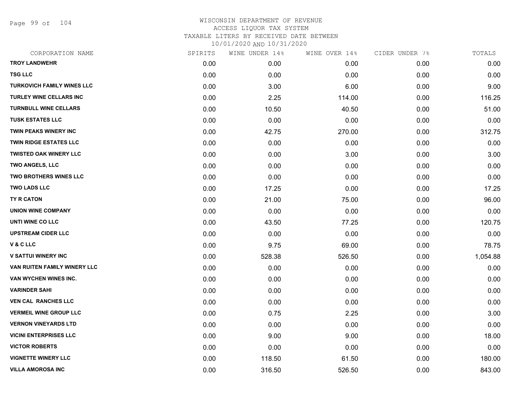Page 99 of 104

| CORPORATION NAME                  | SPIRITS | WINE UNDER 14% | WINE OVER 14% | CIDER UNDER 7% | TOTALS   |
|-----------------------------------|---------|----------------|---------------|----------------|----------|
| <b>TROY LANDWEHR</b>              | 0.00    | 0.00           | 0.00          | 0.00           | 0.00     |
| <b>TSG LLC</b>                    | 0.00    | 0.00           | 0.00          | 0.00           | 0.00     |
| <b>TURKOVICH FAMILY WINES LLC</b> | 0.00    | 3.00           | 6.00          | 0.00           | 9.00     |
| TURLEY WINE CELLARS INC           | 0.00    | 2.25           | 114.00        | 0.00           | 116.25   |
| <b>TURNBULL WINE CELLARS</b>      | 0.00    | 10.50          | 40.50         | 0.00           | 51.00    |
| <b>TUSK ESTATES LLC</b>           | 0.00    | 0.00           | 0.00          | 0.00           | 0.00     |
| <b>TWIN PEAKS WINERY INC</b>      | 0.00    | 42.75          | 270.00        | 0.00           | 312.75   |
| <b>TWIN RIDGE ESTATES LLC</b>     | 0.00    | 0.00           | 0.00          | 0.00           | 0.00     |
| <b>TWISTED OAK WINERY LLC</b>     | 0.00    | 0.00           | 3.00          | 0.00           | 3.00     |
| <b>TWO ANGELS, LLC</b>            | 0.00    | 0.00           | 0.00          | 0.00           | 0.00     |
| <b>TWO BROTHERS WINES LLC</b>     | 0.00    | 0.00           | 0.00          | 0.00           | 0.00     |
| <b>TWO LADS LLC</b>               | 0.00    | 17.25          | 0.00          | 0.00           | 17.25    |
| TY R CATON                        | 0.00    | 21.00          | 75.00         | 0.00           | 96.00    |
| <b>UNION WINE COMPANY</b>         | 0.00    | 0.00           | 0.00          | 0.00           | 0.00     |
| UNTI WINE CO LLC                  | 0.00    | 43.50          | 77.25         | 0.00           | 120.75   |
| <b>UPSTREAM CIDER LLC</b>         | 0.00    | 0.00           | 0.00          | 0.00           | 0.00     |
| V & C LLC                         | 0.00    | 9.75           | 69.00         | 0.00           | 78.75    |
| <b>V SATTUI WINERY INC</b>        | 0.00    | 528.38         | 526.50        | 0.00           | 1,054.88 |
| VAN RUITEN FAMILY WINERY LLC      | 0.00    | 0.00           | 0.00          | 0.00           | 0.00     |
| VAN WYCHEN WINES INC.             | 0.00    | 0.00           | 0.00          | 0.00           | 0.00     |
| <b>VARINDER SAHI</b>              | 0.00    | 0.00           | 0.00          | 0.00           | 0.00     |
| <b>VEN CAL RANCHES LLC</b>        | 0.00    | 0.00           | 0.00          | 0.00           | 0.00     |
| <b>VERMEIL WINE GROUP LLC</b>     | 0.00    | 0.75           | 2.25          | 0.00           | 3.00     |
| <b>VERNON VINEYARDS LTD</b>       | 0.00    | 0.00           | 0.00          | 0.00           | 0.00     |
| <b>VICINI ENTERPRISES LLC</b>     | 0.00    | 9.00           | 9.00          | 0.00           | 18.00    |
| <b>VICTOR ROBERTS</b>             | 0.00    | 0.00           | 0.00          | 0.00           | 0.00     |
| <b>VIGNETTE WINERY LLC</b>        | 0.00    | 118.50         | 61.50         | 0.00           | 180.00   |
| <b>VILLA AMOROSA INC</b>          | 0.00    | 316.50         | 526.50        | 0.00           | 843.00   |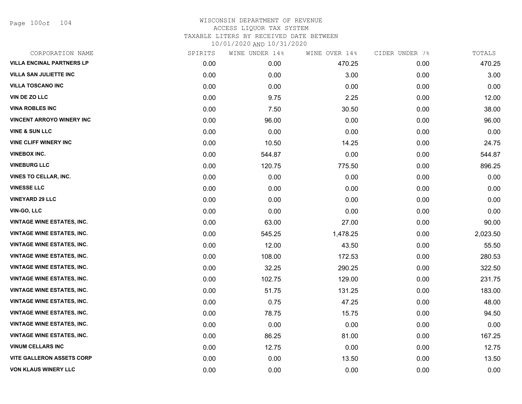Page 100of 104

| CORPORATION NAME                  | SPIRITS | WINE UNDER 14% | WINE OVER 14% | CIDER UNDER 7% | TOTALS   |
|-----------------------------------|---------|----------------|---------------|----------------|----------|
| <b>VILLA ENCINAL PARTNERS LP</b>  | 0.00    | 0.00           | 470.25        | 0.00           | 470.25   |
| <b>VILLA SAN JULIETTE INC</b>     | 0.00    | 0.00           | 3.00          | 0.00           | 3.00     |
| <b>VILLA TOSCANO INC</b>          | 0.00    | 0.00           | 0.00          | 0.00           | 0.00     |
| VIN DE ZO LLC                     | 0.00    | 9.75           | 2.25          | 0.00           | 12.00    |
| <b>VINA ROBLES INC</b>            | 0.00    | 7.50           | 30.50         | 0.00           | 38.00    |
| <b>VINCENT ARROYO WINERY INC</b>  | 0.00    | 96.00          | 0.00          | 0.00           | 96.00    |
| <b>VINE &amp; SUN LLC</b>         | 0.00    | 0.00           | 0.00          | 0.00           | 0.00     |
| <b>VINE CLIFF WINERY INC</b>      | 0.00    | 10.50          | 14.25         | 0.00           | 24.75    |
| <b>VINEBOX INC.</b>               | 0.00    | 544.87         | 0.00          | 0.00           | 544.87   |
| <b>VINEBURG LLC</b>               | 0.00    | 120.75         | 775.50        | 0.00           | 896.25   |
| <b>VINES TO CELLAR, INC.</b>      | 0.00    | 0.00           | 0.00          | 0.00           | 0.00     |
| <b>VINESSE LLC</b>                | 0.00    | 0.00           | 0.00          | 0.00           | 0.00     |
| <b>VINEYARD 29 LLC</b>            | 0.00    | 0.00           | 0.00          | 0.00           | 0.00     |
| <b>VIN-GO, LLC</b>                | 0.00    | 0.00           | 0.00          | 0.00           | 0.00     |
| <b>VINTAGE WINE ESTATES, INC.</b> | 0.00    | 63.00          | 27.00         | 0.00           | 90.00    |
| <b>VINTAGE WINE ESTATES, INC.</b> | 0.00    | 545.25         | 1,478.25      | 0.00           | 2,023.50 |
| <b>VINTAGE WINE ESTATES, INC.</b> | 0.00    | 12.00          | 43.50         | 0.00           | 55.50    |
| <b>VINTAGE WINE ESTATES, INC.</b> | 0.00    | 108.00         | 172.53        | 0.00           | 280.53   |
| <b>VINTAGE WINE ESTATES, INC.</b> | 0.00    | 32.25          | 290.25        | 0.00           | 322.50   |
| <b>VINTAGE WINE ESTATES, INC.</b> | 0.00    | 102.75         | 129.00        | 0.00           | 231.75   |
| <b>VINTAGE WINE ESTATES, INC.</b> | 0.00    | 51.75          | 131.25        | 0.00           | 183.00   |
| <b>VINTAGE WINE ESTATES, INC.</b> | 0.00    | 0.75           | 47.25         | 0.00           | 48.00    |
| <b>VINTAGE WINE ESTATES, INC.</b> | 0.00    | 78.75          | 15.75         | 0.00           | 94.50    |
| <b>VINTAGE WINE ESTATES, INC.</b> | 0.00    | 0.00           | 0.00          | 0.00           | 0.00     |
| <b>VINTAGE WINE ESTATES, INC.</b> | 0.00    | 86.25          | 81.00         | 0.00           | 167.25   |
| <b>VINUM CELLARS INC</b>          | 0.00    | 12.75          | 0.00          | 0.00           | 12.75    |
| <b>VITE GALLERON ASSETS CORP</b>  | 0.00    | 0.00           | 13.50         | 0.00           | 13.50    |
| <b>VON KLAUS WINERY LLC</b>       | 0.00    | 0.00           | 0.00          | 0.00           | 0.00     |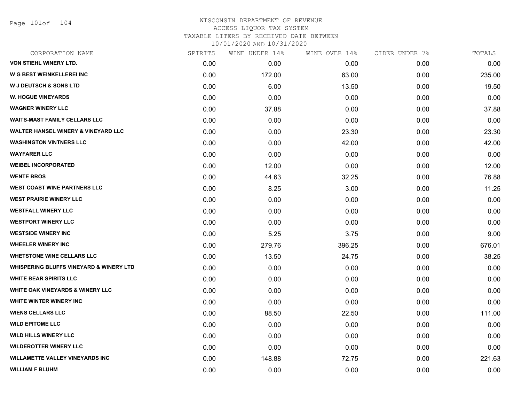Page 101of 104

| CORPORATION NAME                                   | SPIRITS | WINE UNDER 14% | WINE OVER 14% | CIDER UNDER 7% | TOTALS |
|----------------------------------------------------|---------|----------------|---------------|----------------|--------|
| VON STIEHL WINERY LTD.                             | 0.00    | 0.00           | 0.00          | 0.00           | 0.00   |
| <b>W G BEST WEINKELLEREI INC</b>                   | 0.00    | 172.00         | 63.00         | 0.00           | 235.00 |
| <b>W J DEUTSCH &amp; SONS LTD</b>                  | 0.00    | 6.00           | 13.50         | 0.00           | 19.50  |
| <b>W. HOGUE VINEYARDS</b>                          | 0.00    | 0.00           | 0.00          | 0.00           | 0.00   |
| <b>WAGNER WINERY LLC</b>                           | 0.00    | 37.88          | 0.00          | 0.00           | 37.88  |
| <b>WAITS-MAST FAMILY CELLARS LLC</b>               | 0.00    | 0.00           | 0.00          | 0.00           | 0.00   |
| <b>WALTER HANSEL WINERY &amp; VINEYARD LLC</b>     | 0.00    | 0.00           | 23.30         | 0.00           | 23.30  |
| <b>WASHINGTON VINTNERS LLC</b>                     | 0.00    | 0.00           | 42.00         | 0.00           | 42.00  |
| <b>WAYFARER LLC</b>                                | 0.00    | 0.00           | 0.00          | 0.00           | 0.00   |
| <b>WEIBEL INCORPORATED</b>                         | 0.00    | 12.00          | 0.00          | 0.00           | 12.00  |
| <b>WENTE BROS</b>                                  | 0.00    | 44.63          | 32.25         | 0.00           | 76.88  |
| <b>WEST COAST WINE PARTNERS LLC</b>                | 0.00    | 8.25           | 3.00          | 0.00           | 11.25  |
| <b>WEST PRAIRIE WINERY LLC</b>                     | 0.00    | 0.00           | 0.00          | 0.00           | 0.00   |
| <b>WESTFALL WINERY LLC</b>                         | 0.00    | 0.00           | 0.00          | 0.00           | 0.00   |
| <b>WESTPORT WINERY LLC</b>                         | 0.00    | 0.00           | 0.00          | 0.00           | 0.00   |
| <b>WESTSIDE WINERY INC</b>                         | 0.00    | 5.25           | 3.75          | 0.00           | 9.00   |
| <b>WHEELER WINERY INC</b>                          | 0.00    | 279.76         | 396.25        | 0.00           | 676.01 |
| <b>WHETSTONE WINE CELLARS LLC</b>                  | 0.00    | 13.50          | 24.75         | 0.00           | 38.25  |
| <b>WHISPERING BLUFFS VINEYARD &amp; WINERY LTD</b> | 0.00    | 0.00           | 0.00          | 0.00           | 0.00   |
| <b>WHITE BEAR SPIRITS LLC</b>                      | 0.00    | 0.00           | 0.00          | 0.00           | 0.00   |
| <b>WHITE OAK VINEYARDS &amp; WINERY LLC</b>        | 0.00    | 0.00           | 0.00          | 0.00           | 0.00   |
| WHITE WINTER WINERY INC                            | 0.00    | 0.00           | 0.00          | 0.00           | 0.00   |
| <b>WIENS CELLARS LLC</b>                           | 0.00    | 88.50          | 22.50         | 0.00           | 111.00 |
| <b>WILD EPITOME LLC</b>                            | 0.00    | 0.00           | 0.00          | 0.00           | 0.00   |
| <b>WILD HILLS WINERY LLC</b>                       | 0.00    | 0.00           | 0.00          | 0.00           | 0.00   |
| <b>WILDEROTTER WINERY LLC</b>                      | 0.00    | 0.00           | 0.00          | 0.00           | 0.00   |
| <b>WILLAMETTE VALLEY VINEYARDS INC</b>             | 0.00    | 148.88         | 72.75         | 0.00           | 221.63 |
| <b>WILLIAM F BLUHM</b>                             | 0.00    | 0.00           | 0.00          | 0.00           | 0.00   |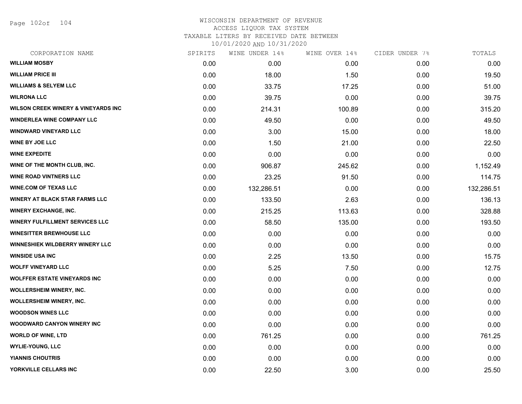Page 102of 104

| CORPORATION NAME                               | SPIRITS | WINE UNDER 14% | WINE OVER 14% | CIDER UNDER 7% | TOTALS     |
|------------------------------------------------|---------|----------------|---------------|----------------|------------|
| <b>WILLIAM MOSBY</b>                           | 0.00    | 0.00           | 0.00          | 0.00           | 0.00       |
| <b>WILLIAM PRICE III</b>                       | 0.00    | 18.00          | 1.50          | 0.00           | 19.50      |
| <b>WILLIAMS &amp; SELYEM LLC</b>               | 0.00    | 33.75          | 17.25         | 0.00           | 51.00      |
| <b>WILRONA LLC</b>                             | 0.00    | 39.75          | 0.00          | 0.00           | 39.75      |
| <b>WILSON CREEK WINERY &amp; VINEYARDS INC</b> | 0.00    | 214.31         | 100.89        | 0.00           | 315.20     |
| <b>WINDERLEA WINE COMPANY LLC</b>              | 0.00    | 49.50          | 0.00          | 0.00           | 49.50      |
| <b>WINDWARD VINEYARD LLC</b>                   | 0.00    | 3.00           | 15.00         | 0.00           | 18.00      |
| <b>WINE BY JOE LLC</b>                         | 0.00    | 1.50           | 21.00         | 0.00           | 22.50      |
| <b>WINE EXPEDITE</b>                           | 0.00    | 0.00           | 0.00          | 0.00           | 0.00       |
| WINE OF THE MONTH CLUB, INC.                   | 0.00    | 906.87         | 245.62        | 0.00           | 1,152.49   |
| <b>WINE ROAD VINTNERS LLC</b>                  | 0.00    | 23.25          | 91.50         | 0.00           | 114.75     |
| <b>WINE.COM OF TEXAS LLC</b>                   | 0.00    | 132,286.51     | 0.00          | 0.00           | 132,286.51 |
| <b>WINERY AT BLACK STAR FARMS LLC</b>          | 0.00    | 133.50         | 2.63          | 0.00           | 136.13     |
| <b>WINERY EXCHANGE, INC.</b>                   | 0.00    | 215.25         | 113.63        | 0.00           | 328.88     |
| WINERY FULFILLMENT SERVICES LLC                | 0.00    | 58.50          | 135.00        | 0.00           | 193.50     |
| <b>WINESITTER BREWHOUSE LLC</b>                | 0.00    | 0.00           | 0.00          | 0.00           | 0.00       |
| WINNESHIEK WILDBERRY WINERY LLC                | 0.00    | 0.00           | 0.00          | 0.00           | 0.00       |
| <b>WINSIDE USA INC</b>                         | 0.00    | 2.25           | 13.50         | 0.00           | 15.75      |
| <b>WOLFF VINEYARD LLC</b>                      | 0.00    | 5.25           | 7.50          | 0.00           | 12.75      |
| <b>WOLFFER ESTATE VINEYARDS INC</b>            | 0.00    | 0.00           | 0.00          | 0.00           | 0.00       |
| WOLLERSHEIM WINERY, INC.                       | 0.00    | 0.00           | 0.00          | 0.00           | 0.00       |
| <b>WOLLERSHEIM WINERY, INC.</b>                | 0.00    | 0.00           | 0.00          | 0.00           | 0.00       |
| <b>WOODSON WINES LLC</b>                       | 0.00    | 0.00           | 0.00          | 0.00           | 0.00       |
| <b>WOODWARD CANYON WINERY INC</b>              | 0.00    | 0.00           | 0.00          | 0.00           | 0.00       |
| <b>WORLD OF WINE, LTD</b>                      | 0.00    | 761.25         | 0.00          | 0.00           | 761.25     |
| <b>WYLIE-YOUNG, LLC</b>                        | 0.00    | 0.00           | 0.00          | 0.00           | 0.00       |
| <b>YIANNIS CHOUTRIS</b>                        | 0.00    | 0.00           | 0.00          | 0.00           | 0.00       |
| YORKVILLE CELLARS INC                          | 0.00    | 22.50          | 3.00          | 0.00           | 25.50      |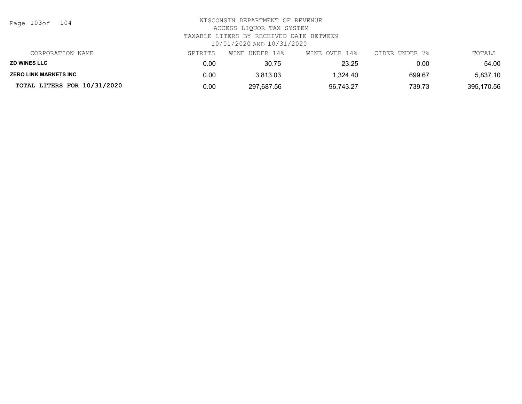| CORPORATION NAME             | SPIRITS | WINE UNDER 14% | WINE OVER 14% | CIDER UNDER 7% | TOTALS     |
|------------------------------|---------|----------------|---------------|----------------|------------|
| <b>ZD WINES LLC</b>          | 0.00    | 30.75          | 23.25         | 0.00           | 54.00      |
| <b>ZERO LINK MARKETS INC</b> | 0.00    | 3,813.03       | .324.40       | 699.67         | 5,837.10   |
| TOTAL LITERS FOR 10/31/2020  | 0.00    | 297,687.56     | 96,743.27     | 739.73         | 395,170.56 |